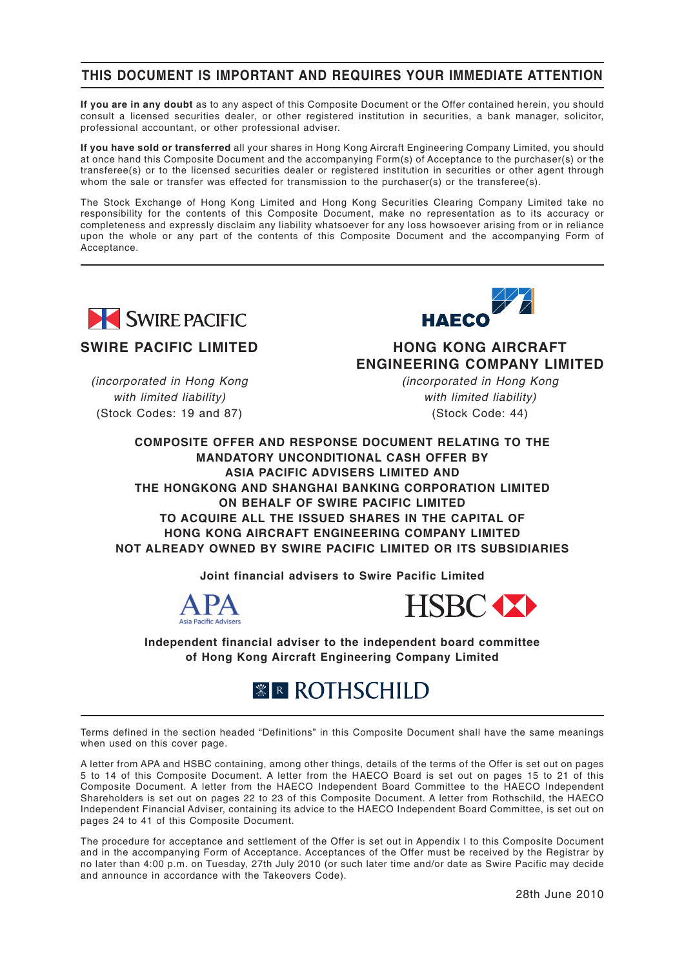### **THIS DOCUMENT IS IMPORTANT AND REQUIRES YOUR IMMEDIATE ATTENTION**

**If you are in any doubt** as to any aspect of this Composite Document or the Offer contained herein, you should consult a licensed securities dealer, or other registered institution in securities, a bank manager, solicitor, professional accountant, or other professional adviser.

**If you have sold or transferred** all your shares in Hong Kong Aircraft Engineering Company Limited, you should at once hand this Composite Document and the accompanying Form(s) of Acceptance to the purchaser(s) or the transferee(s) or to the licensed securities dealer or registered institution in securities or other agent through whom the sale or transfer was effected for transmission to the purchaser(s) or the transferee(s).

The Stock Exchange of Hong Kong Limited and Hong Kong Securities Clearing Company Limited take no responsibility for the contents of this Composite Document, make no representation as to its accuracy or completeness and expressly disclaim any liability whatsoever for any loss howsoever arising from or in reliance upon the whole or any part of the contents of this Composite Document and the accompanying Form of Acceptance.



### **SWIRE PACIFIC LIMITED**

*(incorporated in Hong Kong with limited liability)* (Stock Codes: 19 and 87)



**HONG KONG AIRCRAFT ENGINEERING COMPANY LIMITED**

> *(incorporated in Hong Kong with limited liability)* (Stock Code: 44)

**COMPOSITE OFFER AND RESPONSE DOCUMENT RELATING TO THE MANDATORY UNCONDITIONAL CASH OFFER BY ASIA PACIFIC ADVISERS LIMITED AND THE HONGKONG AND SHANGHAI BANKING CORPORATION LIMITED ON BEHALF OF SWIRE PACIFIC LIMITED TO ACQUIRE ALL THE ISSUED SHARES IN THE CAPITAL OF HONG KONG AIRCRAFT ENGINEERING COMPANY LIMITED NOT ALREADY OWNED BY SWIRE PACIFIC LIMITED OR ITS SUBSIDIARIES**

**Joint financial advisers to Swire Pacific Limited**





**Independent financial adviser to the independent board committee of Hong Kong Aircraft Engineering Company Limited**

# *<b>ER ROTHSCHILD*

Terms defined in the section headed "Definitions" in this Composite Document shall have the same meanings when used on this cover page.

A letter from APA and HSBC containing, among other things, details of the terms of the Offer is set out on pages 5 to 14 of this Composite Document. A letter from the HAECO Board is set out on pages 15 to 21 of this Composite Document. A letter from the HAECO Independent Board Committee to the HAECO Independent Shareholders is set out on pages 22 to 23 of this Composite Document. A letter from Rothschild, the HAECO Independent Financial Adviser, containing its advice to the HAECO Independent Board Committee, is set out on pages 24 to 41 of this Composite Document.

The procedure for acceptance and settlement of the Offer is set out in Appendix I to this Composite Document and in the accompanying Form of Acceptance. Acceptances of the Offer must be received by the Registrar by no later than 4:00 p.m. on Tuesday, 27th July 2010 (or such later time and/or date as Swire Pacific may decide and announce in accordance with the Takeovers Code).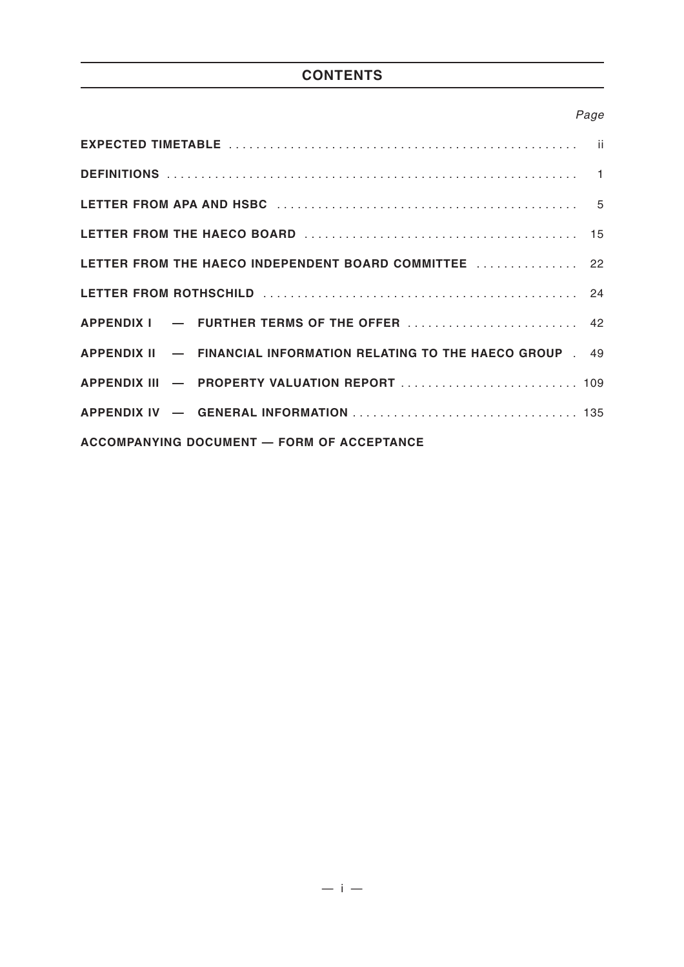# **CONTENTS**

# *Page*

| LETTER FROM THE HAECO INDEPENDENT BOARD COMMITTEE  22              |  |
|--------------------------------------------------------------------|--|
|                                                                    |  |
|                                                                    |  |
| APPENDIX II - FINANCIAL INFORMATION RELATING TO THE HAECO GROUP 49 |  |
|                                                                    |  |
|                                                                    |  |
| <b>ACCOMPANYING DOCUMENT - FORM OF ACCEPTANCE</b>                  |  |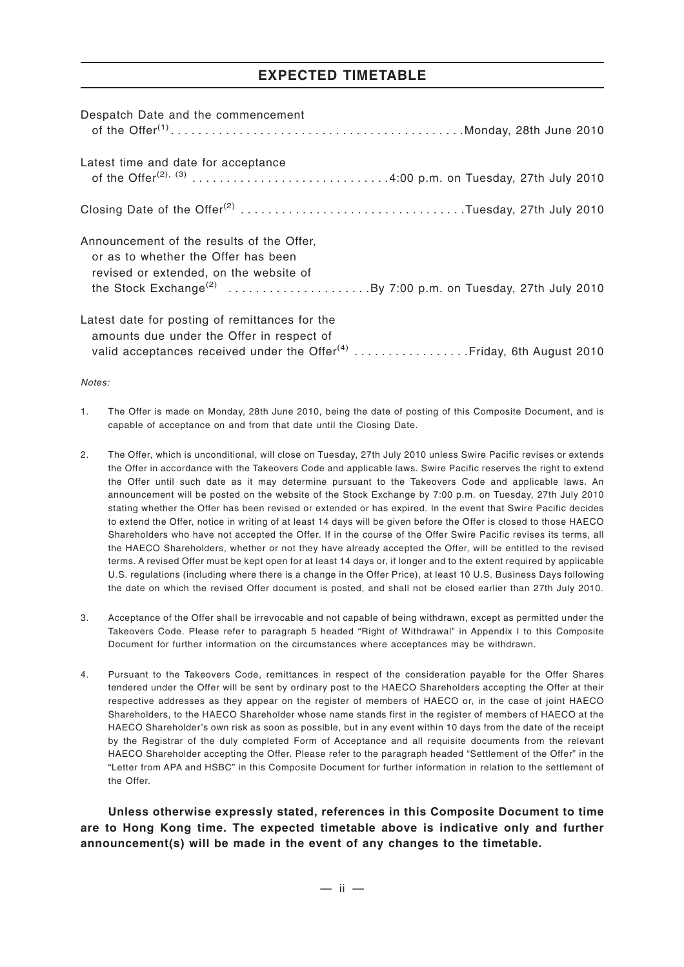### **EXPECTED TIMETABLE**

| Despatch Date and the commencement                                                                                                                                                                      |
|---------------------------------------------------------------------------------------------------------------------------------------------------------------------------------------------------------|
| Latest time and date for acceptance<br>of the Offer <sup>(2), (3)</sup> 4:00 p.m. on Tuesday, 27th July 2010                                                                                            |
| Closing Date of the Offer <sup>(2)</sup> Tuesday, 27th July 2010                                                                                                                                        |
| Announcement of the results of the Offer,<br>or as to whether the Offer has been<br>revised or extended, on the website of<br>the Stock Exchange <sup>(2)</sup> By 7:00 p.m. on Tuesday, 27th July 2010 |
| Latest date for posting of remittances for the<br>amounts due under the Offer in respect of<br>valid acceptances received under the Offer <sup>(4)</sup> Friday, 6th August 2010                        |

*Notes:*

- 1. The Offer is made on Monday, 28th June 2010, being the date of posting of this Composite Document, and is capable of acceptance on and from that date until the Closing Date.
- 2. The Offer, which is unconditional, will close on Tuesday, 27th July 2010 unless Swire Pacific revises or extends the Offer in accordance with the Takeovers Code and applicable laws. Swire Pacific reserves the right to extend the Offer until such date as it may determine pursuant to the Takeovers Code and applicable laws. An announcement will be posted on the website of the Stock Exchange by 7:00 p.m. on Tuesday, 27th July 2010 stating whether the Offer has been revised or extended or has expired. In the event that Swire Pacific decides to extend the Offer, notice in writing of at least 14 days will be given before the Offer is closed to those HAECO Shareholders who have not accepted the Offer. If in the course of the Offer Swire Pacific revises its terms, all the HAECO Shareholders, whether or not they have already accepted the Offer, will be entitled to the revised terms. A revised Offer must be kept open for at least 14 days or, if longer and to the extent required by applicable U.S. regulations (including where there is a change in the Offer Price), at least 10 U.S. Business Days following the date on which the revised Offer document is posted, and shall not be closed earlier than 27th July 2010.
- 3. Acceptance of the Offer shall be irrevocable and not capable of being withdrawn, except as permitted under the Takeovers Code. Please refer to paragraph 5 headed "Right of Withdrawal" in Appendix I to this Composite Document for further information on the circumstances where acceptances may be withdrawn.
- 4. Pursuant to the Takeovers Code, remittances in respect of the consideration payable for the Offer Shares tendered under the Offer will be sent by ordinary post to the HAECO Shareholders accepting the Offer at their respective addresses as they appear on the register of members of HAECO or, in the case of joint HAECO Shareholders, to the HAECO Shareholder whose name stands first in the register of members of HAECO at the HAECO Shareholder's own risk as soon as possible, but in any event within 10 days from the date of the receipt by the Registrar of the duly completed Form of Acceptance and all requisite documents from the relevant HAECO Shareholder accepting the Offer. Please refer to the paragraph headed "Settlement of the Offer" in the "Letter from APA and HSBC" in this Composite Document for further information in relation to the settlement of the Offer.

**Unless otherwise expressly stated, references in this Composite Document to time are to Hong Kong time. The expected timetable above is indicative only and further announcement(s) will be made in the event of any changes to the timetable.**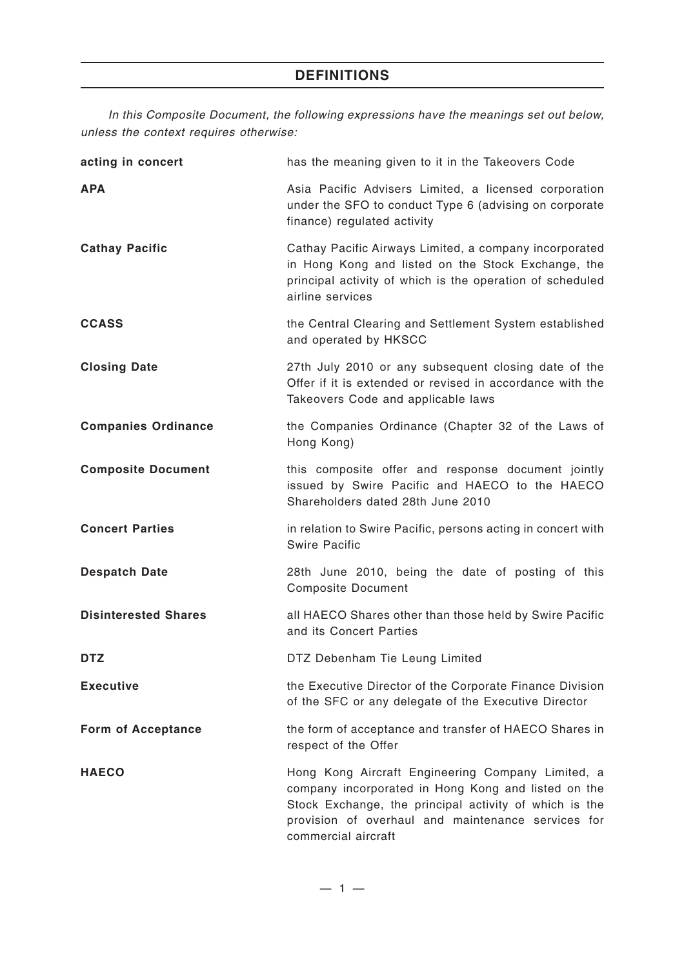*In this Composite Document, the following expressions have the meanings set out below, unless the context requires otherwise:*

| acting in concert           | has the meaning given to it in the Takeovers Code                                                                                                                                                                                               |
|-----------------------------|-------------------------------------------------------------------------------------------------------------------------------------------------------------------------------------------------------------------------------------------------|
| <b>APA</b>                  | Asia Pacific Advisers Limited, a licensed corporation<br>under the SFO to conduct Type 6 (advising on corporate<br>finance) regulated activity                                                                                                  |
| <b>Cathay Pacific</b>       | Cathay Pacific Airways Limited, a company incorporated<br>in Hong Kong and listed on the Stock Exchange, the<br>principal activity of which is the operation of scheduled<br>airline services                                                   |
| <b>CCASS</b>                | the Central Clearing and Settlement System established<br>and operated by HKSCC                                                                                                                                                                 |
| <b>Closing Date</b>         | 27th July 2010 or any subsequent closing date of the<br>Offer if it is extended or revised in accordance with the<br>Takeovers Code and applicable laws                                                                                         |
| <b>Companies Ordinance</b>  | the Companies Ordinance (Chapter 32 of the Laws of<br>Hong Kong)                                                                                                                                                                                |
| <b>Composite Document</b>   | this composite offer and response document jointly<br>issued by Swire Pacific and HAECO to the HAECO<br>Shareholders dated 28th June 2010                                                                                                       |
| <b>Concert Parties</b>      | in relation to Swire Pacific, persons acting in concert with<br><b>Swire Pacific</b>                                                                                                                                                            |
| <b>Despatch Date</b>        | 28th June 2010, being the date of posting of this<br><b>Composite Document</b>                                                                                                                                                                  |
| <b>Disinterested Shares</b> | all HAECO Shares other than those held by Swire Pacific<br>and its Concert Parties                                                                                                                                                              |
| <b>DTZ</b>                  | DTZ Debenham Tie Leung Limited                                                                                                                                                                                                                  |
| <b>Executive</b>            | the Executive Director of the Corporate Finance Division<br>of the SFC or any delegate of the Executive Director                                                                                                                                |
| <b>Form of Acceptance</b>   | the form of acceptance and transfer of HAECO Shares in<br>respect of the Offer                                                                                                                                                                  |
| <b>HAECO</b>                | Hong Kong Aircraft Engineering Company Limited, a<br>company incorporated in Hong Kong and listed on the<br>Stock Exchange, the principal activity of which is the<br>provision of overhaul and maintenance services for<br>commercial aircraft |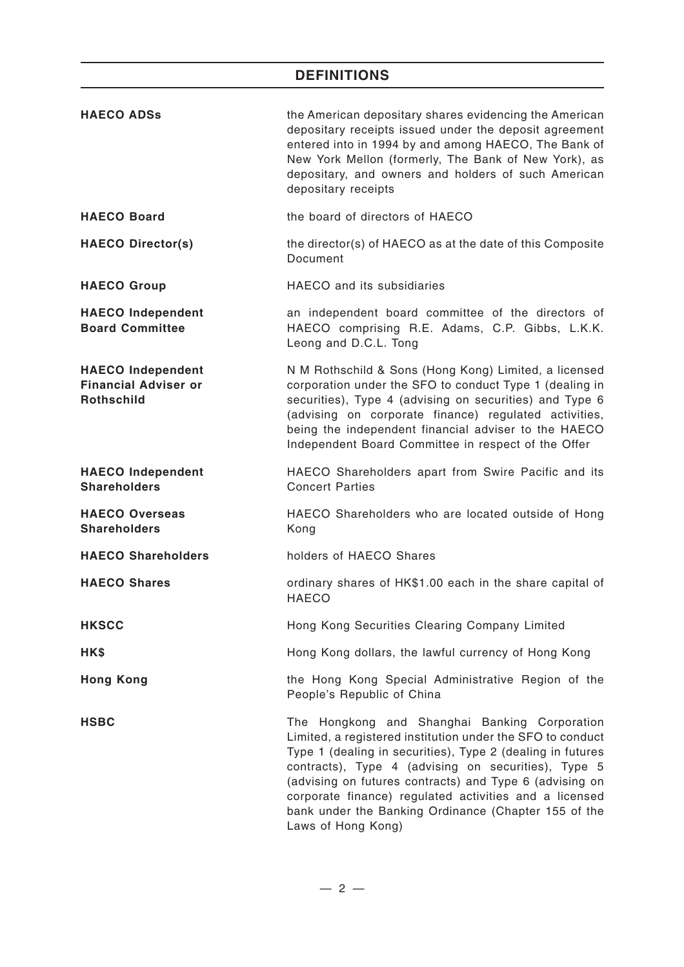# **DEFINITIONS**

| <b>HAECO ADSS</b>                                                            | the American depositary shares evidencing the American<br>depositary receipts issued under the deposit agreement<br>entered into in 1994 by and among HAECO, The Bank of<br>New York Mellon (formerly, The Bank of New York), as<br>depositary, and owners and holders of such American<br>depositary receipts                                                                                                                      |
|------------------------------------------------------------------------------|-------------------------------------------------------------------------------------------------------------------------------------------------------------------------------------------------------------------------------------------------------------------------------------------------------------------------------------------------------------------------------------------------------------------------------------|
| <b>HAECO Board</b>                                                           | the board of directors of HAECO                                                                                                                                                                                                                                                                                                                                                                                                     |
| <b>HAECO Director(s)</b>                                                     | the director(s) of HAECO as at the date of this Composite<br>Document                                                                                                                                                                                                                                                                                                                                                               |
| <b>HAECO Group</b>                                                           | HAECO and its subsidiaries                                                                                                                                                                                                                                                                                                                                                                                                          |
| <b>HAECO Independent</b><br><b>Board Committee</b>                           | an independent board committee of the directors of<br>HAECO comprising R.E. Adams, C.P. Gibbs, L.K.K.<br>Leong and D.C.L. Tong                                                                                                                                                                                                                                                                                                      |
| <b>HAECO</b> Independent<br><b>Financial Adviser or</b><br><b>Rothschild</b> | N M Rothschild & Sons (Hong Kong) Limited, a licensed<br>corporation under the SFO to conduct Type 1 (dealing in<br>securities), Type 4 (advising on securities) and Type 6<br>(advising on corporate finance) regulated activities,<br>being the independent financial adviser to the HAECO<br>Independent Board Committee in respect of the Offer                                                                                 |
| <b>HAECO Independent</b><br><b>Shareholders</b>                              | HAECO Shareholders apart from Swire Pacific and its<br><b>Concert Parties</b>                                                                                                                                                                                                                                                                                                                                                       |
| <b>HAECO Overseas</b><br><b>Shareholders</b>                                 | HAECO Shareholders who are located outside of Hong<br>Kong                                                                                                                                                                                                                                                                                                                                                                          |
| <b>HAECO Shareholders</b>                                                    | holders of HAECO Shares                                                                                                                                                                                                                                                                                                                                                                                                             |
| <b>HAECO Shares</b>                                                          | ordinary shares of HK\$1.00 each in the share capital of<br><b>HAECO</b>                                                                                                                                                                                                                                                                                                                                                            |
| <b>HKSCC</b>                                                                 | Hong Kong Securities Clearing Company Limited                                                                                                                                                                                                                                                                                                                                                                                       |
| HK\$                                                                         | Hong Kong dollars, the lawful currency of Hong Kong                                                                                                                                                                                                                                                                                                                                                                                 |
| <b>Hong Kong</b>                                                             | the Hong Kong Special Administrative Region of the<br>People's Republic of China                                                                                                                                                                                                                                                                                                                                                    |
| <b>HSBC</b>                                                                  | The Hongkong and Shanghai Banking Corporation<br>Limited, a registered institution under the SFO to conduct<br>Type 1 (dealing in securities), Type 2 (dealing in futures<br>contracts), Type 4 (advising on securities), Type 5<br>(advising on futures contracts) and Type 6 (advising on<br>corporate finance) regulated activities and a licensed<br>bank under the Banking Ordinance (Chapter 155 of the<br>Laws of Hong Kong) |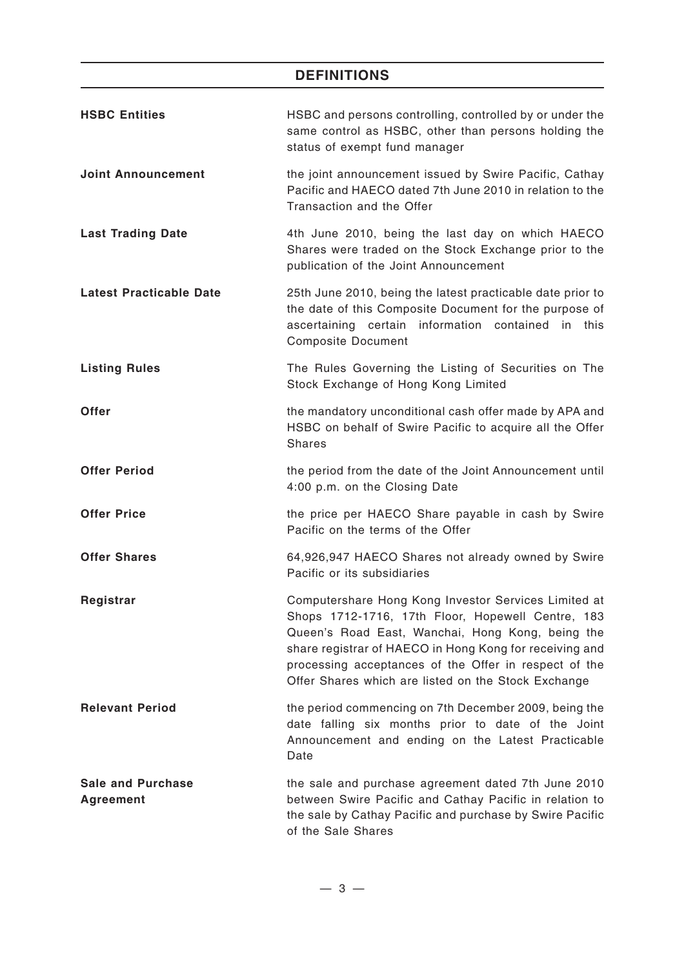# **DEFINITIONS**

| <b>HSBC Entities</b>                         | HSBC and persons controlling, controlled by or under the<br>same control as HSBC, other than persons holding the<br>status of exempt fund manager                                                                                                                                                                                        |
|----------------------------------------------|------------------------------------------------------------------------------------------------------------------------------------------------------------------------------------------------------------------------------------------------------------------------------------------------------------------------------------------|
| <b>Joint Announcement</b>                    | the joint announcement issued by Swire Pacific, Cathay<br>Pacific and HAECO dated 7th June 2010 in relation to the<br>Transaction and the Offer                                                                                                                                                                                          |
| <b>Last Trading Date</b>                     | 4th June 2010, being the last day on which HAECO<br>Shares were traded on the Stock Exchange prior to the<br>publication of the Joint Announcement                                                                                                                                                                                       |
| <b>Latest Practicable Date</b>               | 25th June 2010, being the latest practicable date prior to<br>the date of this Composite Document for the purpose of<br>ascertaining certain information contained in this<br><b>Composite Document</b>                                                                                                                                  |
| <b>Listing Rules</b>                         | The Rules Governing the Listing of Securities on The<br>Stock Exchange of Hong Kong Limited                                                                                                                                                                                                                                              |
| <b>Offer</b>                                 | the mandatory unconditional cash offer made by APA and<br>HSBC on behalf of Swire Pacific to acquire all the Offer<br><b>Shares</b>                                                                                                                                                                                                      |
| <b>Offer Period</b>                          | the period from the date of the Joint Announcement until<br>4:00 p.m. on the Closing Date                                                                                                                                                                                                                                                |
| <b>Offer Price</b>                           | the price per HAECO Share payable in cash by Swire<br>Pacific on the terms of the Offer                                                                                                                                                                                                                                                  |
| <b>Offer Shares</b>                          | 64,926,947 HAECO Shares not already owned by Swire<br>Pacific or its subsidiaries                                                                                                                                                                                                                                                        |
| Registrar                                    | Computershare Hong Kong Investor Services Limited at<br>Shops 1712-1716, 17th Floor, Hopewell Centre, 183<br>Queen's Road East, Wanchai, Hong Kong, being the<br>share registrar of HAECO in Hong Kong for receiving and<br>processing acceptances of the Offer in respect of the<br>Offer Shares which are listed on the Stock Exchange |
| <b>Relevant Period</b>                       | the period commencing on 7th December 2009, being the<br>date falling six months prior to date of the Joint<br>Announcement and ending on the Latest Practicable<br>Date                                                                                                                                                                 |
| <b>Sale and Purchase</b><br><b>Agreement</b> | the sale and purchase agreement dated 7th June 2010<br>between Swire Pacific and Cathay Pacific in relation to<br>the sale by Cathay Pacific and purchase by Swire Pacific<br>of the Sale Shares                                                                                                                                         |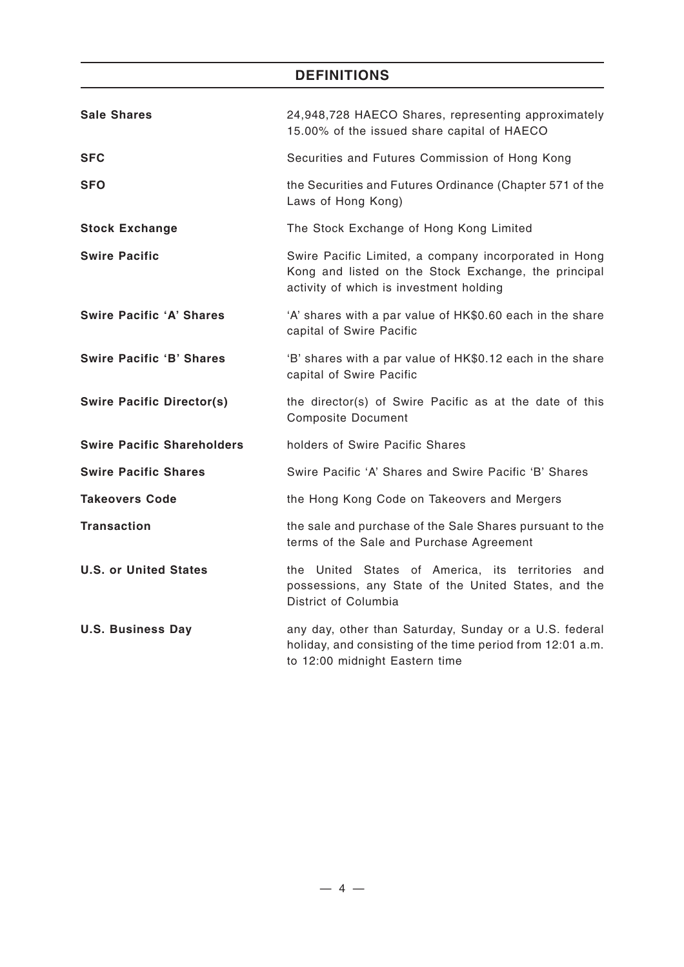# **DEFINITIONS**

| <b>Sale Shares</b>                | 24,948,728 HAECO Shares, representing approximately<br>15.00% of the issued share capital of HAECO                                                       |
|-----------------------------------|----------------------------------------------------------------------------------------------------------------------------------------------------------|
| <b>SFC</b>                        | Securities and Futures Commission of Hong Kong                                                                                                           |
| <b>SFO</b>                        | the Securities and Futures Ordinance (Chapter 571 of the<br>Laws of Hong Kong)                                                                           |
| <b>Stock Exchange</b>             | The Stock Exchange of Hong Kong Limited                                                                                                                  |
| <b>Swire Pacific</b>              | Swire Pacific Limited, a company incorporated in Hong<br>Kong and listed on the Stock Exchange, the principal<br>activity of which is investment holding |
| <b>Swire Pacific 'A' Shares</b>   | 'A' shares with a par value of HK\$0.60 each in the share<br>capital of Swire Pacific                                                                    |
| <b>Swire Pacific 'B' Shares</b>   | 'B' shares with a par value of HK\$0.12 each in the share<br>capital of Swire Pacific                                                                    |
| <b>Swire Pacific Director(s)</b>  | the director(s) of Swire Pacific as at the date of this<br><b>Composite Document</b>                                                                     |
| <b>Swire Pacific Shareholders</b> | holders of Swire Pacific Shares                                                                                                                          |
| <b>Swire Pacific Shares</b>       | Swire Pacific 'A' Shares and Swire Pacific 'B' Shares                                                                                                    |
| <b>Takeovers Code</b>             | the Hong Kong Code on Takeovers and Mergers                                                                                                              |
| <b>Transaction</b>                | the sale and purchase of the Sale Shares pursuant to the<br>terms of the Sale and Purchase Agreement                                                     |
| <b>U.S. or United States</b>      | the United States of America, its territories and<br>possessions, any State of the United States, and the<br>District of Columbia                        |
| <b>U.S. Business Day</b>          | any day, other than Saturday, Sunday or a U.S. federal<br>holiday, and consisting of the time period from 12:01 a.m.<br>to 12:00 midnight Eastern time   |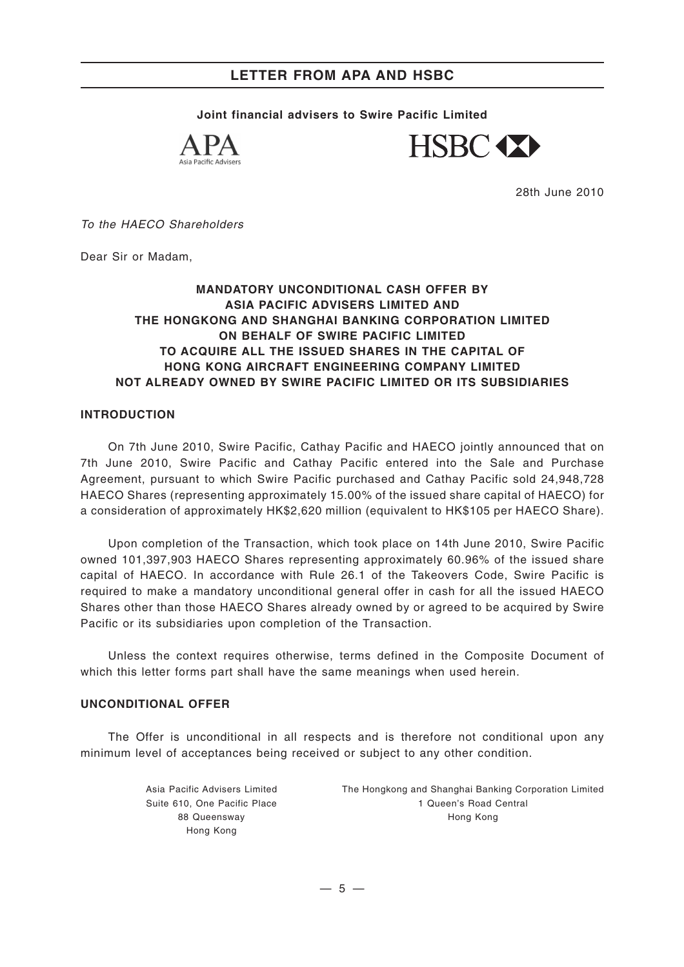**Joint financial advisers to Swire Pacific Limited**





28th June 2010

*To the HAECO Shareholders*

Dear Sir or Madam,

#### **MANDATORY UNCONDITIONAL CASH OFFER BY ASIA PACIFIC ADVISERS LIMITED AND THE HONGKONG AND SHANGHAI BANKING CORPORATION LIMITED ON BEHALF OF SWIRE PACIFIC LIMITED TO ACQUIRE ALL THE ISSUED SHARES IN THE CAPITAL OF HONG KONG AIRCRAFT ENGINEERING COMPANY LIMITED NOT ALREADY OWNED BY SWIRE PACIFIC LIMITED OR ITS SUBSIDIARIES**

#### **INTRODUCTION**

On 7th June 2010, Swire Pacific, Cathay Pacific and HAECO jointly announced that on 7th June 2010, Swire Pacific and Cathay Pacific entered into the Sale and Purchase Agreement, pursuant to which Swire Pacific purchased and Cathay Pacific sold 24,948,728 HAECO Shares (representing approximately 15.00% of the issued share capital of HAECO) for a consideration of approximately HK\$2,620 million (equivalent to HK\$105 per HAECO Share).

Upon completion of the Transaction, which took place on 14th June 2010, Swire Pacific owned 101,397,903 HAECO Shares representing approximately 60.96% of the issued share capital of HAECO. In accordance with Rule 26.1 of the Takeovers Code, Swire Pacific is required to make a mandatory unconditional general offer in cash for all the issued HAECO Shares other than those HAECO Shares already owned by or agreed to be acquired by Swire Pacific or its subsidiaries upon completion of the Transaction.

Unless the context requires otherwise, terms defined in the Composite Document of which this letter forms part shall have the same meanings when used herein.

#### **UNCONDITIONAL OFFER**

The Offer is unconditional in all respects and is therefore not conditional upon any minimum level of acceptances being received or subject to any other condition.

> Asia Pacific Advisers Limited Suite 610, One Pacific Place 88 Queensway Hong Kong

The Hongkong and Shanghai Banking Corporation Limited 1 Queen's Road Central Hong Kong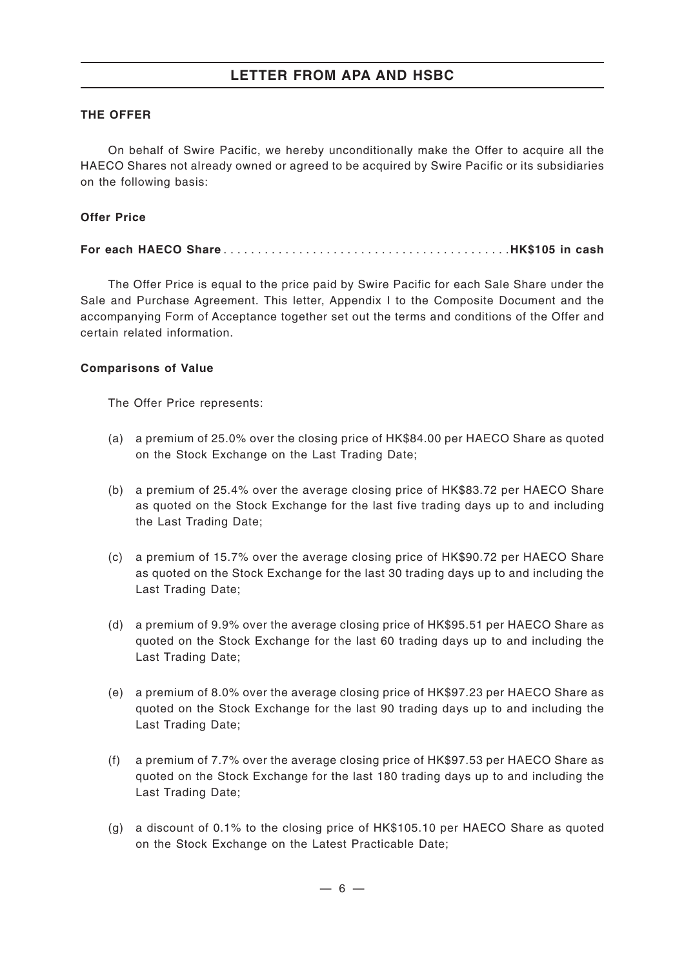#### **THE OFFER**

On behalf of Swire Pacific, we hereby unconditionally make the Offer to acquire all the HAECO Shares not already owned or agreed to be acquired by Swire Pacific or its subsidiaries on the following basis:

#### **Offer Price**

#### **For each HAECO Share** ..........................................**HK\$105 in cash**

The Offer Price is equal to the price paid by Swire Pacific for each Sale Share under the Sale and Purchase Agreement. This letter, Appendix I to the Composite Document and the accompanying Form of Acceptance together set out the terms and conditions of the Offer and certain related information.

#### **Comparisons of Value**

The Offer Price represents:

- (a) a premium of 25.0% over the closing price of HK\$84.00 per HAECO Share as quoted on the Stock Exchange on the Last Trading Date;
- (b) a premium of 25.4% over the average closing price of HK\$83.72 per HAECO Share as quoted on the Stock Exchange for the last five trading days up to and including the Last Trading Date;
- (c) a premium of 15.7% over the average closing price of HK\$90.72 per HAECO Share as quoted on the Stock Exchange for the last 30 trading days up to and including the Last Trading Date;
- (d) a premium of 9.9% over the average closing price of HK\$95.51 per HAECO Share as quoted on the Stock Exchange for the last 60 trading days up to and including the Last Trading Date;
- (e) a premium of 8.0% over the average closing price of HK\$97.23 per HAECO Share as quoted on the Stock Exchange for the last 90 trading days up to and including the Last Trading Date;
- (f) a premium of 7.7% over the average closing price of HK\$97.53 per HAECO Share as quoted on the Stock Exchange for the last 180 trading days up to and including the Last Trading Date;
- (g) a discount of 0.1% to the closing price of HK\$105.10 per HAECO Share as quoted on the Stock Exchange on the Latest Practicable Date;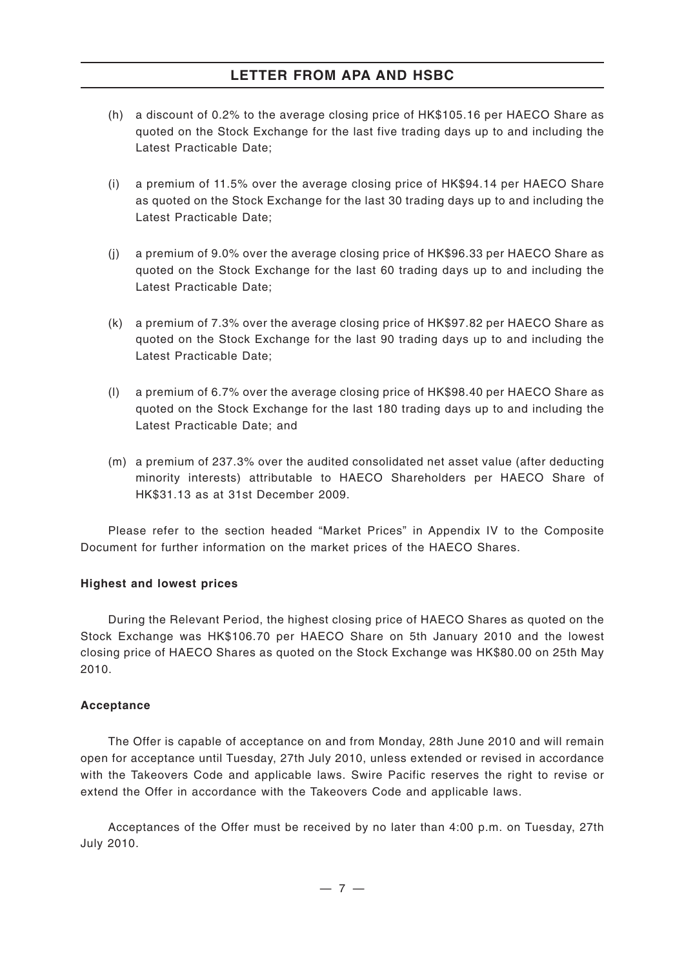- (h) a discount of 0.2% to the average closing price of HK\$105.16 per HAECO Share as quoted on the Stock Exchange for the last five trading days up to and including the Latest Practicable Date;
- (i) a premium of 11.5% over the average closing price of HK\$94.14 per HAECO Share as quoted on the Stock Exchange for the last 30 trading days up to and including the Latest Practicable Date;
- (j) a premium of 9.0% over the average closing price of HK\$96.33 per HAECO Share as quoted on the Stock Exchange for the last 60 trading days up to and including the Latest Practicable Date;
- (k) a premium of 7.3% over the average closing price of HK\$97.82 per HAECO Share as quoted on the Stock Exchange for the last 90 trading days up to and including the Latest Practicable Date;
- (l) a premium of 6.7% over the average closing price of HK\$98.40 per HAECO Share as quoted on the Stock Exchange for the last 180 trading days up to and including the Latest Practicable Date; and
- (m) a premium of 237.3% over the audited consolidated net asset value (after deducting minority interests) attributable to HAECO Shareholders per HAECO Share of HK\$31.13 as at 31st December 2009.

Please refer to the section headed "Market Prices" in Appendix IV to the Composite Document for further information on the market prices of the HAECO Shares.

#### **Highest and lowest prices**

During the Relevant Period, the highest closing price of HAECO Shares as quoted on the Stock Exchange was HK\$106.70 per HAECO Share on 5th January 2010 and the lowest closing price of HAECO Shares as quoted on the Stock Exchange was HK\$80.00 on 25th May 2010.

#### **Acceptance**

The Offer is capable of acceptance on and from Monday, 28th June 2010 and will remain open for acceptance until Tuesday, 27th July 2010, unless extended or revised in accordance with the Takeovers Code and applicable laws. Swire Pacific reserves the right to revise or extend the Offer in accordance with the Takeovers Code and applicable laws.

Acceptances of the Offer must be received by no later than 4:00 p.m. on Tuesday, 27th July 2010.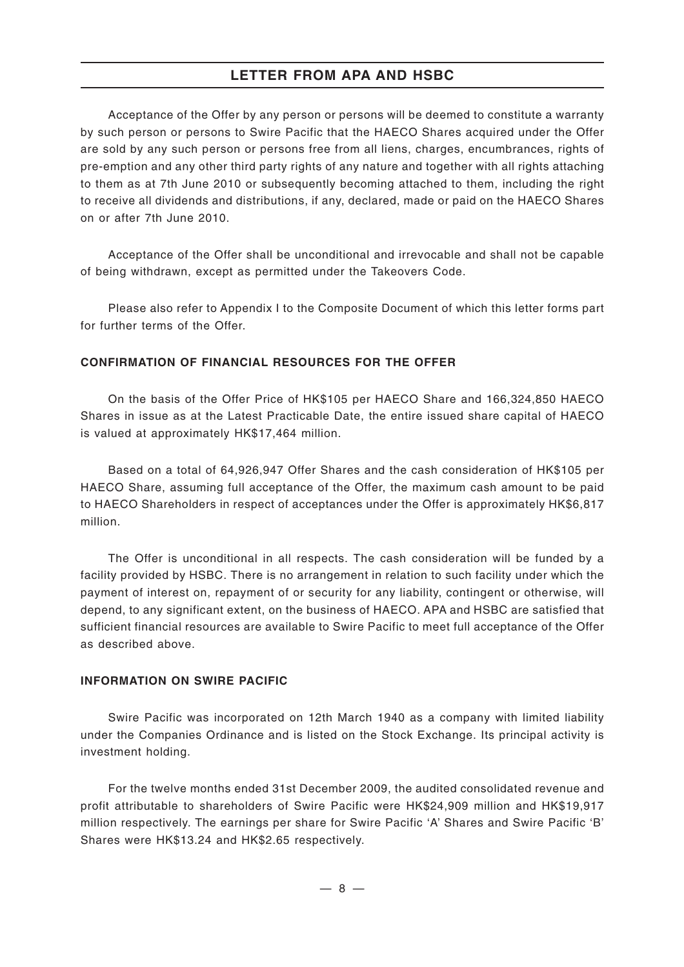Acceptance of the Offer by any person or persons will be deemed to constitute a warranty by such person or persons to Swire Pacific that the HAECO Shares acquired under the Offer are sold by any such person or persons free from all liens, charges, encumbrances, rights of pre-emption and any other third party rights of any nature and together with all rights attaching to them as at 7th June 2010 or subsequently becoming attached to them, including the right to receive all dividends and distributions, if any, declared, made or paid on the HAECO Shares on or after 7th June 2010.

Acceptance of the Offer shall be unconditional and irrevocable and shall not be capable of being withdrawn, except as permitted under the Takeovers Code.

Please also refer to Appendix I to the Composite Document of which this letter forms part for further terms of the Offer.

#### **CONFIRMATION OF FINANCIAL RESOURCES FOR THE OFFER**

On the basis of the Offer Price of HK\$105 per HAECO Share and 166,324,850 HAECO Shares in issue as at the Latest Practicable Date, the entire issued share capital of HAECO is valued at approximately HK\$17,464 million.

Based on a total of 64,926,947 Offer Shares and the cash consideration of HK\$105 per HAECO Share, assuming full acceptance of the Offer, the maximum cash amount to be paid to HAECO Shareholders in respect of acceptances under the Offer is approximately HK\$6,817 million.

The Offer is unconditional in all respects. The cash consideration will be funded by a facility provided by HSBC. There is no arrangement in relation to such facility under which the payment of interest on, repayment of or security for any liability, contingent or otherwise, will depend, to any significant extent, on the business of HAECO. APA and HSBC are satisfied that sufficient financial resources are available to Swire Pacific to meet full acceptance of the Offer as described above.

#### **INFORMATION ON SWIRE PACIFIC**

Swire Pacific was incorporated on 12th March 1940 as a company with limited liability under the Companies Ordinance and is listed on the Stock Exchange. Its principal activity is investment holding.

For the twelve months ended 31st December 2009, the audited consolidated revenue and profit attributable to shareholders of Swire Pacific were HK\$24,909 million and HK\$19,917 million respectively. The earnings per share for Swire Pacific 'A' Shares and Swire Pacific 'B' Shares were HK\$13.24 and HK\$2.65 respectively.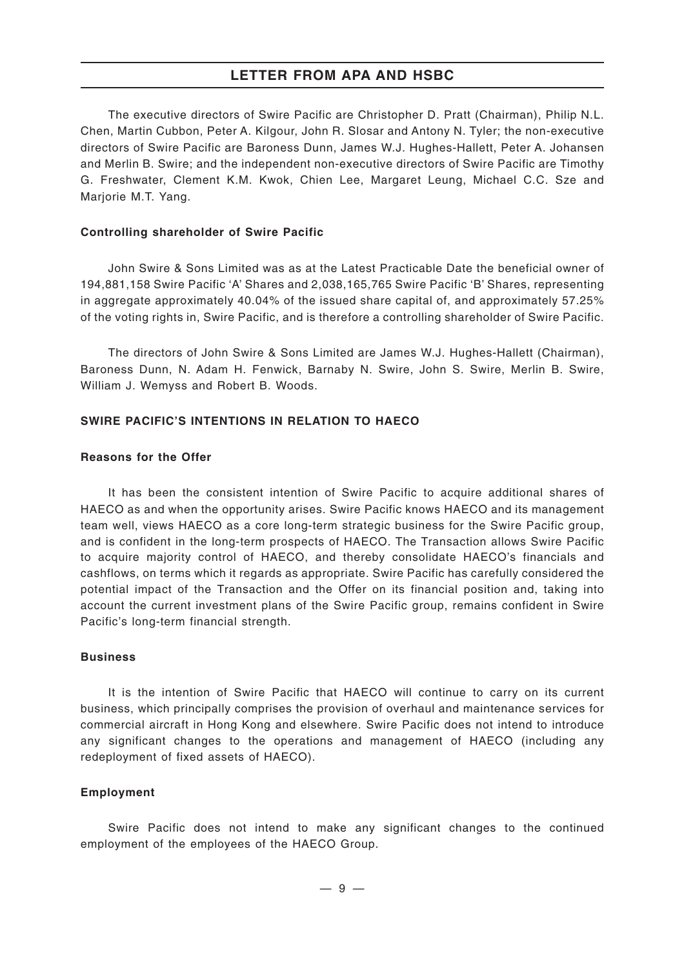The executive directors of Swire Pacific are Christopher D. Pratt (Chairman), Philip N.L. Chen, Martin Cubbon, Peter A. Kilgour, John R. Slosar and Antony N. Tyler; the non-executive directors of Swire Pacific are Baroness Dunn, James W.J. Hughes-Hallett, Peter A. Johansen and Merlin B. Swire; and the independent non-executive directors of Swire Pacific are Timothy G. Freshwater, Clement K.M. Kwok, Chien Lee, Margaret Leung, Michael C.C. Sze and Marjorie M.T. Yang.

#### **Controlling shareholder of Swire Pacific**

John Swire & Sons Limited was as at the Latest Practicable Date the beneficial owner of 194,881,158 Swire Pacific 'A' Shares and 2,038,165,765 Swire Pacific 'B' Shares, representing in aggregate approximately 40.04% of the issued share capital of, and approximately 57.25% of the voting rights in, Swire Pacific, and is therefore a controlling shareholder of Swire Pacific.

The directors of John Swire & Sons Limited are James W.J. Hughes-Hallett (Chairman), Baroness Dunn, N. Adam H. Fenwick, Barnaby N. Swire, John S. Swire, Merlin B. Swire, William J. Wemyss and Robert B. Woods.

#### **SWIRE PACIFIC'S INTENTIONS IN RELATION TO HAECO**

#### **Reasons for the Offer**

It has been the consistent intention of Swire Pacific to acquire additional shares of HAECO as and when the opportunity arises. Swire Pacific knows HAECO and its management team well, views HAECO as a core long-term strategic business for the Swire Pacific group, and is confident in the long-term prospects of HAECO. The Transaction allows Swire Pacific to acquire majority control of HAECO, and thereby consolidate HAECO's financials and cashflows, on terms which it regards as appropriate. Swire Pacific has carefully considered the potential impact of the Transaction and the Offer on its financial position and, taking into account the current investment plans of the Swire Pacific group, remains confident in Swire Pacific's long-term financial strength.

#### **Business**

It is the intention of Swire Pacific that HAECO will continue to carry on its current business, which principally comprises the provision of overhaul and maintenance services for commercial aircraft in Hong Kong and elsewhere. Swire Pacific does not intend to introduce any significant changes to the operations and management of HAECO (including any redeployment of fixed assets of HAECO).

#### **Employment**

Swire Pacific does not intend to make any significant changes to the continued employment of the employees of the HAECO Group.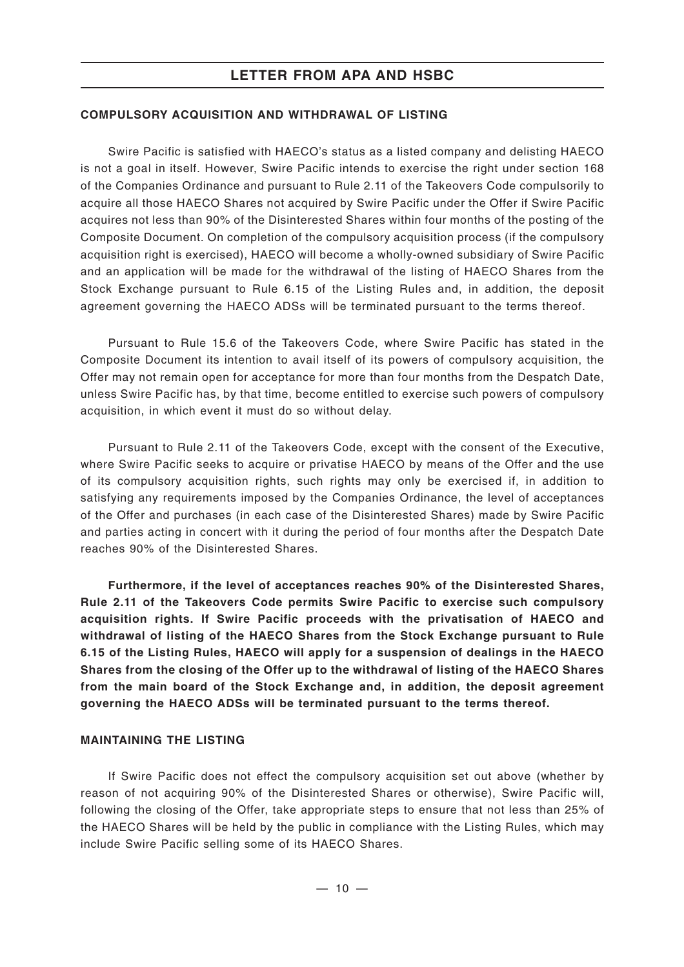#### **COMPULSORY ACQUISITION AND WITHDRAWAL OF LISTING**

Swire Pacific is satisfied with HAECO's status as a listed company and delisting HAECO is not a goal in itself. However, Swire Pacific intends to exercise the right under section 168 of the Companies Ordinance and pursuant to Rule 2.11 of the Takeovers Code compulsorily to acquire all those HAECO Shares not acquired by Swire Pacific under the Offer if Swire Pacific acquires not less than 90% of the Disinterested Shares within four months of the posting of the Composite Document. On completion of the compulsory acquisition process (if the compulsory acquisition right is exercised), HAECO will become a wholly-owned subsidiary of Swire Pacific and an application will be made for the withdrawal of the listing of HAECO Shares from the Stock Exchange pursuant to Rule 6.15 of the Listing Rules and, in addition, the deposit agreement governing the HAECO ADSs will be terminated pursuant to the terms thereof.

Pursuant to Rule 15.6 of the Takeovers Code, where Swire Pacific has stated in the Composite Document its intention to avail itself of its powers of compulsory acquisition, the Offer may not remain open for acceptance for more than four months from the Despatch Date, unless Swire Pacific has, by that time, become entitled to exercise such powers of compulsory acquisition, in which event it must do so without delay.

Pursuant to Rule 2.11 of the Takeovers Code, except with the consent of the Executive, where Swire Pacific seeks to acquire or privatise HAECO by means of the Offer and the use of its compulsory acquisition rights, such rights may only be exercised if, in addition to satisfying any requirements imposed by the Companies Ordinance, the level of acceptances of the Offer and purchases (in each case of the Disinterested Shares) made by Swire Pacific and parties acting in concert with it during the period of four months after the Despatch Date reaches 90% of the Disinterested Shares.

**Furthermore, if the level of acceptances reaches 90% of the Disinterested Shares, Rule 2.11 of the Takeovers Code permits Swire Pacific to exercise such compulsory acquisition rights. If Swire Pacific proceeds with the privatisation of HAECO and withdrawal of listing of the HAECO Shares from the Stock Exchange pursuant to Rule 6.15 of the Listing Rules, HAECO will apply for a suspension of dealings in the HAECO Shares from the closing of the Offer up to the withdrawal of listing of the HAECO Shares from the main board of the Stock Exchange and, in addition, the deposit agreement governing the HAECO ADSs will be terminated pursuant to the terms thereof.**

#### **MAINTAINING THE LISTING**

If Swire Pacific does not effect the compulsory acquisition set out above (whether by reason of not acquiring 90% of the Disinterested Shares or otherwise), Swire Pacific will, following the closing of the Offer, take appropriate steps to ensure that not less than 25% of the HAECO Shares will be held by the public in compliance with the Listing Rules, which may include Swire Pacific selling some of its HAECO Shares.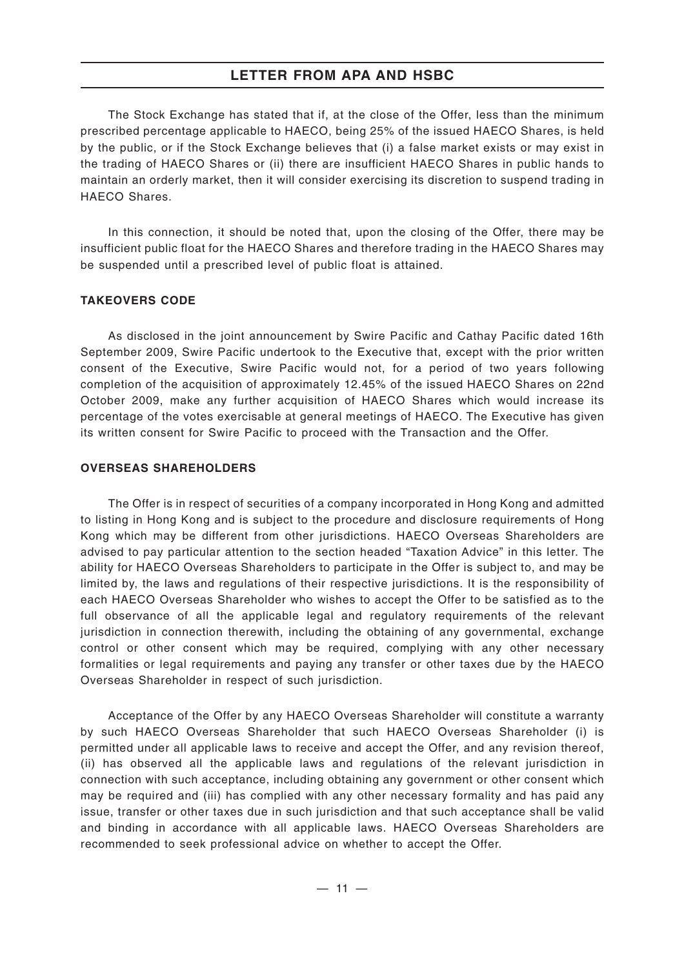The Stock Exchange has stated that if, at the close of the Offer, less than the minimum prescribed percentage applicable to HAECO, being 25% of the issued HAECO Shares, is held by the public, or if the Stock Exchange believes that (i) a false market exists or may exist in the trading of HAECO Shares or (ii) there are insufficient HAECO Shares in public hands to maintain an orderly market, then it will consider exercising its discretion to suspend trading in HAECO Shares.

In this connection, it should be noted that, upon the closing of the Offer, there may be insufficient public float for the HAECO Shares and therefore trading in the HAECO Shares may be suspended until a prescribed level of public float is attained.

#### **TAKEOVERS CODE**

As disclosed in the joint announcement by Swire Pacific and Cathay Pacific dated 16th September 2009, Swire Pacific undertook to the Executive that, except with the prior written consent of the Executive, Swire Pacific would not, for a period of two years following completion of the acquisition of approximately 12.45% of the issued HAECO Shares on 22nd October 2009, make any further acquisition of HAECO Shares which would increase its percentage of the votes exercisable at general meetings of HAECO. The Executive has given its written consent for Swire Pacific to proceed with the Transaction and the Offer.

#### **OVERSEAS SHAREHOLDERS**

The Offer is in respect of securities of a company incorporated in Hong Kong and admitted to listing in Hong Kong and is subject to the procedure and disclosure requirements of Hong Kong which may be different from other jurisdictions. HAECO Overseas Shareholders are advised to pay particular attention to the section headed "Taxation Advice" in this letter. The ability for HAECO Overseas Shareholders to participate in the Offer is subject to, and may be limited by, the laws and regulations of their respective jurisdictions. It is the responsibility of each HAECO Overseas Shareholder who wishes to accept the Offer to be satisfied as to the full observance of all the applicable legal and regulatory requirements of the relevant jurisdiction in connection therewith, including the obtaining of any governmental, exchange control or other consent which may be required, complying with any other necessary formalities or legal requirements and paying any transfer or other taxes due by the HAECO Overseas Shareholder in respect of such jurisdiction.

Acceptance of the Offer by any HAECO Overseas Shareholder will constitute a warranty by such HAECO Overseas Shareholder that such HAECO Overseas Shareholder (i) is permitted under all applicable laws to receive and accept the Offer, and any revision thereof, (ii) has observed all the applicable laws and regulations of the relevant jurisdiction in connection with such acceptance, including obtaining any government or other consent which may be required and (iii) has complied with any other necessary formality and has paid any issue, transfer or other taxes due in such jurisdiction and that such acceptance shall be valid and binding in accordance with all applicable laws. HAECO Overseas Shareholders are recommended to seek professional advice on whether to accept the Offer.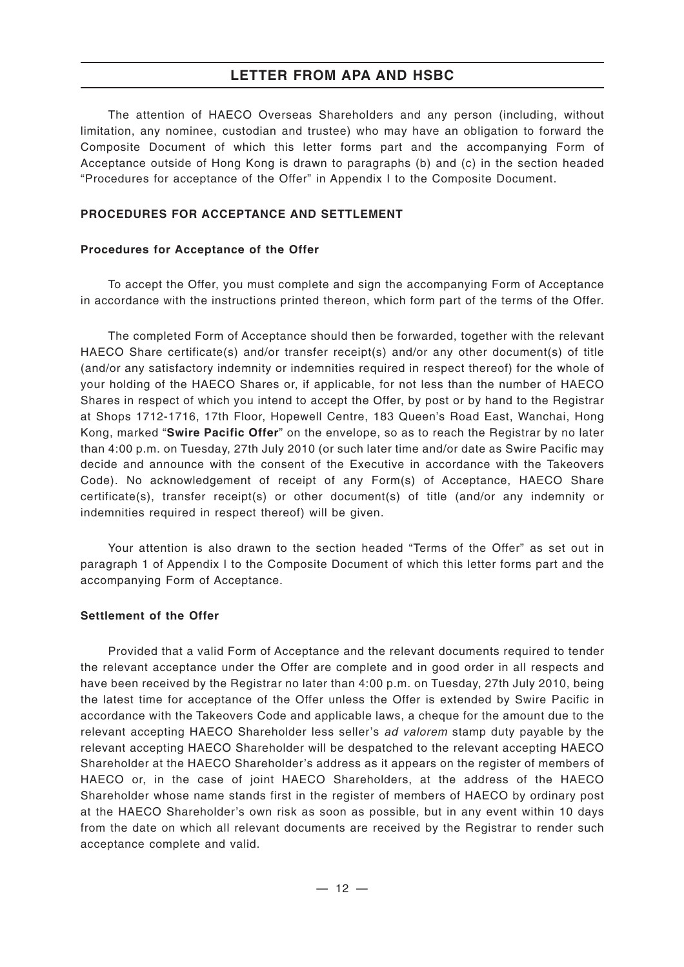The attention of HAECO Overseas Shareholders and any person (including, without limitation, any nominee, custodian and trustee) who may have an obligation to forward the Composite Document of which this letter forms part and the accompanying Form of Acceptance outside of Hong Kong is drawn to paragraphs (b) and (c) in the section headed "Procedures for acceptance of the Offer" in Appendix I to the Composite Document.

#### **PROCEDURES FOR ACCEPTANCE AND SETTLEMENT**

#### **Procedures for Acceptance of the Offer**

To accept the Offer, you must complete and sign the accompanying Form of Acceptance in accordance with the instructions printed thereon, which form part of the terms of the Offer.

The completed Form of Acceptance should then be forwarded, together with the relevant HAECO Share certificate(s) and/or transfer receipt(s) and/or any other document(s) of title (and/or any satisfactory indemnity or indemnities required in respect thereof) for the whole of your holding of the HAECO Shares or, if applicable, for not less than the number of HAECO Shares in respect of which you intend to accept the Offer, by post or by hand to the Registrar at Shops 1712-1716, 17th Floor, Hopewell Centre, 183 Queen's Road East, Wanchai, Hong Kong, marked "**Swire Pacific Offer**" on the envelope, so as to reach the Registrar by no later than 4:00 p.m. on Tuesday, 27th July 2010 (or such later time and/or date as Swire Pacific may decide and announce with the consent of the Executive in accordance with the Takeovers Code). No acknowledgement of receipt of any Form(s) of Acceptance, HAECO Share certificate(s), transfer receipt(s) or other document(s) of title (and/or any indemnity or indemnities required in respect thereof) will be given.

Your attention is also drawn to the section headed "Terms of the Offer" as set out in paragraph 1 of Appendix I to the Composite Document of which this letter forms part and the accompanying Form of Acceptance.

#### **Settlement of the Offer**

Provided that a valid Form of Acceptance and the relevant documents required to tender the relevant acceptance under the Offer are complete and in good order in all respects and have been received by the Registrar no later than 4:00 p.m. on Tuesday, 27th July 2010, being the latest time for acceptance of the Offer unless the Offer is extended by Swire Pacific in accordance with the Takeovers Code and applicable laws, a cheque for the amount due to the relevant accepting HAECO Shareholder less seller's *ad valorem* stamp duty payable by the relevant accepting HAECO Shareholder will be despatched to the relevant accepting HAECO Shareholder at the HAECO Shareholder's address as it appears on the register of members of HAECO or, in the case of joint HAECO Shareholders, at the address of the HAECO Shareholder whose name stands first in the register of members of HAECO by ordinary post at the HAECO Shareholder's own risk as soon as possible, but in any event within 10 days from the date on which all relevant documents are received by the Registrar to render such acceptance complete and valid.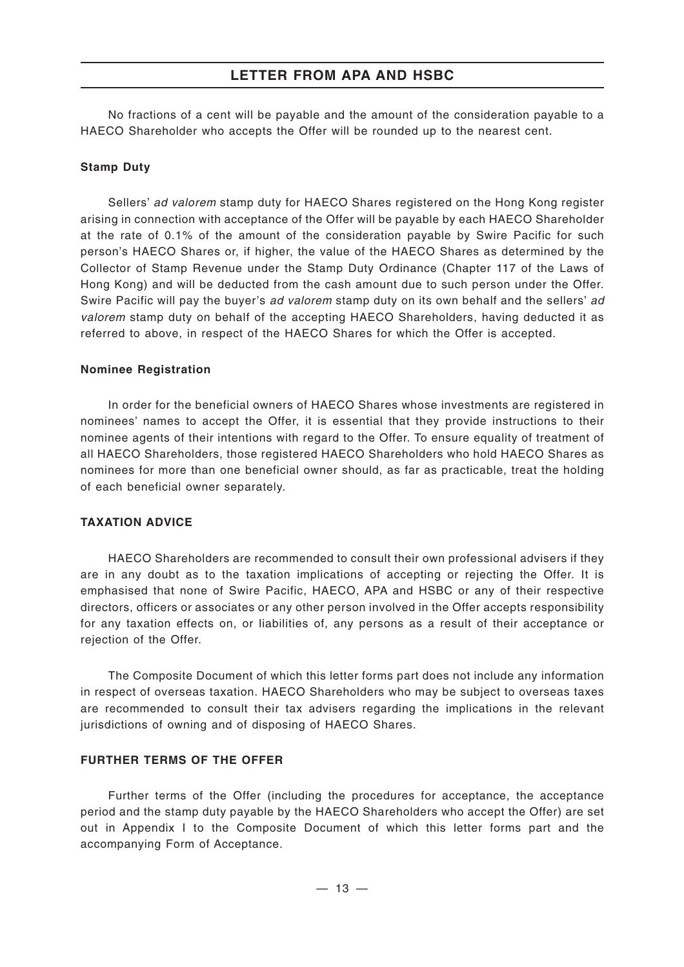No fractions of a cent will be payable and the amount of the consideration payable to a HAECO Shareholder who accepts the Offer will be rounded up to the nearest cent.

#### **Stamp Duty**

Sellers' *ad valorem* stamp duty for HAECO Shares registered on the Hong Kong register arising in connection with acceptance of the Offer will be payable by each HAECO Shareholder at the rate of 0.1% of the amount of the consideration payable by Swire Pacific for such person's HAECO Shares or, if higher, the value of the HAECO Shares as determined by the Collector of Stamp Revenue under the Stamp Duty Ordinance (Chapter 117 of the Laws of Hong Kong) and will be deducted from the cash amount due to such person under the Offer. Swire Pacific will pay the buyer's *ad valorem* stamp duty on its own behalf and the sellers' *ad valorem* stamp duty on behalf of the accepting HAECO Shareholders, having deducted it as referred to above, in respect of the HAECO Shares for which the Offer is accepted.

#### **Nominee Registration**

In order for the beneficial owners of HAECO Shares whose investments are registered in nominees' names to accept the Offer, it is essential that they provide instructions to their nominee agents of their intentions with regard to the Offer. To ensure equality of treatment of all HAECO Shareholders, those registered HAECO Shareholders who hold HAECO Shares as nominees for more than one beneficial owner should, as far as practicable, treat the holding of each beneficial owner separately.

#### **TAXATION ADVICE**

HAECO Shareholders are recommended to consult their own professional advisers if they are in any doubt as to the taxation implications of accepting or rejecting the Offer. It is emphasised that none of Swire Pacific, HAECO, APA and HSBC or any of their respective directors, officers or associates or any other person involved in the Offer accepts responsibility for any taxation effects on, or liabilities of, any persons as a result of their acceptance or rejection of the Offer.

The Composite Document of which this letter forms part does not include any information in respect of overseas taxation. HAECO Shareholders who may be subject to overseas taxes are recommended to consult their tax advisers regarding the implications in the relevant jurisdictions of owning and of disposing of HAECO Shares.

#### **FURTHER TERMS OF THE OFFER**

Further terms of the Offer (including the procedures for acceptance, the acceptance period and the stamp duty payable by the HAECO Shareholders who accept the Offer) are set out in Appendix I to the Composite Document of which this letter forms part and the accompanying Form of Acceptance.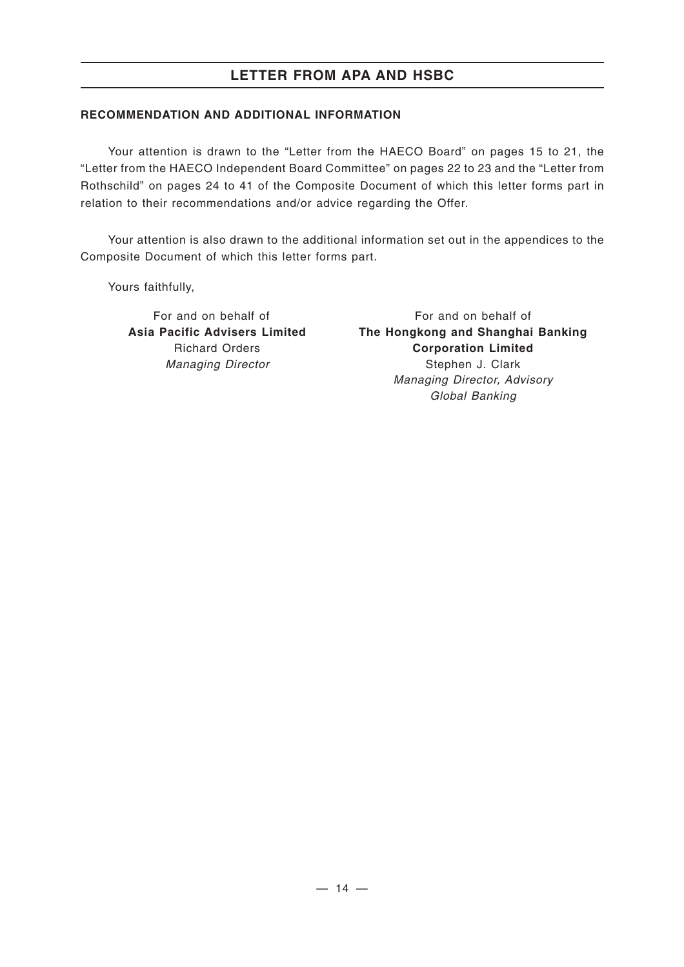#### **RECOMMENDATION AND ADDITIONAL INFORMATION**

Your attention is drawn to the "Letter from the HAECO Board" on pages 15 to 21, the "Letter from the HAECO Independent Board Committee" on pages 22 to 23 and the "Letter from Rothschild" on pages 24 to 41 of the Composite Document of which this letter forms part in relation to their recommendations and/or advice regarding the Offer.

Your attention is also drawn to the additional information set out in the appendices to the Composite Document of which this letter forms part.

Yours faithfully,

For and on behalf of **Asia Pacific Advisers Limited** Richard Orders *Managing Director*

For and on behalf of **The Hongkong and Shanghai Banking Corporation Limited** Stephen J. Clark *Managing Director, Advisory Global Banking*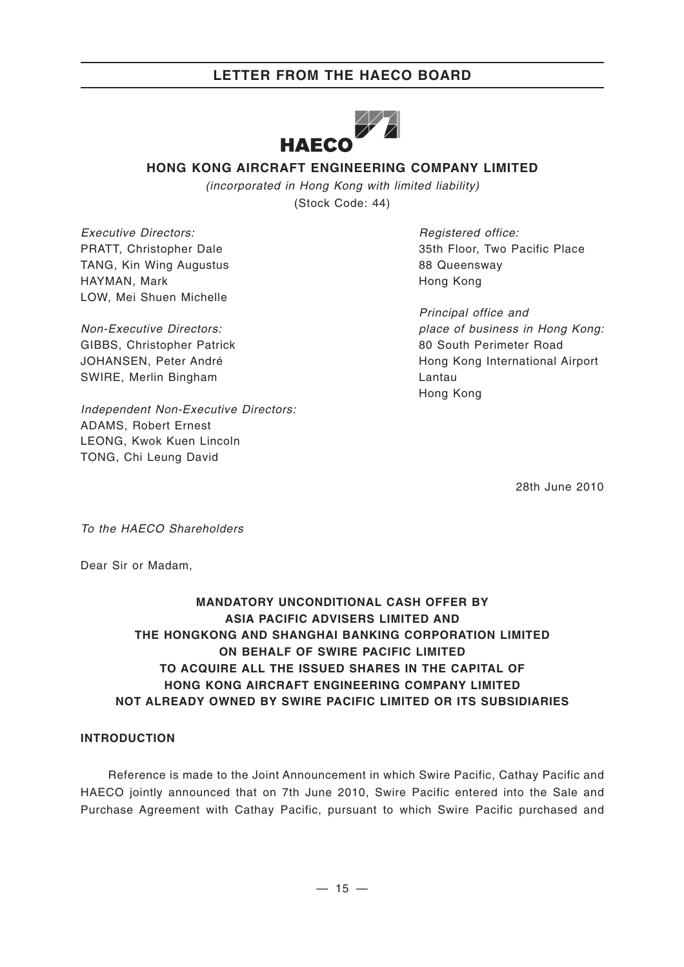

### **HONG KONG AIRCRAFT ENGINEERING COMPANY LIMITED**

*(incorporated in Hong Kong with limited liability)* (Stock Code: 44)

*Executive Directors:* PRATT, Christopher Dale TANG, Kin Wing Augustus HAYMAN, Mark LOW, Mei Shuen Michelle

*Non-Executive Directors:* GIBBS, Christopher Patrick JOHANSEN, Peter André SWIRE, Merlin Bingham

*Independent Non-Executive Directors:* ADAMS, Robert Ernest LEONG, Kwok Kuen Lincoln TONG, Chi Leung David

*Registered office:* 35th Floor, Two Pacific Place 88 Queensway Hong Kong

*Principal office and place of business in Hong Kong:* 80 South Perimeter Road Hong Kong International Airport Lantau Hong Kong

28th June 2010

*To the HAECO Shareholders*

Dear Sir or Madam,

### **MANDATORY UNCONDITIONAL CASH OFFER BY ASIA PACIFIC ADVISERS LIMITED AND THE HONGKONG AND SHANGHAI BANKING CORPORATION LIMITED ON BEHALF OF SWIRE PACIFIC LIMITED TO ACQUIRE ALL THE ISSUED SHARES IN THE CAPITAL OF HONG KONG AIRCRAFT ENGINEERING COMPANY LIMITED NOT ALREADY OWNED BY SWIRE PACIFIC LIMITED OR ITS SUBSIDIARIES**

#### **INTRODUCTION**

Reference is made to the Joint Announcement in which Swire Pacific, Cathay Pacific and HAECO jointly announced that on 7th June 2010, Swire Pacific entered into the Sale and Purchase Agreement with Cathay Pacific, pursuant to which Swire Pacific purchased and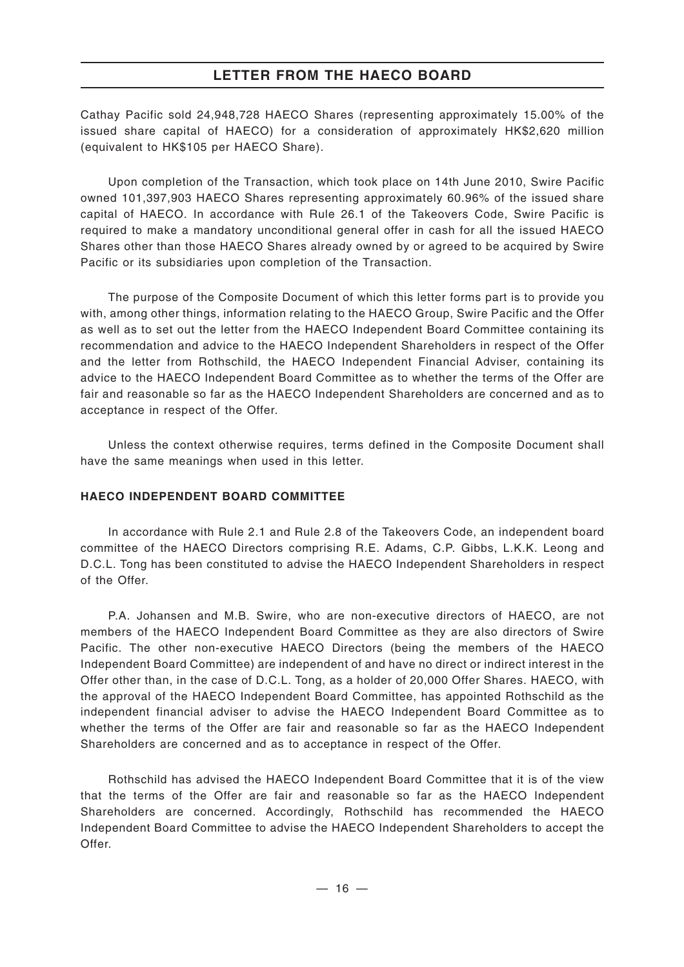Cathay Pacific sold 24,948,728 HAECO Shares (representing approximately 15.00% of the issued share capital of HAECO) for a consideration of approximately HK\$2,620 million (equivalent to HK\$105 per HAECO Share).

Upon completion of the Transaction, which took place on 14th June 2010, Swire Pacific owned 101,397,903 HAECO Shares representing approximately 60.96% of the issued share capital of HAECO. In accordance with Rule 26.1 of the Takeovers Code, Swire Pacific is required to make a mandatory unconditional general offer in cash for all the issued HAECO Shares other than those HAECO Shares already owned by or agreed to be acquired by Swire Pacific or its subsidiaries upon completion of the Transaction.

The purpose of the Composite Document of which this letter forms part is to provide you with, among other things, information relating to the HAECO Group, Swire Pacific and the Offer as well as to set out the letter from the HAECO Independent Board Committee containing its recommendation and advice to the HAECO Independent Shareholders in respect of the Offer and the letter from Rothschild, the HAECO Independent Financial Adviser, containing its advice to the HAECO Independent Board Committee as to whether the terms of the Offer are fair and reasonable so far as the HAECO Independent Shareholders are concerned and as to acceptance in respect of the Offer.

Unless the context otherwise requires, terms defined in the Composite Document shall have the same meanings when used in this letter.

#### **HAECO INDEPENDENT BOARD COMMITTEE**

In accordance with Rule 2.1 and Rule 2.8 of the Takeovers Code, an independent board committee of the HAECO Directors comprising R.E. Adams, C.P. Gibbs, L.K.K. Leong and D.C.L. Tong has been constituted to advise the HAECO Independent Shareholders in respect of the Offer.

P.A. Johansen and M.B. Swire, who are non-executive directors of HAECO, are not members of the HAECO Independent Board Committee as they are also directors of Swire Pacific. The other non-executive HAECO Directors (being the members of the HAECO Independent Board Committee) are independent of and have no direct or indirect interest in the Offer other than, in the case of D.C.L. Tong, as a holder of 20,000 Offer Shares. HAECO, with the approval of the HAECO Independent Board Committee, has appointed Rothschild as the independent financial adviser to advise the HAECO Independent Board Committee as to whether the terms of the Offer are fair and reasonable so far as the HAECO Independent Shareholders are concerned and as to acceptance in respect of the Offer.

Rothschild has advised the HAECO Independent Board Committee that it is of the view that the terms of the Offer are fair and reasonable so far as the HAECO Independent Shareholders are concerned. Accordingly, Rothschild has recommended the HAECO Independent Board Committee to advise the HAECO Independent Shareholders to accept the Offer.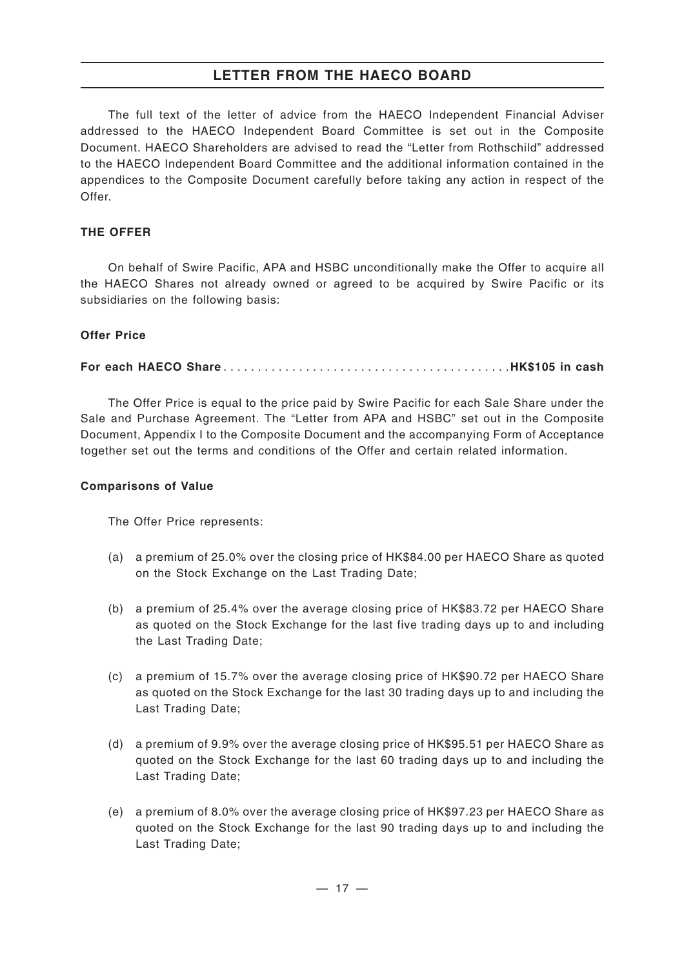The full text of the letter of advice from the HAECO Independent Financial Adviser addressed to the HAECO Independent Board Committee is set out in the Composite Document. HAECO Shareholders are advised to read the "Letter from Rothschild" addressed to the HAECO Independent Board Committee and the additional information contained in the appendices to the Composite Document carefully before taking any action in respect of the Offer.

#### **THE OFFER**

On behalf of Swire Pacific, APA and HSBC unconditionally make the Offer to acquire all the HAECO Shares not already owned or agreed to be acquired by Swire Pacific or its subsidiaries on the following basis:

#### **Offer Price**

#### **For each HAECO Share** ..........................................**HK\$105 in cash**

The Offer Price is equal to the price paid by Swire Pacific for each Sale Share under the Sale and Purchase Agreement. The "Letter from APA and HSBC" set out in the Composite Document, Appendix I to the Composite Document and the accompanying Form of Acceptance together set out the terms and conditions of the Offer and certain related information.

#### **Comparisons of Value**

The Offer Price represents:

- (a) a premium of 25.0% over the closing price of HK\$84.00 per HAECO Share as quoted on the Stock Exchange on the Last Trading Date;
- (b) a premium of 25.4% over the average closing price of HK\$83.72 per HAECO Share as quoted on the Stock Exchange for the last five trading days up to and including the Last Trading Date;
- (c) a premium of 15.7% over the average closing price of HK\$90.72 per HAECO Share as quoted on the Stock Exchange for the last 30 trading days up to and including the Last Trading Date;
- (d) a premium of 9.9% over the average closing price of HK\$95.51 per HAECO Share as quoted on the Stock Exchange for the last 60 trading days up to and including the Last Trading Date;
- (e) a premium of 8.0% over the average closing price of HK\$97.23 per HAECO Share as quoted on the Stock Exchange for the last 90 trading days up to and including the Last Trading Date;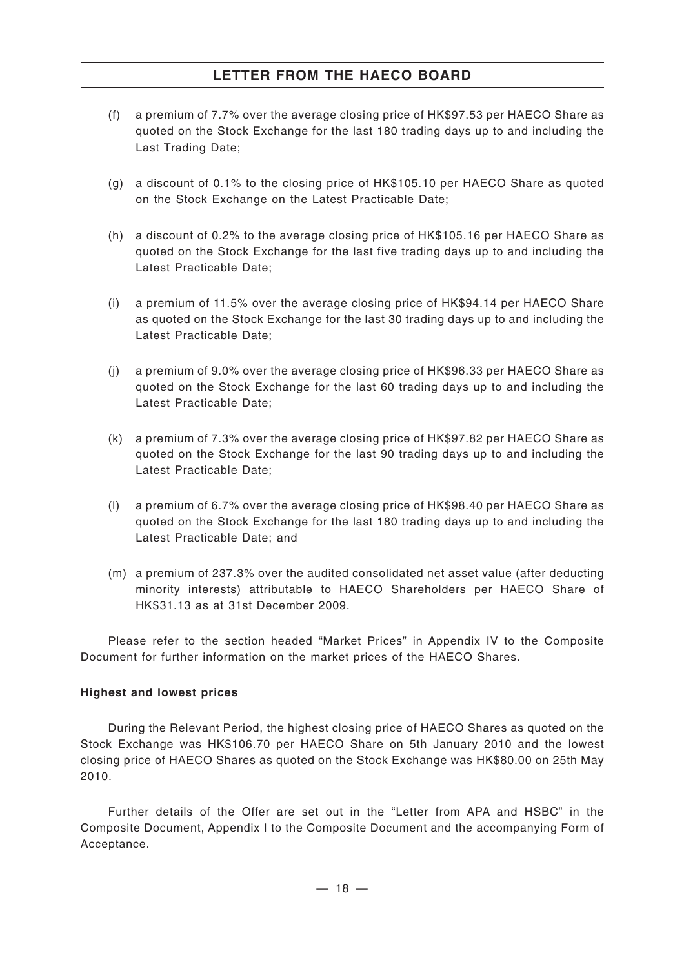- (f) a premium of 7.7% over the average closing price of HK\$97.53 per HAECO Share as quoted on the Stock Exchange for the last 180 trading days up to and including the Last Trading Date;
- (g) a discount of 0.1% to the closing price of HK\$105.10 per HAECO Share as quoted on the Stock Exchange on the Latest Practicable Date;
- (h) a discount of 0.2% to the average closing price of HK\$105.16 per HAECO Share as quoted on the Stock Exchange for the last five trading days up to and including the Latest Practicable Date;
- (i) a premium of 11.5% over the average closing price of HK\$94.14 per HAECO Share as quoted on the Stock Exchange for the last 30 trading days up to and including the Latest Practicable Date;
- (j) a premium of 9.0% over the average closing price of HK\$96.33 per HAECO Share as quoted on the Stock Exchange for the last 60 trading days up to and including the Latest Practicable Date;
- (k) a premium of 7.3% over the average closing price of HK\$97.82 per HAECO Share as quoted on the Stock Exchange for the last 90 trading days up to and including the Latest Practicable Date;
- (l) a premium of 6.7% over the average closing price of HK\$98.40 per HAECO Share as quoted on the Stock Exchange for the last 180 trading days up to and including the Latest Practicable Date; and
- (m) a premium of 237.3% over the audited consolidated net asset value (after deducting minority interests) attributable to HAECO Shareholders per HAECO Share of HK\$31.13 as at 31st December 2009.

Please refer to the section headed "Market Prices" in Appendix IV to the Composite Document for further information on the market prices of the HAECO Shares.

#### **Highest and lowest prices**

During the Relevant Period, the highest closing price of HAECO Shares as quoted on the Stock Exchange was HK\$106.70 per HAECO Share on 5th January 2010 and the lowest closing price of HAECO Shares as quoted on the Stock Exchange was HK\$80.00 on 25th May 2010.

Further details of the Offer are set out in the "Letter from APA and HSBC" in the Composite Document, Appendix I to the Composite Document and the accompanying Form of Acceptance.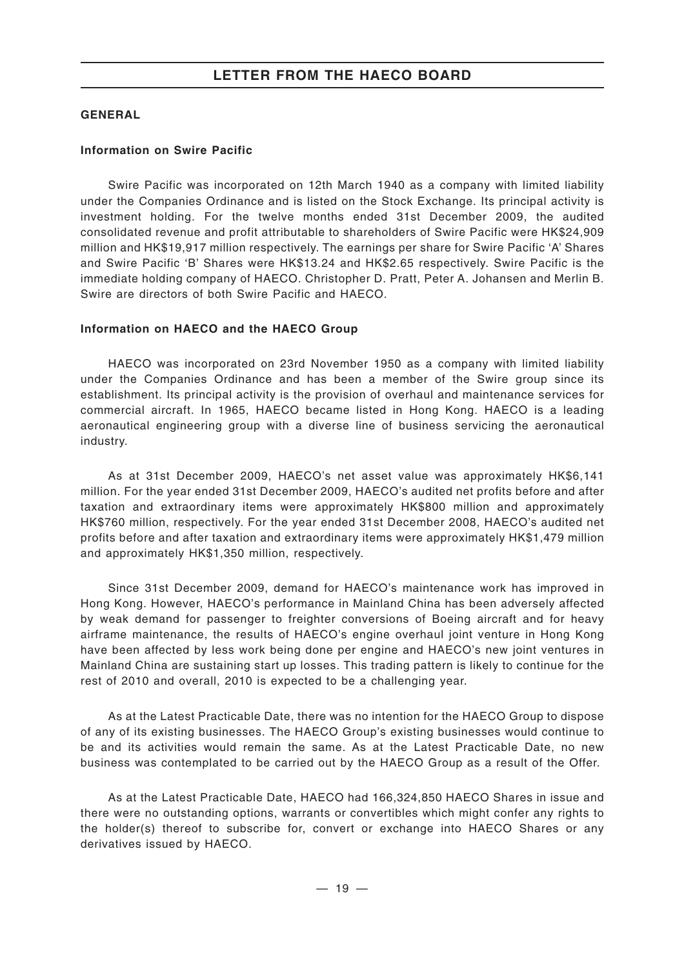#### **GENERAL**

#### **Information on Swire Pacific**

Swire Pacific was incorporated on 12th March 1940 as a company with limited liability under the Companies Ordinance and is listed on the Stock Exchange. Its principal activity is investment holding. For the twelve months ended 31st December 2009, the audited consolidated revenue and profit attributable to shareholders of Swire Pacific were HK\$24,909 million and HK\$19,917 million respectively. The earnings per share for Swire Pacific 'A' Shares and Swire Pacific 'B' Shares were HK\$13.24 and HK\$2.65 respectively. Swire Pacific is the immediate holding company of HAECO. Christopher D. Pratt, Peter A. Johansen and Merlin B. Swire are directors of both Swire Pacific and HAECO.

#### **Information on HAECO and the HAECO Group**

HAECO was incorporated on 23rd November 1950 as a company with limited liability under the Companies Ordinance and has been a member of the Swire group since its establishment. Its principal activity is the provision of overhaul and maintenance services for commercial aircraft. In 1965, HAECO became listed in Hong Kong. HAECO is a leading aeronautical engineering group with a diverse line of business servicing the aeronautical industry.

As at 31st December 2009, HAECO's net asset value was approximately HK\$6,141 million. For the year ended 31st December 2009, HAECO's audited net profits before and after taxation and extraordinary items were approximately HK\$800 million and approximately HK\$760 million, respectively. For the year ended 31st December 2008, HAECO's audited net profits before and after taxation and extraordinary items were approximately HK\$1,479 million and approximately HK\$1,350 million, respectively.

Since 31st December 2009, demand for HAECO's maintenance work has improved in Hong Kong. However, HAECO's performance in Mainland China has been adversely affected by weak demand for passenger to freighter conversions of Boeing aircraft and for heavy airframe maintenance, the results of HAECO's engine overhaul joint venture in Hong Kong have been affected by less work being done per engine and HAECO's new joint ventures in Mainland China are sustaining start up losses. This trading pattern is likely to continue for the rest of 2010 and overall, 2010 is expected to be a challenging year.

As at the Latest Practicable Date, there was no intention for the HAECO Group to dispose of any of its existing businesses. The HAECO Group's existing businesses would continue to be and its activities would remain the same. As at the Latest Practicable Date, no new business was contemplated to be carried out by the HAECO Group as a result of the Offer.

As at the Latest Practicable Date, HAECO had 166,324,850 HAECO Shares in issue and there were no outstanding options, warrants or convertibles which might confer any rights to the holder(s) thereof to subscribe for, convert or exchange into HAECO Shares or any derivatives issued by HAECO.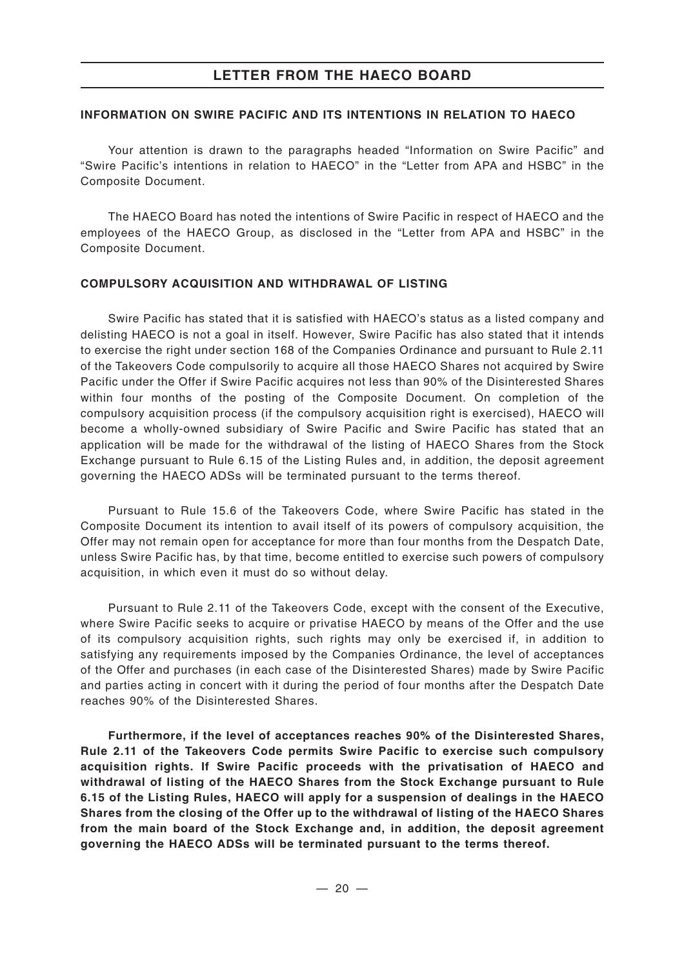#### **INFORMATION ON SWIRE PACIFIC AND ITS INTENTIONS IN RELATION TO HAECO**

Your attention is drawn to the paragraphs headed "Information on Swire Pacific" and "Swire Pacific's intentions in relation to HAECO" in the "Letter from APA and HSBC" in the Composite Document.

The HAECO Board has noted the intentions of Swire Pacific in respect of HAECO and the employees of the HAECO Group, as disclosed in the "Letter from APA and HSBC" in the Composite Document.

#### **COMPULSORY ACQUISITION AND WITHDRAWAL OF LISTING**

Swire Pacific has stated that it is satisfied with HAECO's status as a listed company and delisting HAECO is not a goal in itself. However, Swire Pacific has also stated that it intends to exercise the right under section 168 of the Companies Ordinance and pursuant to Rule 2.11 of the Takeovers Code compulsorily to acquire all those HAECO Shares not acquired by Swire Pacific under the Offer if Swire Pacific acquires not less than 90% of the Disinterested Shares within four months of the posting of the Composite Document. On completion of the compulsory acquisition process (if the compulsory acquisition right is exercised), HAECO will become a wholly-owned subsidiary of Swire Pacific and Swire Pacific has stated that an application will be made for the withdrawal of the listing of HAECO Shares from the Stock Exchange pursuant to Rule 6.15 of the Listing Rules and, in addition, the deposit agreement governing the HAECO ADSs will be terminated pursuant to the terms thereof.

Pursuant to Rule 15.6 of the Takeovers Code, where Swire Pacific has stated in the Composite Document its intention to avail itself of its powers of compulsory acquisition, the Offer may not remain open for acceptance for more than four months from the Despatch Date, unless Swire Pacific has, by that time, become entitled to exercise such powers of compulsory acquisition, in which even it must do so without delay.

Pursuant to Rule 2.11 of the Takeovers Code, except with the consent of the Executive, where Swire Pacific seeks to acquire or privatise HAECO by means of the Offer and the use of its compulsory acquisition rights, such rights may only be exercised if, in addition to satisfying any requirements imposed by the Companies Ordinance, the level of acceptances of the Offer and purchases (in each case of the Disinterested Shares) made by Swire Pacific and parties acting in concert with it during the period of four months after the Despatch Date reaches 90% of the Disinterested Shares.

**Furthermore, if the level of acceptances reaches 90% of the Disinterested Shares, Rule 2.11 of the Takeovers Code permits Swire Pacific to exercise such compulsory acquisition rights. If Swire Pacific proceeds with the privatisation of HAECO and withdrawal of listing of the HAECO Shares from the Stock Exchange pursuant to Rule 6.15 of the Listing Rules, HAECO will apply for a suspension of dealings in the HAECO Shares from the closing of the Offer up to the withdrawal of listing of the HAECO Shares from the main board of the Stock Exchange and, in addition, the deposit agreement governing the HAECO ADSs will be terminated pursuant to the terms thereof.**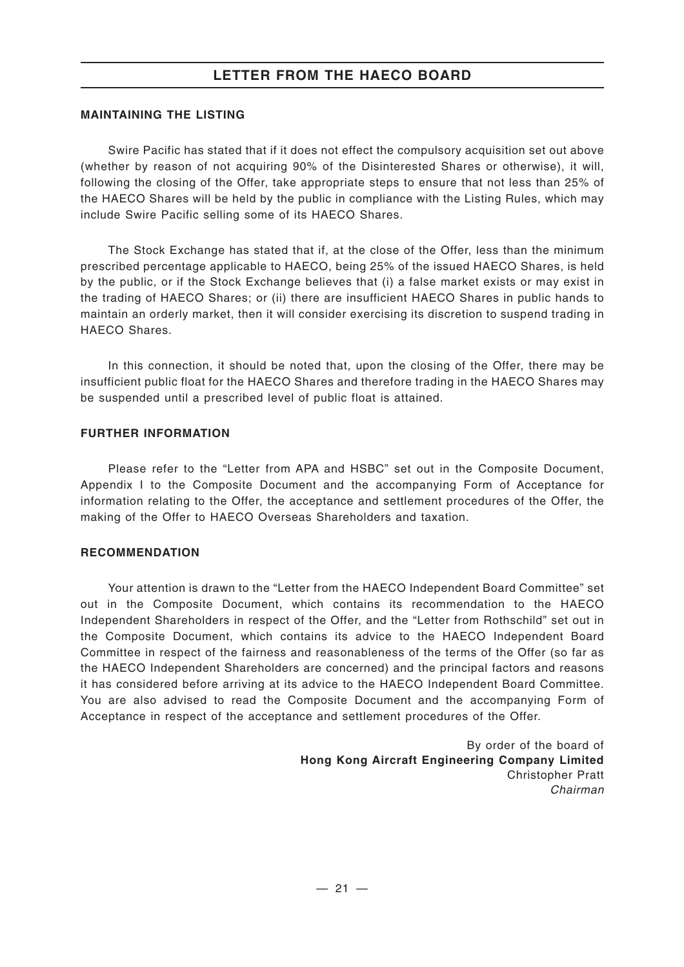#### **MAINTAINING THE LISTING**

Swire Pacific has stated that if it does not effect the compulsory acquisition set out above (whether by reason of not acquiring 90% of the Disinterested Shares or otherwise), it will, following the closing of the Offer, take appropriate steps to ensure that not less than 25% of the HAECO Shares will be held by the public in compliance with the Listing Rules, which may include Swire Pacific selling some of its HAECO Shares.

The Stock Exchange has stated that if, at the close of the Offer, less than the minimum prescribed percentage applicable to HAECO, being 25% of the issued HAECO Shares, is held by the public, or if the Stock Exchange believes that (i) a false market exists or may exist in the trading of HAECO Shares; or (ii) there are insufficient HAECO Shares in public hands to maintain an orderly market, then it will consider exercising its discretion to suspend trading in HAECO Shares.

In this connection, it should be noted that, upon the closing of the Offer, there may be insufficient public float for the HAECO Shares and therefore trading in the HAECO Shares may be suspended until a prescribed level of public float is attained.

#### **FURTHER INFORMATION**

Please refer to the "Letter from APA and HSBC" set out in the Composite Document, Appendix I to the Composite Document and the accompanying Form of Acceptance for information relating to the Offer, the acceptance and settlement procedures of the Offer, the making of the Offer to HAECO Overseas Shareholders and taxation.

#### **RECOMMENDATION**

Your attention is drawn to the "Letter from the HAECO Independent Board Committee" set out in the Composite Document, which contains its recommendation to the HAECO Independent Shareholders in respect of the Offer, and the "Letter from Rothschild" set out in the Composite Document, which contains its advice to the HAECO Independent Board Committee in respect of the fairness and reasonableness of the terms of the Offer (so far as the HAECO Independent Shareholders are concerned) and the principal factors and reasons it has considered before arriving at its advice to the HAECO Independent Board Committee. You are also advised to read the Composite Document and the accompanying Form of Acceptance in respect of the acceptance and settlement procedures of the Offer.

> By order of the board of **Hong Kong Aircraft Engineering Company Limited** Christopher Pratt *Chairman*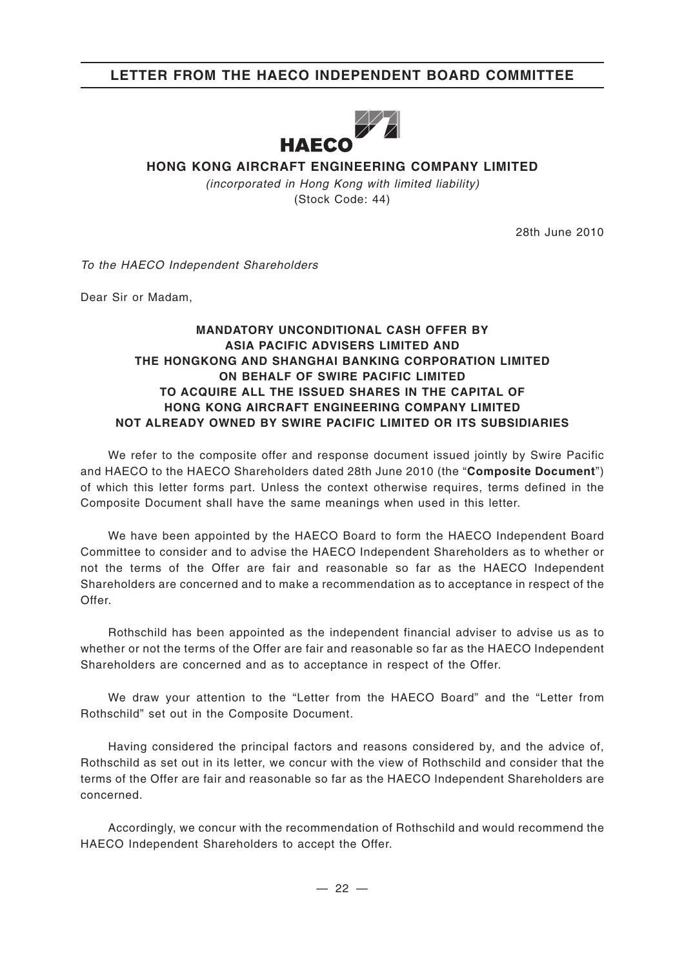# **LETTER FROM THE HAECO INDEPENDENT BOARD COMMITTEE**



# **HONG KONG AIRCRAFT ENGINEERING COMPANY LIMITED**

*(incorporated in Hong Kong with limited liability)* (Stock Code: 44)

28th June 2010

*To the HAECO Independent Shareholders*

Dear Sir or Madam,

#### **MANDATORY UNCONDITIONAL CASH OFFER BY ASIA PACIFIC ADVISERS LIMITED AND THE HONGKONG AND SHANGHAI BANKING CORPORATION LIMITED ON BEHALF OF SWIRE PACIFIC LIMITED TO ACQUIRE ALL THE ISSUED SHARES IN THE CAPITAL OF HONG KONG AIRCRAFT ENGINEERING COMPANY LIMITED NOT ALREADY OWNED BY SWIRE PACIFIC LIMITED OR ITS SUBSIDIARIES**

We refer to the composite offer and response document issued jointly by Swire Pacific and HAECO to the HAECO Shareholders dated 28th June 2010 (the "**Composite Document**") of which this letter forms part. Unless the context otherwise requires, terms defined in the Composite Document shall have the same meanings when used in this letter.

We have been appointed by the HAECO Board to form the HAECO Independent Board Committee to consider and to advise the HAECO Independent Shareholders as to whether or not the terms of the Offer are fair and reasonable so far as the HAECO Independent Shareholders are concerned and to make a recommendation as to acceptance in respect of the Offer.

Rothschild has been appointed as the independent financial adviser to advise us as to whether or not the terms of the Offer are fair and reasonable so far as the HAECO Independent Shareholders are concerned and as to acceptance in respect of the Offer.

We draw your attention to the "Letter from the HAECO Board" and the "Letter from Rothschild" set out in the Composite Document.

Having considered the principal factors and reasons considered by, and the advice of, Rothschild as set out in its letter, we concur with the view of Rothschild and consider that the terms of the Offer are fair and reasonable so far as the HAECO Independent Shareholders are concerned.

Accordingly, we concur with the recommendation of Rothschild and would recommend the HAECO Independent Shareholders to accept the Offer.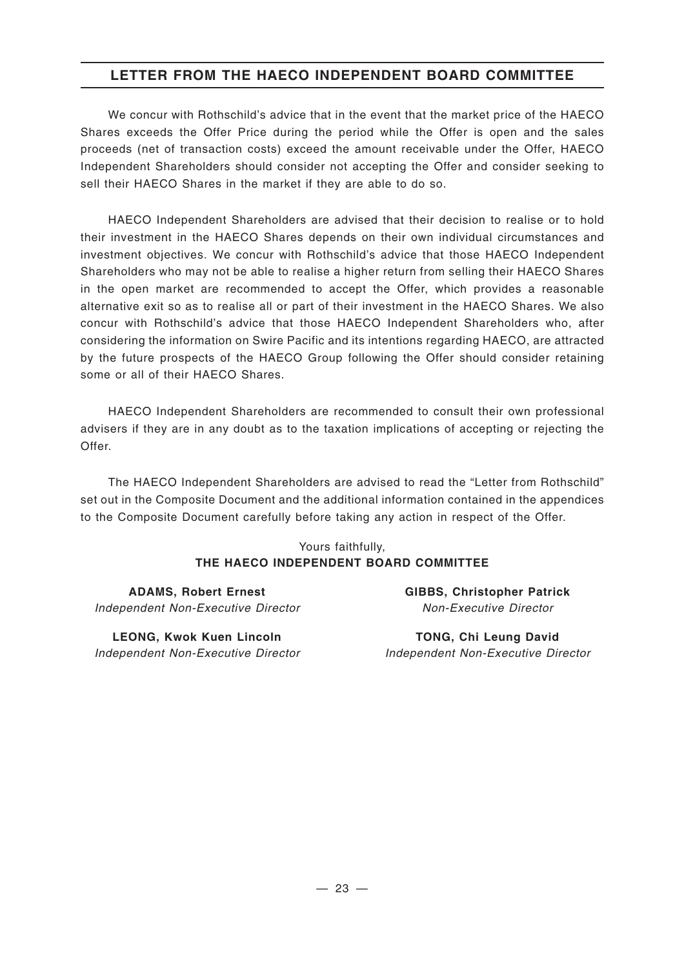# **LETTER FROM THE HAECO INDEPENDENT BOARD COMMITTEE**

We concur with Rothschild's advice that in the event that the market price of the HAECO Shares exceeds the Offer Price during the period while the Offer is open and the sales proceeds (net of transaction costs) exceed the amount receivable under the Offer, HAECO Independent Shareholders should consider not accepting the Offer and consider seeking to sell their HAECO Shares in the market if they are able to do so.

HAECO Independent Shareholders are advised that their decision to realise or to hold their investment in the HAECO Shares depends on their own individual circumstances and investment objectives. We concur with Rothschild's advice that those HAECO Independent Shareholders who may not be able to realise a higher return from selling their HAECO Shares in the open market are recommended to accept the Offer, which provides a reasonable alternative exit so as to realise all or part of their investment in the HAECO Shares. We also concur with Rothschild's advice that those HAECO Independent Shareholders who, after considering the information on Swire Pacific and its intentions regarding HAECO, are attracted by the future prospects of the HAECO Group following the Offer should consider retaining some or all of their HAECO Shares.

HAECO Independent Shareholders are recommended to consult their own professional advisers if they are in any doubt as to the taxation implications of accepting or rejecting the Offer.

The HAECO Independent Shareholders are advised to read the "Letter from Rothschild" set out in the Composite Document and the additional information contained in the appendices to the Composite Document carefully before taking any action in respect of the Offer.

#### Yours faithfully, **THE HAECO INDEPENDENT BOARD COMMITTEE**

**ADAMS, Robert Ernest** *Independent Non-Executive Director*

**LEONG, Kwok Kuen Lincoln** *Independent Non-Executive Director* **GIBBS, Christopher Patrick** *Non-Executive Director*

**TONG, Chi Leung David** *Independent Non-Executive Director*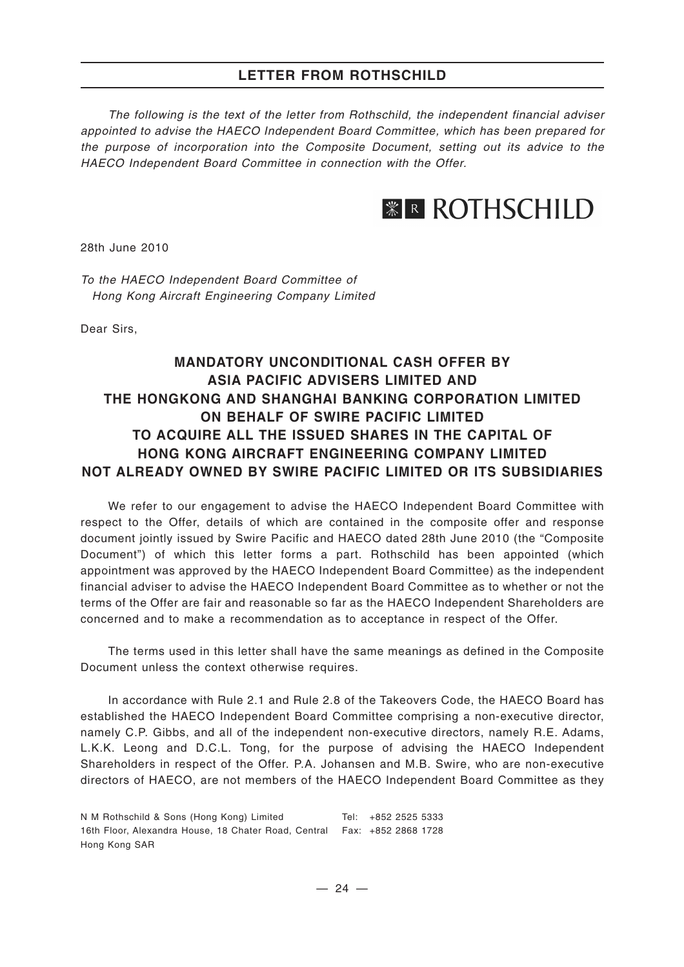*The following is the text of the letter from Rothschild, the independent financial adviser appointed to advise the HAECO Independent Board Committee, which has been prepared for the purpose of incorporation into the Composite Document, setting out its advice to the HAECO Independent Board Committee in connection with the Offer.*

# *<b>ER ROTHSCHILD*

28th June 2010

*To the HAECO Independent Board Committee of Hong Kong Aircraft Engineering Company Limited*

Dear Sirs,

# **MANDATORY UNCONDITIONAL CASH OFFER BY ASIA PACIFIC ADVISERS LIMITED AND THE HONGKONG AND SHANGHAI BANKING CORPORATION LIMITED ON BEHALF OF SWIRE PACIFIC LIMITED TO ACQUIRE ALL THE ISSUED SHARES IN THE CAPITAL OF HONG KONG AIRCRAFT ENGINEERING COMPANY LIMITED NOT ALREADY OWNED BY SWIRE PACIFIC LIMITED OR ITS SUBSIDIARIES**

We refer to our engagement to advise the HAECO Independent Board Committee with respect to the Offer, details of which are contained in the composite offer and response document jointly issued by Swire Pacific and HAECO dated 28th June 2010 (the "Composite Document") of which this letter forms a part. Rothschild has been appointed (which appointment was approved by the HAECO Independent Board Committee) as the independent financial adviser to advise the HAECO Independent Board Committee as to whether or not the terms of the Offer are fair and reasonable so far as the HAECO Independent Shareholders are concerned and to make a recommendation as to acceptance in respect of the Offer.

The terms used in this letter shall have the same meanings as defined in the Composite Document unless the context otherwise requires.

In accordance with Rule 2.1 and Rule 2.8 of the Takeovers Code, the HAECO Board has established the HAECO Independent Board Committee comprising a non-executive director, namely C.P. Gibbs, and all of the independent non-executive directors, namely R.E. Adams, L.K.K. Leong and D.C.L. Tong, for the purpose of advising the HAECO Independent Shareholders in respect of the Offer. P.A. Johansen and M.B. Swire, who are non-executive directors of HAECO, are not members of the HAECO Independent Board Committee as they

N M Rothschild & Sons (Hong Kong) Limited 16th Floor, Alexandra House, 18 Chater Road, Central Fax: +852 2868 1728 Hong Kong SAR Tel: +852 2525 5333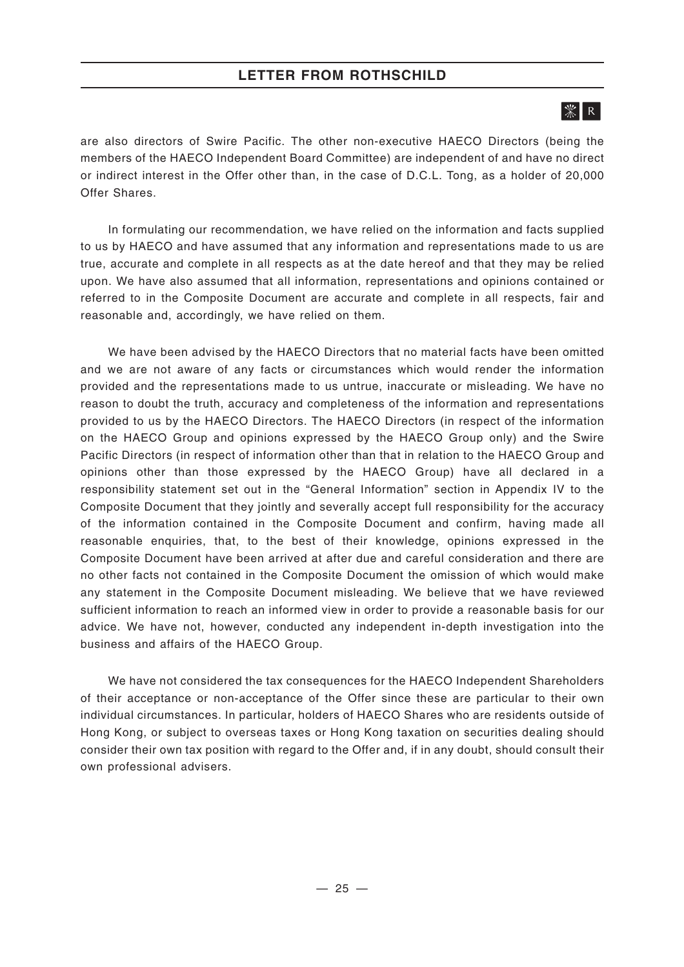# $|\mathcal{K}|$  R

are also directors of Swire Pacific. The other non-executive HAECO Directors (being the members of the HAECO Independent Board Committee) are independent of and have no direct or indirect interest in the Offer other than, in the case of D.C.L. Tong, as a holder of 20,000 Offer Shares.

In formulating our recommendation, we have relied on the information and facts supplied to us by HAECO and have assumed that any information and representations made to us are true, accurate and complete in all respects as at the date hereof and that they may be relied upon. We have also assumed that all information, representations and opinions contained or referred to in the Composite Document are accurate and complete in all respects, fair and reasonable and, accordingly, we have relied on them.

We have been advised by the HAECO Directors that no material facts have been omitted and we are not aware of any facts or circumstances which would render the information provided and the representations made to us untrue, inaccurate or misleading. We have no reason to doubt the truth, accuracy and completeness of the information and representations provided to us by the HAECO Directors. The HAECO Directors (in respect of the information on the HAECO Group and opinions expressed by the HAECO Group only) and the Swire Pacific Directors (in respect of information other than that in relation to the HAECO Group and opinions other than those expressed by the HAECO Group) have all declared in a responsibility statement set out in the "General Information" section in Appendix IV to the Composite Document that they jointly and severally accept full responsibility for the accuracy of the information contained in the Composite Document and confirm, having made all reasonable enquiries, that, to the best of their knowledge, opinions expressed in the Composite Document have been arrived at after due and careful consideration and there are no other facts not contained in the Composite Document the omission of which would make any statement in the Composite Document misleading. We believe that we have reviewed sufficient information to reach an informed view in order to provide a reasonable basis for our advice. We have not, however, conducted any independent in-depth investigation into the business and affairs of the HAECO Group.

We have not considered the tax consequences for the HAECO Independent Shareholders of their acceptance or non-acceptance of the Offer since these are particular to their own individual circumstances. In particular, holders of HAECO Shares who are residents outside of Hong Kong, or subject to overseas taxes or Hong Kong taxation on securities dealing should consider their own tax position with regard to the Offer and, if in any doubt, should consult their own professional advisers.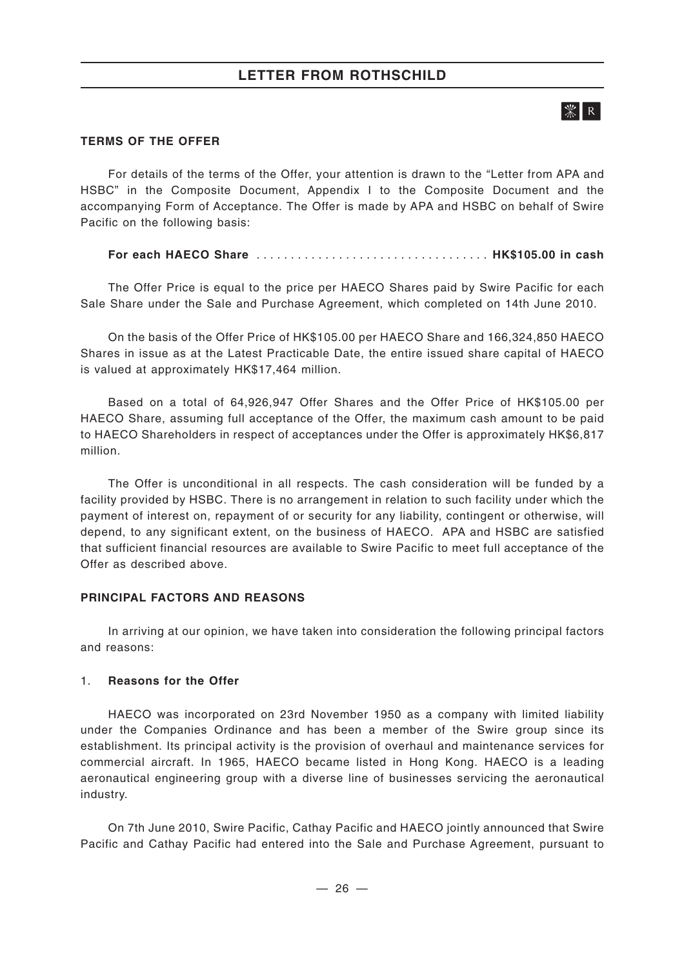# $\mathbb{R}$   $\overline{\mathbb{R}}$

#### **TERMS OF THE OFFER**

For details of the terms of the Offer, your attention is drawn to the "Letter from APA and HSBC" in the Composite Document, Appendix I to the Composite Document and the accompanying Form of Acceptance. The Offer is made by APA and HSBC on behalf of Swire Pacific on the following basis:

#### **For each HAECO Share** .................................. **HK\$105.00 in cash**

The Offer Price is equal to the price per HAECO Shares paid by Swire Pacific for each Sale Share under the Sale and Purchase Agreement, which completed on 14th June 2010.

On the basis of the Offer Price of HK\$105.00 per HAECO Share and 166,324,850 HAECO Shares in issue as at the Latest Practicable Date, the entire issued share capital of HAECO is valued at approximately HK\$17,464 million.

Based on a total of 64,926,947 Offer Shares and the Offer Price of HK\$105.00 per HAECO Share, assuming full acceptance of the Offer, the maximum cash amount to be paid to HAECO Shareholders in respect of acceptances under the Offer is approximately HK\$6,817 million.

The Offer is unconditional in all respects. The cash consideration will be funded by a facility provided by HSBC. There is no arrangement in relation to such facility under which the payment of interest on, repayment of or security for any liability, contingent or otherwise, will depend, to any significant extent, on the business of HAECO. APA and HSBC are satisfied that sufficient financial resources are available to Swire Pacific to meet full acceptance of the Offer as described above.

#### **PRINCIPAL FACTORS AND REASONS**

In arriving at our opinion, we have taken into consideration the following principal factors and reasons:

#### 1. **Reasons for the Offer**

HAECO was incorporated on 23rd November 1950 as a company with limited liability under the Companies Ordinance and has been a member of the Swire group since its establishment. Its principal activity is the provision of overhaul and maintenance services for commercial aircraft. In 1965, HAECO became listed in Hong Kong. HAECO is a leading aeronautical engineering group with a diverse line of businesses servicing the aeronautical industry.

On 7th June 2010, Swire Pacific, Cathay Pacific and HAECO jointly announced that Swire Pacific and Cathay Pacific had entered into the Sale and Purchase Agreement, pursuant to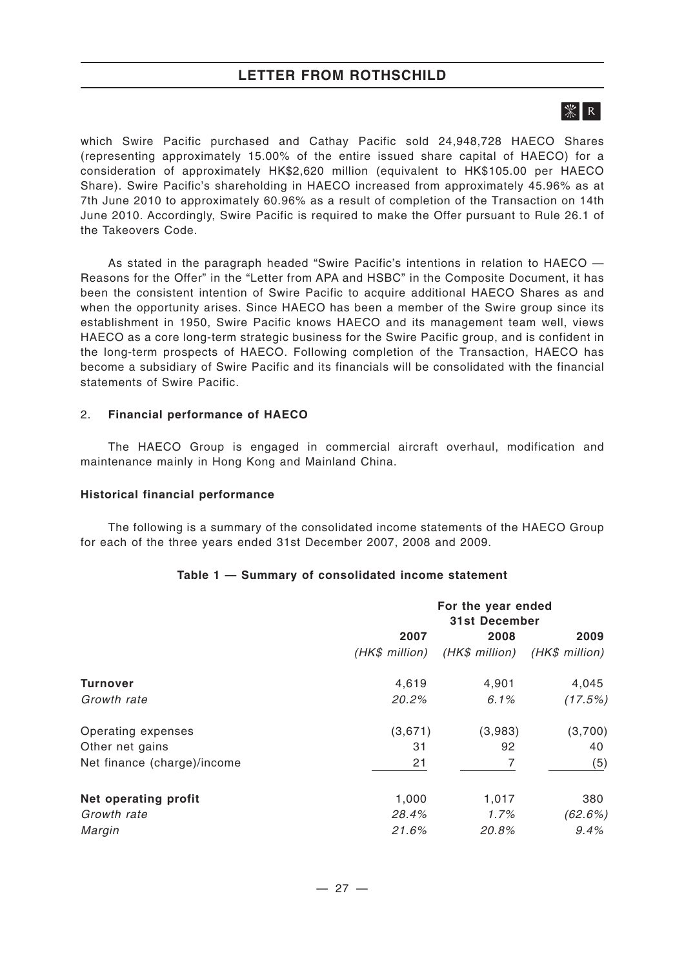# | ※ | R |

which Swire Pacific purchased and Cathay Pacific sold 24,948,728 HAECO Shares (representing approximately 15.00% of the entire issued share capital of HAECO) for a consideration of approximately HK\$2,620 million (equivalent to HK\$105.00 per HAECO Share). Swire Pacific's shareholding in HAECO increased from approximately 45.96% as at 7th June 2010 to approximately 60.96% as a result of completion of the Transaction on 14th June 2010. Accordingly, Swire Pacific is required to make the Offer pursuant to Rule 26.1 of the Takeovers Code.

As stated in the paragraph headed "Swire Pacific's intentions in relation to HAECO — Reasons for the Offer" in the "Letter from APA and HSBC" in the Composite Document, it has been the consistent intention of Swire Pacific to acquire additional HAECO Shares as and when the opportunity arises. Since HAECO has been a member of the Swire group since its establishment in 1950, Swire Pacific knows HAECO and its management team well, views HAECO as a core long-term strategic business for the Swire Pacific group, and is confident in the long-term prospects of HAECO. Following completion of the Transaction, HAECO has become a subsidiary of Swire Pacific and its financials will be consolidated with the financial statements of Swire Pacific.

#### 2. **Financial performance of HAECO**

The HAECO Group is engaged in commercial aircraft overhaul, modification and maintenance mainly in Hong Kong and Mainland China.

#### **Historical financial performance**

The following is a summary of the consolidated income statements of the HAECO Group for each of the three years ended 31st December 2007, 2008 and 2009.

#### **Table 1 — Summary of consolidated income statement**

|                             | For the year ended<br><b>31st December</b> |                |                |
|-----------------------------|--------------------------------------------|----------------|----------------|
|                             | 2007                                       | 2008           | 2009           |
|                             | (HK\$ million)                             | (HK\$ million) | (HK\$ million) |
| Turnover                    | 4,619                                      | 4,901          | 4,045          |
| Growth rate                 | 20.2%                                      | 6.1%           | (17.5%)        |
| Operating expenses          | (3,671)                                    | (3,983)        | (3,700)        |
| Other net gains             | 31                                         | 92             | 40             |
| Net finance (charge)/income | 21                                         |                | (5)            |
| Net operating profit        | 1,000                                      | 1,017          | 380            |
| Growth rate                 | 28.4%                                      | 1.7%           | (62.6%)        |
| Margin                      | 21.6%                                      | 20.8%          | 9.4%           |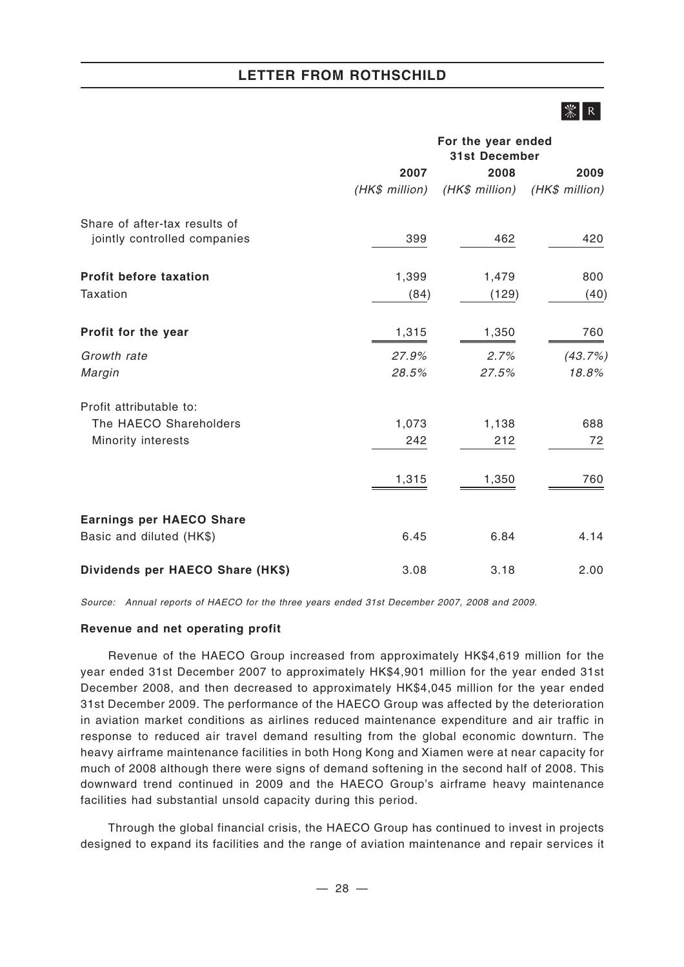# $|\mathcal{K}|$  R

|                                  |                | For the year ended<br><b>31st December</b> |                |  |
|----------------------------------|----------------|--------------------------------------------|----------------|--|
|                                  | 2007           | 2008                                       | 2009           |  |
|                                  | (HK\$ million) | (HK\$ million)                             | (HK\$ million) |  |
| Share of after-tax results of    |                |                                            |                |  |
| jointly controlled companies     | 399            | 462                                        | 420            |  |
| <b>Profit before taxation</b>    | 1,399          | 1,479                                      | 800            |  |
| Taxation                         | (84)           | (129)                                      | (40)           |  |
| Profit for the year              | 1,315          | 1,350                                      | 760            |  |
| Growth rate                      | 27.9%          | 2.7%                                       | (43.7%)        |  |
| Margin                           | 28.5%          | 27.5%                                      | 18.8%          |  |
| Profit attributable to:          |                |                                            |                |  |
| The HAECO Shareholders           | 1,073          | 1,138                                      | 688            |  |
| Minority interests               | 242            | 212                                        | 72             |  |
|                                  | 1,315          | 1,350                                      | 760            |  |
| <b>Earnings per HAECO Share</b>  |                |                                            |                |  |
| Basic and diluted (HK\$)         | 6.45           | 6.84                                       | 4.14           |  |
| Dividends per HAECO Share (HK\$) | 3.08           | 3.18                                       | 2.00           |  |

*Source: Annual reports of HAECO for the three years ended 31st December 2007, 2008 and 2009.*

#### **Revenue and net operating profit**

Revenue of the HAECO Group increased from approximately HK\$4,619 million for the year ended 31st December 2007 to approximately HK\$4,901 million for the year ended 31st December 2008, and then decreased to approximately HK\$4,045 million for the year ended 31st December 2009. The performance of the HAECO Group was affected by the deterioration in aviation market conditions as airlines reduced maintenance expenditure and air traffic in response to reduced air travel demand resulting from the global economic downturn. The heavy airframe maintenance facilities in both Hong Kong and Xiamen were at near capacity for much of 2008 although there were signs of demand softening in the second half of 2008. This downward trend continued in 2009 and the HAECO Group's airframe heavy maintenance facilities had substantial unsold capacity during this period.

Through the global financial crisis, the HAECO Group has continued to invest in projects designed to expand its facilities and the range of aviation maintenance and repair services it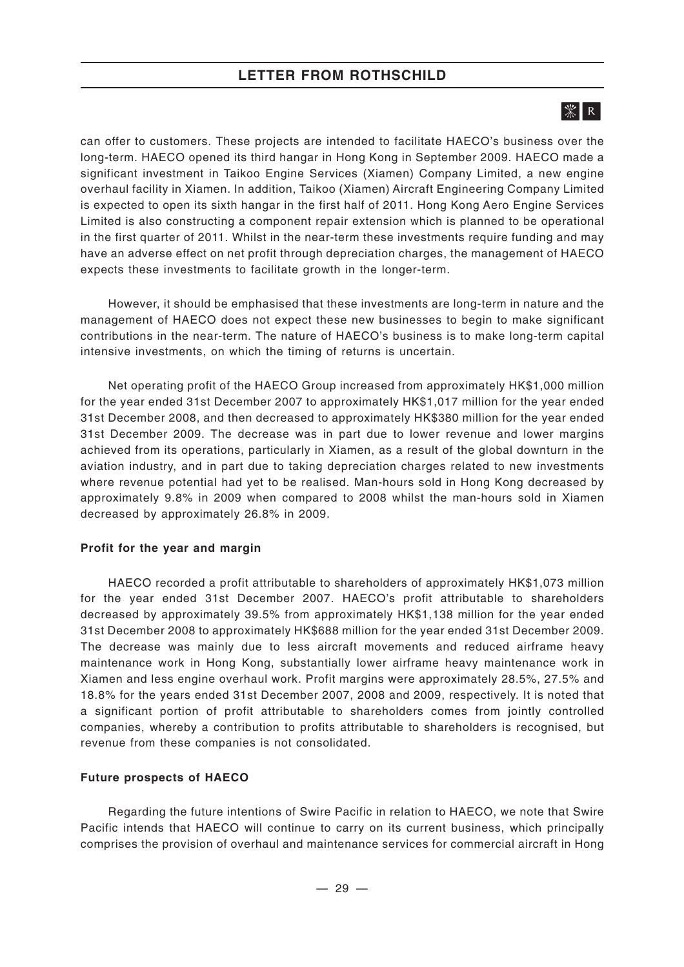# | ※ | R |

can offer to customers. These projects are intended to facilitate HAECO's business over the long-term. HAECO opened its third hangar in Hong Kong in September 2009. HAECO made a significant investment in Taikoo Engine Services (Xiamen) Company Limited, a new engine overhaul facility in Xiamen. In addition, Taikoo (Xiamen) Aircraft Engineering Company Limited is expected to open its sixth hangar in the first half of 2011. Hong Kong Aero Engine Services Limited is also constructing a component repair extension which is planned to be operational in the first quarter of 2011. Whilst in the near-term these investments require funding and may have an adverse effect on net profit through depreciation charges, the management of HAECO expects these investments to facilitate growth in the longer-term.

However, it should be emphasised that these investments are long-term in nature and the management of HAECO does not expect these new businesses to begin to make significant contributions in the near-term. The nature of HAECO's business is to make long-term capital intensive investments, on which the timing of returns is uncertain.

Net operating profit of the HAECO Group increased from approximately HK\$1,000 million for the year ended 31st December 2007 to approximately HK\$1,017 million for the year ended 31st December 2008, and then decreased to approximately HK\$380 million for the year ended 31st December 2009. The decrease was in part due to lower revenue and lower margins achieved from its operations, particularly in Xiamen, as a result of the global downturn in the aviation industry, and in part due to taking depreciation charges related to new investments where revenue potential had yet to be realised. Man-hours sold in Hong Kong decreased by approximately 9.8% in 2009 when compared to 2008 whilst the man-hours sold in Xiamen decreased by approximately 26.8% in 2009.

#### **Profit for the year and margin**

HAECO recorded a profit attributable to shareholders of approximately HK\$1,073 million for the year ended 31st December 2007. HAECO's profit attributable to shareholders decreased by approximately 39.5% from approximately HK\$1,138 million for the year ended 31st December 2008 to approximately HK\$688 million for the year ended 31st December 2009. The decrease was mainly due to less aircraft movements and reduced airframe heavy maintenance work in Hong Kong, substantially lower airframe heavy maintenance work in Xiamen and less engine overhaul work. Profit margins were approximately 28.5%, 27.5% and 18.8% for the years ended 31st December 2007, 2008 and 2009, respectively. It is noted that a significant portion of profit attributable to shareholders comes from jointly controlled companies, whereby a contribution to profits attributable to shareholders is recognised, but revenue from these companies is not consolidated.

#### **Future prospects of HAECO**

Regarding the future intentions of Swire Pacific in relation to HAECO, we note that Swire Pacific intends that HAECO will continue to carry on its current business, which principally comprises the provision of overhaul and maintenance services for commercial aircraft in Hong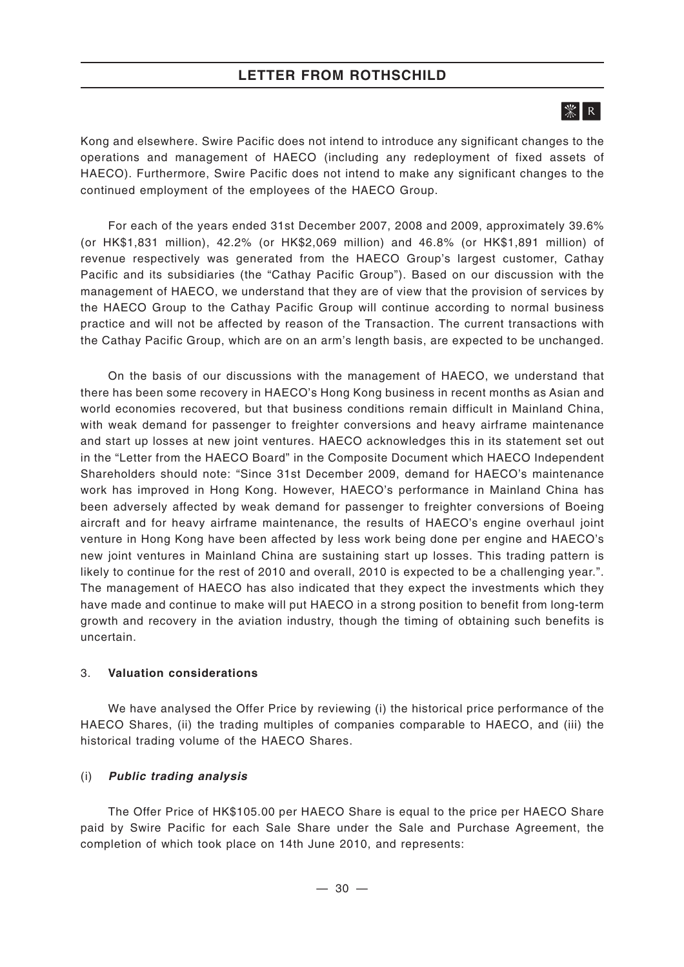# $|\mathcal{K}|$  R

Kong and elsewhere. Swire Pacific does not intend to introduce any significant changes to the operations and management of HAECO (including any redeployment of fixed assets of HAECO). Furthermore, Swire Pacific does not intend to make any significant changes to the continued employment of the employees of the HAECO Group.

For each of the years ended 31st December 2007, 2008 and 2009, approximately 39.6% (or HK\$1,831 million), 42.2% (or HK\$2,069 million) and 46.8% (or HK\$1,891 million) of revenue respectively was generated from the HAECO Group's largest customer, Cathay Pacific and its subsidiaries (the "Cathay Pacific Group"). Based on our discussion with the management of HAECO, we understand that they are of view that the provision of services by the HAECO Group to the Cathay Pacific Group will continue according to normal business practice and will not be affected by reason of the Transaction. The current transactions with the Cathay Pacific Group, which are on an arm's length basis, are expected to be unchanged.

On the basis of our discussions with the management of HAECO, we understand that there has been some recovery in HAECO's Hong Kong business in recent months as Asian and world economies recovered, but that business conditions remain difficult in Mainland China, with weak demand for passenger to freighter conversions and heavy airframe maintenance and start up losses at new joint ventures. HAECO acknowledges this in its statement set out in the "Letter from the HAECO Board" in the Composite Document which HAECO Independent Shareholders should note: "Since 31st December 2009, demand for HAECO's maintenance work has improved in Hong Kong. However, HAECO's performance in Mainland China has been adversely affected by weak demand for passenger to freighter conversions of Boeing aircraft and for heavy airframe maintenance, the results of HAECO's engine overhaul joint venture in Hong Kong have been affected by less work being done per engine and HAECO's new joint ventures in Mainland China are sustaining start up losses. This trading pattern is likely to continue for the rest of 2010 and overall, 2010 is expected to be a challenging year.". The management of HAECO has also indicated that they expect the investments which they have made and continue to make will put HAECO in a strong position to benefit from long-term growth and recovery in the aviation industry, though the timing of obtaining such benefits is uncertain.

#### 3. **Valuation considerations**

We have analysed the Offer Price by reviewing (i) the historical price performance of the HAECO Shares, (ii) the trading multiples of companies comparable to HAECO, and (iii) the historical trading volume of the HAECO Shares.

#### (i) *Public trading analysis*

The Offer Price of HK\$105.00 per HAECO Share is equal to the price per HAECO Share paid by Swire Pacific for each Sale Share under the Sale and Purchase Agreement, the completion of which took place on 14th June 2010, and represents: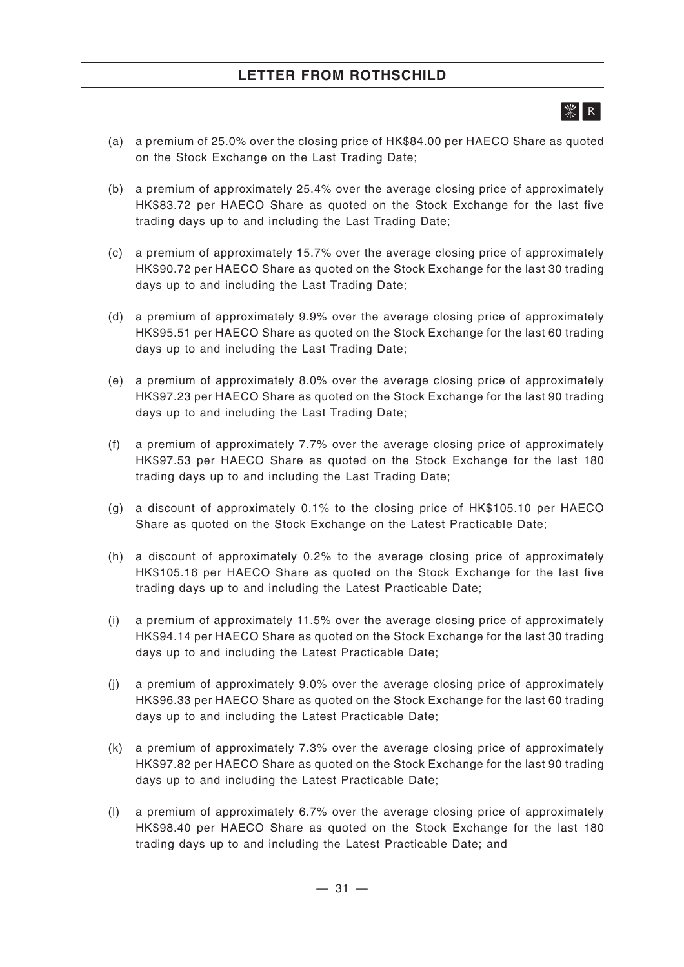# ЖI R I

- (a) a premium of 25.0% over the closing price of HK\$84.00 per HAECO Share as quoted on the Stock Exchange on the Last Trading Date;
- (b) a premium of approximately 25.4% over the average closing price of approximately HK\$83.72 per HAECO Share as quoted on the Stock Exchange for the last five trading days up to and including the Last Trading Date;
- (c) a premium of approximately 15.7% over the average closing price of approximately HK\$90.72 per HAECO Share as quoted on the Stock Exchange for the last 30 trading days up to and including the Last Trading Date;
- (d) a premium of approximately 9.9% over the average closing price of approximately HK\$95.51 per HAECO Share as quoted on the Stock Exchange for the last 60 trading days up to and including the Last Trading Date;
- (e) a premium of approximately 8.0% over the average closing price of approximately HK\$97.23 per HAECO Share as quoted on the Stock Exchange for the last 90 trading days up to and including the Last Trading Date;
- (f) a premium of approximately 7.7% over the average closing price of approximately HK\$97.53 per HAECO Share as quoted on the Stock Exchange for the last 180 trading days up to and including the Last Trading Date;
- (g) a discount of approximately 0.1% to the closing price of HK\$105.10 per HAECO Share as quoted on the Stock Exchange on the Latest Practicable Date;
- (h) a discount of approximately 0.2% to the average closing price of approximately HK\$105.16 per HAECO Share as quoted on the Stock Exchange for the last five trading days up to and including the Latest Practicable Date;
- (i) a premium of approximately 11.5% over the average closing price of approximately HK\$94.14 per HAECO Share as quoted on the Stock Exchange for the last 30 trading days up to and including the Latest Practicable Date;
- (j) a premium of approximately 9.0% over the average closing price of approximately HK\$96.33 per HAECO Share as quoted on the Stock Exchange for the last 60 trading days up to and including the Latest Practicable Date;
- (k) a premium of approximately 7.3% over the average closing price of approximately HK\$97.82 per HAECO Share as quoted on the Stock Exchange for the last 90 trading days up to and including the Latest Practicable Date;
- (l) a premium of approximately 6.7% over the average closing price of approximately HK\$98.40 per HAECO Share as quoted on the Stock Exchange for the last 180 trading days up to and including the Latest Practicable Date; and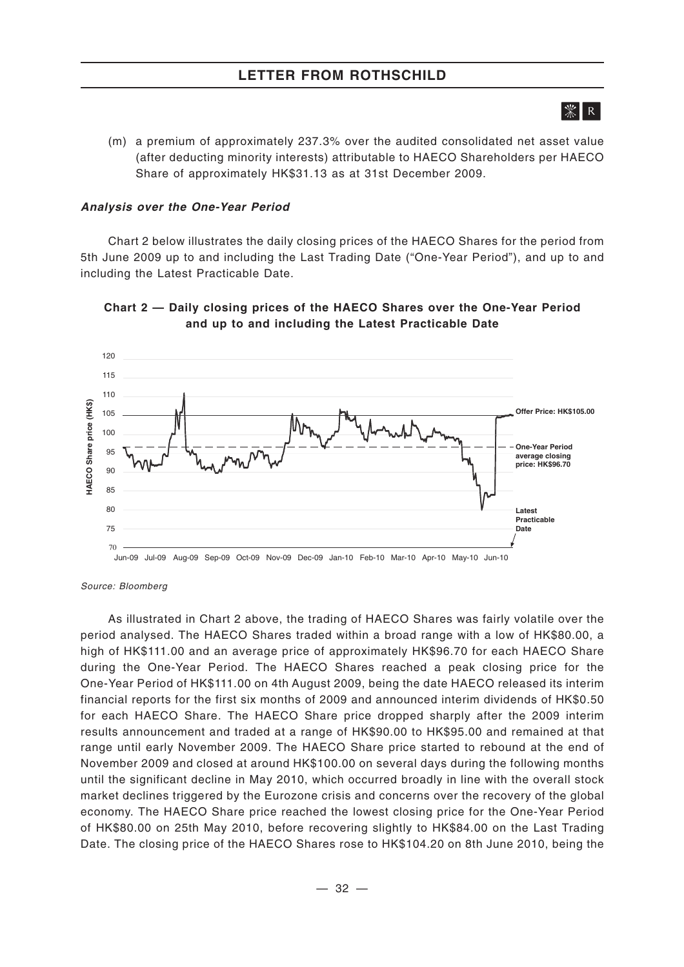# Ж∎в

(m) a premium of approximately 237.3% over the audited consolidated net asset value (after deducting minority interests) attributable to HAECO Shareholders per HAECO Share of approximately HK\$31.13 as at 31st December 2009.

#### *Analysis over the One-Year Period*

Chart 2 below illustrates the daily closing prices of the HAECO Shares for the period from 5th June 2009 up to and including the Last Trading Date ("One-Year Period"), and up to and including the Latest Practicable Date.





*Source: Bloomberg*

As illustrated in Chart 2 above, the trading of HAECO Shares was fairly volatile over the period analysed. The HAECO Shares traded within a broad range with a low of HK\$80.00, a high of HK\$111.00 and an average price of approximately HK\$96.70 for each HAECO Share during the One-Year Period. The HAECO Shares reached a peak closing price for the One-Year Period of HK\$111.00 on 4th August 2009, being the date HAECO released its interim financial reports for the first six months of 2009 and announced interim dividends of HK\$0.50 for each HAECO Share. The HAECO Share price dropped sharply after the 2009 interim results announcement and traded at a range of HK\$90.00 to HK\$95.00 and remained at that range until early November 2009. The HAECO Share price started to rebound at the end of November 2009 and closed at around HK\$100.00 on several days during the following months until the significant decline in May 2010, which occurred broadly in line with the overall stock market declines triggered by the Eurozone crisis and concerns over the recovery of the global economy. The HAECO Share price reached the lowest closing price for the One-Year Period of HK\$80.00 on 25th May 2010, before recovering slightly to HK\$84.00 on the Last Trading Date. The closing price of the HAECO Shares rose to HK\$104.20 on 8th June 2010, being the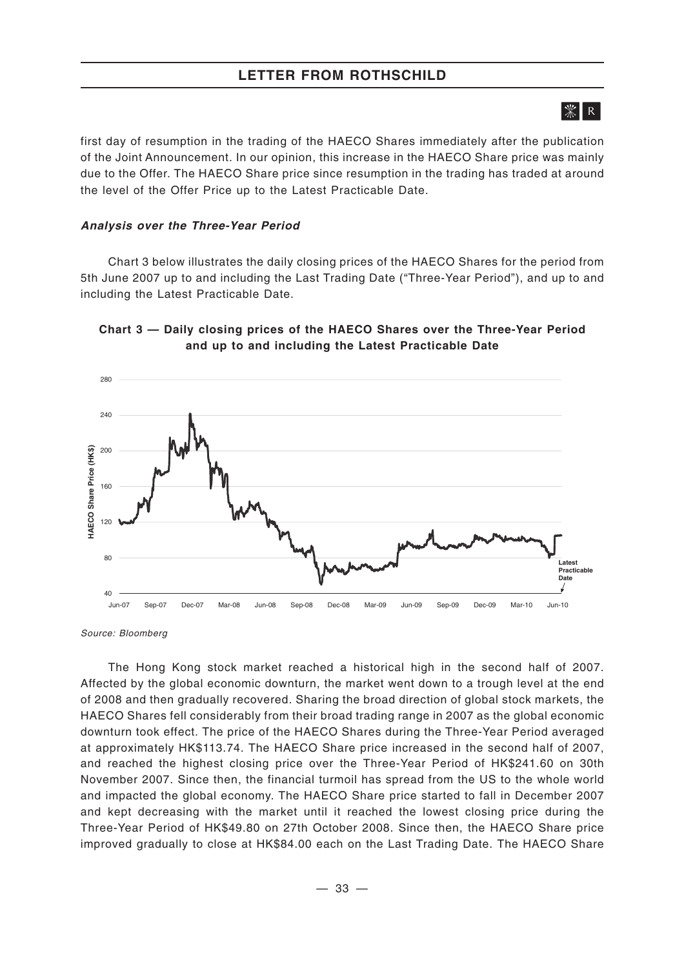# $|\mathcal{K}|$  R

first day of resumption in the trading of the HAECO Shares immediately after the publication of the Joint Announcement. In our opinion, this increase in the HAECO Share price was mainly due to the Offer. The HAECO Share price since resumption in the trading has traded at around the level of the Offer Price up to the Latest Practicable Date.

#### *Analysis over the Three-Year Period*

Chart 3 below illustrates the daily closing prices of the HAECO Shares for the period from 5th June 2007 up to and including the Last Trading Date ("Three-Year Period"), and up to and including the Latest Practicable Date.



#### **Chart 3 — Daily closing prices of the HAECO Shares over the Three-Year Period and up to and including the Latest Practicable Date**

*Source: Bloomberg*

The Hong Kong stock market reached a historical high in the second half of 2007. Affected by the global economic downturn, the market went down to a trough level at the end of 2008 and then gradually recovered. Sharing the broad direction of global stock markets, the HAECO Shares fell considerably from their broad trading range in 2007 as the global economic downturn took effect. The price of the HAECO Shares during the Three-Year Period averaged at approximately HK\$113.74. The HAECO Share price increased in the second half of 2007, and reached the highest closing price over the Three-Year Period of HK\$241.60 on 30th November 2007. Since then, the financial turmoil has spread from the US to the whole world and impacted the global economy. The HAECO Share price started to fall in December 2007 and kept decreasing with the market until it reached the lowest closing price during the Three-Year Period of HK\$49.80 on 27th October 2008. Since then, the HAECO Share price improved gradually to close at HK\$84.00 each on the Last Trading Date. The HAECO Share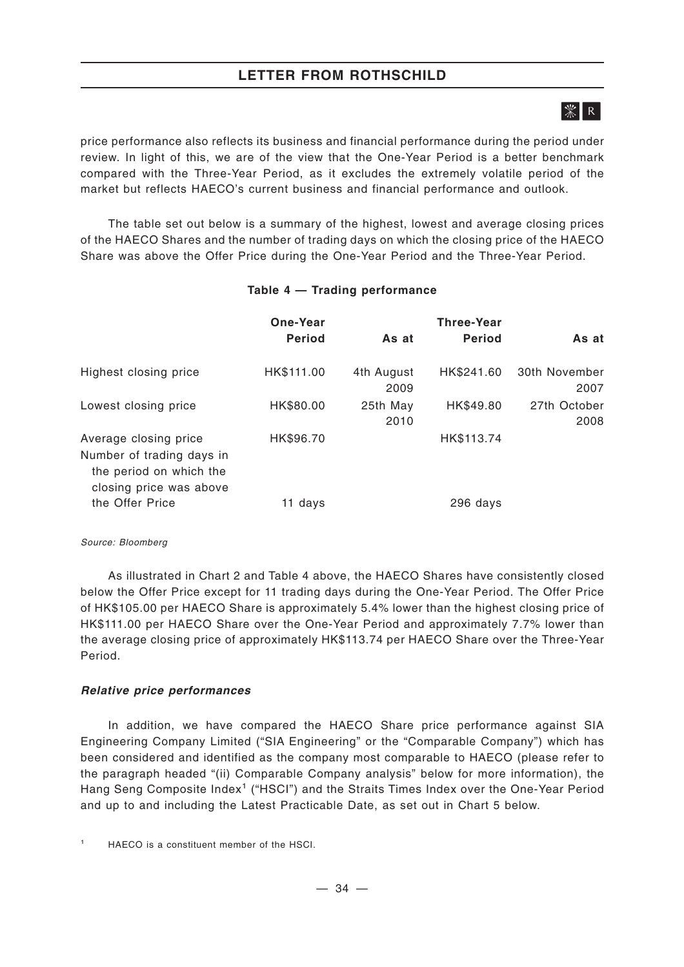## **LETTER FROM ROTHSCHILD**

# 

price performance also reflects its business and financial performance during the period under review. In light of this, we are of the view that the One-Year Period is a better benchmark compared with the Three-Year Period, as it excludes the extremely volatile period of the market but reflects HAECO's current business and financial performance and outlook.

The table set out below is a summary of the highest, lowest and average closing prices of the HAECO Shares and the number of trading days on which the closing price of the HAECO Share was above the Offer Price during the One-Year Period and the Three-Year Period.

|                                                                                 | One-Year      |                    | <b>Three-Year</b> |                       |
|---------------------------------------------------------------------------------|---------------|--------------------|-------------------|-----------------------|
|                                                                                 | <b>Period</b> | As at              | <b>Period</b>     | As at                 |
| Highest closing price                                                           | HK\$111.00    | 4th August<br>2009 | HK\$241.60        | 30th November<br>2007 |
| Lowest closing price                                                            | HK\$80.00     | 25th May<br>2010   | HK\$49.80         | 27th October<br>2008  |
| Average closing price                                                           | HK\$96.70     |                    | HK\$113.74        |                       |
| Number of trading days in<br>the period on which the<br>closing price was above |               |                    |                   |                       |
| the Offer Price                                                                 | 11 davs       |                    | 296 days          |                       |

## **Table 4 — Trading performance**

#### *Source: Bloomberg*

As illustrated in Chart 2 and Table 4 above, the HAECO Shares have consistently closed below the Offer Price except for 11 trading days during the One-Year Period. The Offer Price of HK\$105.00 per HAECO Share is approximately 5.4% lower than the highest closing price of HK\$111.00 per HAECO Share over the One-Year Period and approximately 7.7% lower than the average closing price of approximately HK\$113.74 per HAECO Share over the Three-Year Period.

## *Relative price performances*

In addition, we have compared the HAECO Share price performance against SIA Engineering Company Limited ("SIA Engineering" or the "Comparable Company") which has been considered and identified as the company most comparable to HAECO (please refer to the paragraph headed "(ii) Comparable Company analysis" below for more information), the Hang Seng Composite Index<sup>1</sup> ("HSCI") and the Straits Times Index over the One-Year Period and up to and including the Latest Practicable Date, as set out in Chart 5 below.

<sup>1</sup> HAECO is a constituent member of the HSCI.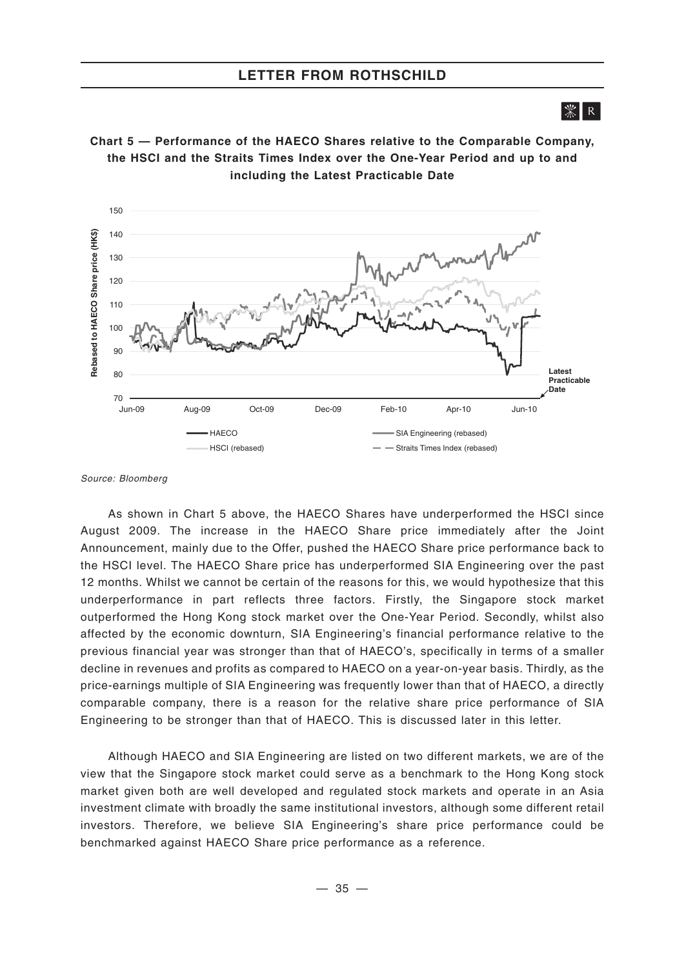$|\mathcal{K}|$  R

**Chart 5 — Performance of the HAECO Shares relative to the Comparable Company, the HSCI and the Straits Times Index over the One-Year Period and up to and including the Latest Practicable Date**



*Source: Bloomberg*

As shown in Chart 5 above, the HAECO Shares have underperformed the HSCI since August 2009. The increase in the HAECO Share price immediately after the Joint Announcement, mainly due to the Offer, pushed the HAECO Share price performance back to the HSCI level. The HAECO Share price has underperformed SIA Engineering over the past 12 months. Whilst we cannot be certain of the reasons for this, we would hypothesize that this underperformance in part reflects three factors. Firstly, the Singapore stock market outperformed the Hong Kong stock market over the One-Year Period. Secondly, whilst also affected by the economic downturn, SIA Engineering's financial performance relative to the previous financial year was stronger than that of HAECO's, specifically in terms of a smaller decline in revenues and profits as compared to HAECO on a year-on-year basis. Thirdly, as the price-earnings multiple of SIA Engineering was frequently lower than that of HAECO, a directly comparable company, there is a reason for the relative share price performance of SIA Engineering to be stronger than that of HAECO. This is discussed later in this letter.

Although HAECO and SIA Engineering are listed on two different markets, we are of the view that the Singapore stock market could serve as a benchmark to the Hong Kong stock market given both are well developed and regulated stock markets and operate in an Asia investment climate with broadly the same institutional investors, although some different retail investors. Therefore, we believe SIA Engineering's share price performance could be benchmarked against HAECO Share price performance as a reference.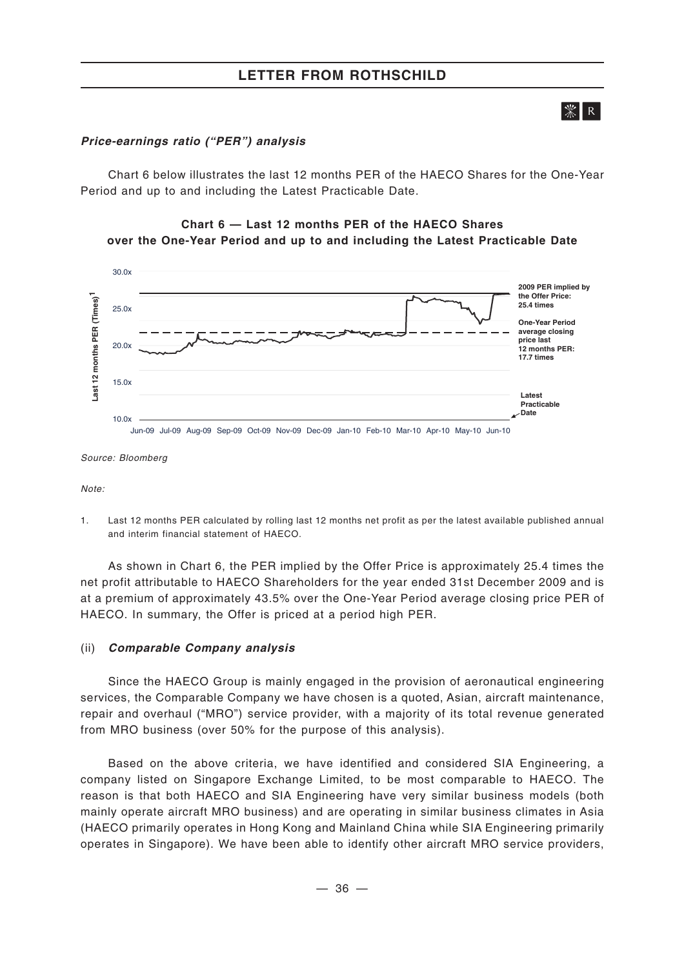# $|\mathcal{K}|$  R

### *Price-earnings ratio ("PER") analysis*

Chart 6 below illustrates the last 12 months PER of the HAECO Shares for the One-Year Period and up to and including the Latest Practicable Date.

## **Chart 6 — Last 12 months PER of the HAECO Shares over the One-Year Period and up to and including the Latest Practicable Date**



*Source: Bloomberg*

*Note:*

1. Last 12 months PER calculated by rolling last 12 months net profit as per the latest available published annual and interim financial statement of HAECO.

As shown in Chart 6, the PER implied by the Offer Price is approximately 25.4 times the net profit attributable to HAECO Shareholders for the year ended 31st December 2009 and is at a premium of approximately 43.5% over the One-Year Period average closing price PER of HAECO. In summary, the Offer is priced at a period high PER.

### (ii) *Comparable Company analysis*

Since the HAECO Group is mainly engaged in the provision of aeronautical engineering services, the Comparable Company we have chosen is a quoted, Asian, aircraft maintenance, repair and overhaul ("MRO") service provider, with a majority of its total revenue generated from MRO business (over 50% for the purpose of this analysis).

Based on the above criteria, we have identified and considered SIA Engineering, a company listed on Singapore Exchange Limited, to be most comparable to HAECO. The reason is that both HAECO and SIA Engineering have very similar business models (both mainly operate aircraft MRO business) and are operating in similar business climates in Asia (HAECO primarily operates in Hong Kong and Mainland China while SIA Engineering primarily operates in Singapore). We have been able to identify other aircraft MRO service providers,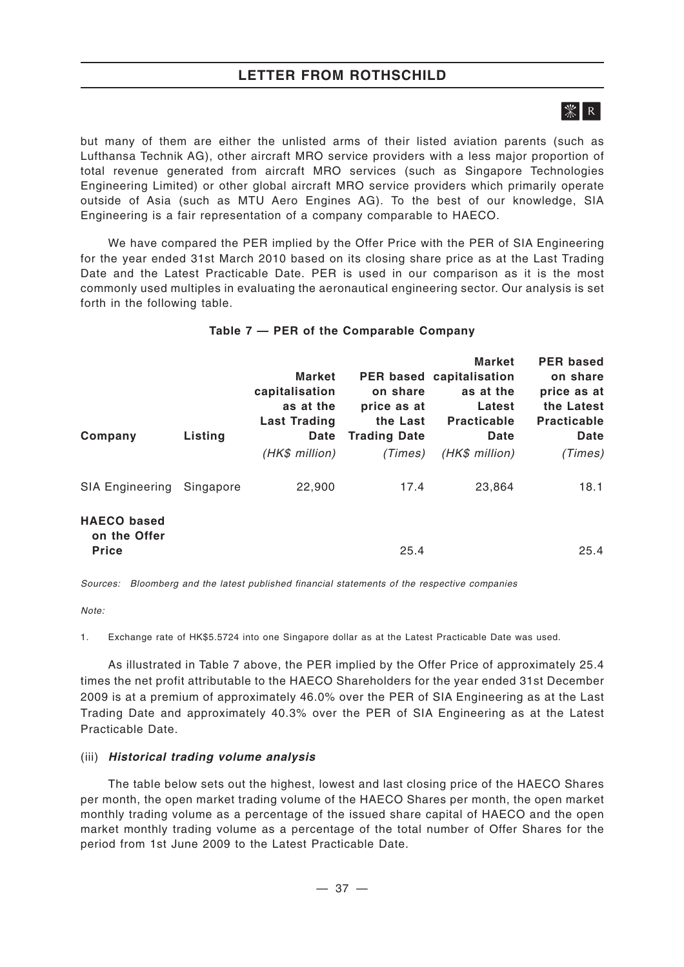## **LETTER FROM ROTHSCHILD**

# 

but many of them are either the unlisted arms of their listed aviation parents (such as Lufthansa Technik AG), other aircraft MRO service providers with a less major proportion of total revenue generated from aircraft MRO services (such as Singapore Technologies Engineering Limited) or other global aircraft MRO service providers which primarily operate outside of Asia (such as MTU Aero Engines AG). To the best of our knowledge, SIA Engineering is a fair representation of a company comparable to HAECO.

We have compared the PER implied by the Offer Price with the PER of SIA Engineering for the year ended 31st March 2010 based on its closing share price as at the Last Trading Date and the Latest Practicable Date. PER is used in our comparison as it is the most commonly used multiples in evaluating the aeronautical engineering sector. Our analysis is set forth in the following table.

| Company                                            | Listing   | <b>Market</b><br>capitalisation<br>as at the<br><b>Last Trading</b><br>Date<br>(HK\$ million) | on share<br>price as at<br>the Last<br><b>Trading Date</b><br>(Times) | <b>Market</b><br>PER based capitalisation<br>as at the<br>Latest<br><b>Practicable</b><br><b>Date</b><br>(HK\$ million) | <b>PER based</b><br>on share<br>price as at<br>the Latest<br><b>Practicable</b><br><b>Date</b><br>(Times) |
|----------------------------------------------------|-----------|-----------------------------------------------------------------------------------------------|-----------------------------------------------------------------------|-------------------------------------------------------------------------------------------------------------------------|-----------------------------------------------------------------------------------------------------------|
| <b>SIA Engineering</b>                             | Singapore | 22,900                                                                                        | 17.4                                                                  | 23,864                                                                                                                  | 18.1                                                                                                      |
| <b>HAECO</b> based<br>on the Offer<br><b>Price</b> |           |                                                                                               | 25.4                                                                  |                                                                                                                         | 25.4                                                                                                      |

## **Table 7 — PER of the Comparable Company**

*Sources: Bloomberg and the latest published financial statements of the respective companies*

*Note:*

1. Exchange rate of HK\$5.5724 into one Singapore dollar as at the Latest Practicable Date was used.

As illustrated in Table 7 above, the PER implied by the Offer Price of approximately 25.4 times the net profit attributable to the HAECO Shareholders for the year ended 31st December 2009 is at a premium of approximately 46.0% over the PER of SIA Engineering as at the Last Trading Date and approximately 40.3% over the PER of SIA Engineering as at the Latest Practicable Date.

### (iii) *Historical trading volume analysis*

The table below sets out the highest, lowest and last closing price of the HAECO Shares per month, the open market trading volume of the HAECO Shares per month, the open market monthly trading volume as a percentage of the issued share capital of HAECO and the open market monthly trading volume as a percentage of the total number of Offer Shares for the period from 1st June 2009 to the Latest Practicable Date.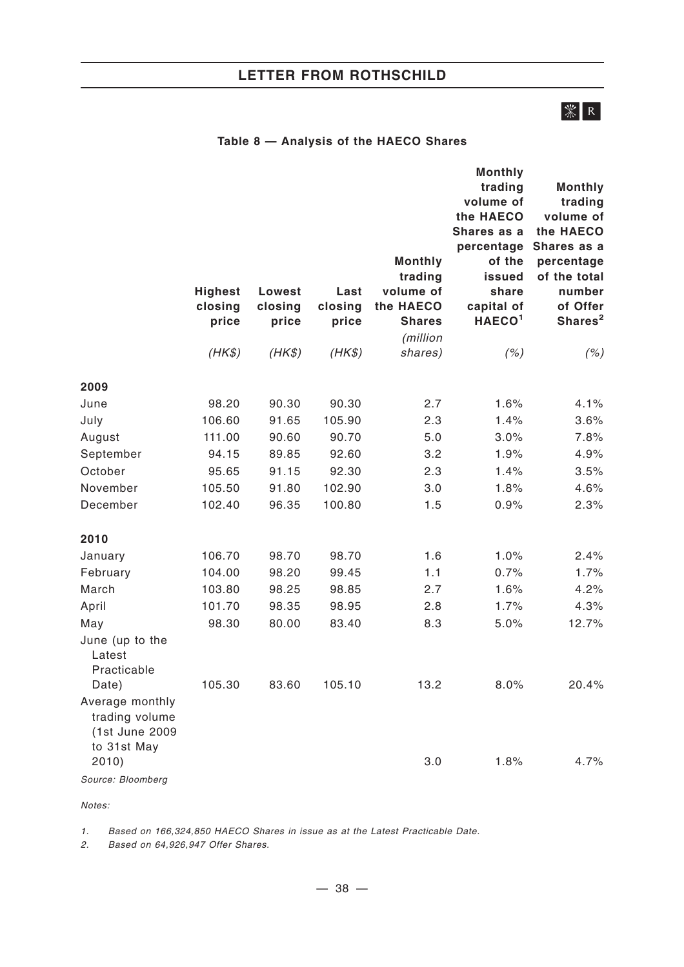## **LETTER FROM ROTHSCHILD**

# **※ R**

## **Table 8 — Analysis of the HAECO Shares**

|                                                                    | <b>Highest</b><br>closing<br>price | Lowest<br>closing<br>price | Last<br>closing<br>price | <b>Monthly</b><br>trading<br>volume of<br>the HAECO<br><b>Shares</b><br>(million | <b>Monthly</b><br>trading<br>volume of<br>the HAECO<br>Shares as a<br>percentage<br>of the<br><b>issued</b><br>share<br>capital of<br>HAECO <sup>1</sup> | <b>Monthly</b><br>trading<br>volume of<br>the HAECO<br>Shares as a<br>percentage<br>of the total<br>number<br>of Offer<br>Shares <sup>2</sup> |
|--------------------------------------------------------------------|------------------------------------|----------------------------|--------------------------|----------------------------------------------------------------------------------|----------------------------------------------------------------------------------------------------------------------------------------------------------|-----------------------------------------------------------------------------------------------------------------------------------------------|
|                                                                    | $(HK\$                             | $(HK\$                     | $(HK\$                   | shares)                                                                          | (%)                                                                                                                                                      | (%)                                                                                                                                           |
| 2009                                                               |                                    |                            |                          |                                                                                  |                                                                                                                                                          |                                                                                                                                               |
| June                                                               | 98.20                              | 90.30                      | 90.30                    | 2.7                                                                              | 1.6%                                                                                                                                                     | 4.1%                                                                                                                                          |
| July                                                               | 106.60                             | 91.65                      | 105.90                   | 2.3                                                                              | 1.4%                                                                                                                                                     | 3.6%                                                                                                                                          |
| August                                                             | 111.00                             | 90.60                      | 90.70                    | 5.0                                                                              | 3.0%                                                                                                                                                     | 7.8%                                                                                                                                          |
| September                                                          | 94.15                              | 89.85                      | 92.60                    | 3.2                                                                              | 1.9%                                                                                                                                                     | 4.9%                                                                                                                                          |
| October                                                            | 95.65                              | 91.15                      | 92.30                    | 2.3                                                                              | 1.4%                                                                                                                                                     | 3.5%                                                                                                                                          |
| November                                                           | 105.50                             | 91.80                      | 102.90                   | 3.0                                                                              | 1.8%                                                                                                                                                     | 4.6%                                                                                                                                          |
| December                                                           | 102.40                             | 96.35                      | 100.80                   | 1.5                                                                              | 0.9%                                                                                                                                                     | 2.3%                                                                                                                                          |
| 2010                                                               |                                    |                            |                          |                                                                                  |                                                                                                                                                          |                                                                                                                                               |
| January                                                            | 106.70                             | 98.70                      | 98.70                    | 1.6                                                                              | 1.0%                                                                                                                                                     | 2.4%                                                                                                                                          |
| February                                                           | 104.00                             | 98.20                      | 99.45                    | 1.1                                                                              | 0.7%                                                                                                                                                     | 1.7%                                                                                                                                          |
| March                                                              | 103.80                             | 98.25                      | 98.85                    | 2.7                                                                              | 1.6%                                                                                                                                                     | 4.2%                                                                                                                                          |
| April                                                              | 101.70                             | 98.35                      | 98.95                    | 2.8                                                                              | 1.7%                                                                                                                                                     | 4.3%                                                                                                                                          |
| May                                                                | 98.30                              | 80.00                      | 83.40                    | 8.3                                                                              | 5.0%                                                                                                                                                     | 12.7%                                                                                                                                         |
| June (up to the<br>Latest<br>Practicable<br>Date)                  | 105.30                             | 83.60                      | 105.10                   | 13.2                                                                             | 8.0%                                                                                                                                                     | 20.4%                                                                                                                                         |
| Average monthly<br>trading volume<br>(1st June 2009<br>to 31st May |                                    |                            |                          |                                                                                  |                                                                                                                                                          |                                                                                                                                               |
| 2010)                                                              |                                    |                            |                          | 3.0                                                                              | 1.8%                                                                                                                                                     | 4.7%                                                                                                                                          |
| Source: Bloomberg                                                  |                                    |                            |                          |                                                                                  |                                                                                                                                                          |                                                                                                                                               |

*Notes:*

*1. Based on 166,324,850 HAECO Shares in issue as at the Latest Practicable Date.*

*2. Based on 64,926,947 Offer Shares.*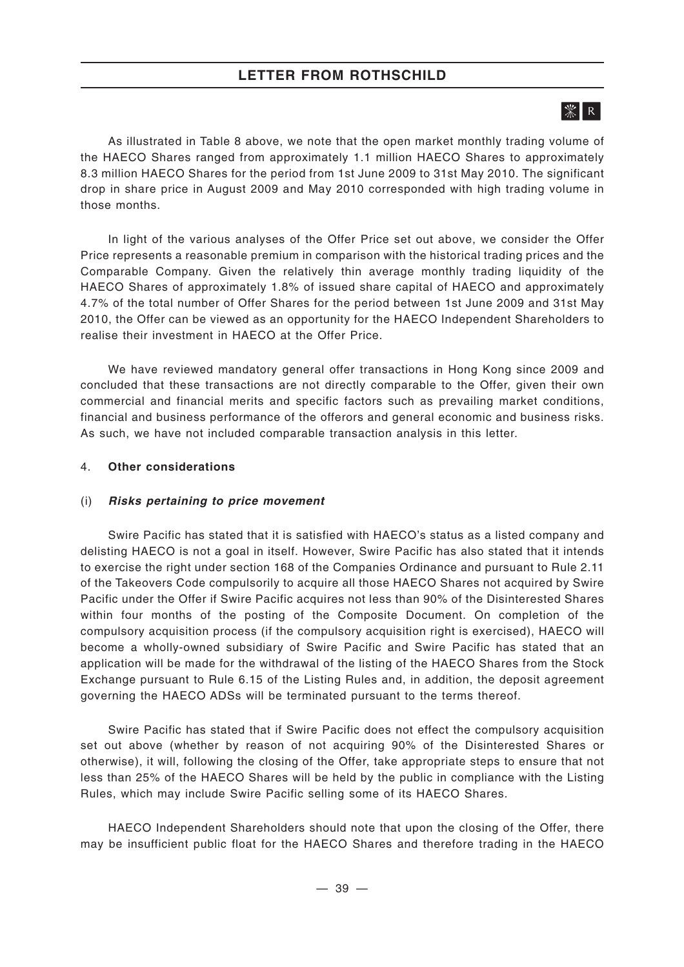# $|\mathcal{K}|$  R  $|$

As illustrated in Table 8 above, we note that the open market monthly trading volume of the HAECO Shares ranged from approximately 1.1 million HAECO Shares to approximately 8.3 million HAECO Shares for the period from 1st June 2009 to 31st May 2010. The significant drop in share price in August 2009 and May 2010 corresponded with high trading volume in those months.

In light of the various analyses of the Offer Price set out above, we consider the Offer Price represents a reasonable premium in comparison with the historical trading prices and the Comparable Company. Given the relatively thin average monthly trading liquidity of the HAECO Shares of approximately 1.8% of issued share capital of HAECO and approximately 4.7% of the total number of Offer Shares for the period between 1st June 2009 and 31st May 2010, the Offer can be viewed as an opportunity for the HAECO Independent Shareholders to realise their investment in HAECO at the Offer Price.

We have reviewed mandatory general offer transactions in Hong Kong since 2009 and concluded that these transactions are not directly comparable to the Offer, given their own commercial and financial merits and specific factors such as prevailing market conditions, financial and business performance of the offerors and general economic and business risks. As such, we have not included comparable transaction analysis in this letter.

## 4. **Other considerations**

### (i) *Risks pertaining to price movement*

Swire Pacific has stated that it is satisfied with HAECO's status as a listed company and delisting HAECO is not a goal in itself. However, Swire Pacific has also stated that it intends to exercise the right under section 168 of the Companies Ordinance and pursuant to Rule 2.11 of the Takeovers Code compulsorily to acquire all those HAECO Shares not acquired by Swire Pacific under the Offer if Swire Pacific acquires not less than 90% of the Disinterested Shares within four months of the posting of the Composite Document. On completion of the compulsory acquisition process (if the compulsory acquisition right is exercised), HAECO will become a wholly-owned subsidiary of Swire Pacific and Swire Pacific has stated that an application will be made for the withdrawal of the listing of the HAECO Shares from the Stock Exchange pursuant to Rule 6.15 of the Listing Rules and, in addition, the deposit agreement governing the HAECO ADSs will be terminated pursuant to the terms thereof.

Swire Pacific has stated that if Swire Pacific does not effect the compulsory acquisition set out above (whether by reason of not acquiring 90% of the Disinterested Shares or otherwise), it will, following the closing of the Offer, take appropriate steps to ensure that not less than 25% of the HAECO Shares will be held by the public in compliance with the Listing Rules, which may include Swire Pacific selling some of its HAECO Shares.

HAECO Independent Shareholders should note that upon the closing of the Offer, there may be insufficient public float for the HAECO Shares and therefore trading in the HAECO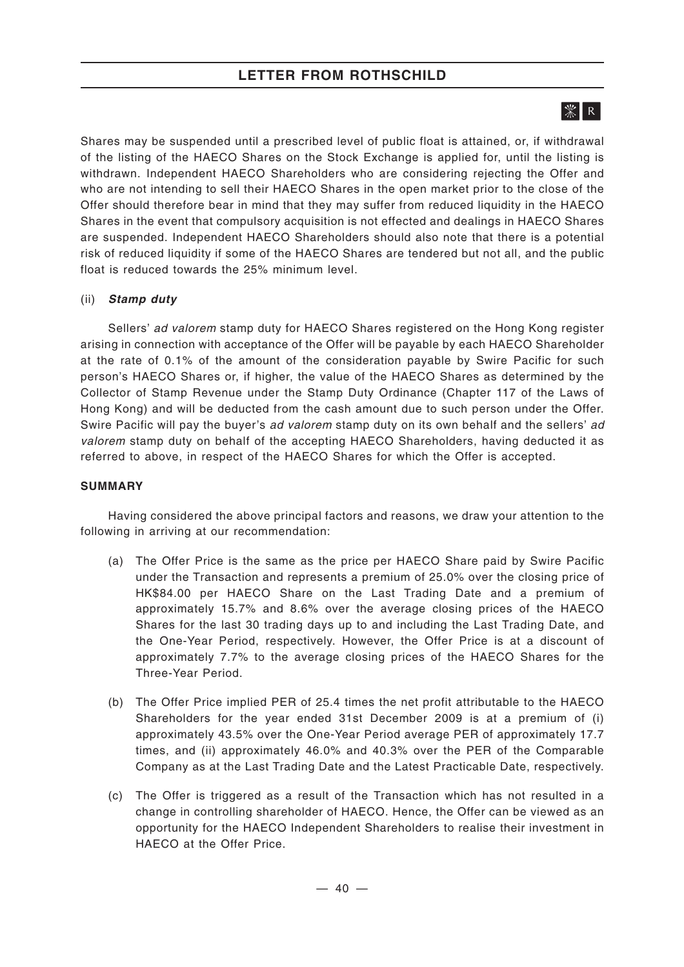## **LETTER FROM ROTHSCHILD**

# $|\mathcal{K}|$  R  $|$

Shares may be suspended until a prescribed level of public float is attained, or, if withdrawal of the listing of the HAECO Shares on the Stock Exchange is applied for, until the listing is withdrawn. Independent HAECO Shareholders who are considering rejecting the Offer and who are not intending to sell their HAECO Shares in the open market prior to the close of the Offer should therefore bear in mind that they may suffer from reduced liquidity in the HAECO Shares in the event that compulsory acquisition is not effected and dealings in HAECO Shares are suspended. Independent HAECO Shareholders should also note that there is a potential risk of reduced liquidity if some of the HAECO Shares are tendered but not all, and the public float is reduced towards the 25% minimum level.

## (ii) *Stamp duty*

Sellers' *ad valorem* stamp duty for HAECO Shares registered on the Hong Kong register arising in connection with acceptance of the Offer will be payable by each HAECO Shareholder at the rate of 0.1% of the amount of the consideration payable by Swire Pacific for such person's HAECO Shares or, if higher, the value of the HAECO Shares as determined by the Collector of Stamp Revenue under the Stamp Duty Ordinance (Chapter 117 of the Laws of Hong Kong) and will be deducted from the cash amount due to such person under the Offer. Swire Pacific will pay the buyer's *ad valorem* stamp duty on its own behalf and the sellers' *ad valorem* stamp duty on behalf of the accepting HAECO Shareholders, having deducted it as referred to above, in respect of the HAECO Shares for which the Offer is accepted.

## **SUMMARY**

Having considered the above principal factors and reasons, we draw your attention to the following in arriving at our recommendation:

- (a) The Offer Price is the same as the price per HAECO Share paid by Swire Pacific under the Transaction and represents a premium of 25.0% over the closing price of HK\$84.00 per HAECO Share on the Last Trading Date and a premium of approximately 15.7% and 8.6% over the average closing prices of the HAECO Shares for the last 30 trading days up to and including the Last Trading Date, and the One-Year Period, respectively. However, the Offer Price is at a discount of approximately 7.7% to the average closing prices of the HAECO Shares for the Three-Year Period.
- (b) The Offer Price implied PER of 25.4 times the net profit attributable to the HAECO Shareholders for the year ended 31st December 2009 is at a premium of (i) approximately 43.5% over the One-Year Period average PER of approximately 17.7 times, and (ii) approximately 46.0% and 40.3% over the PER of the Comparable Company as at the Last Trading Date and the Latest Practicable Date, respectively.
- (c) The Offer is triggered as a result of the Transaction which has not resulted in a change in controlling shareholder of HAECO. Hence, the Offer can be viewed as an opportunity for the HAECO Independent Shareholders to realise their investment in HAECO at the Offer Price.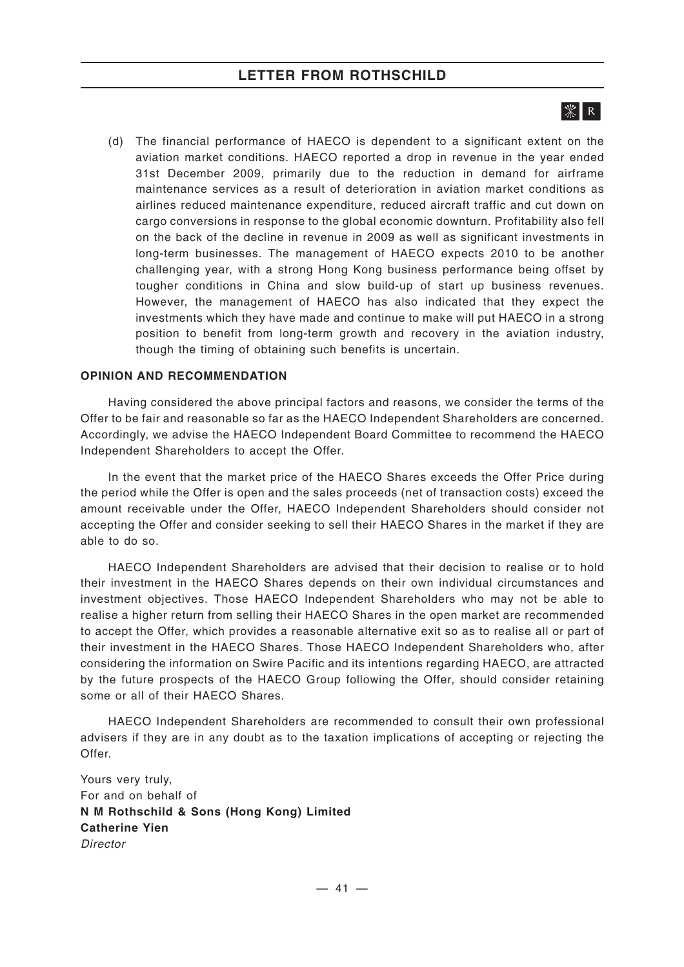# 

(d) The financial performance of HAECO is dependent to a significant extent on the aviation market conditions. HAECO reported a drop in revenue in the year ended 31st December 2009, primarily due to the reduction in demand for airframe maintenance services as a result of deterioration in aviation market conditions as airlines reduced maintenance expenditure, reduced aircraft traffic and cut down on cargo conversions in response to the global economic downturn. Profitability also fell on the back of the decline in revenue in 2009 as well as significant investments in long-term businesses. The management of HAECO expects 2010 to be another challenging year, with a strong Hong Kong business performance being offset by tougher conditions in China and slow build-up of start up business revenues. However, the management of HAECO has also indicated that they expect the investments which they have made and continue to make will put HAECO in a strong position to benefit from long-term growth and recovery in the aviation industry, though the timing of obtaining such benefits is uncertain.

## **OPINION AND RECOMMENDATION**

Having considered the above principal factors and reasons, we consider the terms of the Offer to be fair and reasonable so far as the HAECO Independent Shareholders are concerned. Accordingly, we advise the HAECO Independent Board Committee to recommend the HAECO Independent Shareholders to accept the Offer.

In the event that the market price of the HAECO Shares exceeds the Offer Price during the period while the Offer is open and the sales proceeds (net of transaction costs) exceed the amount receivable under the Offer, HAECO Independent Shareholders should consider not accepting the Offer and consider seeking to sell their HAECO Shares in the market if they are able to do so.

HAECO Independent Shareholders are advised that their decision to realise or to hold their investment in the HAECO Shares depends on their own individual circumstances and investment objectives. Those HAECO Independent Shareholders who may not be able to realise a higher return from selling their HAECO Shares in the open market are recommended to accept the Offer, which provides a reasonable alternative exit so as to realise all or part of their investment in the HAECO Shares. Those HAECO Independent Shareholders who, after considering the information on Swire Pacific and its intentions regarding HAECO, are attracted by the future prospects of the HAECO Group following the Offer, should consider retaining some or all of their HAECO Shares.

HAECO Independent Shareholders are recommended to consult their own professional advisers if they are in any doubt as to the taxation implications of accepting or rejecting the Offer.

Yours very truly, For and on behalf of **N M Rothschild & Sons (Hong Kong) Limited Catherine Yien** *Director*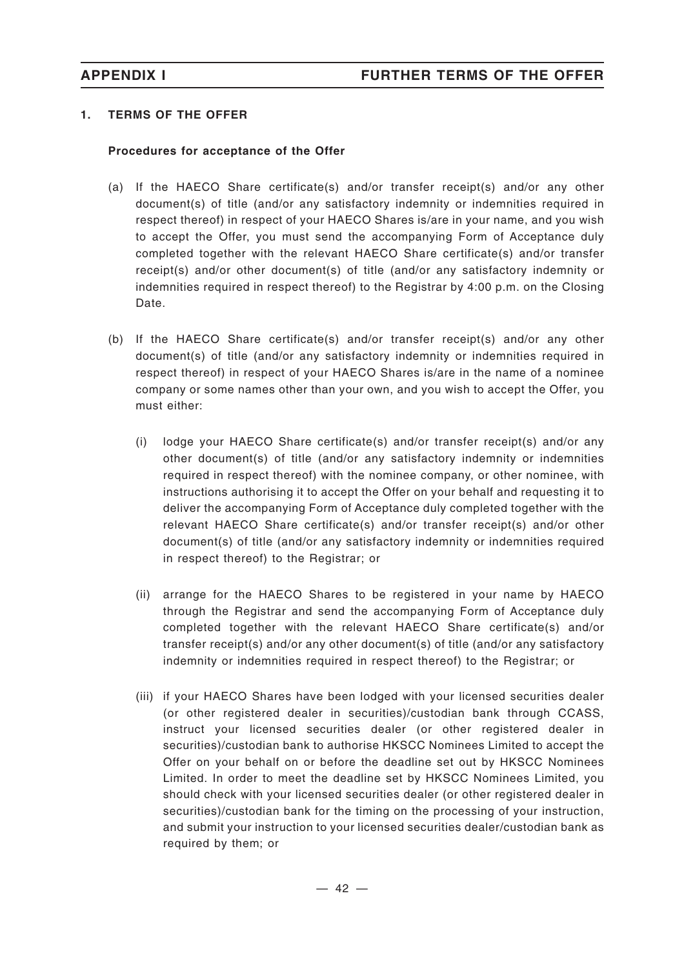## **1. TERMS OF THE OFFER**

## **Procedures for acceptance of the Offer**

- (a) If the HAECO Share certificate(s) and/or transfer receipt(s) and/or any other document(s) of title (and/or any satisfactory indemnity or indemnities required in respect thereof) in respect of your HAECO Shares is/are in your name, and you wish to accept the Offer, you must send the accompanying Form of Acceptance duly completed together with the relevant HAECO Share certificate(s) and/or transfer receipt(s) and/or other document(s) of title (and/or any satisfactory indemnity or indemnities required in respect thereof) to the Registrar by 4:00 p.m. on the Closing Date.
- (b) If the HAECO Share certificate(s) and/or transfer receipt(s) and/or any other document(s) of title (and/or any satisfactory indemnity or indemnities required in respect thereof) in respect of your HAECO Shares is/are in the name of a nominee company or some names other than your own, and you wish to accept the Offer, you must either:
	- (i) lodge your HAECO Share certificate(s) and/or transfer receipt(s) and/or any other document(s) of title (and/or any satisfactory indemnity or indemnities required in respect thereof) with the nominee company, or other nominee, with instructions authorising it to accept the Offer on your behalf and requesting it to deliver the accompanying Form of Acceptance duly completed together with the relevant HAECO Share certificate(s) and/or transfer receipt(s) and/or other document(s) of title (and/or any satisfactory indemnity or indemnities required in respect thereof) to the Registrar; or
	- (ii) arrange for the HAECO Shares to be registered in your name by HAECO through the Registrar and send the accompanying Form of Acceptance duly completed together with the relevant HAECO Share certificate(s) and/or transfer receipt(s) and/or any other document(s) of title (and/or any satisfactory indemnity or indemnities required in respect thereof) to the Registrar; or
	- (iii) if your HAECO Shares have been lodged with your licensed securities dealer (or other registered dealer in securities)/custodian bank through CCASS, instruct your licensed securities dealer (or other registered dealer in securities)/custodian bank to authorise HKSCC Nominees Limited to accept the Offer on your behalf on or before the deadline set out by HKSCC Nominees Limited. In order to meet the deadline set by HKSCC Nominees Limited, you should check with your licensed securities dealer (or other registered dealer in securities)/custodian bank for the timing on the processing of your instruction, and submit your instruction to your licensed securities dealer/custodian bank as required by them; or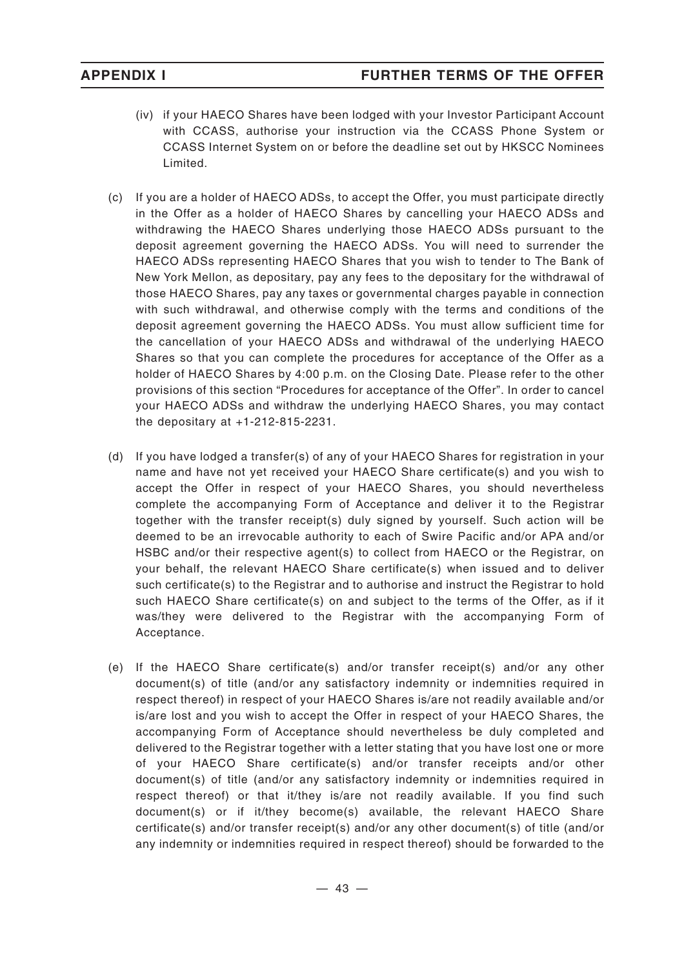- (iv) if your HAECO Shares have been lodged with your Investor Participant Account with CCASS, authorise your instruction via the CCASS Phone System or CCASS Internet System on or before the deadline set out by HKSCC Nominees Limited.
- (c) If you are a holder of HAECO ADSs, to accept the Offer, you must participate directly in the Offer as a holder of HAECO Shares by cancelling your HAECO ADSs and withdrawing the HAECO Shares underlying those HAECO ADSs pursuant to the deposit agreement governing the HAECO ADSs. You will need to surrender the HAECO ADSs representing HAECO Shares that you wish to tender to The Bank of New York Mellon, as depositary, pay any fees to the depositary for the withdrawal of those HAECO Shares, pay any taxes or governmental charges payable in connection with such withdrawal, and otherwise comply with the terms and conditions of the deposit agreement governing the HAECO ADSs. You must allow sufficient time for the cancellation of your HAECO ADSs and withdrawal of the underlying HAECO Shares so that you can complete the procedures for acceptance of the Offer as a holder of HAECO Shares by 4:00 p.m. on the Closing Date. Please refer to the other provisions of this section "Procedures for acceptance of the Offer". In order to cancel your HAECO ADSs and withdraw the underlying HAECO Shares, you may contact the depositary at +1-212-815-2231.
- (d) If you have lodged a transfer(s) of any of your HAECO Shares for registration in your name and have not yet received your HAECO Share certificate(s) and you wish to accept the Offer in respect of your HAECO Shares, you should nevertheless complete the accompanying Form of Acceptance and deliver it to the Registrar together with the transfer receipt(s) duly signed by yourself. Such action will be deemed to be an irrevocable authority to each of Swire Pacific and/or APA and/or HSBC and/or their respective agent(s) to collect from HAECO or the Registrar, on your behalf, the relevant HAECO Share certificate(s) when issued and to deliver such certificate(s) to the Registrar and to authorise and instruct the Registrar to hold such HAECO Share certificate(s) on and subject to the terms of the Offer, as if it was/they were delivered to the Registrar with the accompanying Form of Acceptance.
- (e) If the HAECO Share certificate(s) and/or transfer receipt(s) and/or any other document(s) of title (and/or any satisfactory indemnity or indemnities required in respect thereof) in respect of your HAECO Shares is/are not readily available and/or is/are lost and you wish to accept the Offer in respect of your HAECO Shares, the accompanying Form of Acceptance should nevertheless be duly completed and delivered to the Registrar together with a letter stating that you have lost one or more of your HAECO Share certificate(s) and/or transfer receipts and/or other document(s) of title (and/or any satisfactory indemnity or indemnities required in respect thereof) or that it/they is/are not readily available. If you find such document(s) or if it/they become(s) available, the relevant HAECO Share certificate(s) and/or transfer receipt(s) and/or any other document(s) of title (and/or any indemnity or indemnities required in respect thereof) should be forwarded to the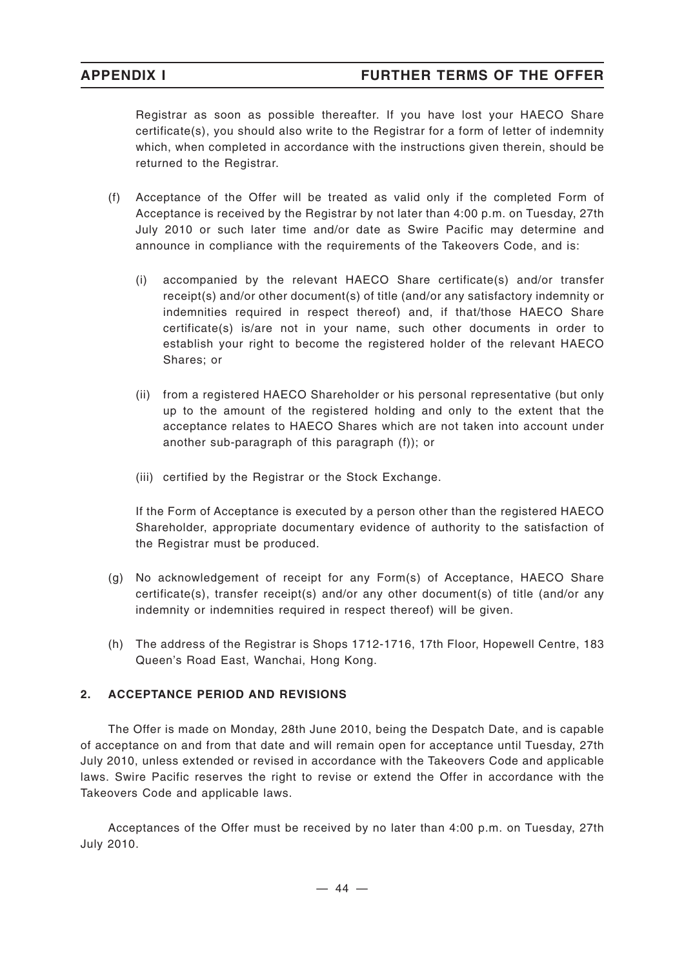Registrar as soon as possible thereafter. If you have lost your HAECO Share certificate(s), you should also write to the Registrar for a form of letter of indemnity which, when completed in accordance with the instructions given therein, should be returned to the Registrar.

- (f) Acceptance of the Offer will be treated as valid only if the completed Form of Acceptance is received by the Registrar by not later than 4:00 p.m. on Tuesday, 27th July 2010 or such later time and/or date as Swire Pacific may determine and announce in compliance with the requirements of the Takeovers Code, and is:
	- (i) accompanied by the relevant HAECO Share certificate(s) and/or transfer receipt(s) and/or other document(s) of title (and/or any satisfactory indemnity or indemnities required in respect thereof) and, if that/those HAECO Share certificate(s) is/are not in your name, such other documents in order to establish your right to become the registered holder of the relevant HAECO Shares; or
	- (ii) from a registered HAECO Shareholder or his personal representative (but only up to the amount of the registered holding and only to the extent that the acceptance relates to HAECO Shares which are not taken into account under another sub-paragraph of this paragraph (f)); or
	- (iii) certified by the Registrar or the Stock Exchange.

If the Form of Acceptance is executed by a person other than the registered HAECO Shareholder, appropriate documentary evidence of authority to the satisfaction of the Registrar must be produced.

- (g) No acknowledgement of receipt for any Form(s) of Acceptance, HAECO Share certificate(s), transfer receipt(s) and/or any other document(s) of title (and/or any indemnity or indemnities required in respect thereof) will be given.
- (h) The address of the Registrar is Shops 1712-1716, 17th Floor, Hopewell Centre, 183 Queen's Road East, Wanchai, Hong Kong.

## **2. ACCEPTANCE PERIOD AND REVISIONS**

The Offer is made on Monday, 28th June 2010, being the Despatch Date, and is capable of acceptance on and from that date and will remain open for acceptance until Tuesday, 27th July 2010, unless extended or revised in accordance with the Takeovers Code and applicable laws. Swire Pacific reserves the right to revise or extend the Offer in accordance with the Takeovers Code and applicable laws.

Acceptances of the Offer must be received by no later than 4:00 p.m. on Tuesday, 27th July 2010.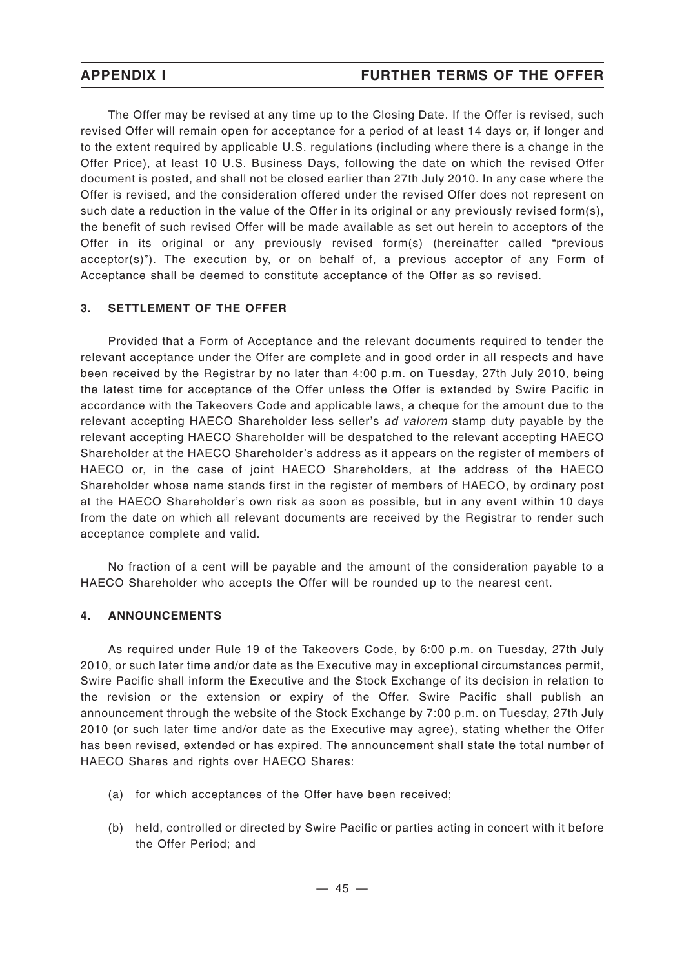The Offer may be revised at any time up to the Closing Date. If the Offer is revised, such revised Offer will remain open for acceptance for a period of at least 14 days or, if longer and to the extent required by applicable U.S. regulations (including where there is a change in the Offer Price), at least 10 U.S. Business Days, following the date on which the revised Offer document is posted, and shall not be closed earlier than 27th July 2010. In any case where the Offer is revised, and the consideration offered under the revised Offer does not represent on such date a reduction in the value of the Offer in its original or any previously revised form(s), the benefit of such revised Offer will be made available as set out herein to acceptors of the Offer in its original or any previously revised form(s) (hereinafter called "previous acceptor(s)"). The execution by, or on behalf of, a previous acceptor of any Form of Acceptance shall be deemed to constitute acceptance of the Offer as so revised.

## **3. SETTLEMENT OF THE OFFER**

Provided that a Form of Acceptance and the relevant documents required to tender the relevant acceptance under the Offer are complete and in good order in all respects and have been received by the Registrar by no later than 4:00 p.m. on Tuesday, 27th July 2010, being the latest time for acceptance of the Offer unless the Offer is extended by Swire Pacific in accordance with the Takeovers Code and applicable laws, a cheque for the amount due to the relevant accepting HAECO Shareholder less seller's *ad valorem* stamp duty payable by the relevant accepting HAECO Shareholder will be despatched to the relevant accepting HAECO Shareholder at the HAECO Shareholder's address as it appears on the register of members of HAECO or, in the case of joint HAECO Shareholders, at the address of the HAECO Shareholder whose name stands first in the register of members of HAECO, by ordinary post at the HAECO Shareholder's own risk as soon as possible, but in any event within 10 days from the date on which all relevant documents are received by the Registrar to render such acceptance complete and valid.

No fraction of a cent will be payable and the amount of the consideration payable to a HAECO Shareholder who accepts the Offer will be rounded up to the nearest cent.

### **4. ANNOUNCEMENTS**

As required under Rule 19 of the Takeovers Code, by 6:00 p.m. on Tuesday, 27th July 2010, or such later time and/or date as the Executive may in exceptional circumstances permit, Swire Pacific shall inform the Executive and the Stock Exchange of its decision in relation to the revision or the extension or expiry of the Offer. Swire Pacific shall publish an announcement through the website of the Stock Exchange by 7:00 p.m. on Tuesday, 27th July 2010 (or such later time and/or date as the Executive may agree), stating whether the Offer has been revised, extended or has expired. The announcement shall state the total number of HAECO Shares and rights over HAECO Shares:

- (a) for which acceptances of the Offer have been received;
- (b) held, controlled or directed by Swire Pacific or parties acting in concert with it before the Offer Period; and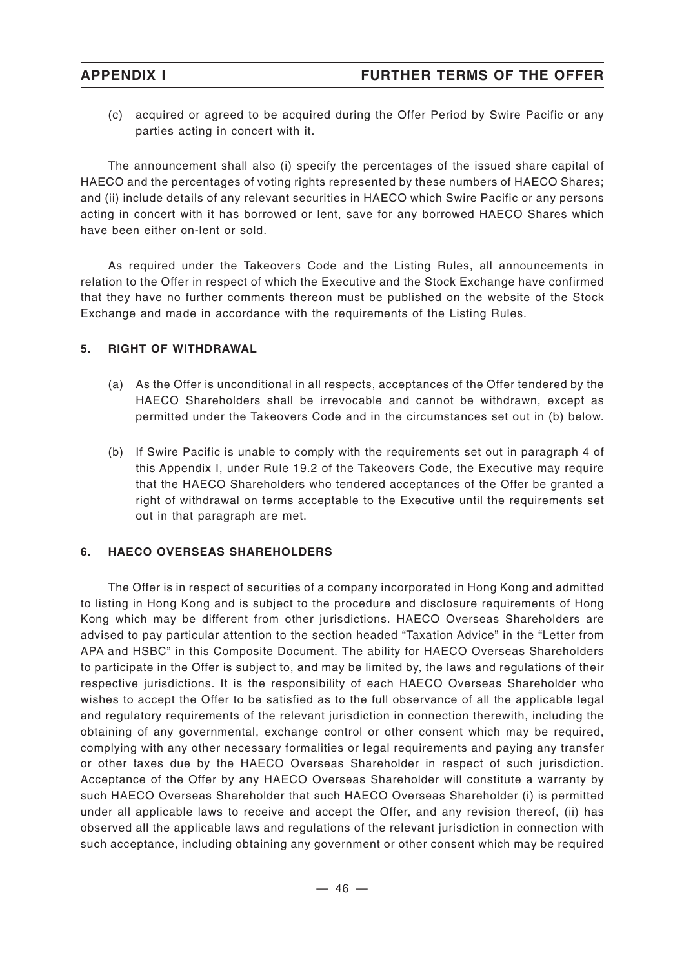(c) acquired or agreed to be acquired during the Offer Period by Swire Pacific or any parties acting in concert with it.

The announcement shall also (i) specify the percentages of the issued share capital of HAECO and the percentages of voting rights represented by these numbers of HAECO Shares; and (ii) include details of any relevant securities in HAECO which Swire Pacific or any persons acting in concert with it has borrowed or lent, save for any borrowed HAECO Shares which have been either on-lent or sold.

As required under the Takeovers Code and the Listing Rules, all announcements in relation to the Offer in respect of which the Executive and the Stock Exchange have confirmed that they have no further comments thereon must be published on the website of the Stock Exchange and made in accordance with the requirements of the Listing Rules.

## **5. RIGHT OF WITHDRAWAL**

- (a) As the Offer is unconditional in all respects, acceptances of the Offer tendered by the HAECO Shareholders shall be irrevocable and cannot be withdrawn, except as permitted under the Takeovers Code and in the circumstances set out in (b) below.
- (b) If Swire Pacific is unable to comply with the requirements set out in paragraph 4 of this Appendix I, under Rule 19.2 of the Takeovers Code, the Executive may require that the HAECO Shareholders who tendered acceptances of the Offer be granted a right of withdrawal on terms acceptable to the Executive until the requirements set out in that paragraph are met.

## **6. HAECO OVERSEAS SHAREHOLDERS**

The Offer is in respect of securities of a company incorporated in Hong Kong and admitted to listing in Hong Kong and is subject to the procedure and disclosure requirements of Hong Kong which may be different from other jurisdictions. HAECO Overseas Shareholders are advised to pay particular attention to the section headed "Taxation Advice" in the "Letter from APA and HSBC" in this Composite Document. The ability for HAECO Overseas Shareholders to participate in the Offer is subject to, and may be limited by, the laws and regulations of their respective jurisdictions. It is the responsibility of each HAECO Overseas Shareholder who wishes to accept the Offer to be satisfied as to the full observance of all the applicable legal and regulatory requirements of the relevant jurisdiction in connection therewith, including the obtaining of any governmental, exchange control or other consent which may be required, complying with any other necessary formalities or legal requirements and paying any transfer or other taxes due by the HAECO Overseas Shareholder in respect of such jurisdiction. Acceptance of the Offer by any HAECO Overseas Shareholder will constitute a warranty by such HAECO Overseas Shareholder that such HAECO Overseas Shareholder (i) is permitted under all applicable laws to receive and accept the Offer, and any revision thereof, (ii) has observed all the applicable laws and regulations of the relevant jurisdiction in connection with such acceptance, including obtaining any government or other consent which may be required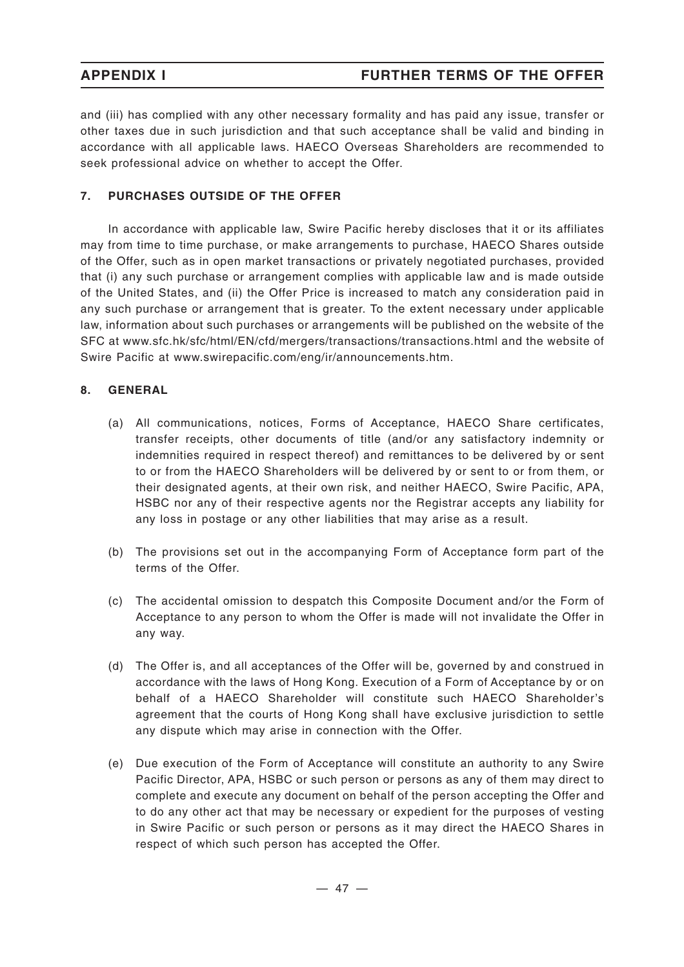and (iii) has complied with any other necessary formality and has paid any issue, transfer or other taxes due in such jurisdiction and that such acceptance shall be valid and binding in accordance with all applicable laws. HAECO Overseas Shareholders are recommended to seek professional advice on whether to accept the Offer.

## **7. PURCHASES OUTSIDE OF THE OFFER**

In accordance with applicable law, Swire Pacific hereby discloses that it or its affiliates may from time to time purchase, or make arrangements to purchase, HAECO Shares outside of the Offer, such as in open market transactions or privately negotiated purchases, provided that (i) any such purchase or arrangement complies with applicable law and is made outside of the United States, and (ii) the Offer Price is increased to match any consideration paid in any such purchase or arrangement that is greater. To the extent necessary under applicable law, information about such purchases or arrangements will be published on the website of the SFC at www.sfc.hk/sfc/html/EN/cfd/mergers/transactions/transactions.html and the website of Swire Pacific at www.swirepacific.com/eng/ir/announcements.htm.

## **8. GENERAL**

- (a) All communications, notices, Forms of Acceptance, HAECO Share certificates, transfer receipts, other documents of title (and/or any satisfactory indemnity or indemnities required in respect thereof) and remittances to be delivered by or sent to or from the HAECO Shareholders will be delivered by or sent to or from them, or their designated agents, at their own risk, and neither HAECO, Swire Pacific, APA, HSBC nor any of their respective agents nor the Registrar accepts any liability for any loss in postage or any other liabilities that may arise as a result.
- (b) The provisions set out in the accompanying Form of Acceptance form part of the terms of the Offer.
- (c) The accidental omission to despatch this Composite Document and/or the Form of Acceptance to any person to whom the Offer is made will not invalidate the Offer in any way.
- (d) The Offer is, and all acceptances of the Offer will be, governed by and construed in accordance with the laws of Hong Kong. Execution of a Form of Acceptance by or on behalf of a HAECO Shareholder will constitute such HAECO Shareholder's agreement that the courts of Hong Kong shall have exclusive jurisdiction to settle any dispute which may arise in connection with the Offer.
- (e) Due execution of the Form of Acceptance will constitute an authority to any Swire Pacific Director, APA, HSBC or such person or persons as any of them may direct to complete and execute any document on behalf of the person accepting the Offer and to do any other act that may be necessary or expedient for the purposes of vesting in Swire Pacific or such person or persons as it may direct the HAECO Shares in respect of which such person has accepted the Offer.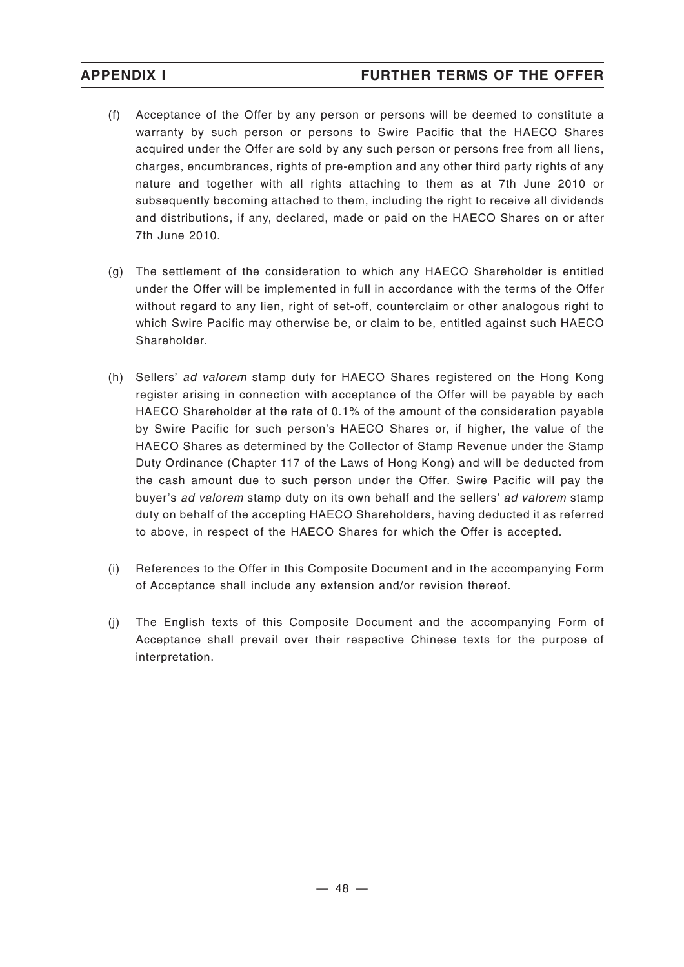- (f) Acceptance of the Offer by any person or persons will be deemed to constitute a warranty by such person or persons to Swire Pacific that the HAECO Shares acquired under the Offer are sold by any such person or persons free from all liens, charges, encumbrances, rights of pre-emption and any other third party rights of any nature and together with all rights attaching to them as at 7th June 2010 or subsequently becoming attached to them, including the right to receive all dividends and distributions, if any, declared, made or paid on the HAECO Shares on or after 7th June 2010.
- (g) The settlement of the consideration to which any HAECO Shareholder is entitled under the Offer will be implemented in full in accordance with the terms of the Offer without regard to any lien, right of set-off, counterclaim or other analogous right to which Swire Pacific may otherwise be, or claim to be, entitled against such HAECO Shareholder.
- (h) Sellers' *ad valorem* stamp duty for HAECO Shares registered on the Hong Kong register arising in connection with acceptance of the Offer will be payable by each HAECO Shareholder at the rate of 0.1% of the amount of the consideration payable by Swire Pacific for such person's HAECO Shares or, if higher, the value of the HAECO Shares as determined by the Collector of Stamp Revenue under the Stamp Duty Ordinance (Chapter 117 of the Laws of Hong Kong) and will be deducted from the cash amount due to such person under the Offer. Swire Pacific will pay the buyer's *ad valorem* stamp duty on its own behalf and the sellers' *ad valorem* stamp duty on behalf of the accepting HAECO Shareholders, having deducted it as referred to above, in respect of the HAECO Shares for which the Offer is accepted.
- (i) References to the Offer in this Composite Document and in the accompanying Form of Acceptance shall include any extension and/or revision thereof.
- (j) The English texts of this Composite Document and the accompanying Form of Acceptance shall prevail over their respective Chinese texts for the purpose of interpretation.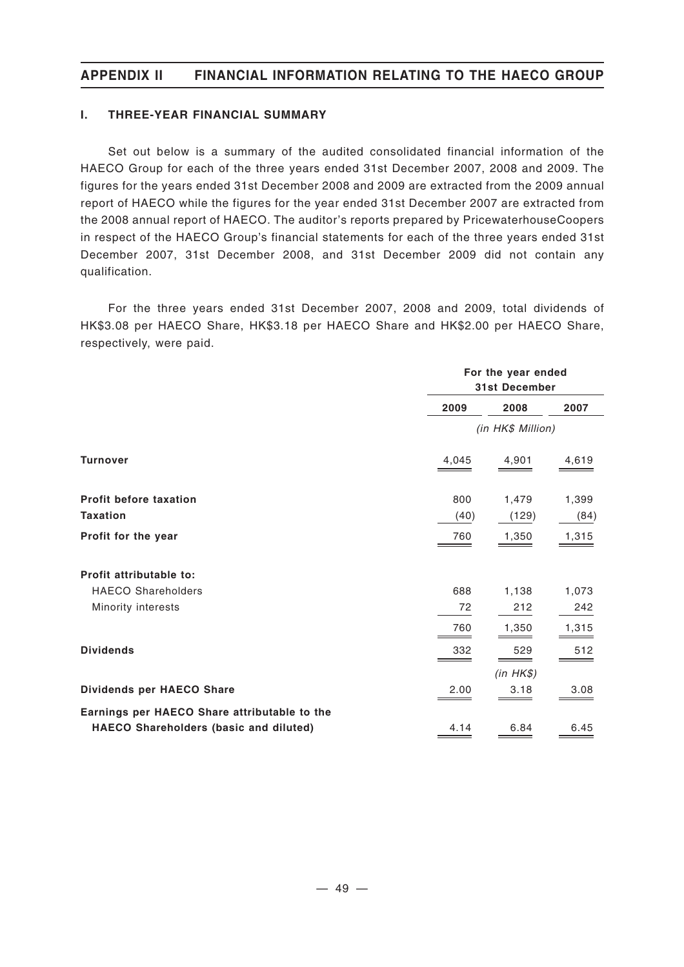### **I. THREE-YEAR FINANCIAL SUMMARY**

Set out below is a summary of the audited consolidated financial information of the HAECO Group for each of the three years ended 31st December 2007, 2008 and 2009. The figures for the years ended 31st December 2008 and 2009 are extracted from the 2009 annual report of HAECO while the figures for the year ended 31st December 2007 are extracted from the 2008 annual report of HAECO. The auditor's reports prepared by PricewaterhouseCoopers in respect of the HAECO Group's financial statements for each of the three years ended 31st December 2007, 31st December 2008, and 31st December 2009 did not contain any qualification.

For the three years ended 31st December 2007, 2008 and 2009, total dividends of HK\$3.08 per HAECO Share, HK\$3.18 per HAECO Share and HK\$2.00 per HAECO Share, respectively, were paid.

|                                                                                        | For the year ended<br><b>31st December</b> |          |       |  |
|----------------------------------------------------------------------------------------|--------------------------------------------|----------|-------|--|
|                                                                                        | 2009<br>2008<br>2007                       |          |       |  |
|                                                                                        | (in HK\$ Million)                          |          |       |  |
| <b>Turnover</b>                                                                        | 4,045                                      | 4,901    | 4,619 |  |
| Profit before taxation                                                                 | 800                                        | 1,479    | 1,399 |  |
| <b>Taxation</b>                                                                        | (40)                                       | (129)    | (84)  |  |
| Profit for the year                                                                    | 760                                        | 1,350    | 1,315 |  |
| Profit attributable to:                                                                |                                            |          |       |  |
| <b>HAECO Shareholders</b>                                                              | 688                                        | 1,138    | 1,073 |  |
| Minority interests                                                                     | 72                                         | 212      | 242   |  |
|                                                                                        | 760                                        | 1,350    | 1,315 |  |
| <b>Dividends</b>                                                                       | 332                                        | 529      | 512   |  |
|                                                                                        |                                            | (in HKS) |       |  |
| Dividends per HAECO Share                                                              | 2.00                                       | 3.18     | 3.08  |  |
| Earnings per HAECO Share attributable to the<br>HAECO Shareholders (basic and diluted) | 4.14                                       | 6.84     | 6.45  |  |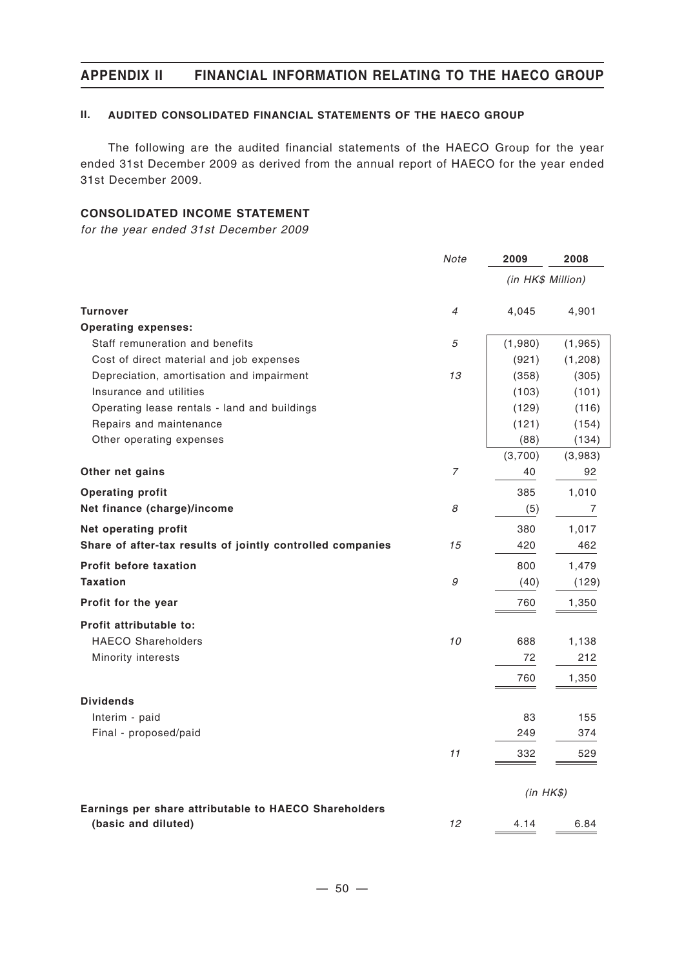### **II. AUDITED CONSOLIDATED FINANCIAL STATEMENTS OF THE HAECO GROUP**

The following are the audited financial statements of the HAECO Group for the year ended 31st December 2009 as derived from the annual report of HAECO for the year ended 31st December 2009.

## **CONSOLIDATED INCOME STATEMENT**

*for the year ended 31st December 2009*

|                                                                              | Note           | 2009              | 2008     |
|------------------------------------------------------------------------------|----------------|-------------------|----------|
|                                                                              |                | (in HK\$ Million) |          |
| <b>Turnover</b>                                                              | $\overline{4}$ | 4,045             | 4,901    |
| <b>Operating expenses:</b>                                                   |                |                   |          |
| Staff remuneration and benefits                                              | 5              | (1,980)           | (1, 965) |
| Cost of direct material and job expenses                                     |                | (921)             | (1,208)  |
| Depreciation, amortisation and impairment                                    | 13             | (358)             | (305)    |
| Insurance and utilities                                                      |                | (103)             | (101)    |
| Operating lease rentals - land and buildings                                 |                | (129)             | (116)    |
| Repairs and maintenance                                                      |                | (121)             | (154)    |
| Other operating expenses                                                     |                | (88)              | (134)    |
|                                                                              |                | (3,700)           | (3,983)  |
| Other net gains                                                              | 7              | 40                | 92       |
| <b>Operating profit</b>                                                      |                | 385               | 1,010    |
| Net finance (charge)/income                                                  | 8              | (5)               | 7        |
| Net operating profit                                                         |                | 380               | 1,017    |
| Share of after-tax results of jointly controlled companies                   | 15             | 420               | 462      |
| <b>Profit before taxation</b>                                                |                | 800               | 1,479    |
| <b>Taxation</b>                                                              | 9              | (40)              | (129)    |
| Profit for the year                                                          |                | 760               | 1,350    |
| Profit attributable to:                                                      |                |                   |          |
| <b>HAECO Shareholders</b>                                                    | 10             | 688               | 1,138    |
| Minority interests                                                           |                | 72                | 212      |
|                                                                              |                | 760               | 1,350    |
| <b>Dividends</b>                                                             |                |                   |          |
| Interim - paid                                                               |                | 83                | 155      |
| Final - proposed/paid                                                        |                | 249               | 374      |
|                                                                              | 11             | 332               | 529      |
|                                                                              |                |                   |          |
|                                                                              |                | (in HKS)          |          |
| Earnings per share attributable to HAECO Shareholders<br>(basic and diluted) | 12             | 4.14              | 6.84     |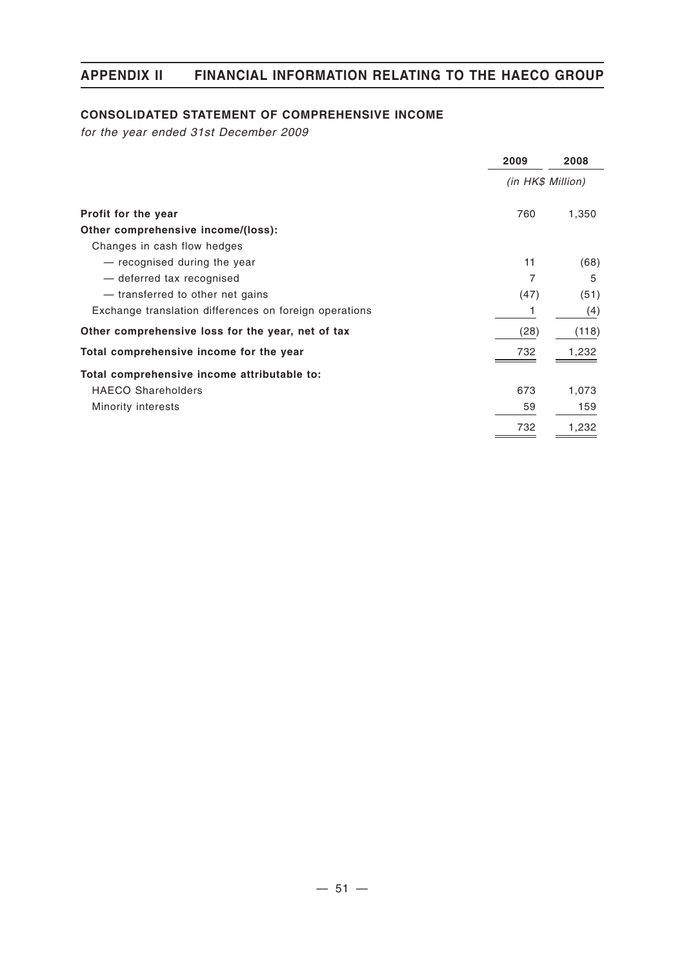## **CONSOLIDATED STATEMENT OF COMPREHENSIVE INCOME**

*for the year ended 31st December 2009*

|                                                        | 2009              | 2008  |
|--------------------------------------------------------|-------------------|-------|
|                                                        | (in HK\$ Million) |       |
| Profit for the year                                    | 760               | 1,350 |
| Other comprehensive income/(loss):                     |                   |       |
| Changes in cash flow hedges                            |                   |       |
| - recognised during the year                           | 11                | (68)  |
| - deferred tax recognised                              | 7                 | 5     |
| - transferred to other net gains                       | (47)              | (51)  |
| Exchange translation differences on foreign operations |                   | (4)   |
| Other comprehensive loss for the year, net of tax      | (28)              | (118) |
| Total comprehensive income for the year                | 732               | 1,232 |
| Total comprehensive income attributable to:            |                   |       |
| <b>HAECO Shareholders</b>                              | 673               | 1,073 |
| Minority interests                                     | 59                | 159   |
|                                                        | 732               | 1,232 |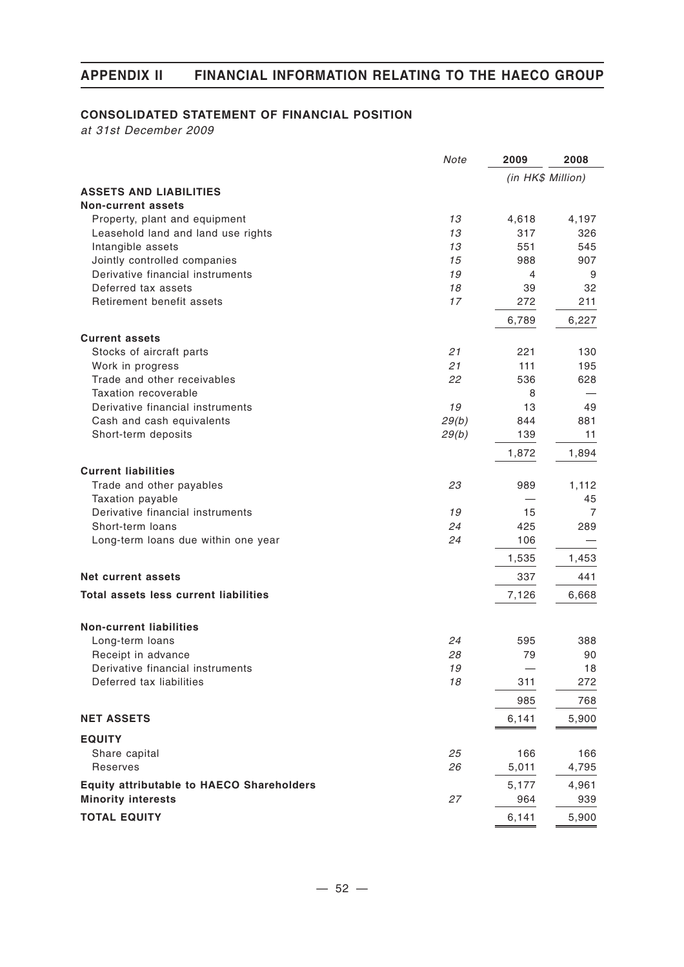### **CONSOLIDATED STATEMENT OF FINANCIAL POSITION**

*at 31st December 2009*

|                                                  | Note  | 2009              | 2008  |
|--------------------------------------------------|-------|-------------------|-------|
|                                                  |       | (in HK\$ Million) |       |
| <b>ASSETS AND LIABILITIES</b>                    |       |                   |       |
| <b>Non-current assets</b>                        |       |                   |       |
| Property, plant and equipment                    | 13    | 4,618             | 4,197 |
| Leasehold land and land use rights               | 13    | 317               | 326   |
| Intangible assets                                | 13    | 551               | 545   |
| Jointly controlled companies                     | 15    | 988               | 907   |
| Derivative financial instruments                 | 19    | 4                 | 9     |
| Deferred tax assets                              | 18    | 39                | 32    |
| Retirement benefit assets                        | 17    | 272               | 211   |
|                                                  |       | 6,789             | 6,227 |
| <b>Current assets</b>                            |       |                   |       |
| Stocks of aircraft parts                         | 21    | 221               | 130   |
| Work in progress                                 | 21    | 111               | 195   |
| Trade and other receivables                      | 22    | 536               | 628   |
| Taxation recoverable                             |       | 8                 |       |
| Derivative financial instruments                 | 19    | 13                | 49    |
| Cash and cash equivalents                        | 29(b) | 844               | 881   |
| Short-term deposits                              | 29(b) | 139               | 11    |
|                                                  |       |                   |       |
|                                                  |       | 1,872             | 1,894 |
| <b>Current liabilities</b>                       |       |                   |       |
| Trade and other payables                         | 23    | 989               | 1,112 |
| Taxation payable                                 |       |                   | 45    |
| Derivative financial instruments                 | 19    | 15                | 7     |
| Short-term loans                                 | 24    | 425               | 289   |
| Long-term loans due within one year              | 24    | 106               |       |
|                                                  |       | 1,535             | 1,453 |
| Net current assets                               |       | 337               | 441   |
| <b>Total assets less current liabilities</b>     |       | 7,126             | 6,668 |
|                                                  |       |                   |       |
| <b>Non-current liabilities</b>                   |       |                   |       |
| Long-term loans                                  | 24    | 595               | 388   |
| Receipt in advance                               | 28    | 79                | 90    |
| Derivative financial instruments                 | 19    |                   | 18    |
| Deferred tax liabilities                         | 18    | 311               | 272   |
|                                                  |       | 985               | 768   |
| <b>NET ASSETS</b>                                |       | 6,141             | 5,900 |
|                                                  |       |                   |       |
| <b>EQUITY</b>                                    |       |                   |       |
| Share capital                                    | 25    | 166               | 166   |
| Reserves                                         | 26    | 5,011             | 4,795 |
| <b>Equity attributable to HAECO Shareholders</b> |       | 5,177             | 4,961 |
| <b>Minority interests</b>                        | 27    | 964               | 939   |
| <b>TOTAL EQUITY</b>                              |       | 6,141             | 5,900 |
|                                                  |       |                   |       |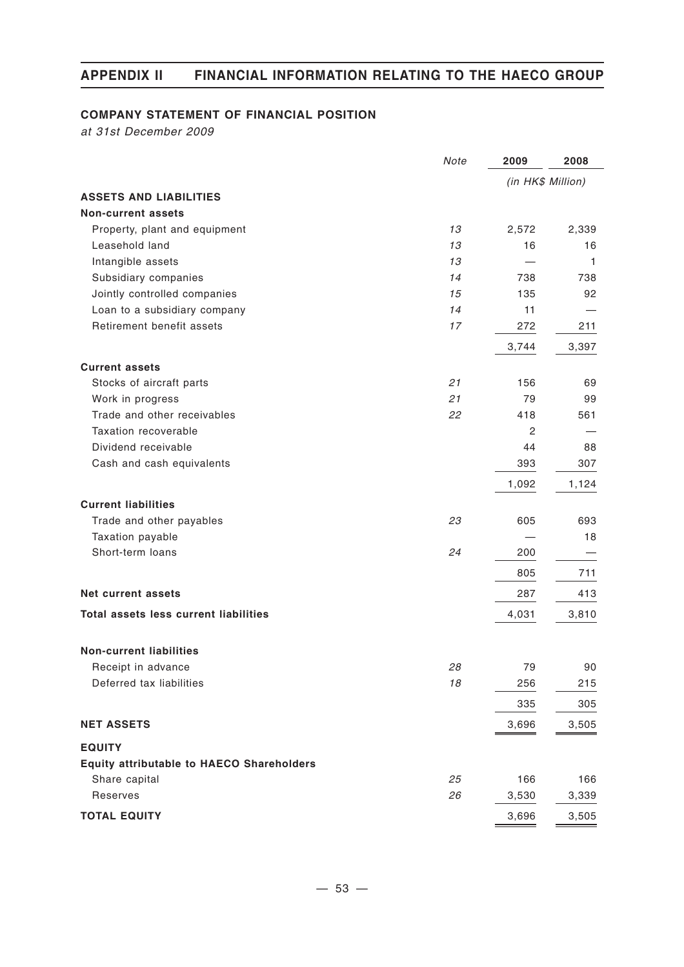## **COMPANY STATEMENT OF FINANCIAL POSITION**

*at 31st December 2009*

|                                                  | Note | 2009              | 2008  |
|--------------------------------------------------|------|-------------------|-------|
|                                                  |      | (in HK\$ Million) |       |
| <b>ASSETS AND LIABILITIES</b>                    |      |                   |       |
| <b>Non-current assets</b>                        |      |                   |       |
| Property, plant and equipment                    | 13   | 2,572             | 2,339 |
| Leasehold land                                   | 13   | 16                | 16    |
| Intangible assets                                | 13   |                   | 1     |
| Subsidiary companies                             | 14   | 738               | 738   |
| Jointly controlled companies                     | 15   | 135               | 92    |
| Loan to a subsidiary company                     | 14   | 11                |       |
| Retirement benefit assets                        | 17   | 272               | 211   |
|                                                  |      | 3,744             | 3,397 |
| <b>Current assets</b>                            |      |                   |       |
| Stocks of aircraft parts                         | 21   | 156               | 69    |
| Work in progress                                 | 21   | 79                | 99    |
| Trade and other receivables                      | 22   | 418               | 561   |
| Taxation recoverable                             |      | 2                 |       |
| Dividend receivable                              |      | 44                | 88    |
| Cash and cash equivalents                        |      | 393               | 307   |
|                                                  |      | 1,092             | 1,124 |
| <b>Current liabilities</b>                       |      |                   |       |
| Trade and other payables                         | 23   | 605               | 693   |
| Taxation payable                                 |      |                   | 18    |
| Short-term loans                                 | 24   | 200               |       |
|                                                  |      | 805               | 711   |
| <b>Net current assets</b>                        |      | 287               | 413   |
| Total assets less current liabilities            |      | 4,031             | 3,810 |
|                                                  |      |                   |       |
| <b>Non-current liabilities</b>                   |      |                   |       |
| Receipt in advance                               | 28   | 79                | 90    |
| Deferred tax liabilities                         | 18   | 256               | 215   |
|                                                  |      | 335               | 305   |
| <b>NET ASSETS</b>                                |      | 3,696             | 3,505 |
| <b>EQUITY</b>                                    |      |                   |       |
| <b>Equity attributable to HAECO Shareholders</b> |      |                   |       |
| Share capital                                    | 25   | 166               | 166   |
| Reserves                                         | 26   | 3,530             | 3,339 |
| <b>TOTAL EQUITY</b>                              |      | 3,696             | 3,505 |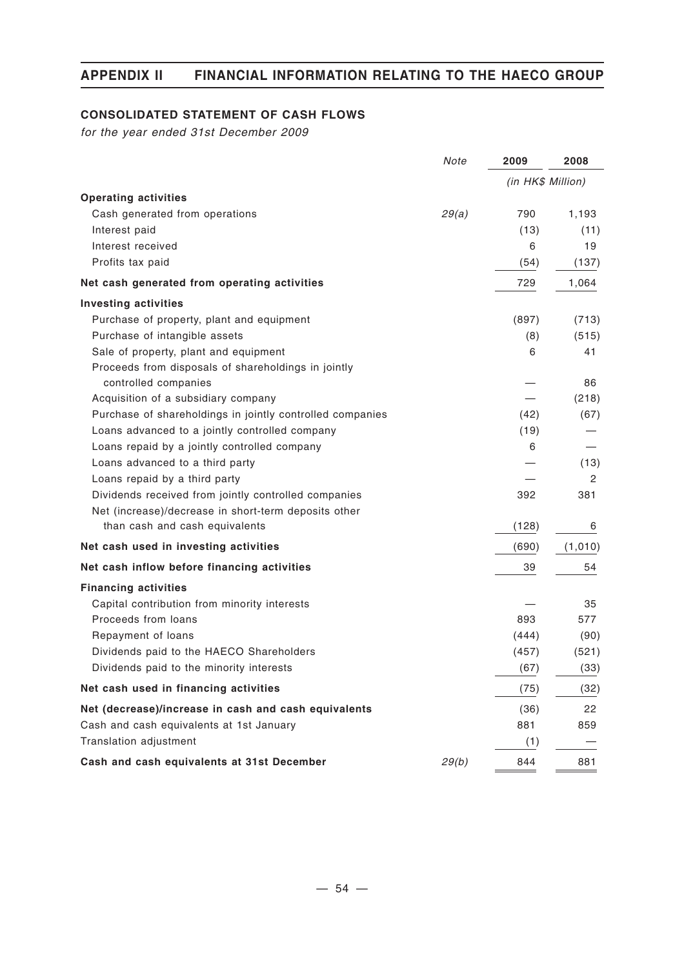## **CONSOLIDATED STATEMENT OF CASH FLOWS**

*for the year ended 31st December 2009*

|                                                           | Note  | 2009              | 2008    |
|-----------------------------------------------------------|-------|-------------------|---------|
|                                                           |       | (in HK\$ Million) |         |
| <b>Operating activities</b>                               |       |                   |         |
| Cash generated from operations                            | 29(a) | 790               | 1,193   |
| Interest paid                                             |       | (13)              | (11)    |
| Interest received                                         |       | 6                 | 19      |
| Profits tax paid                                          |       | (54)              | (137)   |
| Net cash generated from operating activities              |       | 729               | 1,064   |
| <b>Investing activities</b>                               |       |                   |         |
| Purchase of property, plant and equipment                 |       | (897)             | (713)   |
| Purchase of intangible assets                             |       | (8)               | (515)   |
| Sale of property, plant and equipment                     |       | 6                 | 41      |
| Proceeds from disposals of shareholdings in jointly       |       |                   |         |
| controlled companies                                      |       |                   | 86      |
| Acquisition of a subsidiary company                       |       |                   | (218)   |
| Purchase of shareholdings in jointly controlled companies |       | (42)              | (67)    |
| Loans advanced to a jointly controlled company            |       | (19)              |         |
| Loans repaid by a jointly controlled company              |       | 6                 |         |
| Loans advanced to a third party                           |       |                   | (13)    |
| Loans repaid by a third party                             |       |                   | 2       |
| Dividends received from jointly controlled companies      |       | 392               | 381     |
| Net (increase)/decrease in short-term deposits other      |       |                   |         |
| than cash and cash equivalents                            |       | (128)             | 6       |
| Net cash used in investing activities                     |       | (690)             | (1,010) |
| Net cash inflow before financing activities               |       | 39                | 54      |
| <b>Financing activities</b>                               |       |                   |         |
| Capital contribution from minority interests              |       |                   | 35      |
| Proceeds from loans                                       |       | 893               | 577     |
| Repayment of loans                                        |       | (444)             | (90)    |
| Dividends paid to the HAECO Shareholders                  |       | (457)             | (521)   |
| Dividends paid to the minority interests                  |       | (67)              | (33)    |
| Net cash used in financing activities                     |       | (75)              | (32)    |
| Net (decrease)/increase in cash and cash equivalents      |       | (36)              | 22      |
| Cash and cash equivalents at 1st January                  |       | 881               | 859     |
| Translation adjustment                                    |       | (1)               |         |
| Cash and cash equivalents at 31st December                | 29(b) | 844               | 881     |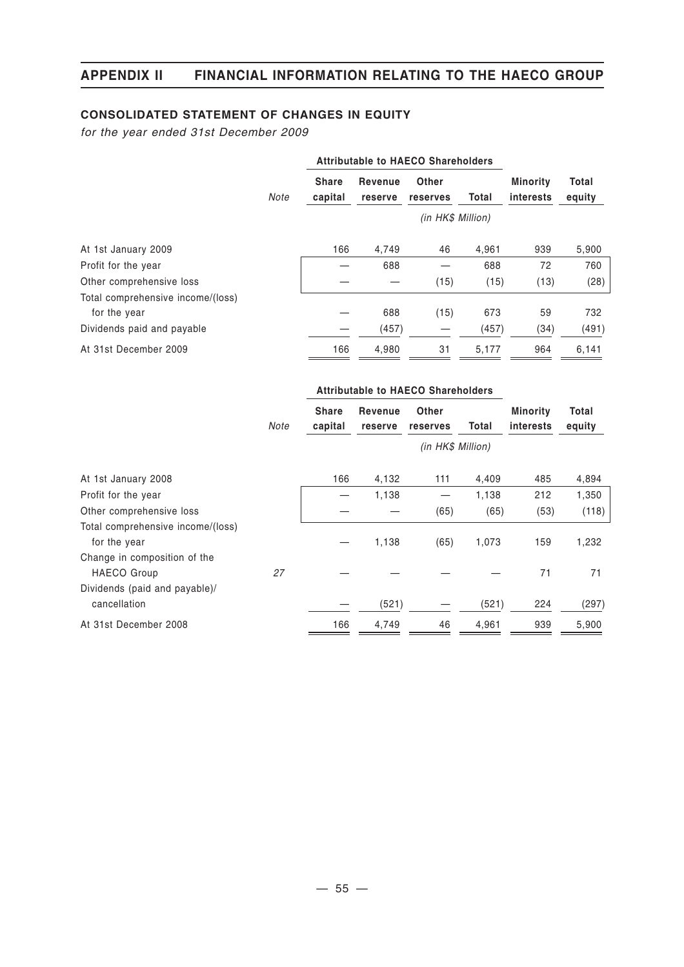## **CONSOLIDATED STATEMENT OF CHANGES IN EQUITY**

*for the year ended 31st December 2009*

|                                   |      | <b>Attributable to HAECO Shareholders</b> |                    |                   |       |                              |                 |
|-----------------------------------|------|-------------------------------------------|--------------------|-------------------|-------|------------------------------|-----------------|
|                                   | Note | <b>Share</b><br>capital                   | Revenue<br>reserve | Other<br>reserves | Total | <b>Minority</b><br>interests | Total<br>equity |
|                                   |      |                                           |                    | (in HK\$ Million) |       |                              |                 |
| At 1st January 2009               |      | 166                                       | 4.749              | 46                | 4,961 | 939                          | 5,900           |
| Profit for the year               |      |                                           | 688                |                   | 688   | 72                           | 760             |
| Other comprehensive loss          |      |                                           |                    | (15)              | (15)  | (13)                         | (28)            |
| Total comprehensive income/(loss) |      |                                           |                    |                   |       |                              |                 |
| for the year                      |      |                                           | 688                | (15)              | 673   | 59                           | 732             |
| Dividends paid and payable        |      |                                           | (457)              |                   | (457) | (34)                         | (491)           |
| At 31st December 2009             |      | 166                                       | 4,980              | 31                | 5,177 | 964                          | 6,141           |

|                                                   | Attributable to HAECO Shareholders |                         |                    |                   |       |                                     |                 |
|---------------------------------------------------|------------------------------------|-------------------------|--------------------|-------------------|-------|-------------------------------------|-----------------|
|                                                   | Note                               | <b>Share</b><br>capital | Revenue<br>reserve | Other<br>reserves | Total | <b>Minority</b><br><i>interests</i> | Total<br>equity |
|                                                   |                                    |                         |                    | (in HK\$ Million) |       |                                     |                 |
| At 1st January 2008                               |                                    | 166                     | 4,132              | 111               | 4,409 | 485                                 | 4,894           |
| Profit for the year                               |                                    |                         | 1,138              |                   | 1,138 | 212                                 | 1,350           |
| Other comprehensive loss                          |                                    |                         |                    | (65)              | (65)  | (53)                                | (118)           |
| Total comprehensive income/(loss)<br>for the year |                                    |                         | 1,138              | (65)              | 1,073 | 159                                 | 1,232           |
| Change in composition of the                      |                                    |                         |                    |                   |       |                                     |                 |
| <b>HAECO Group</b>                                | 27                                 |                         |                    |                   |       | 71                                  | 71              |
| Dividends (paid and payable)/<br>cancellation     |                                    |                         | (521)              |                   | (521) | 224                                 | (297)           |
| At 31st December 2008                             |                                    | 166                     | 4,749              | 46                | 4,961 | 939                                 | 5,900           |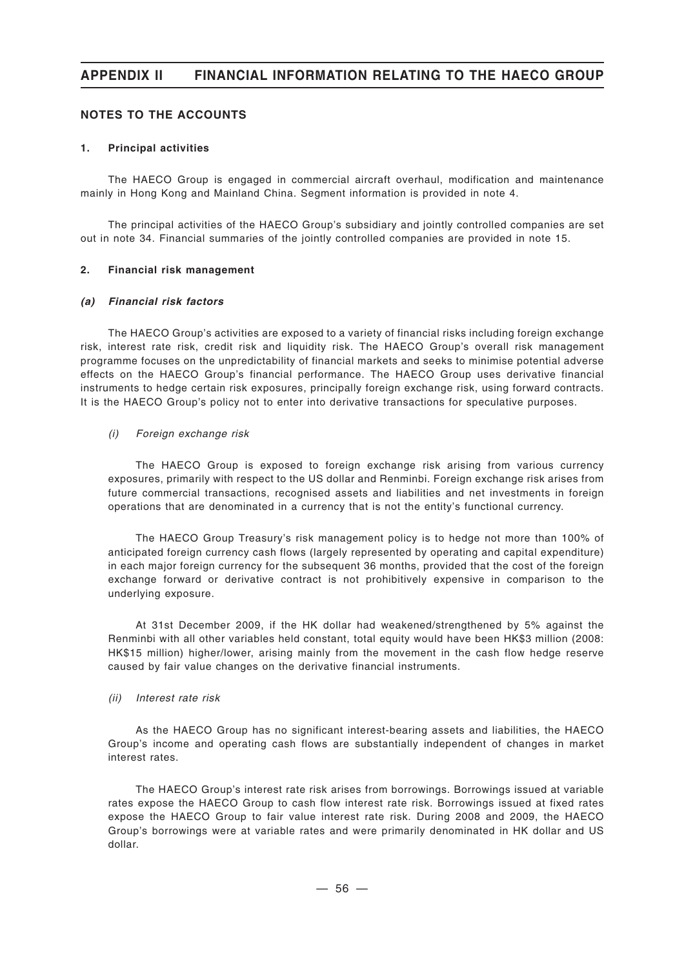#### **NOTES TO THE ACCOUNTS**

#### **1. Principal activities**

The HAECO Group is engaged in commercial aircraft overhaul, modification and maintenance mainly in Hong Kong and Mainland China. Segment information is provided in note 4.

The principal activities of the HAECO Group's subsidiary and jointly controlled companies are set out in note 34. Financial summaries of the jointly controlled companies are provided in note 15.

#### **2. Financial risk management**

#### *(a) Financial risk factors*

The HAECO Group's activities are exposed to a variety of financial risks including foreign exchange risk, interest rate risk, credit risk and liquidity risk. The HAECO Group's overall risk management programme focuses on the unpredictability of financial markets and seeks to minimise potential adverse effects on the HAECO Group's financial performance. The HAECO Group uses derivative financial instruments to hedge certain risk exposures, principally foreign exchange risk, using forward contracts. It is the HAECO Group's policy not to enter into derivative transactions for speculative purposes.

#### *(i) Foreign exchange risk*

The HAECO Group is exposed to foreign exchange risk arising from various currency exposures, primarily with respect to the US dollar and Renminbi. Foreign exchange risk arises from future commercial transactions, recognised assets and liabilities and net investments in foreign operations that are denominated in a currency that is not the entity's functional currency.

The HAECO Group Treasury's risk management policy is to hedge not more than 100% of anticipated foreign currency cash flows (largely represented by operating and capital expenditure) in each major foreign currency for the subsequent 36 months, provided that the cost of the foreign exchange forward or derivative contract is not prohibitively expensive in comparison to the underlying exposure.

At 31st December 2009, if the HK dollar had weakened/strengthened by 5% against the Renminbi with all other variables held constant, total equity would have been HK\$3 million (2008: HK\$15 million) higher/lower, arising mainly from the movement in the cash flow hedge reserve caused by fair value changes on the derivative financial instruments.

#### *(ii) Interest rate risk*

As the HAECO Group has no significant interest-bearing assets and liabilities, the HAECO Group's income and operating cash flows are substantially independent of changes in market interest rates.

The HAECO Group's interest rate risk arises from borrowings. Borrowings issued at variable rates expose the HAECO Group to cash flow interest rate risk. Borrowings issued at fixed rates expose the HAECO Group to fair value interest rate risk. During 2008 and 2009, the HAECO Group's borrowings were at variable rates and were primarily denominated in HK dollar and US dollar.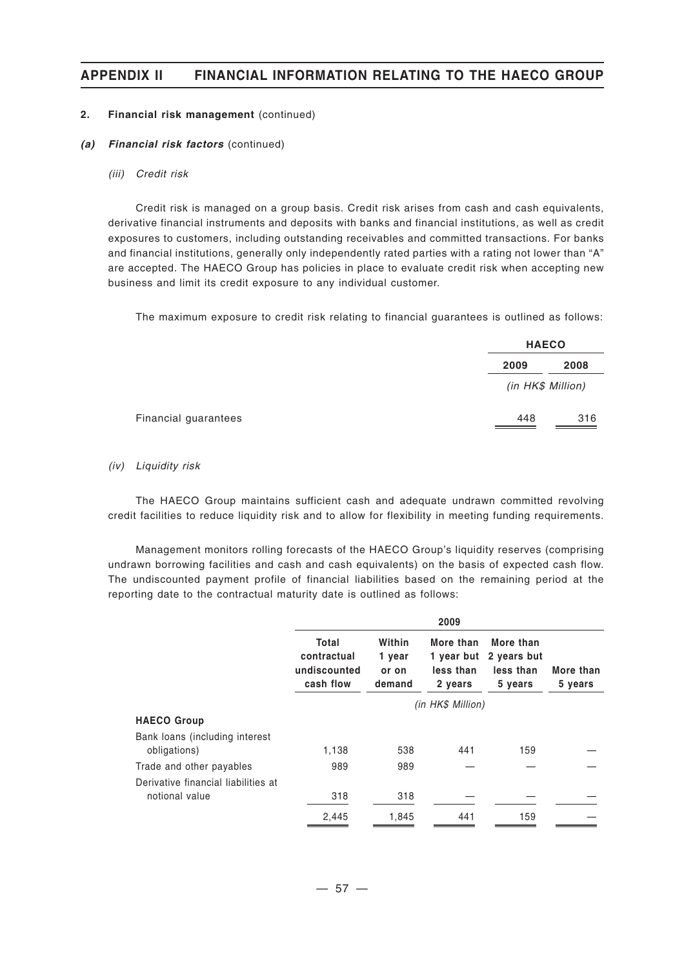#### **2. Financial risk management** (continued)

- *(a) Financial risk factors* (continued)
	- *(iii) Credit risk*

Credit risk is managed on a group basis. Credit risk arises from cash and cash equivalents, derivative financial instruments and deposits with banks and financial institutions, as well as credit exposures to customers, including outstanding receivables and committed transactions. For banks and financial institutions, generally only independently rated parties with a rating not lower than "A" are accepted. The HAECO Group has policies in place to evaluate credit risk when accepting new business and limit its credit exposure to any individual customer.

The maximum exposure to credit risk relating to financial guarantees is outlined as follows:

| <b>HAECO</b>      |
|-------------------|
| 2009<br>2008      |
| (in HK\$ Million) |
| 316<br>448        |

#### *(iv) Liquidity risk*

The HAECO Group maintains sufficient cash and adequate undrawn committed revolving credit facilities to reduce liquidity risk and to allow for flexibility in meeting funding requirements.

Management monitors rolling forecasts of the HAECO Group's liquidity reserves (comprising undrawn borrowing facilities and cash and cash equivalents) on the basis of expected cash flow. The undiscounted payment profile of financial liabilities based on the remaining period at the reporting date to the contractual maturity date is outlined as follows:

|                                     |                                                   |                                     | 2009                              |                                                             |                      |
|-------------------------------------|---------------------------------------------------|-------------------------------------|-----------------------------------|-------------------------------------------------------------|----------------------|
|                                     | Total<br>contractual<br>undiscounted<br>cash flow | Within<br>1 year<br>or on<br>demand | More than<br>less than<br>2 years | More than<br>1 year but 2 years but<br>less than<br>5 years | More than<br>5 years |
|                                     |                                                   |                                     | (in HK\$ Million)                 |                                                             |                      |
| <b>HAECO Group</b>                  |                                                   |                                     |                                   |                                                             |                      |
| Bank loans (including interest      |                                                   |                                     |                                   |                                                             |                      |
| obligations)                        | 1,138                                             | 538                                 | 441                               | 159                                                         |                      |
| Trade and other payables            | 989                                               | 989                                 |                                   |                                                             |                      |
| Derivative financial liabilities at |                                                   |                                     |                                   |                                                             |                      |
| notional value                      | 318                                               | 318                                 |                                   |                                                             |                      |
|                                     | 2,445                                             | 1,845                               | 441                               | 159                                                         |                      |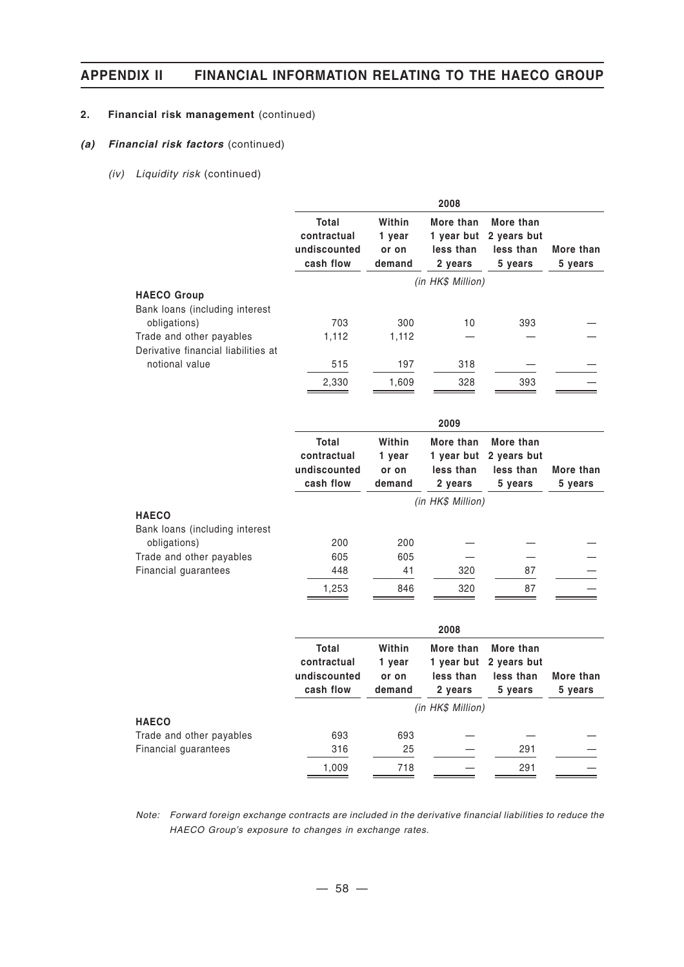#### **2. Financial risk management** (continued)

#### *(a) Financial risk factors* (continued)

*(iv) Liquidity risk* (continued)

|                                                                      |                                                          |                                     | 2008                                            |                                                  |                      |
|----------------------------------------------------------------------|----------------------------------------------------------|-------------------------------------|-------------------------------------------------|--------------------------------------------------|----------------------|
|                                                                      | <b>Total</b><br>contractual<br>undiscounted<br>cash flow | Within<br>1 year<br>or on<br>demand | More than<br>1 year but<br>less than<br>2 years | More than<br>2 years but<br>less than<br>5 years | More than<br>5 years |
|                                                                      |                                                          |                                     | (in HK\$ Million)                               |                                                  |                      |
| <b>HAECO Group</b><br>Bank loans (including interest<br>obligations) | 703                                                      | 300                                 | 10                                              | 393                                              |                      |
| Trade and other payables                                             | 1,112                                                    | 1,112                               |                                                 |                                                  |                      |
| Derivative financial liabilities at                                  |                                                          |                                     |                                                 |                                                  |                      |
| notional value                                                       | 515                                                      | 197                                 | 318                                             |                                                  |                      |
|                                                                      | 2,330                                                    | 1,609                               | 328                                             | 393                                              |                      |
|                                                                      |                                                          |                                     | 2009                                            |                                                  |                      |
|                                                                      | <b>Total</b>                                             | Within                              | More than                                       | More than                                        |                      |
|                                                                      | contractual<br>undiscounted                              | 1 year                              | 1 year but<br>less than                         | 2 years but<br>less than                         | More than            |
|                                                                      | cash flow                                                | or on<br>demand                     | 2 years                                         | 5 years                                          | 5 years              |
|                                                                      |                                                          |                                     | (in HK\$ Million)                               |                                                  |                      |
| <b>HAECO</b>                                                         |                                                          |                                     |                                                 |                                                  |                      |
| Bank loans (including interest                                       |                                                          |                                     |                                                 |                                                  |                      |
| obligations)                                                         | 200                                                      | 200                                 |                                                 |                                                  |                      |
| Trade and other payables<br>Financial guarantees                     | 605<br>448                                               | 605<br>41                           | 320                                             | 87                                               |                      |
|                                                                      | 1,253                                                    | 846                                 | 320                                             | 87                                               |                      |
|                                                                      |                                                          |                                     |                                                 |                                                  |                      |
|                                                                      |                                                          |                                     | 2008                                            |                                                  |                      |
|                                                                      | Total                                                    | Within                              | More than                                       | More than                                        |                      |
|                                                                      | contractual                                              | 1 year                              | 1 year but                                      | 2 years but                                      |                      |
|                                                                      | undiscounted                                             | or on                               | less than                                       | less than                                        | More than            |
|                                                                      | cash flow                                                | demand                              | 2 years                                         | 5 years                                          | 5 years              |
| <b>HAECO</b>                                                         |                                                          |                                     | (in HK\$ Million)                               |                                                  |                      |
| Trade and other payables                                             | 693                                                      | 693                                 |                                                 |                                                  |                      |

*Note: Forward foreign exchange contracts are included in the derivative financial liabilities to reduce the HAECO Group's exposure to changes in exchange rates.*

1,009 718 — 291 —

Financial guarantees 316 25 - 291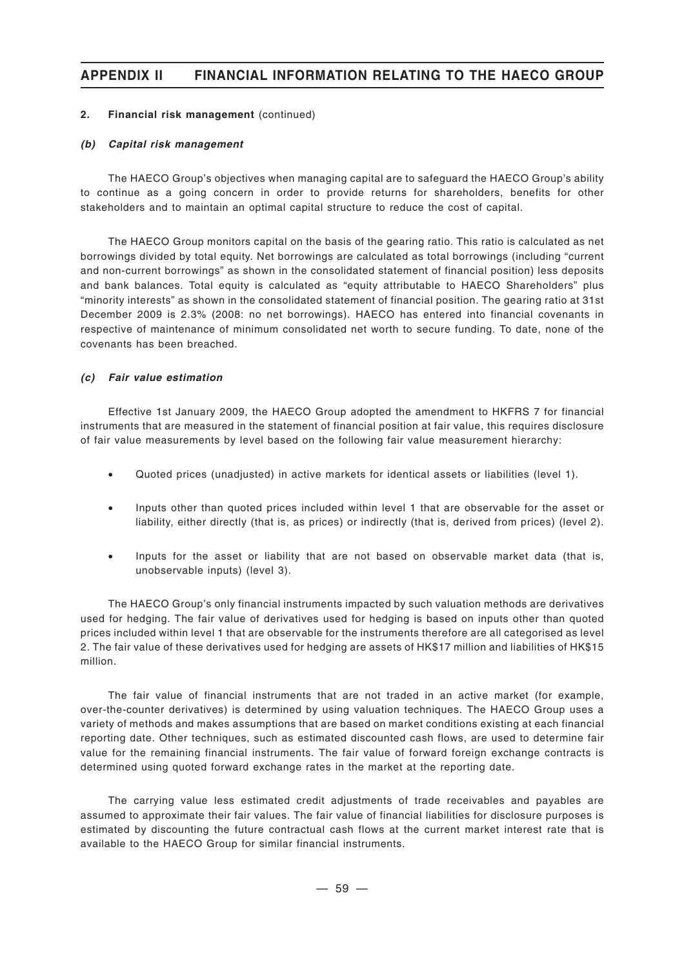#### **2. Financial risk management** (continued)

#### *(b) Capital risk management*

The HAECO Group's objectives when managing capital are to safeguard the HAECO Group's ability to continue as a going concern in order to provide returns for shareholders, benefits for other stakeholders and to maintain an optimal capital structure to reduce the cost of capital.

The HAECO Group monitors capital on the basis of the gearing ratio. This ratio is calculated as net borrowings divided by total equity. Net borrowings are calculated as total borrowings (including "current and non-current borrowings" as shown in the consolidated statement of financial position) less deposits and bank balances. Total equity is calculated as "equity attributable to HAECO Shareholders" plus "minority interests" as shown in the consolidated statement of financial position. The gearing ratio at 31st December 2009 is 2.3% (2008: no net borrowings). HAECO has entered into financial covenants in respective of maintenance of minimum consolidated net worth to secure funding. To date, none of the covenants has been breached.

#### *(c) Fair value estimation*

Effective 1st January 2009, the HAECO Group adopted the amendment to HKFRS 7 for financial instruments that are measured in the statement of financial position at fair value, this requires disclosure of fair value measurements by level based on the following fair value measurement hierarchy:

- Quoted prices (unadjusted) in active markets for identical assets or liabilities (level 1).
- Inputs other than quoted prices included within level 1 that are observable for the asset or liability, either directly (that is, as prices) or indirectly (that is, derived from prices) (level 2).
- Inputs for the asset or liability that are not based on observable market data (that is, unobservable inputs) (level 3).

The HAECO Group's only financial instruments impacted by such valuation methods are derivatives used for hedging. The fair value of derivatives used for hedging is based on inputs other than quoted prices included within level 1 that are observable for the instruments therefore are all categorised as level 2. The fair value of these derivatives used for hedging are assets of HK\$17 million and liabilities of HK\$15 million.

The fair value of financial instruments that are not traded in an active market (for example, over-the-counter derivatives) is determined by using valuation techniques. The HAECO Group uses a variety of methods and makes assumptions that are based on market conditions existing at each financial reporting date. Other techniques, such as estimated discounted cash flows, are used to determine fair value for the remaining financial instruments. The fair value of forward foreign exchange contracts is determined using quoted forward exchange rates in the market at the reporting date.

The carrying value less estimated credit adjustments of trade receivables and payables are assumed to approximate their fair values. The fair value of financial liabilities for disclosure purposes is estimated by discounting the future contractual cash flows at the current market interest rate that is available to the HAECO Group for similar financial instruments.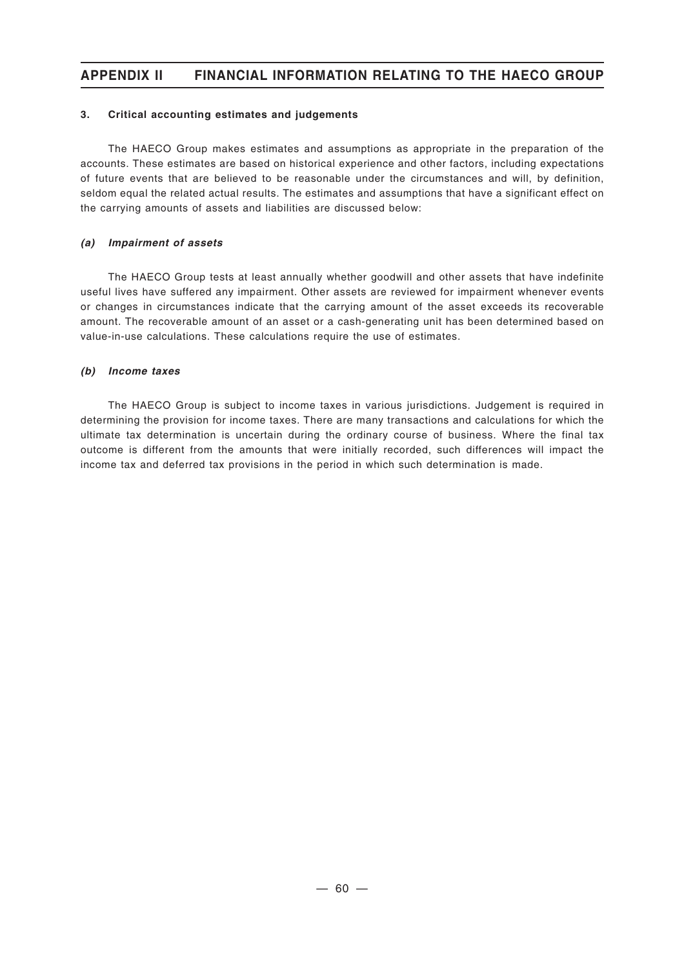#### **3. Critical accounting estimates and judgements**

The HAECO Group makes estimates and assumptions as appropriate in the preparation of the accounts. These estimates are based on historical experience and other factors, including expectations of future events that are believed to be reasonable under the circumstances and will, by definition, seldom equal the related actual results. The estimates and assumptions that have a significant effect on the carrying amounts of assets and liabilities are discussed below:

#### *(a) Impairment of assets*

The HAECO Group tests at least annually whether goodwill and other assets that have indefinite useful lives have suffered any impairment. Other assets are reviewed for impairment whenever events or changes in circumstances indicate that the carrying amount of the asset exceeds its recoverable amount. The recoverable amount of an asset or a cash-generating unit has been determined based on value-in-use calculations. These calculations require the use of estimates.

#### *(b) Income taxes*

The HAECO Group is subject to income taxes in various jurisdictions. Judgement is required in determining the provision for income taxes. There are many transactions and calculations for which the ultimate tax determination is uncertain during the ordinary course of business. Where the final tax outcome is different from the amounts that were initially recorded, such differences will impact the income tax and deferred tax provisions in the period in which such determination is made.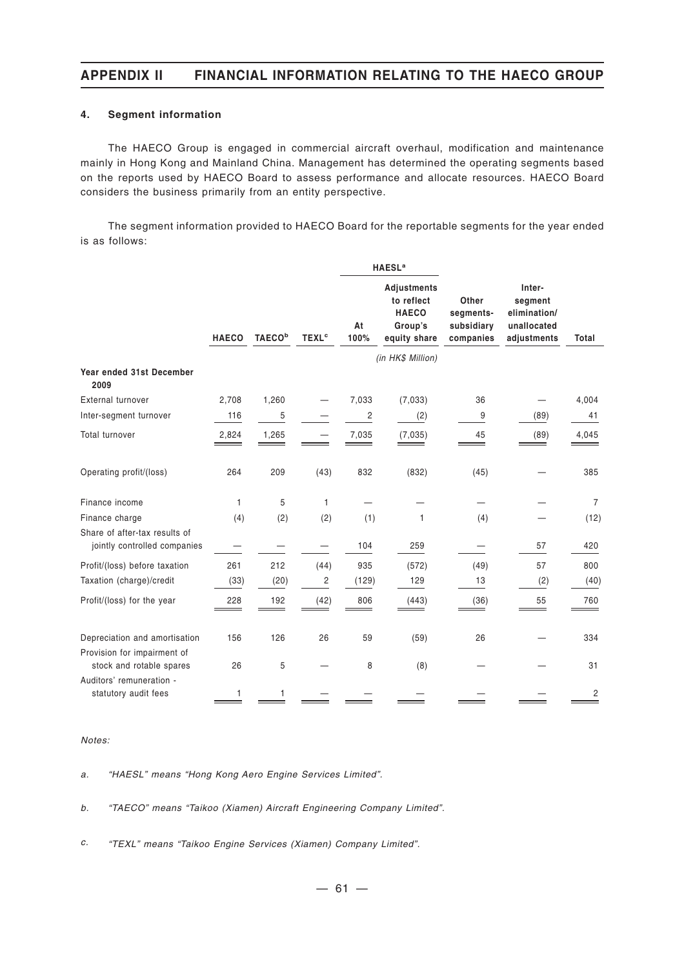#### **4. Segment information**

The HAECO Group is engaged in commercial aircraft overhaul, modification and maintenance mainly in Hong Kong and Mainland China. Management has determined the operating segments based on the reports used by HAECO Board to assess performance and allocate resources. HAECO Board considers the business primarily from an entity perspective.

The segment information provided to HAECO Board for the reportable segments for the year ended is as follows:

|                                                               |              |                           |                         |            | <b>HAESL<sup>a</sup></b>                                             |                                               |                                                                 |                |
|---------------------------------------------------------------|--------------|---------------------------|-------------------------|------------|----------------------------------------------------------------------|-----------------------------------------------|-----------------------------------------------------------------|----------------|
|                                                               | <b>HAECO</b> | <b>TAECO</b> <sup>b</sup> | <b>TEXL<sup>c</sup></b> | At<br>100% | Adjustments<br>to reflect<br><b>HAECO</b><br>Group's<br>equity share | Other<br>segments-<br>subsidiary<br>companies | Inter-<br>segment<br>elimination/<br>unallocated<br>adjustments | Total          |
|                                                               |              |                           |                         |            | (in HK\$ Million)                                                    |                                               |                                                                 |                |
| Year ended 31st December<br>2009                              |              |                           |                         |            |                                                                      |                                               |                                                                 |                |
| External turnover                                             | 2,708        | 1,260                     |                         | 7,033      | (7,033)                                                              | 36                                            |                                                                 | 4,004          |
| Inter-segment turnover                                        | 116          | 5                         |                         | 2          | (2)                                                                  | 9                                             | (89)                                                            | 41             |
| <b>Total turnover</b>                                         | 2,824        | 1,265                     |                         | 7,035      | (7,035)                                                              | 45                                            | (89)                                                            | 4,045          |
| Operating profit/(loss)                                       | 264          | 209                       | (43)                    | 832        | (832)                                                                | (45)                                          |                                                                 | 385            |
| Finance income                                                | 1            | 5                         | 1                       |            |                                                                      |                                               |                                                                 | $\overline{7}$ |
| Finance charge                                                | (4)          | (2)                       | (2)                     | (1)        | $\mathbf{1}$                                                         | (4)                                           |                                                                 | (12)           |
| Share of after-tax results of<br>jointly controlled companies |              |                           |                         | 104        | 259                                                                  |                                               | 57                                                              | 420            |
| Profit/(loss) before taxation                                 | 261          | 212                       | (44)                    | 935        | (572)                                                                | (49)                                          | 57                                                              | 800            |
| Taxation (charge)/credit                                      | (33)         | (20)                      | $\overline{c}$          | (129)      | 129                                                                  | 13                                            | (2)                                                             | (40)           |
| Profit/(loss) for the year                                    | 228          | 192                       | (42)                    | 806        | (443)                                                                | (36)                                          | 55                                                              | 760            |
| Depreciation and amortisation                                 | 156          | 126                       | 26                      | 59         | (59)                                                                 | 26                                            |                                                                 | 334            |
| Provision for impairment of<br>stock and rotable spares       | 26           | 5                         |                         | 8          | (8)                                                                  |                                               |                                                                 | 31             |
| Auditors' remuneration -<br>statutory audit fees              | 1            |                           |                         |            |                                                                      |                                               |                                                                 | 2              |

#### *Notes:*

*a. "HAESL" means "Hong Kong Aero Engine Services Limited".*

*b. "TAECO" means "Taikoo (Xiamen) Aircraft Engineering Company Limited".*

*c. "TEXL" means "Taikoo Engine Services (Xiamen) Company Limited".*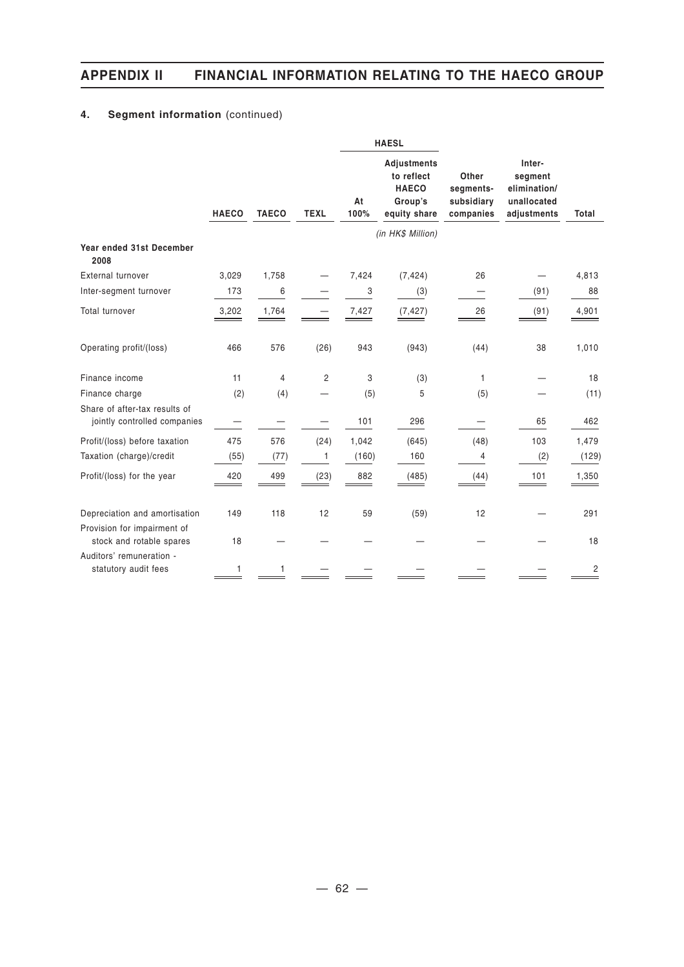## **4. Segment information** (continued)

|                                                               |              |              |             |            | <b>HAESL</b>                                                                |                                               |                                                                 |       |
|---------------------------------------------------------------|--------------|--------------|-------------|------------|-----------------------------------------------------------------------------|-----------------------------------------------|-----------------------------------------------------------------|-------|
|                                                               | <b>HAECO</b> | <b>TAECO</b> | <b>TEXL</b> | At<br>100% | <b>Adjustments</b><br>to reflect<br><b>HAECO</b><br>Group's<br>equity share | Other<br>segments-<br>subsidiary<br>companies | Inter-<br>segment<br>elimination/<br>unallocated<br>adjustments | Total |
|                                                               |              |              |             |            | (in HK\$ Million)                                                           |                                               |                                                                 |       |
| Year ended 31st December<br>2008                              |              |              |             |            |                                                                             |                                               |                                                                 |       |
| <b>External turnover</b>                                      | 3,029        | 1,758        |             | 7,424      | (7, 424)                                                                    | 26                                            |                                                                 | 4,813 |
| Inter-segment turnover                                        | 173          | 6            |             | 3          | (3)                                                                         |                                               | (91)                                                            | 88    |
| Total turnover                                                | 3,202        | 1,764        |             | 7,427      | (7, 427)                                                                    | 26                                            | (91)                                                            | 4,901 |
| Operating profit/(loss)                                       | 466          | 576          | (26)        | 943        | (943)                                                                       | (44)                                          | 38                                                              | 1,010 |
| Finance income                                                | 11           | 4            | 2           | 3          | (3)                                                                         | 1                                             |                                                                 | 18    |
| Finance charge                                                | (2)          | (4)          |             | (5)        | 5                                                                           | (5)                                           |                                                                 | (11)  |
| Share of after-tax results of<br>jointly controlled companies |              |              |             | 101        | 296                                                                         |                                               | 65                                                              | 462   |
| Profit/(loss) before taxation                                 | 475          | 576          | (24)        | 1,042      | (645)                                                                       | (48)                                          | 103                                                             | 1,479 |
| Taxation (charge)/credit                                      | (55)         | (77)         | 1           | (160)      | 160                                                                         | 4                                             | (2)                                                             | (129) |
| Profit/(loss) for the year                                    | 420          | 499          | (23)        | 882        | (485)                                                                       | (44)                                          | 101                                                             | 1,350 |
| Depreciation and amortisation                                 | 149          | 118          | 12          | 59         | (59)                                                                        | 12                                            |                                                                 | 291   |
| Provision for impairment of<br>stock and rotable spares       | 18           |              |             |            |                                                                             |                                               |                                                                 | 18    |
| Auditors' remuneration -<br>statutory audit fees              | 1            |              |             |            |                                                                             |                                               |                                                                 | 2     |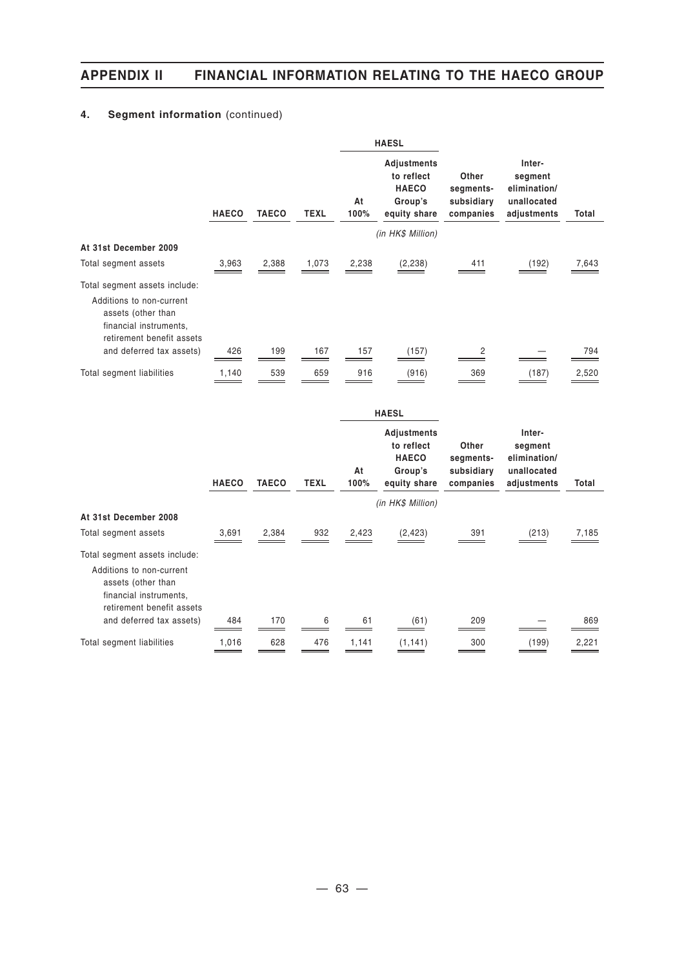## **4. Segment information** (continued)

|                                                                                                                                        |              |              |             |            | <b>HAESL</b>                                                         |                                               |                                                                 |       |
|----------------------------------------------------------------------------------------------------------------------------------------|--------------|--------------|-------------|------------|----------------------------------------------------------------------|-----------------------------------------------|-----------------------------------------------------------------|-------|
|                                                                                                                                        | <b>HAECO</b> | <b>TAECO</b> | <b>TEXL</b> | At<br>100% | Adjustments<br>to reflect<br><b>HAECO</b><br>Group's<br>equity share | Other<br>segments-<br>subsidiary<br>companies | Inter-<br>segment<br>elimination/<br>unallocated<br>adjustments | Total |
|                                                                                                                                        |              |              |             |            | (in HK\$ Million)                                                    |                                               |                                                                 |       |
| At 31st December 2009                                                                                                                  |              |              |             |            |                                                                      |                                               |                                                                 |       |
| Total segment assets                                                                                                                   | 3,963        | 2,388        | 1,073       | 2,238      | (2, 238)                                                             | 411                                           | (192)                                                           | 7,643 |
| Total segment assets include:<br>Additions to non-current<br>assets (other than<br>financial instruments.<br>retirement benefit assets |              |              |             |            |                                                                      |                                               |                                                                 |       |
| and deferred tax assets)                                                                                                               | 426          | 199          | 167         | 157        | (157)                                                                | 2                                             |                                                                 | 794   |
| Total segment liabilities                                                                                                              | 1,140        | 539          | 659         | 916        | (916)                                                                | 369                                           | (187)                                                           | 2,520 |

|                                                                                                                                        |              |              |      |            | <b>HAESL</b>                                                         |                                               |                                                                 |       |
|----------------------------------------------------------------------------------------------------------------------------------------|--------------|--------------|------|------------|----------------------------------------------------------------------|-----------------------------------------------|-----------------------------------------------------------------|-------|
|                                                                                                                                        | <b>HAECO</b> | <b>TAECO</b> | TEXL | At<br>100% | Adjustments<br>to reflect<br><b>HAECO</b><br>Group's<br>equity share | Other<br>segments-<br>subsidiary<br>companies | Inter-<br>segment<br>elimination/<br>unallocated<br>adjustments | Total |
|                                                                                                                                        |              |              |      |            | (in HK\$ Million)                                                    |                                               |                                                                 |       |
| At 31st December 2008                                                                                                                  |              |              |      |            |                                                                      |                                               |                                                                 |       |
| Total segment assets                                                                                                                   | 3,691        | 2,384        | 932  | 2,423      | (2, 423)                                                             | 391                                           | (213)                                                           | 7,185 |
| Total segment assets include:<br>Additions to non-current<br>assets (other than<br>financial instruments,<br>retirement benefit assets |              |              |      |            |                                                                      |                                               |                                                                 |       |
| and deferred tax assets)                                                                                                               | 484          | 170          | 6    | 61         | (61)                                                                 | 209                                           |                                                                 | 869   |
| Total segment liabilities                                                                                                              | 1,016        | 628          | 476  | 1,141      | (1, 141)                                                             | 300                                           | (199)                                                           | 2,221 |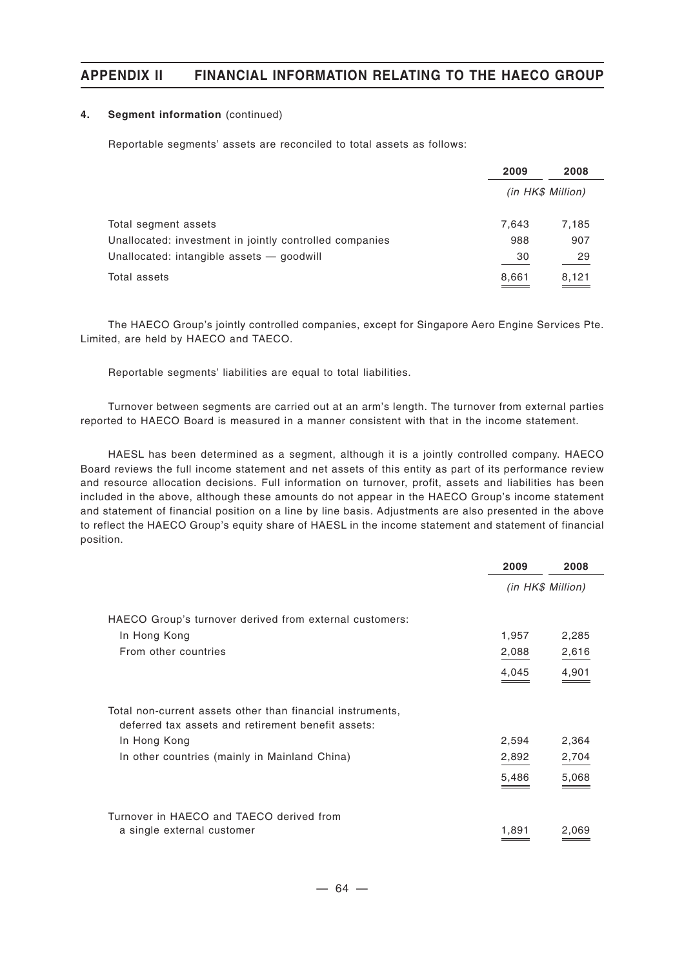#### **4. Segment information** (continued)

Reportable segments' assets are reconciled to total assets as follows:

|                                                                                                      | 2009      | 2008              |
|------------------------------------------------------------------------------------------------------|-----------|-------------------|
|                                                                                                      |           | (in HK\$ Million) |
| Total segment assets                                                                                 | 7.643     | 7,185             |
| Unallocated: investment in jointly controlled companies<br>Unallocated: intangible assets - goodwill | 988<br>30 | 907<br>29         |
| Total assets                                                                                         | 8,661     | 8,121<br>___      |

The HAECO Group's jointly controlled companies, except for Singapore Aero Engine Services Pte. Limited, are held by HAECO and TAECO.

Reportable segments' liabilities are equal to total liabilities.

Turnover between segments are carried out at an arm's length. The turnover from external parties reported to HAECO Board is measured in a manner consistent with that in the income statement.

HAESL has been determined as a segment, although it is a jointly controlled company. HAECO Board reviews the full income statement and net assets of this entity as part of its performance review and resource allocation decisions. Full information on turnover, profit, assets and liabilities has been included in the above, although these amounts do not appear in the HAECO Group's income statement and statement of financial position on a line by line basis. Adjustments are also presented in the above to reflect the HAECO Group's equity share of HAESL in the income statement and statement of financial position.

|                                                                                                                  | 2009  | 2008              |
|------------------------------------------------------------------------------------------------------------------|-------|-------------------|
|                                                                                                                  |       | (in HK\$ Million) |
| HAECO Group's turnover derived from external customers:                                                          |       |                   |
| In Hong Kong                                                                                                     | 1,957 | 2,285             |
| From other countries                                                                                             | 2,088 | 2,616             |
|                                                                                                                  | 4,045 | 4,901             |
| Total non-current assets other than financial instruments,<br>deferred tax assets and retirement benefit assets: |       |                   |
| In Hong Kong                                                                                                     | 2,594 | 2,364             |
| In other countries (mainly in Mainland China)                                                                    | 2,892 | 2,704             |
|                                                                                                                  | 5,486 | 5,068             |
| Turnover in HAECO and TAECO derived from                                                                         |       |                   |
| a single external customer                                                                                       | 1,891 | 2.069             |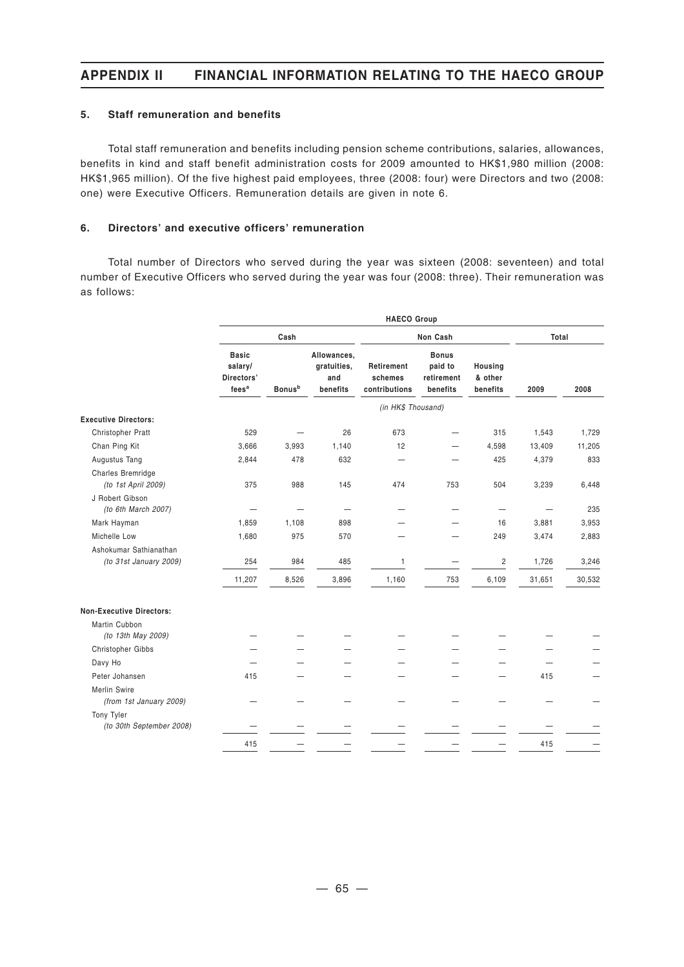#### **5. Staff remuneration and benefits**

Total staff remuneration and benefits including pension scheme contributions, salaries, allowances, benefits in kind and staff benefit administration costs for 2009 amounted to HK\$1,980 million (2008: HK\$1,965 million). Of the five highest paid employees, three (2008: four) were Directors and two (2008: one) were Executive Officers. Remuneration details are given in note 6.

#### **6. Directors' and executive officers' remuneration**

Total number of Directors who served during the year was sixteen (2008: seventeen) and total number of Executive Officers who served during the year was four (2008: three). Their remuneration was as follows:

|                                          | <b>HAECO Group</b>                                         |                           |                                               |                                        |                                                   |                                |        |        |
|------------------------------------------|------------------------------------------------------------|---------------------------|-----------------------------------------------|----------------------------------------|---------------------------------------------------|--------------------------------|--------|--------|
|                                          |                                                            | Cash                      |                                               |                                        | Non Cash                                          | Total                          |        |        |
|                                          | <b>Basic</b><br>salary/<br>Directors'<br>fees <sup>a</sup> | <b>Bonus</b> <sup>b</sup> | Allowances,<br>gratuities,<br>and<br>benefits | Retirement<br>schemes<br>contributions | <b>Bonus</b><br>paid to<br>retirement<br>benefits | Housing<br>& other<br>benefits | 2009   | 2008   |
|                                          |                                                            |                           |                                               | (in HK\$ Thousand)                     |                                                   |                                |        |        |
| <b>Executive Directors:</b>              |                                                            |                           |                                               |                                        |                                                   |                                |        |        |
| Christopher Pratt                        | 529                                                        |                           | 26                                            | 673                                    |                                                   | 315                            | 1,543  | 1,729  |
| Chan Ping Kit                            | 3,666                                                      | 3,993                     | 1,140                                         | 12                                     |                                                   | 4,598                          | 13,409 | 11,205 |
| Augustus Tang                            | 2,844                                                      | 478                       | 632                                           | $\overline{\phantom{0}}$               |                                                   | 425                            | 4,379  | 833    |
| Charles Bremridge<br>(to 1st April 2009) | 375                                                        | 988                       | 145                                           | 474                                    | 753                                               | 504                            | 3,239  | 6,448  |
| J Robert Gibson<br>(to 6th March 2007)   |                                                            |                           | $\overline{\phantom{0}}$                      |                                        |                                                   |                                |        | 235    |
| Mark Hayman                              | 1,859                                                      | 1,108                     | 898                                           |                                        |                                                   | 16                             | 3,881  | 3,953  |
| Michelle Low                             | 1,680                                                      | 975                       | 570                                           |                                        |                                                   | 249                            | 3,474  | 2,883  |
| Ashokumar Sathianathan                   |                                                            |                           |                                               |                                        |                                                   |                                |        |        |
| (to 31st January 2009)                   | 254                                                        | 984                       | 485                                           | 1                                      |                                                   | $\overline{c}$                 | 1,726  | 3,246  |
|                                          | 11,207                                                     | 8,526                     | 3,896                                         | 1,160                                  | 753                                               | 6,109                          | 31,651 | 30,532 |
| <b>Non-Executive Directors:</b>          |                                                            |                           |                                               |                                        |                                                   |                                |        |        |
| Martin Cubbon                            |                                                            |                           |                                               |                                        |                                                   |                                |        |        |
| (to 13th May 2009)                       |                                                            |                           |                                               |                                        |                                                   |                                |        |        |
| Christopher Gibbs                        |                                                            |                           |                                               |                                        |                                                   |                                |        |        |
| Davy Ho                                  |                                                            |                           |                                               |                                        |                                                   |                                |        |        |
| Peter Johansen                           | 415                                                        |                           |                                               |                                        |                                                   |                                | 415    |        |
| Merlin Swire<br>(from 1st January 2009)  |                                                            |                           |                                               |                                        |                                                   |                                |        |        |
| Tony Tyler                               |                                                            |                           |                                               |                                        |                                                   |                                |        |        |
| (to 30th September 2008)                 |                                                            |                           |                                               |                                        |                                                   |                                |        |        |
|                                          | 415                                                        |                           |                                               |                                        |                                                   |                                | 415    |        |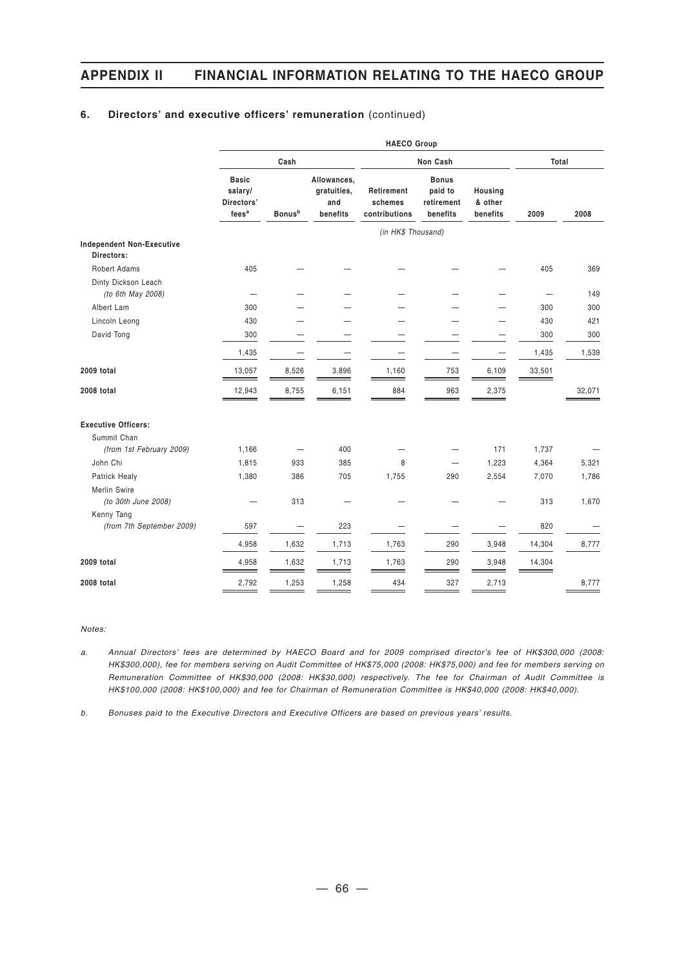#### **6. Directors' and executive officers' remuneration** (continued)

|                                     | <b>HAECO Group</b>                                         |                           |                                               |                                        |                                                   |                                |        |        |
|-------------------------------------|------------------------------------------------------------|---------------------------|-----------------------------------------------|----------------------------------------|---------------------------------------------------|--------------------------------|--------|--------|
|                                     |                                                            | Cash                      |                                               |                                        | Non Cash                                          |                                | Total  |        |
|                                     | <b>Basic</b><br>salary/<br>Directors'<br>fees <sup>a</sup> | <b>Bonus</b> <sup>b</sup> | Allowances,<br>gratuities,<br>and<br>benefits | Retirement<br>schemes<br>contributions | <b>Bonus</b><br>paid to<br>retirement<br>benefits | Housing<br>& other<br>benefits | 2009   | 2008   |
|                                     |                                                            |                           |                                               | (in HK\$ Thousand)                     |                                                   |                                |        |        |
| <b>Independent Non-Executive</b>    |                                                            |                           |                                               |                                        |                                                   |                                |        |        |
| Directors:                          |                                                            |                           |                                               |                                        |                                                   |                                |        |        |
| <b>Robert Adams</b>                 | 405                                                        |                           |                                               |                                        |                                                   |                                | 405    | 369    |
| Dinty Dickson Leach                 |                                                            |                           |                                               |                                        |                                                   |                                |        | 149    |
| (to 6th May 2008)                   |                                                            |                           |                                               |                                        |                                                   |                                |        |        |
| Albert Lam                          | 300                                                        |                           |                                               |                                        |                                                   |                                | 300    | 300    |
| Lincoln Leong                       | 430                                                        |                           |                                               |                                        |                                                   |                                | 430    | 421    |
| David Tong                          | 300                                                        |                           |                                               |                                        |                                                   |                                | 300    | 300    |
|                                     | 1,435                                                      |                           |                                               | —                                      |                                                   |                                | 1,435  | 1,539  |
| 2009 total                          | 13,057                                                     | 8,526                     | 3,896                                         | 1,160                                  | 753                                               | 6,109                          | 33,501 |        |
| 2008 total                          | 12,943                                                     | 8,755                     | 6,151                                         | 884<br>—                               | 963                                               | 2,375                          |        | 32,071 |
| <b>Executive Officers:</b>          |                                                            |                           |                                               |                                        |                                                   |                                |        |        |
| Summit Chan                         |                                                            |                           |                                               |                                        |                                                   |                                |        |        |
| (from 1st February 2009)            | 1,166                                                      | —                         | 400                                           |                                        |                                                   | 171                            | 1,737  |        |
| John Chi                            | 1,815                                                      | 933                       | 385                                           | 8                                      |                                                   | 1,223                          | 4,364  | 5,321  |
| Patrick Healy                       | 1,380                                                      | 386                       | 705                                           | 1,755                                  | 290                                               | 2,554                          | 7,070  | 1,786  |
| Merlin Swire<br>(to 30th June 2008) |                                                            | 313                       |                                               |                                        |                                                   |                                | 313    | 1,670  |
| Kenny Tang                          |                                                            |                           |                                               |                                        |                                                   |                                |        |        |
| (from 7th September 2009)           | 597                                                        |                           | 223                                           |                                        |                                                   |                                | 820    |        |
|                                     | 4,958                                                      | 1,632                     | 1,713                                         | 1,763                                  | 290                                               | 3,948                          | 14,304 | 8,777  |
| 2009 total                          | 4,958                                                      | 1,632                     | 1,713                                         | 1,763                                  | 290                                               | 3,948                          | 14,304 |        |
| 2008 total                          | 2,792                                                      | 1,253                     | 1,258                                         | 434                                    | 327                                               | 2,713                          |        | 8,777  |

*Notes:*

*a. Annual Directors' fees are determined by HAECO Board and for 2009 comprised director's fee of HK\$300,000 (2008: HK\$300,000), fee for members serving on Audit Committee of HK\$75,000 (2008: HK\$75,000) and fee for members serving on Remuneration Committee of HK\$30,000 (2008: HK\$30,000) respectively. The fee for Chairman of Audit Committee is HK\$100,000 (2008: HK\$100,000) and fee for Chairman of Remuneration Committee is HK\$40,000 (2008: HK\$40,000).*

*b. Bonuses paid to the Executive Directors and Executive Officers are based on previous years' results.*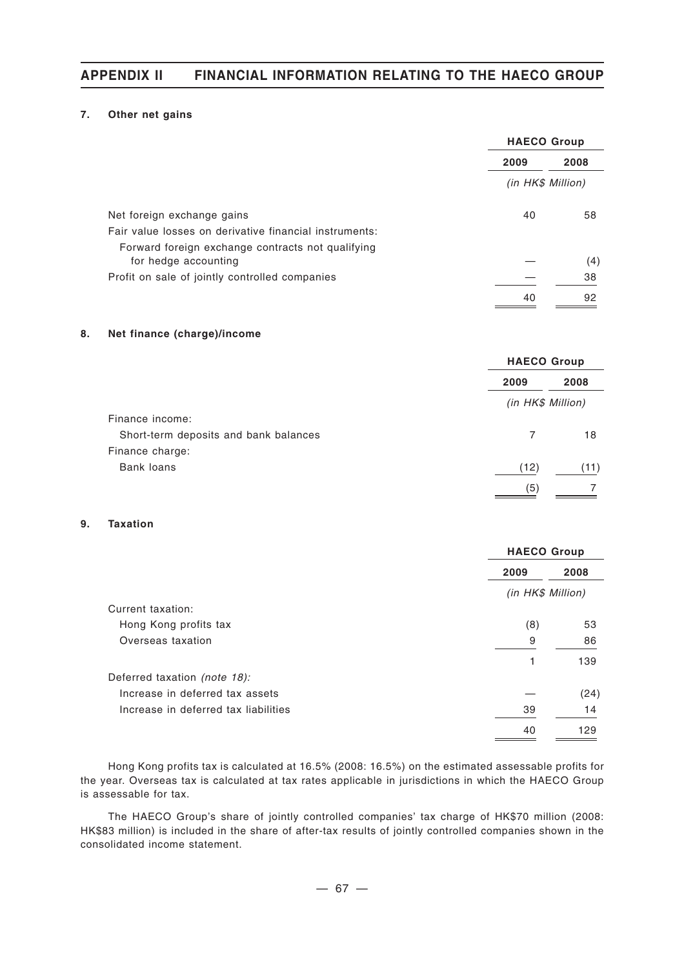#### **7. Other net gains**

|                                                        | <b>HAECO Group</b> |      |
|--------------------------------------------------------|--------------------|------|
|                                                        | 2009               | 2008 |
|                                                        | (in HK\$ Million)  |      |
| Net foreign exchange gains                             | 40                 | 58   |
| Fair value losses on derivative financial instruments: |                    |      |
| Forward foreign exchange contracts not qualifying      |                    |      |
| for hedge accounting                                   |                    | (4)  |
| Profit on sale of jointly controlled companies         |                    | 38   |
|                                                        | 40                 | 92   |

#### **8. Net finance (charge)/income**

|                                       |      | <b>HAECO Group</b><br>2008<br>2009<br>(in HK\$ Million)<br>18<br>7 |  |  |
|---------------------------------------|------|--------------------------------------------------------------------|--|--|
|                                       |      |                                                                    |  |  |
|                                       |      |                                                                    |  |  |
| Finance income:                       |      |                                                                    |  |  |
| Short-term deposits and bank balances |      |                                                                    |  |  |
| Finance charge:                       |      |                                                                    |  |  |
| <b>Bank loans</b>                     | (12) | (11)                                                               |  |  |
|                                       | (5)  |                                                                    |  |  |

#### **9. Taxation**

|                                      | <b>HAECO Group</b> |      |  |
|--------------------------------------|--------------------|------|--|
|                                      | 2009               | 2008 |  |
|                                      | (in HK\$ Million)  |      |  |
| Current taxation:                    |                    |      |  |
| Hong Kong profits tax                | (8)                | 53   |  |
| Overseas taxation                    | 9                  | 86   |  |
|                                      | 1                  | 139  |  |
| Deferred taxation (note 18):         |                    |      |  |
| Increase in deferred tax assets      |                    | (24) |  |
| Increase in deferred tax liabilities | 39                 | 14   |  |
|                                      | 40                 | 129  |  |

Hong Kong profits tax is calculated at 16.5% (2008: 16.5%) on the estimated assessable profits for the year. Overseas tax is calculated at tax rates applicable in jurisdictions in which the HAECO Group is assessable for tax.

The HAECO Group's share of jointly controlled companies' tax charge of HK\$70 million (2008: HK\$83 million) is included in the share of after-tax results of jointly controlled companies shown in the consolidated income statement.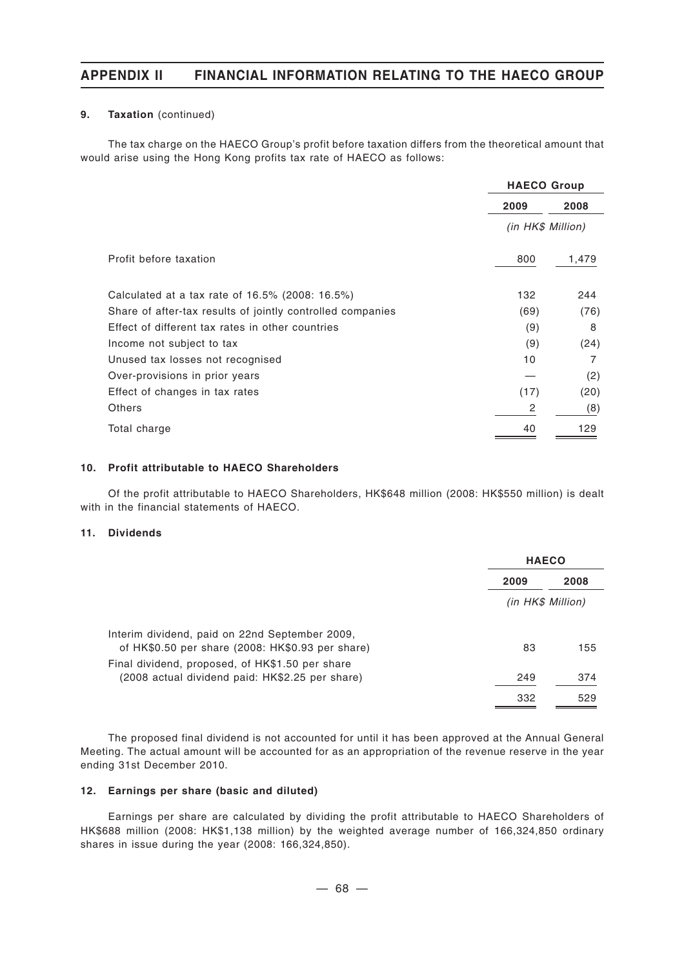#### **9. Taxation** (continued)

The tax charge on the HAECO Group's profit before taxation differs from the theoretical amount that would arise using the Hong Kong profits tax rate of HAECO as follows:

|                                                            | <b>HAECO Group</b> |       |  |
|------------------------------------------------------------|--------------------|-------|--|
|                                                            | 2009               | 2008  |  |
|                                                            | (in HK\$ Million)  |       |  |
| Profit before taxation                                     | 800                | 1,479 |  |
| Calculated at a tax rate of 16.5% (2008: 16.5%)            | 132                | 244   |  |
| Share of after-tax results of jointly controlled companies | (69)               | (76)  |  |
| Effect of different tax rates in other countries           | (9)                | 8     |  |
| Income not subject to tax                                  | (9)                | (24)  |  |
| Unused tax losses not recognised                           | 10                 | 7     |  |
| Over-provisions in prior years                             |                    | (2)   |  |
| Effect of changes in tax rates                             | (17)               | (20)  |  |
| Others                                                     | 2                  | (8)   |  |
| Total charge                                               | 40                 | 129   |  |

#### **10. Profit attributable to HAECO Shareholders**

Of the profit attributable to HAECO Shareholders, HK\$648 million (2008: HK\$550 million) is dealt with in the financial statements of HAECO.

#### **11. Dividends**

|                                                                                                    | <b>HAECO</b> |                   |  |  |
|----------------------------------------------------------------------------------------------------|--------------|-------------------|--|--|
|                                                                                                    | 2009         | 2008              |  |  |
|                                                                                                    |              | (in HK\$ Million) |  |  |
| Interim dividend, paid on 22nd September 2009,<br>of HK\$0.50 per share (2008: HK\$0.93 per share) | 83           | 155               |  |  |
| Final dividend, proposed, of HK\$1.50 per share<br>(2008 actual dividend paid: HK\$2.25 per share) | 249          | 374               |  |  |
|                                                                                                    | 332          | 529               |  |  |

The proposed final dividend is not accounted for until it has been approved at the Annual General Meeting. The actual amount will be accounted for as an appropriation of the revenue reserve in the year ending 31st December 2010.

#### **12. Earnings per share (basic and diluted)**

Earnings per share are calculated by dividing the profit attributable to HAECO Shareholders of HK\$688 million (2008: HK\$1,138 million) by the weighted average number of 166,324,850 ordinary shares in issue during the year (2008: 166,324,850).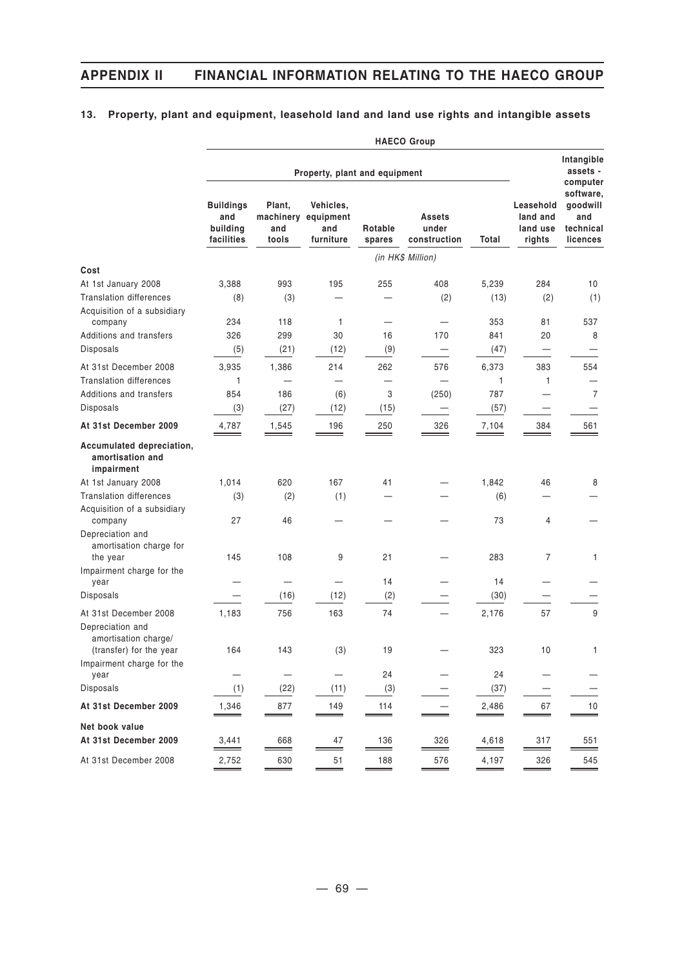## **13. Property, plant and equipment, leasehold land and land use rights and intangible assets**

|                                                             | <b>HAECO Group</b>                                |                                     |                                            |                          |                                 |                     |                                             |                                                       |
|-------------------------------------------------------------|---------------------------------------------------|-------------------------------------|--------------------------------------------|--------------------------|---------------------------------|---------------------|---------------------------------------------|-------------------------------------------------------|
|                                                             | Property, plant and equipment                     |                                     |                                            |                          |                                 |                     | Intangible<br>assets -<br>computer          |                                                       |
|                                                             | <b>Buildings</b><br>and<br>building<br>facilities | Plant,<br>machinery<br>and<br>tools | Vehicles,<br>equipment<br>and<br>furniture | Rotable<br>spares        | Assets<br>under<br>construction | Total               | Leasehold<br>land and<br>land use<br>rights | software,<br>goodwill<br>and<br>technical<br>licences |
|                                                             |                                                   |                                     |                                            |                          | (in HK\$ Million)               |                     |                                             |                                                       |
| Cost                                                        |                                                   |                                     |                                            |                          |                                 |                     |                                             |                                                       |
| At 1st January 2008                                         | 3,388                                             | 993                                 | 195                                        | 255                      | 408                             | 5,239               | 284                                         | 10                                                    |
| <b>Translation differences</b>                              | (8)                                               | (3)                                 |                                            |                          | (2)                             | (13)                | (2)                                         | (1)                                                   |
| Acquisition of a subsidiary<br>company                      | 234                                               | 118                                 | 1                                          | $\qquad \qquad -$        | $\qquad \qquad \longleftarrow$  | 353                 | 81                                          | 537                                                   |
| <b>Additions and transfers</b>                              | 326                                               | 299                                 | 30                                         | 16                       | 170                             | 841                 | 20                                          | 8                                                     |
| Disposals                                                   | (5)                                               | (21)                                | (12)                                       | (9)                      | —                               | (47)                | $\overline{\phantom{0}}$                    | $\overline{\phantom{0}}$                              |
| At 31st December 2008                                       | 3,935                                             | 1,386                               | 214                                        | 262                      | 576                             | 6,373               | 383                                         | 554                                                   |
| <b>Translation differences</b>                              | 1                                                 |                                     | $\overline{\phantom{0}}$                   | $\overline{\phantom{0}}$ |                                 | 1                   | 1                                           | —                                                     |
| Additions and transfers                                     | 854                                               | 186                                 | (6)                                        | 3                        | (250)                           | 787                 |                                             | 7                                                     |
| Disposals                                                   | (3)                                               | (27)                                | (12)                                       | (15)                     |                                 | (57)                |                                             |                                                       |
| At 31st December 2009                                       | 4,787                                             | 1,545                               | 196                                        | 250                      | 326                             | 7,104               | 384                                         | 561                                                   |
| Accumulated depreciation,<br>amortisation and<br>impairment |                                                   |                                     |                                            |                          |                                 |                     |                                             |                                                       |
| At 1st January 2008                                         | 1,014                                             | 620                                 | 167                                        | 41                       |                                 | 1,842               | 46                                          | 8                                                     |
| <b>Translation differences</b>                              | (3)                                               | (2)                                 | (1)                                        |                          |                                 | (6)                 |                                             |                                                       |
| Acquisition of a subsidiary<br>company                      | 27                                                | 46                                  |                                            |                          |                                 | 73                  | 4                                           |                                                       |
| Depreciation and<br>amortisation charge for<br>the year     | 145                                               | 108                                 | 9                                          | 21                       |                                 | 283                 | $\overline{7}$                              | 1                                                     |
| Impairment charge for the<br>year                           |                                                   |                                     | —                                          | 14                       |                                 | 14                  |                                             |                                                       |
| Disposals                                                   |                                                   | (16)                                | (12)                                       | (2)                      |                                 | (30)                |                                             |                                                       |
| At 31st December 2008<br>Depreciation and                   | 1,183                                             | 756                                 | 163                                        | 74                       |                                 | 2,176               | 57                                          | 9                                                     |
| amortisation charge/<br>(transfer) for the year             | 164                                               | 143                                 | (3)                                        | 19                       |                                 | 323                 | 10                                          | 1                                                     |
| Impairment charge for the<br>year                           |                                                   | $\qquad \qquad -$                   |                                            | 24                       |                                 | 24                  |                                             |                                                       |
| Disposals                                                   | (1)                                               | (22)                                | (11)                                       | (3)                      |                                 | (37)                |                                             |                                                       |
| At 31st December 2009                                       | 1,346                                             | 877                                 | 149                                        | 114                      |                                 | 2,486               | 67                                          | 10                                                    |
|                                                             |                                                   | $=$                                 | $\hspace{0.05cm} =$                        | $=$                      |                                 | $\hspace{0.05cm} =$ |                                             |                                                       |
| Net book value<br>At 31st December 2009                     | 3,441                                             | 668                                 | 47                                         | 136                      | 326                             | 4,618               | 317                                         | 551                                                   |
| At 31st December 2008                                       | 2,752                                             | 630                                 | 51                                         | 188                      | 576                             | 4,197               | 326                                         | 545                                                   |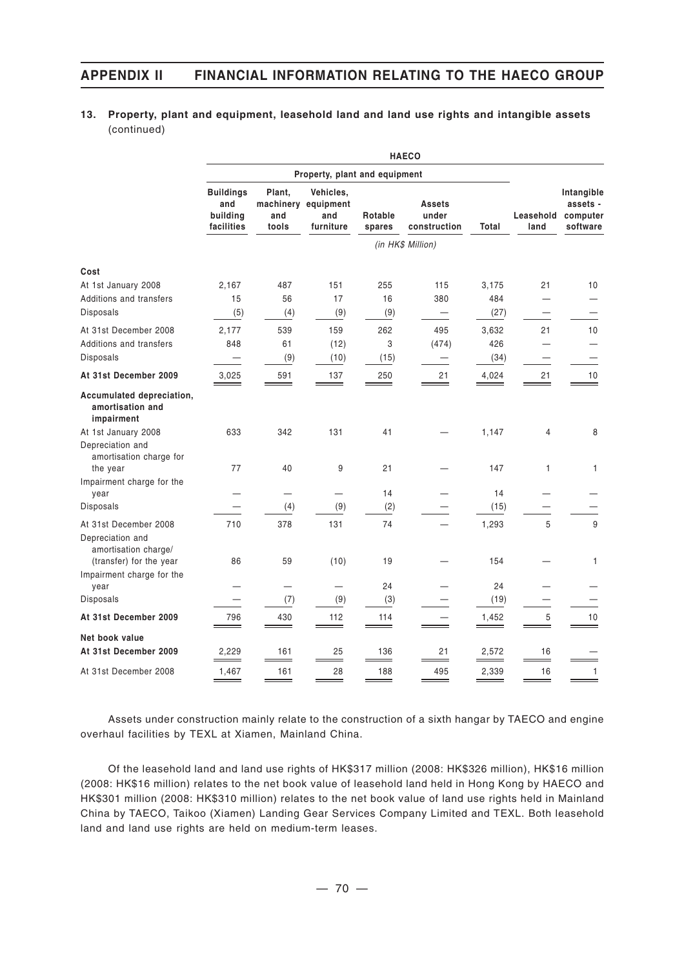### **13. Property, plant and equipment, leasehold land and land use rights and intangible assets** (continued)

|                                                                    |                                                   |                        |                                                      |                   | <b>HAECO</b>                           |                      |                   |                                                |
|--------------------------------------------------------------------|---------------------------------------------------|------------------------|------------------------------------------------------|-------------------|----------------------------------------|----------------------|-------------------|------------------------------------------------|
|                                                                    |                                                   |                        | Property, plant and equipment                        |                   |                                        |                      |                   |                                                |
|                                                                    | <b>Buildings</b><br>and<br>building<br>facilities | Plant,<br>and<br>tools | Vehicles,<br>machinery equipment<br>and<br>furniture | Rotable<br>spares | <b>Assets</b><br>under<br>construction | Total                | Leasehold<br>land | Intangible<br>assets -<br>computer<br>software |
|                                                                    |                                                   |                        |                                                      |                   | (in HK\$ Million)                      |                      |                   |                                                |
| Cost<br>At 1st January 2008<br>Additions and transfers             | 2,167<br>15                                       | 487<br>56              | 151<br>17                                            | 255<br>16         | 115<br>380                             | 3,175<br>484         | 21                | 10                                             |
| Disposals                                                          | (5)                                               | (4)                    | (9)                                                  | (9)               |                                        | (27)                 |                   |                                                |
| At 31st December 2008<br>Additions and transfers<br>Disposals      | 2.177<br>848<br>$\overline{\phantom{0}}$          | 539<br>61<br>(9)       | 159<br>(12)<br>(10)                                  | 262<br>3<br>(15)  | 495<br>(474)                           | 3,632<br>426<br>(34) | 21                | 10                                             |
| At 31st December 2009                                              | 3,025                                             | 591                    | 137                                                  | 250               | 21                                     | 4,024                | 21                | 10                                             |
| Accumulated depreciation,<br>amortisation and<br>impairment        |                                                   |                        |                                                      |                   |                                        |                      |                   | -                                              |
| At 1st January 2008<br>Depreciation and<br>amortisation charge for | 633                                               | 342                    | 131                                                  | 41                |                                        | 1,147                | 4                 | 8                                              |
| the year<br>Impairment charge for the                              | 77                                                | 40                     | 9                                                    | 21                |                                        | 147                  | $\mathbf{1}$      | 1                                              |
| year<br>Disposals                                                  |                                                   | (4)                    | (9)                                                  | 14<br>(2)         |                                        | 14<br>(15)           |                   |                                                |
| At 31st December 2008<br>Depreciation and<br>amortisation charge/  | 710                                               | 378                    | 131                                                  | 74                |                                        | 1,293                | 5                 | 9                                              |
| (transfer) for the year<br>Impairment charge for the               | 86                                                | 59                     | (10)                                                 | 19                |                                        | 154                  |                   | 1                                              |
| year                                                               |                                                   |                        | $\overline{\phantom{0}}$                             | 24                |                                        | 24                   |                   |                                                |
| Disposals                                                          |                                                   | (7)                    | (9)                                                  | (3)               |                                        | (19)                 |                   |                                                |
| At 31st December 2009                                              | 796                                               | 430                    | 112                                                  | 114               |                                        | 1,452                | 5                 | 10                                             |
| Net book value<br>At 31st December 2009                            | 2,229                                             | 161                    | 25                                                   | 136               | 21                                     | 2,572                | 16                |                                                |
| At 31st December 2008                                              | 1,467                                             | 161                    | 28                                                   | 188               | 495                                    | 2,339                | 16                | 1                                              |

Assets under construction mainly relate to the construction of a sixth hangar by TAECO and engine overhaul facilities by TEXL at Xiamen, Mainland China.

Of the leasehold land and land use rights of HK\$317 million (2008: HK\$326 million), HK\$16 million (2008: HK\$16 million) relates to the net book value of leasehold land held in Hong Kong by HAECO and HK\$301 million (2008: HK\$310 million) relates to the net book value of land use rights held in Mainland China by TAECO, Taikoo (Xiamen) Landing Gear Services Company Limited and TEXL. Both leasehold land and land use rights are held on medium-term leases.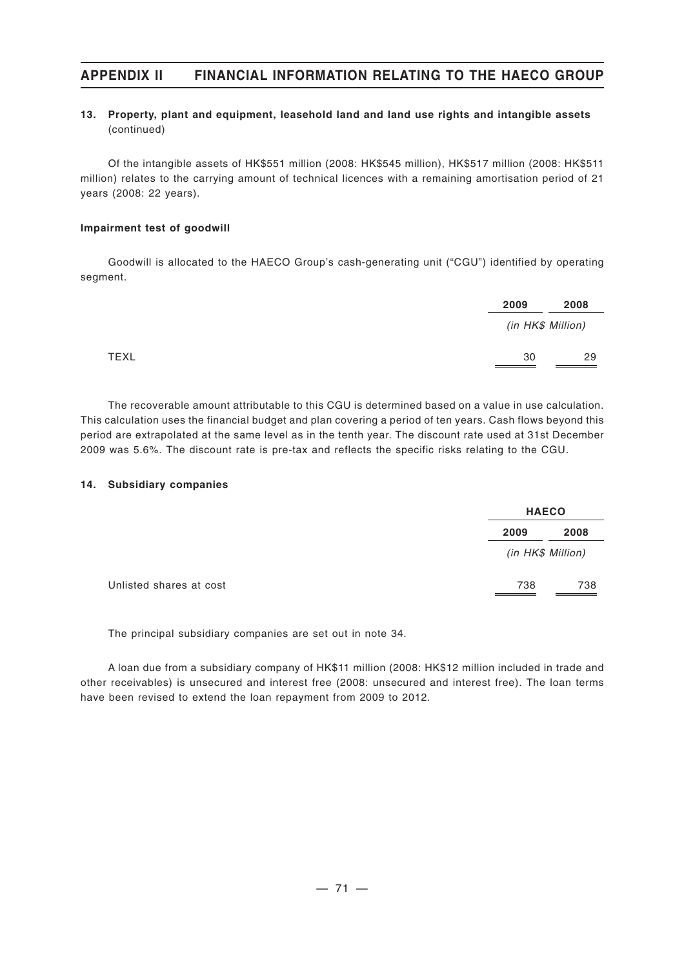### **13. Property, plant and equipment, leasehold land and land use rights and intangible assets** (continued)

Of the intangible assets of HK\$551 million (2008: HK\$545 million), HK\$517 million (2008: HK\$511 million) relates to the carrying amount of technical licences with a remaining amortisation period of 21 years (2008: 22 years).

#### **Impairment test of goodwill**

Goodwill is allocated to the HAECO Group's cash-generating unit ("CGU") identified by operating segment.

|             | 2009              | 2008 |
|-------------|-------------------|------|
|             | (in HK\$ Million) |      |
| <b>TEXL</b> | 30                | 29   |

The recoverable amount attributable to this CGU is determined based on a value in use calculation. This calculation uses the financial budget and plan covering a period of ten years. Cash flows beyond this period are extrapolated at the same level as in the tenth year. The discount rate used at 31st December 2009 was 5.6%. The discount rate is pre-tax and reflects the specific risks relating to the CGU.

#### **14. Subsidiary companies**

| 2008 |
|------|
|      |
| 738  |

The principal subsidiary companies are set out in note 34.

A loan due from a subsidiary company of HK\$11 million (2008: HK\$12 million included in trade and other receivables) is unsecured and interest free (2008: unsecured and interest free). The loan terms have been revised to extend the loan repayment from 2009 to 2012.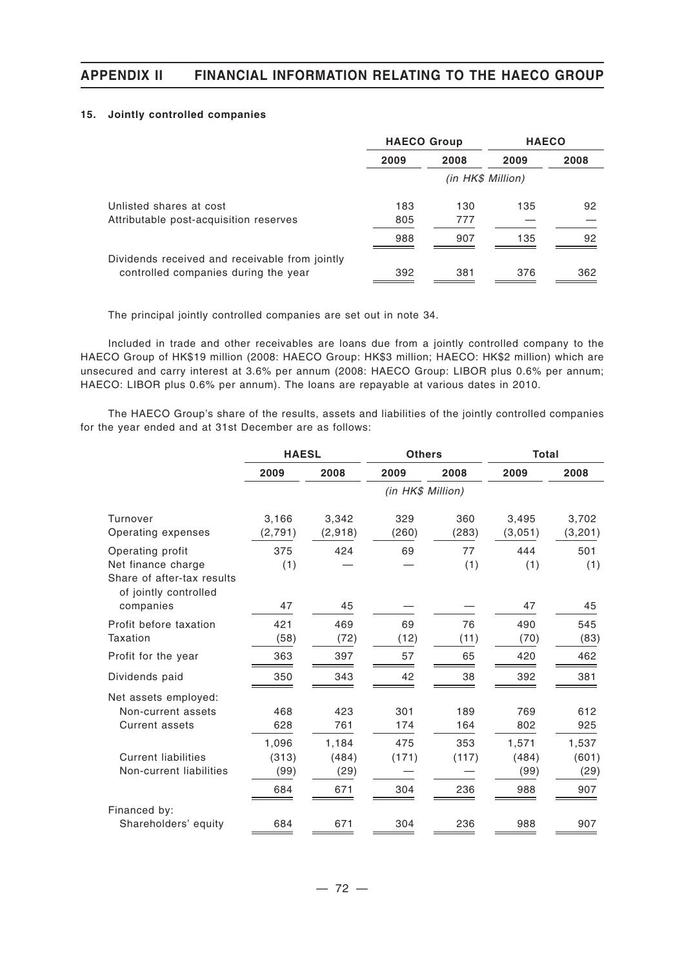#### **15. Jointly controlled companies**

|                                                | <b>HAECO Group</b> |      | <b>HAECO</b> |      |  |
|------------------------------------------------|--------------------|------|--------------|------|--|
|                                                | 2009               | 2008 | 2009         | 2008 |  |
|                                                | (in HK\$ Million)  |      |              |      |  |
| Unlisted shares at cost                        | 183                | 130  | 135          | 92   |  |
| Attributable post-acquisition reserves         | 805                | 777  |              |      |  |
|                                                | 988                | 907  | 135          | 92   |  |
| Dividends received and receivable from jointly |                    |      |              |      |  |
| controlled companies during the year           | 392                | 381  | 376          | 362  |  |

The principal jointly controlled companies are set out in note 34.

Included in trade and other receivables are loans due from a jointly controlled company to the HAECO Group of HK\$19 million (2008: HAECO Group: HK\$3 million; HAECO: HK\$2 million) which are unsecured and carry interest at 3.6% per annum (2008: HAECO Group: LIBOR plus 0.6% per annum; HAECO: LIBOR plus 0.6% per annum). The loans are repayable at various dates in 2010.

The HAECO Group's share of the results, assets and liabilities of the jointly controlled companies for the year ended and at 31st December are as follows:

|                                                                     | <b>HAESL</b>           |                        | <b>Others</b>     |              | <b>Total</b>           |                        |
|---------------------------------------------------------------------|------------------------|------------------------|-------------------|--------------|------------------------|------------------------|
|                                                                     | 2009                   | 2008                   | 2009              | 2008         | 2009                   | 2008                   |
|                                                                     |                        |                        | (in HK\$ Million) |              |                        |                        |
| Turnover<br>Operating expenses                                      | 3,166<br>(2,791)       | 3,342<br>(2,918)       | 329<br>(260)      | 360<br>(283) | 3,495<br>(3,051)       | 3,702<br>(3, 201)      |
| Operating profit<br>Net finance charge                              | 375<br>(1)             | 424                    | 69                | 77<br>(1)    | 444<br>(1)             | 501<br>(1)             |
| Share of after-tax results<br>of jointly controlled<br>companies    | 47                     | 45                     |                   |              | 47                     | 45                     |
| Profit before taxation<br>Taxation                                  | 421<br>(58)            | 469<br>(72)            | 69<br>(12)        | 76<br>(11)   | 490<br>(70)            | 545<br>(83)            |
| Profit for the year                                                 | 363                    | 397                    | 57                | 65           | 420                    | 462                    |
| Dividends paid                                                      | 350                    | 343                    | 42                | 38           | 392                    | 381                    |
| Net assets employed:<br>Non-current assets<br><b>Current assets</b> | 468<br>628             | 423<br>761             | 301<br>174        | 189<br>164   | 769<br>802             | 612<br>925             |
| <b>Current liabilities</b><br>Non-current liabilities               | 1,096<br>(313)<br>(99) | 1,184<br>(484)<br>(29) | 475<br>(171)      | 353<br>(117) | 1,571<br>(484)<br>(99) | 1,537<br>(601)<br>(29) |
|                                                                     | 684                    | 671                    | 304               | 236          | 988                    | 907                    |
| Financed by:<br>Shareholders' equity                                | 684                    | 671                    | 304               | 236          | 988                    | 907                    |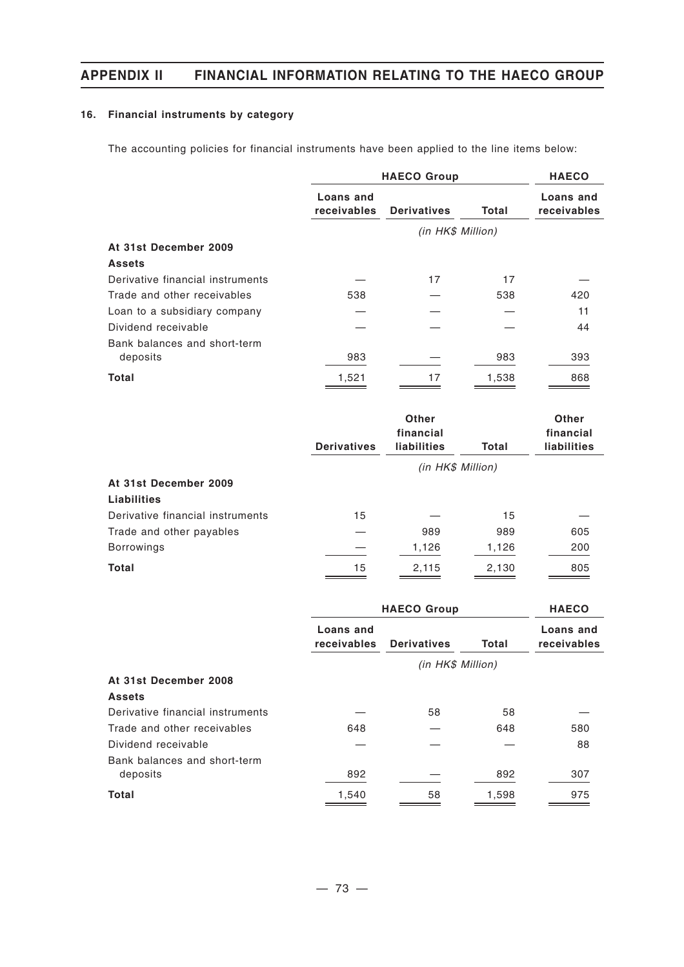### **16. Financial instruments by category**

The accounting policies for financial instruments have been applied to the line items below:

|                                  | <b>HAECO Group</b>              | <b>HAECO</b>       |       |                          |
|----------------------------------|---------------------------------|--------------------|-------|--------------------------|
|                                  | Loans and<br><b>receivables</b> | <b>Derivatives</b> | Total | Loans and<br>receivables |
|                                  |                                 | (in HK\$ Million)  |       |                          |
| At 31st December 2009            |                                 |                    |       |                          |
| <b>Assets</b>                    |                                 |                    |       |                          |
| Derivative financial instruments |                                 | 17                 | 17    |                          |
| Trade and other receivables      | 538                             |                    | 538   | 420                      |
| Loan to a subsidiary company     |                                 |                    |       | 11                       |
| Dividend receivable              |                                 |                    |       | 44                       |
| Bank balances and short-term     |                                 |                    |       |                          |
| deposits                         | 983                             |                    | 983   | 393                      |
| Total                            | 1,521                           | 17                 | 1,538 | 868                      |

|                                  | <b>Derivatives</b> | <b>Other</b><br>financial<br>liabilities |       |     |
|----------------------------------|--------------------|------------------------------------------|-------|-----|
|                                  |                    | <b>liabilities</b>                       | Total |     |
|                                  |                    | (in HK\$ Million)                        |       |     |
| At 31st December 2009            |                    |                                          |       |     |
| <b>Liabilities</b>               |                    |                                          |       |     |
| Derivative financial instruments | 15                 |                                          | 15    |     |
| Trade and other payables         |                    | 989                                      | 989   | 605 |
| <b>Borrowings</b>                |                    | 1,126                                    | 1,126 | 200 |
| <b>Total</b>                     | 15                 | 2,115                                    | 2,130 | 805 |

|                                  | <b>HAECO Group</b>       |                    | <b>HAECO</b> |                                 |
|----------------------------------|--------------------------|--------------------|--------------|---------------------------------|
|                                  | Loans and<br>receivables | <b>Derivatives</b> | <b>Total</b> | Loans and<br><b>receivables</b> |
|                                  |                          | (in HK\$ Million)  |              |                                 |
| At 31st December 2008            |                          |                    |              |                                 |
| <b>Assets</b>                    |                          |                    |              |                                 |
| Derivative financial instruments |                          | 58                 | 58           |                                 |
| Trade and other receivables      | 648                      |                    | 648          | 580                             |
| Dividend receivable              |                          |                    |              | 88                              |
| Bank balances and short-term     |                          |                    |              |                                 |
| deposits                         | 892                      |                    | 892          | 307                             |
| <b>Total</b>                     | 1,540                    | 58                 | 1,598        | 975                             |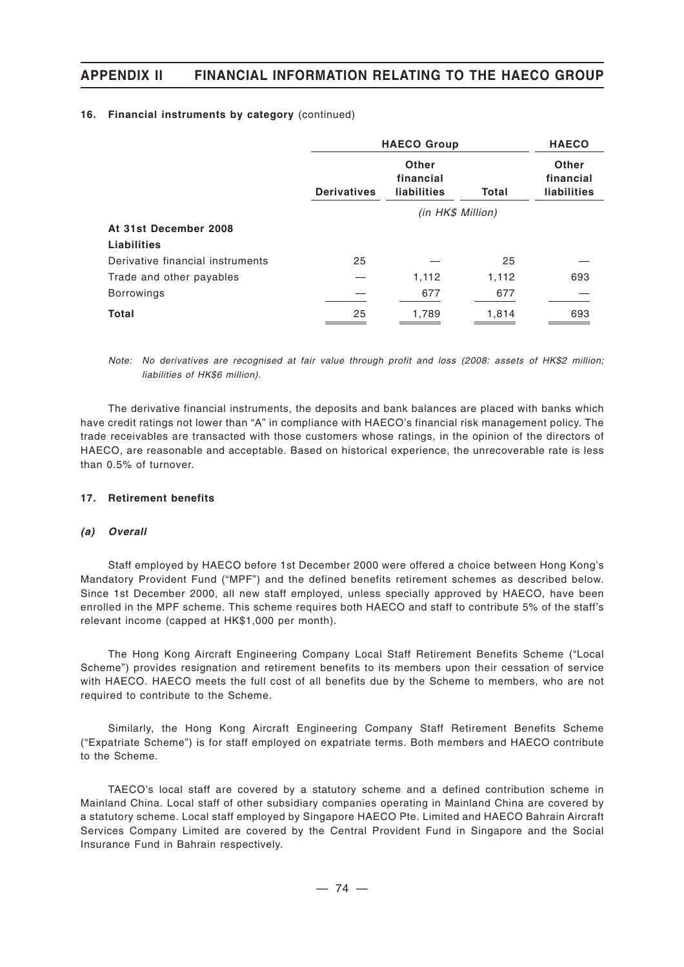|                                  | <b>HAECO Group</b> | <b>HAECO</b>                      |              |                                                 |
|----------------------------------|--------------------|-----------------------------------|--------------|-------------------------------------------------|
|                                  | <b>Derivatives</b> | Other<br>financial<br>liabilities | <b>Total</b> | <b>Other</b><br>financial<br><b>liabilities</b> |
|                                  |                    |                                   |              |                                                 |
| At 31st December 2008            |                    |                                   |              |                                                 |
| Liabilities                      |                    |                                   |              |                                                 |
| Derivative financial instruments | 25                 |                                   | 25           |                                                 |
| Trade and other payables         |                    | 1,112                             | 1,112        | 693                                             |
| <b>Borrowings</b>                |                    | 677                               | 677          |                                                 |
| <b>Total</b>                     | 25                 | 1,789                             | 1,814        | 693                                             |

#### **16. Financial instruments by category** (continued)

*Note: No derivatives are recognised at fair value through profit and loss (2008: assets of HK\$2 million; liabilities of HK\$6 million).*

The derivative financial instruments, the deposits and bank balances are placed with banks which have credit ratings not lower than "A" in compliance with HAECO's financial risk management policy. The trade receivables are transacted with those customers whose ratings, in the opinion of the directors of HAECO, are reasonable and acceptable. Based on historical experience, the unrecoverable rate is less than 0.5% of turnover.

#### **17. Retirement benefits**

#### *(a) Overall*

Staff employed by HAECO before 1st December 2000 were offered a choice between Hong Kong's Mandatory Provident Fund ("MPF") and the defined benefits retirement schemes as described below. Since 1st December 2000, all new staff employed, unless specially approved by HAECO, have been enrolled in the MPF scheme. This scheme requires both HAECO and staff to contribute 5% of the staff's relevant income (capped at HK\$1,000 per month).

The Hong Kong Aircraft Engineering Company Local Staff Retirement Benefits Scheme ("Local Scheme") provides resignation and retirement benefits to its members upon their cessation of service with HAECO. HAECO meets the full cost of all benefits due by the Scheme to members, who are not required to contribute to the Scheme.

Similarly, the Hong Kong Aircraft Engineering Company Staff Retirement Benefits Scheme ("Expatriate Scheme") is for staff employed on expatriate terms. Both members and HAECO contribute to the Scheme.

TAECO's local staff are covered by a statutory scheme and a defined contribution scheme in Mainland China. Local staff of other subsidiary companies operating in Mainland China are covered by a statutory scheme. Local staff employed by Singapore HAECO Pte. Limited and HAECO Bahrain Aircraft Services Company Limited are covered by the Central Provident Fund in Singapore and the Social Insurance Fund in Bahrain respectively.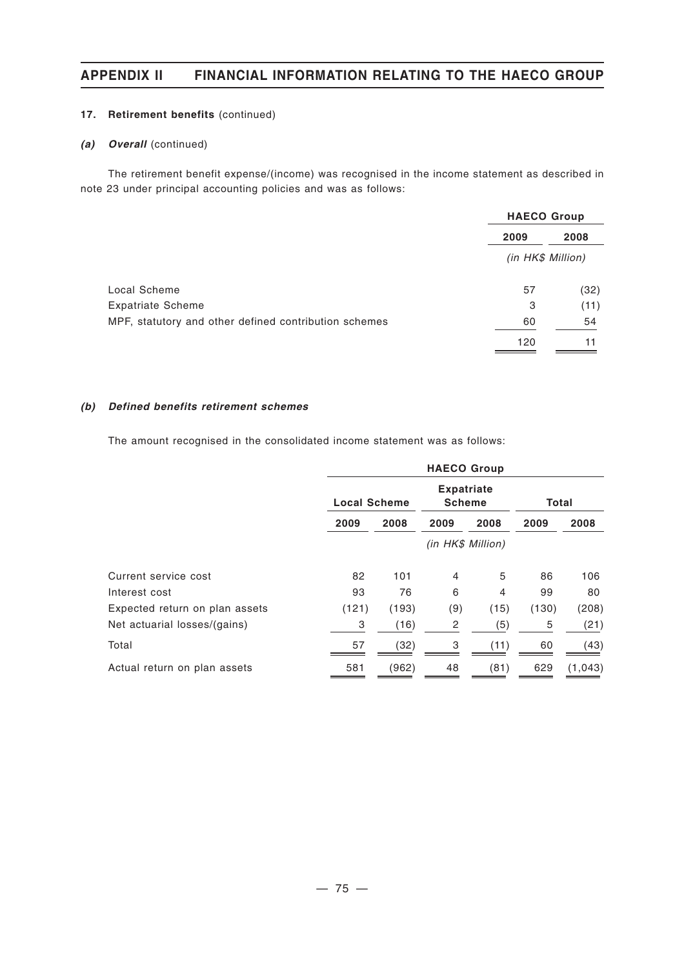### **17. Retirement benefits** (continued)

### *(a) Overall* (continued)

The retirement benefit expense/(income) was recognised in the income statement as described in note 23 under principal accounting policies and was as follows:

|                                                       | <b>HAECO Group</b> |      |
|-------------------------------------------------------|--------------------|------|
|                                                       | 2009               | 2008 |
|                                                       | (in HK\$ Million)  |      |
| Local Scheme                                          | 57                 | (32) |
| <b>Expatriate Scheme</b>                              | 3                  | (11) |
| MPF, statutory and other defined contribution schemes | 60                 | 54   |
|                                                       | 120                |      |

### *(b) Defined benefits retirement schemes*

The amount recognised in the consolidated income statement was as follows:

|                                | <b>HAECO Group</b>  |       |                                    |      |              |         |  |
|--------------------------------|---------------------|-------|------------------------------------|------|--------------|---------|--|
|                                | <b>Local Scheme</b> |       | <b>Expatriate</b><br><b>Scheme</b> |      | <b>Total</b> |         |  |
|                                | 2009                | 2008  | 2009                               | 2008 | 2009         | 2008    |  |
|                                | (in HK\$ Million)   |       |                                    |      |              |         |  |
| Current service cost           | 82                  | 101   | 4                                  | 5    | 86           | 106     |  |
| Interest cost                  | 93                  | 76    | 6                                  | 4    | 99           | 80      |  |
| Expected return on plan assets | (121)               | (193) | (9)                                | (15) | (130)        | (208)   |  |
| Net actuarial losses/(gains)   | 3                   | (16)  | 2                                  | (5)  | 5            | (21)    |  |
| Total                          | 57                  | (32)  | 3                                  | (11) | 60           | (43)    |  |
| Actual return on plan assets   | 581                 | (962) | 48                                 | (81) | 629          | (1,043) |  |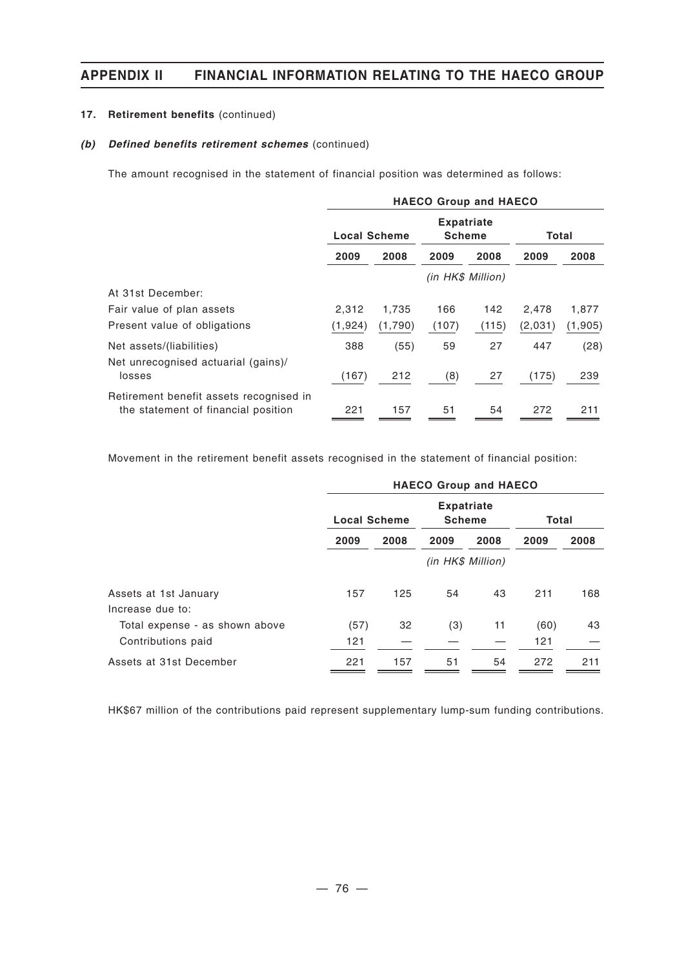### **17. Retirement benefits** (continued)

### *(b) Defined benefits retirement schemes* (continued)

The amount recognised in the statement of financial position was determined as follows:

|                                                                                | <b>HAECO Group and HAECO</b> |         |                                    |       |         |         |  |
|--------------------------------------------------------------------------------|------------------------------|---------|------------------------------------|-------|---------|---------|--|
|                                                                                | <b>Local Scheme</b>          |         | <b>Expatriate</b><br><b>Scheme</b> |       | Total   |         |  |
|                                                                                | 2009                         | 2008    | 2009                               | 2008  | 2009    | 2008    |  |
|                                                                                |                              |         | (in HK\$ Million)                  |       |         |         |  |
| At 31st December:                                                              |                              |         |                                    |       |         |         |  |
| Fair value of plan assets                                                      | 2,312                        | 1,735   | 166                                | 142   | 2,478   | 1,877   |  |
| Present value of obligations                                                   | (1, 924)                     | (1,790) | (107)                              | (115) | (2,031) | (1,905) |  |
| Net assets/(liabilities)                                                       | 388                          | (55)    | 59                                 | 27    | 447     | (28)    |  |
| Net unrecognised actuarial (gains)/<br>losses                                  | (167)                        | 212     | (8)                                | 27    | (175)   | 239     |  |
| Retirement benefit assets recognised in<br>the statement of financial position | 221                          | 157     | 51                                 | 54    | 272     | 211     |  |

Movement in the retirement benefit assets recognised in the statement of financial position:

|                                           | <b>HAECO Group and HAECO</b> |      |                                    |      |       |      |
|-------------------------------------------|------------------------------|------|------------------------------------|------|-------|------|
|                                           | <b>Local Scheme</b>          |      | <b>Expatriate</b><br><b>Scheme</b> |      | Total |      |
|                                           | 2009                         | 2008 | 2009                               | 2008 | 2009  | 2008 |
|                                           | (in HK\$ Million)            |      |                                    |      |       |      |
| Assets at 1st January<br>Increase due to: | 157                          | 125  | 54                                 | 43   | 211   | 168  |
| Total expense - as shown above            | (57)                         | 32   | (3)                                | 11   | (60)  | 43   |
| Contributions paid                        | 121                          |      |                                    |      | 121   |      |
| Assets at 31st December                   | 221                          | 157  | 51                                 | 54   | 272   | 211  |

HK\$67 million of the contributions paid represent supplementary lump-sum funding contributions.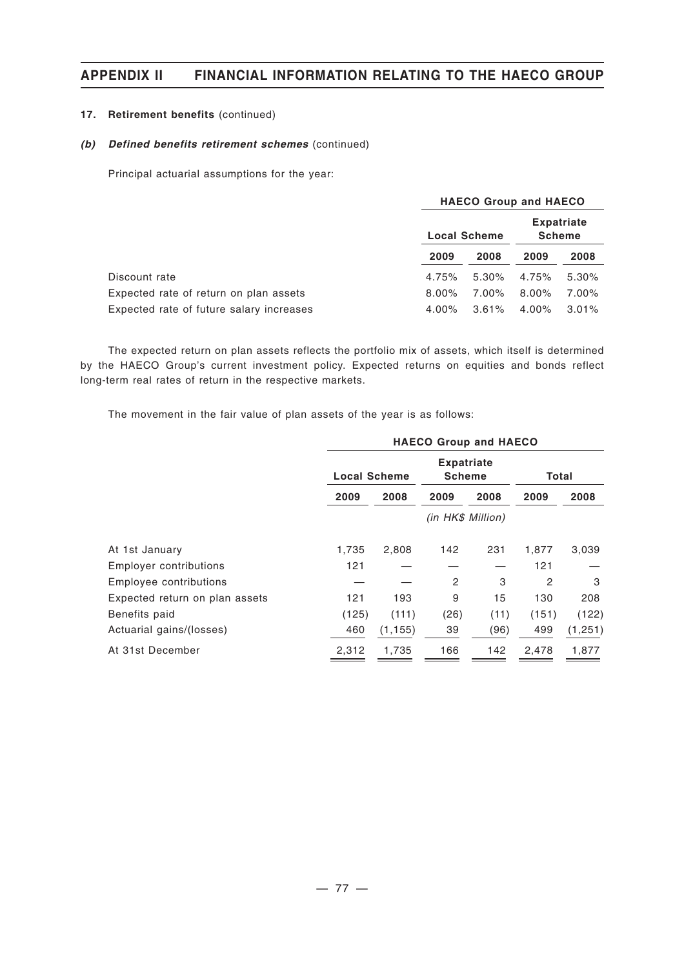### **17. Retirement benefits** (continued)

### *(b) Defined benefits retirement schemes* (continued)

Principal actuarial assumptions for the year:

|                                          | <b>HAECO Group and HAECO</b> |          |                                    |          |  |  |
|------------------------------------------|------------------------------|----------|------------------------------------|----------|--|--|
|                                          | <b>Local Scheme</b>          |          | <b>Expatriate</b><br><b>Scheme</b> |          |  |  |
|                                          | 2009                         | 2008     | 2009                               | 2008     |  |  |
| Discount rate                            | 4.75%                        | $5.30\%$ | 4.75%                              | $5.30\%$ |  |  |
| Expected rate of return on plan assets   | $8.00\%$                     | 7.00%    | $8.00\%$                           | 7.00%    |  |  |
| Expected rate of future salary increases | $4.00\%$                     | $3.61\%$ | 4.00%                              | $3.01\%$ |  |  |

The expected return on plan assets reflects the portfolio mix of assets, which itself is determined by the HAECO Group's current investment policy. Expected returns on equities and bonds reflect long-term real rates of return in the respective markets.

The movement in the fair value of plan assets of the year is as follows:

|                                | <b>HAECO Group and HAECO</b> |          |                                    |      |                |         |
|--------------------------------|------------------------------|----------|------------------------------------|------|----------------|---------|
|                                | <b>Local Scheme</b>          |          | <b>Expatriate</b><br><b>Scheme</b> |      | Total          |         |
|                                | 2009                         | 2008     | 2009                               | 2008 | 2009           | 2008    |
|                                | (in HK\$ Million)            |          |                                    |      |                |         |
| At 1st January                 | 1,735                        | 2,808    | 142                                | 231  | 1,877          | 3,039   |
| Employer contributions         | 121                          |          |                                    |      | 121            |         |
| Employee contributions         |                              |          | $\overline{c}$                     | 3    | $\overline{c}$ | 3       |
| Expected return on plan assets | 121                          | 193      | 9                                  | 15   | 130            | 208     |
| Benefits paid                  | (125)                        | (111)    | (26)                               | (11) | (151)          | (122)   |
| Actuarial gains/(losses)       | 460                          | (1, 155) | 39                                 | (96) | 499            | (1,251) |
| At 31st December               | 2,312                        | 1,735    | 166                                | 142  | 2,478          | 1,877   |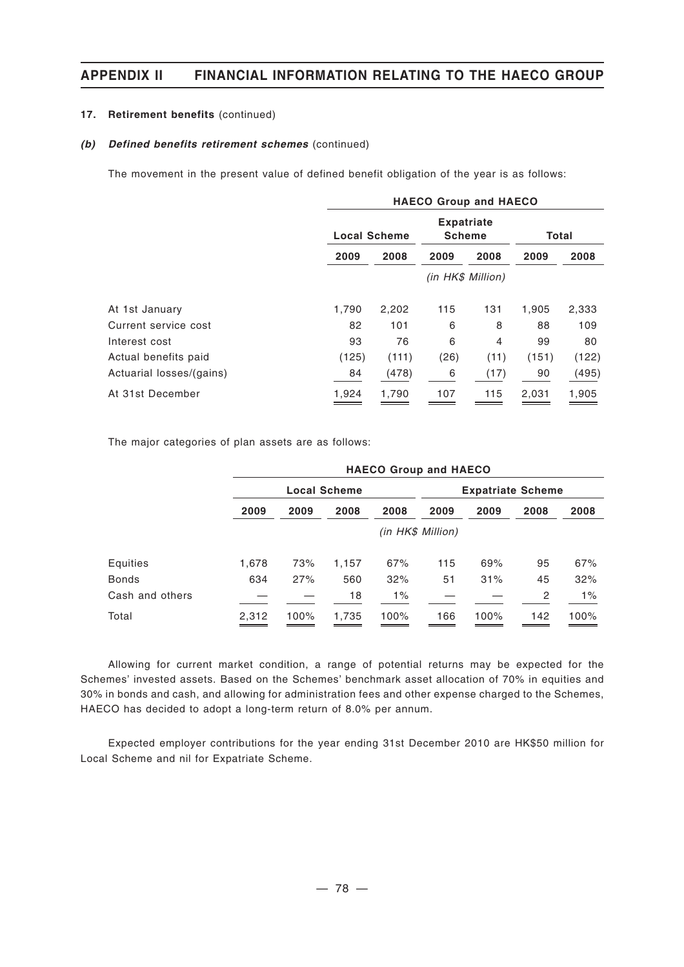### **17. Retirement benefits** (continued)

#### *(b) Defined benefits retirement schemes* (continued)

The movement in the present value of defined benefit obligation of the year is as follows:

|                          | <b>HAECO Group and HAECO</b> |       |                                    |                |       |       |
|--------------------------|------------------------------|-------|------------------------------------|----------------|-------|-------|
|                          | <b>Local Scheme</b>          |       | <b>Expatriate</b><br><b>Scheme</b> |                | Total |       |
|                          | 2009                         | 2008  | 2009                               | 2008           | 2009  | 2008  |
|                          | (in HK\$ Million)            |       |                                    |                |       |       |
| At 1st January           | 1.790                        | 2,202 | 115                                | 131            | 1,905 | 2,333 |
| Current service cost     | 82                           | 101   | 6                                  | 8              | 88    | 109   |
| Interest cost            | 93                           | 76    | 6                                  | $\overline{4}$ | 99    | 80    |
| Actual benefits paid     | (125)                        | (111) | (26)                               | (11)           | (151) | (122) |
| Actuarial losses/(gains) | 84                           | (478) | 6                                  | (17)           | 90    | (495) |
| At 31st December         | 1,924                        | 1,790 | 107                                | 115            | 2,031 | 1,905 |

The major categories of plan assets are as follows:

|                 | <b>HAECO Group and HAECO</b> |                   |       |                          |      |      |      |       |  |
|-----------------|------------------------------|-------------------|-------|--------------------------|------|------|------|-------|--|
|                 | <b>Local Scheme</b>          |                   |       | <b>Expatriate Scheme</b> |      |      |      |       |  |
|                 | 2009                         | 2009              | 2008  | 2008                     | 2009 | 2009 | 2008 | 2008  |  |
|                 |                              | (in HK\$ Million) |       |                          |      |      |      |       |  |
| Equities        | 1,678                        | 73%               | 1,157 | 67%                      | 115  | 69%  | 95   | 67%   |  |
| <b>Bonds</b>    | 634                          | 27%               | 560   | 32%                      | 51   | 31%  | 45   | 32%   |  |
| Cash and others |                              |                   | 18    | $1\%$                    |      |      | 2    | $1\%$ |  |
| Total           | 2.312                        | 100%              | 1,735 | 100%                     | 166  | 100% | 142  | 100%  |  |

Allowing for current market condition, a range of potential returns may be expected for the Schemes' invested assets. Based on the Schemes' benchmark asset allocation of 70% in equities and 30% in bonds and cash, and allowing for administration fees and other expense charged to the Schemes, HAECO has decided to adopt a long-term return of 8.0% per annum.

Expected employer contributions for the year ending 31st December 2010 are HK\$50 million for Local Scheme and nil for Expatriate Scheme.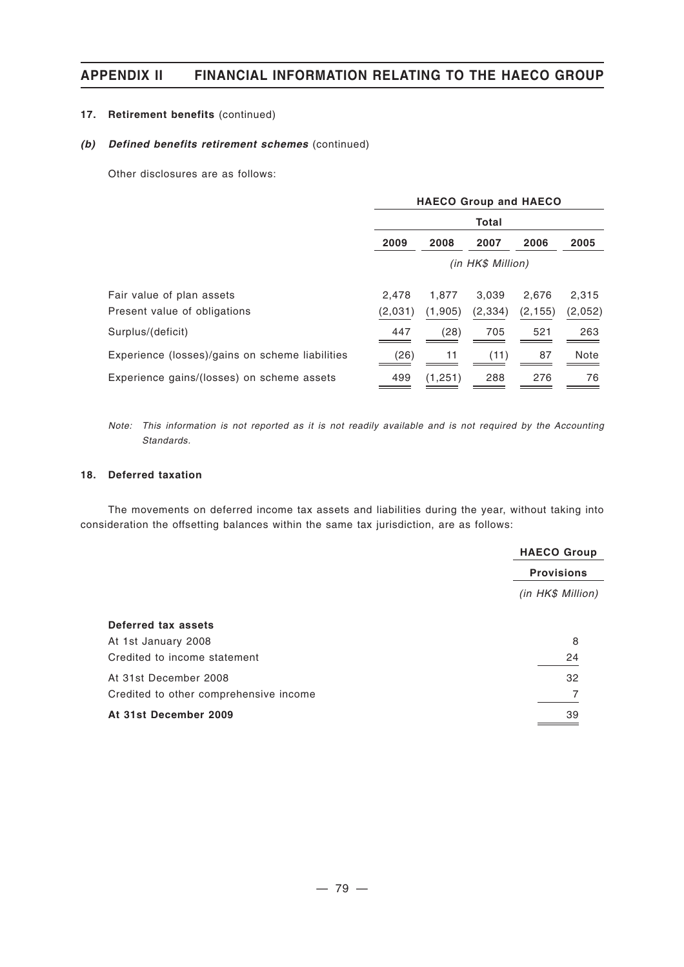### **17. Retirement benefits** (continued)

### *(b) Defined benefits retirement schemes* (continued)

Other disclosures are as follows:

|                                                           | <b>HAECO Group and HAECO</b> |                  |                   |                   |                  |  |  |
|-----------------------------------------------------------|------------------------------|------------------|-------------------|-------------------|------------------|--|--|
|                                                           | Total                        |                  |                   |                   |                  |  |  |
|                                                           | 2009                         | 2008             | 2007              | 2006              | 2005             |  |  |
|                                                           | (in HK\$ Million)            |                  |                   |                   |                  |  |  |
| Fair value of plan assets<br>Present value of obligations | 2,478<br>(2,031)             | 1,877<br>(1,905) | 3,039<br>(2, 334) | 2,676<br>(2, 155) | 2,315<br>(2,052) |  |  |
| Surplus/(deficit)                                         | 447                          | (28)             | 705               | 521               | 263              |  |  |
| Experience (losses)/gains on scheme liabilities           | (26)                         | 11               | (11)              | 87                | Note             |  |  |
| Experience gains/(losses) on scheme assets                | 499                          | (1, 251)         | 288               | 276               | 76               |  |  |

*Note: This information is not reported as it is not readily available and is not required by the Accounting Standards.*

### **18. Deferred taxation**

The movements on deferred income tax assets and liabilities during the year, without taking into consideration the offsetting balances within the same tax jurisdiction, are as follows:

|                                        | <b>HAECO Group</b> |
|----------------------------------------|--------------------|
|                                        | <b>Provisions</b>  |
|                                        | (in HK\$ Million)  |
| Deferred tax assets                    |                    |
| At 1st January 2008                    | 8                  |
| Credited to income statement           | 24                 |
| At 31st December 2008                  | 32                 |
| Credited to other comprehensive income | 7                  |
| At 31st December 2009                  | 39                 |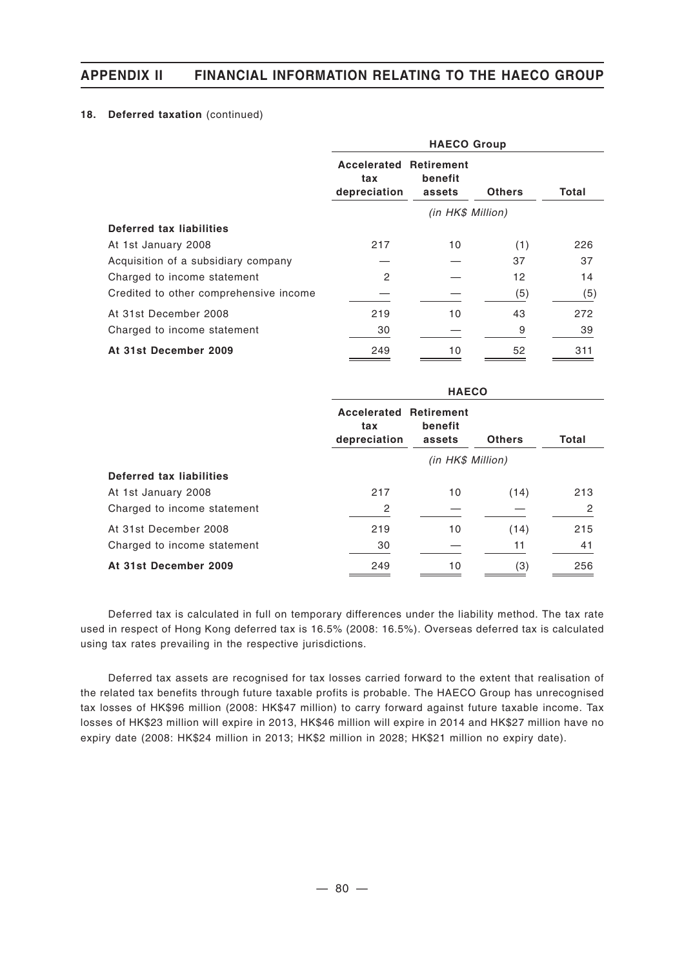### 18. Deferred taxation (continued)

|                                        | <b>HAECO Group</b>                                   |                   |               |       |  |  |  |  |
|----------------------------------------|------------------------------------------------------|-------------------|---------------|-------|--|--|--|--|
|                                        | <b>Accelerated Retirement</b><br>tax<br>depreciation | benefit<br>assets | <b>Others</b> | Total |  |  |  |  |
|                                        | (in HK\$ Million)                                    |                   |               |       |  |  |  |  |
| Deferred tax liabilities               |                                                      |                   |               |       |  |  |  |  |
| At 1st January 2008                    | 217                                                  | 10                | (1)           | 226   |  |  |  |  |
| Acquisition of a subsidiary company    |                                                      |                   | 37            | 37    |  |  |  |  |
| Charged to income statement            | 2                                                    |                   | 12            | 14    |  |  |  |  |
| Credited to other comprehensive income |                                                      |                   | (5)           | (5)   |  |  |  |  |
| At 31st December 2008                  | 219                                                  | 10                | 43            | 272   |  |  |  |  |
| Charged to income statement            | 30                                                   |                   | 9             | 39    |  |  |  |  |
| At 31st December 2009                  | 249                                                  | 10                | 52            | 311   |  |  |  |  |

|                             | <b>HAECO</b>                                         |                   |               |                |  |  |  |
|-----------------------------|------------------------------------------------------|-------------------|---------------|----------------|--|--|--|
|                             | <b>Accelerated Retirement</b><br>tax<br>depreciation | benefit<br>assets | <b>Others</b> | Total          |  |  |  |
|                             | (in HK\$ Million)                                    |                   |               |                |  |  |  |
| Deferred tax liabilities    |                                                      |                   |               |                |  |  |  |
| At 1st January 2008         | 217                                                  | 10                | (14)          | 213            |  |  |  |
| Charged to income statement | 2                                                    |                   |               | $\overline{2}$ |  |  |  |
| At 31st December 2008       | 219                                                  | 10                | (14)          | 215            |  |  |  |
| Charged to income statement | 30                                                   |                   | 11            | 41             |  |  |  |
| At 31st December 2009       | 249                                                  | 10                | (3)           | 256            |  |  |  |

Deferred tax is calculated in full on temporary differences under the liability method. The tax rate used in respect of Hong Kong deferred tax is 16.5% (2008: 16.5%). Overseas deferred tax is calculated using tax rates prevailing in the respective jurisdictions.

Deferred tax assets are recognised for tax losses carried forward to the extent that realisation of the related tax benefits through future taxable profits is probable. The HAECO Group has unrecognised tax losses of HK\$96 million (2008: HK\$47 million) to carry forward against future taxable income. Tax losses of HK\$23 million will expire in 2013, HK\$46 million will expire in 2014 and HK\$27 million have no expiry date (2008: HK\$24 million in 2013; HK\$2 million in 2028; HK\$21 million no expiry date).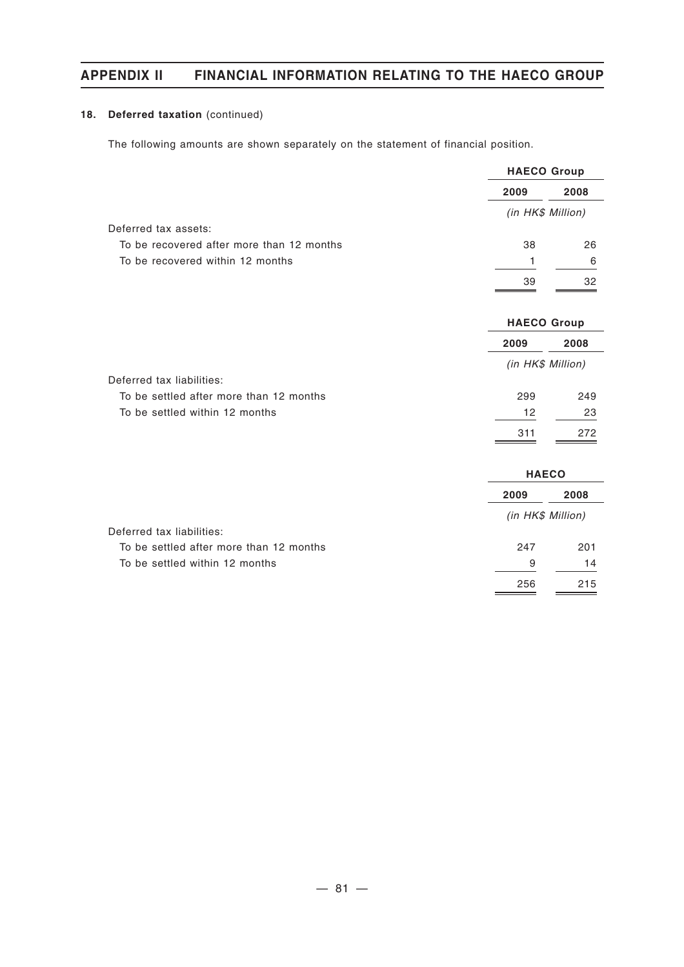### 18. Deferred taxation (continued)

The following amounts are shown separately on the statement of financial position.

|                                           | <b>HAECO Group</b> |      |  |
|-------------------------------------------|--------------------|------|--|
|                                           | 2009               | 2008 |  |
|                                           | (in HK\$ Million)  |      |  |
| Deferred tax assets:                      |                    |      |  |
| To be recovered after more than 12 months | 38                 | 26   |  |
| To be recovered within 12 months          | 1                  | 6    |  |
|                                           | 39                 | 32   |  |
|                                           | <b>HAECO Group</b> |      |  |
|                                           | 2009               | 2008 |  |
|                                           | (in HK\$ Million)  |      |  |
| Deferred tax liabilities:                 |                    |      |  |
| To be settled after more than 12 months   | 299                | 249  |  |
| To be settled within 12 months            | 12                 | 23   |  |
|                                           | 311                | 272  |  |
|                                           | <b>HAECO</b>       |      |  |
|                                           | 2009               | 2008 |  |
|                                           | (in HK\$ Million)  |      |  |
| Deferred tax liabilities:                 |                    |      |  |
| To be settled after more than 12 months   | 247                | 201  |  |
| To be settled within 12 months            | 9                  | 14   |  |
|                                           | 256                | 215  |  |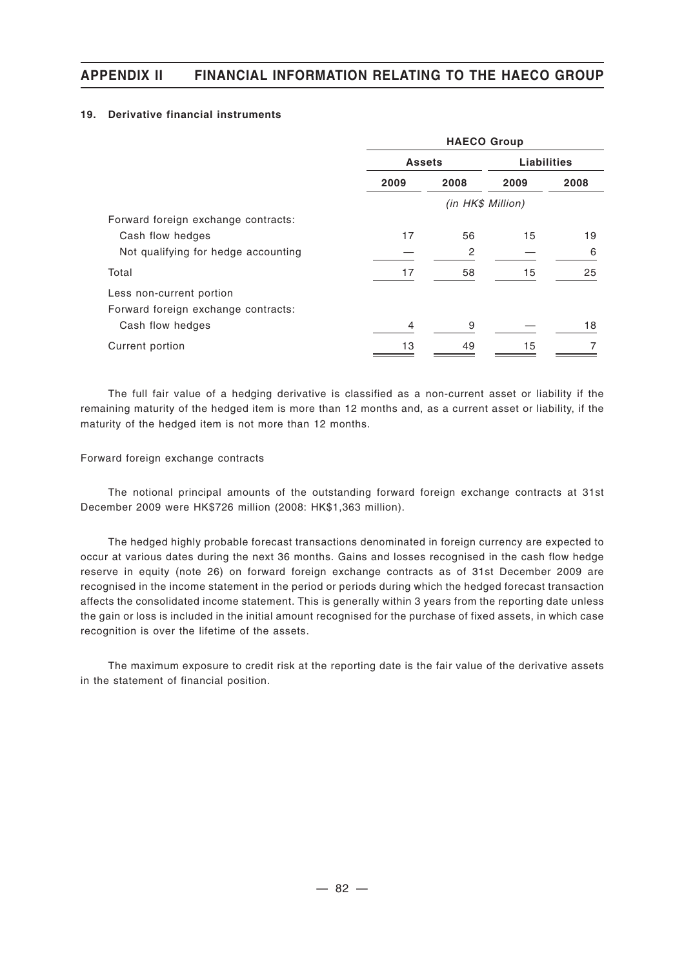### **19. Derivative financial instruments**

|                                     | <b>HAECO Group</b> |                   |                    |      |  |  |
|-------------------------------------|--------------------|-------------------|--------------------|------|--|--|
|                                     | <b>Assets</b>      |                   | <b>Liabilities</b> |      |  |  |
|                                     | 2009               | 2008              | 2009               | 2008 |  |  |
|                                     |                    | (in HK\$ Million) |                    |      |  |  |
| Forward foreign exchange contracts: |                    |                   |                    |      |  |  |
| Cash flow hedges                    | 17                 | 56                | 15                 | 19   |  |  |
| Not qualifying for hedge accounting |                    | 2                 |                    | 6    |  |  |
| Total                               | 17                 | 58                | 15                 | 25   |  |  |
| Less non-current portion            |                    |                   |                    |      |  |  |
| Forward foreign exchange contracts: |                    |                   |                    |      |  |  |
| Cash flow hedges                    | 4                  | 9                 |                    | 18   |  |  |
| Current portion                     | 13                 | 49                | 15                 | 7    |  |  |

The full fair value of a hedging derivative is classified as a non-current asset or liability if the remaining maturity of the hedged item is more than 12 months and, as a current asset or liability, if the maturity of the hedged item is not more than 12 months.

### Forward foreign exchange contracts

The notional principal amounts of the outstanding forward foreign exchange contracts at 31st December 2009 were HK\$726 million (2008: HK\$1,363 million).

The hedged highly probable forecast transactions denominated in foreign currency are expected to occur at various dates during the next 36 months. Gains and losses recognised in the cash flow hedge reserve in equity (note 26) on forward foreign exchange contracts as of 31st December 2009 are recognised in the income statement in the period or periods during which the hedged forecast transaction affects the consolidated income statement. This is generally within 3 years from the reporting date unless the gain or loss is included in the initial amount recognised for the purchase of fixed assets, in which case recognition is over the lifetime of the assets.

The maximum exposure to credit risk at the reporting date is the fair value of the derivative assets in the statement of financial position.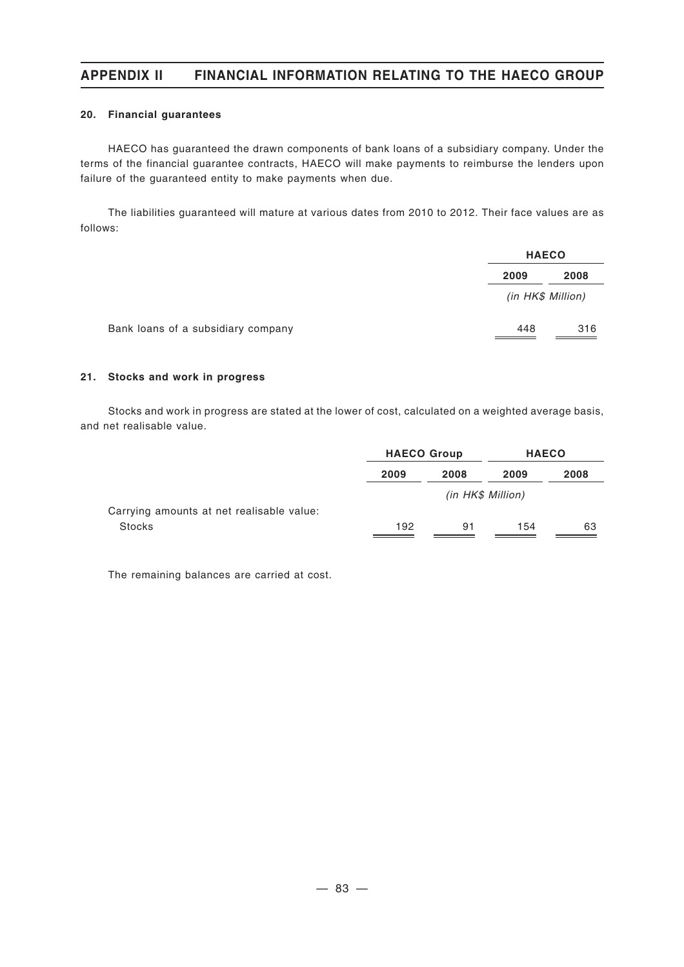### **20. Financial guarantees**

HAECO has guaranteed the drawn components of bank loans of a subsidiary company. Under the terms of the financial guarantee contracts, HAECO will make payments to reimburse the lenders upon failure of the guaranteed entity to make payments when due.

The liabilities guaranteed will mature at various dates from 2010 to 2012. Their face values are as follows:

|      | <b>HAECO</b>      |  |  |
|------|-------------------|--|--|
| 2009 | 2008              |  |  |
|      |                   |  |  |
| 448  | 316               |  |  |
|      | (in HK\$ Million) |  |  |

#### **21. Stocks and work in progress**

Stocks and work in progress are stated at the lower of cost, calculated on a weighted average basis, and net realisable value.

|                                           | <b>HAECO Group</b> |      | <b>HAECO</b>      |      |
|-------------------------------------------|--------------------|------|-------------------|------|
|                                           | 2009               | 2008 | 2009              | 2008 |
|                                           |                    |      | (in HK\$ Million) |      |
| Carrying amounts at net realisable value: |                    |      |                   |      |
| <b>Stocks</b>                             | 192                | 91   | 154               | 63   |

The remaining balances are carried at cost.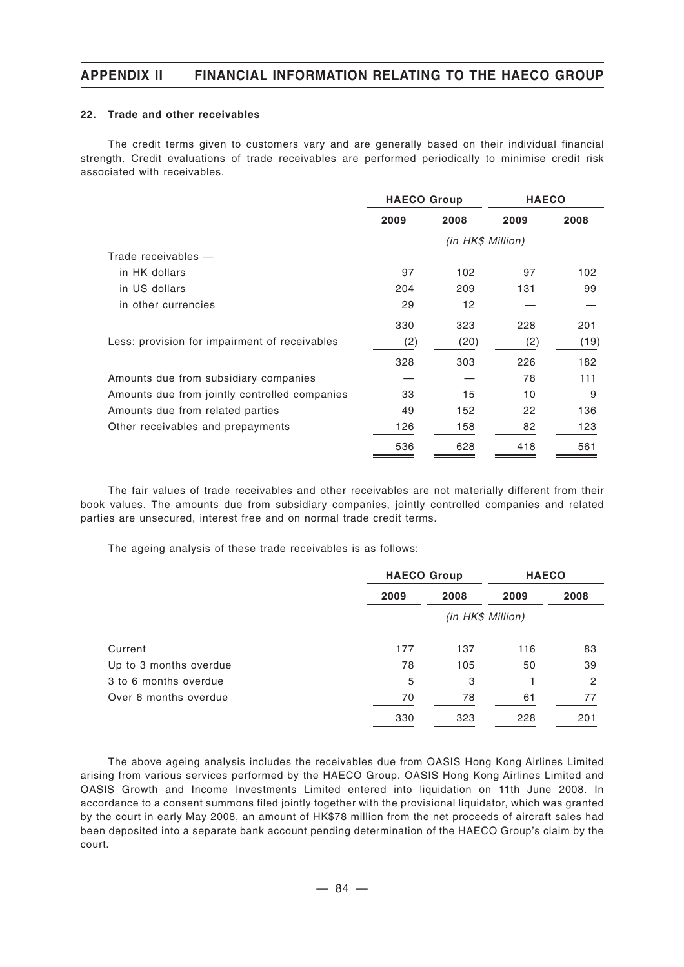#### **22. Trade and other receivables**

The credit terms given to customers vary and are generally based on their individual financial strength. Credit evaluations of trade receivables are performed periodically to minimise credit risk associated with receivables.

|                                               | <b>HAECO Group</b> |                   | <b>HAECO</b> |      |  |
|-----------------------------------------------|--------------------|-------------------|--------------|------|--|
|                                               | 2009               | 2008              | 2009         | 2008 |  |
|                                               |                    | (in HK\$ Million) |              |      |  |
| Trade receivables $-$                         |                    |                   |              |      |  |
| in HK dollars                                 | 97                 | 102               | 97           | 102  |  |
| in US dollars                                 | 204                | 209               | 131          | 99   |  |
| in other currencies                           | 29                 | 12                |              |      |  |
|                                               | 330                | 323               | 228          | 201  |  |
| Less: provision for impairment of receivables | (2)                | (20)              | (2)          | (19) |  |
|                                               | 328                | 303               | 226          | 182  |  |
| Amounts due from subsidiary companies         |                    |                   | 78           | 111  |  |
| Amounts due from jointly controlled companies | 33                 | 15                | 10           | 9    |  |
| Amounts due from related parties              | 49                 | 152               | 22           | 136  |  |
| Other receivables and prepayments             | 126                | 158               | 82           | 123  |  |
|                                               | 536                | 628               | 418          | 561  |  |

The fair values of trade receivables and other receivables are not materially different from their book values. The amounts due from subsidiary companies, jointly controlled companies and related parties are unsecured, interest free and on normal trade credit terms.

The ageing analysis of these trade receivables is as follows:

|                        | <b>HAECO Group</b> |                   | <b>HAECO</b> |      |  |
|------------------------|--------------------|-------------------|--------------|------|--|
|                        | 2009               | 2008              | 2009         | 2008 |  |
|                        |                    | (in HK\$ Million) |              |      |  |
| Current                | 177                | 137               | 116          | 83   |  |
| Up to 3 months overdue | 78                 | 105               | 50           | 39   |  |
| 3 to 6 months overdue  | 5                  | 3                 |              | 2    |  |
| Over 6 months overdue  | 70                 | 78                | 61           | 77   |  |
|                        | 330                | 323               | 228          | 201  |  |

The above ageing analysis includes the receivables due from OASIS Hong Kong Airlines Limited arising from various services performed by the HAECO Group. OASIS Hong Kong Airlines Limited and OASIS Growth and Income Investments Limited entered into liquidation on 11th June 2008. In accordance to a consent summons filed jointly together with the provisional liquidator, which was granted by the court in early May 2008, an amount of HK\$78 million from the net proceeds of aircraft sales had been deposited into a separate bank account pending determination of the HAECO Group's claim by the court.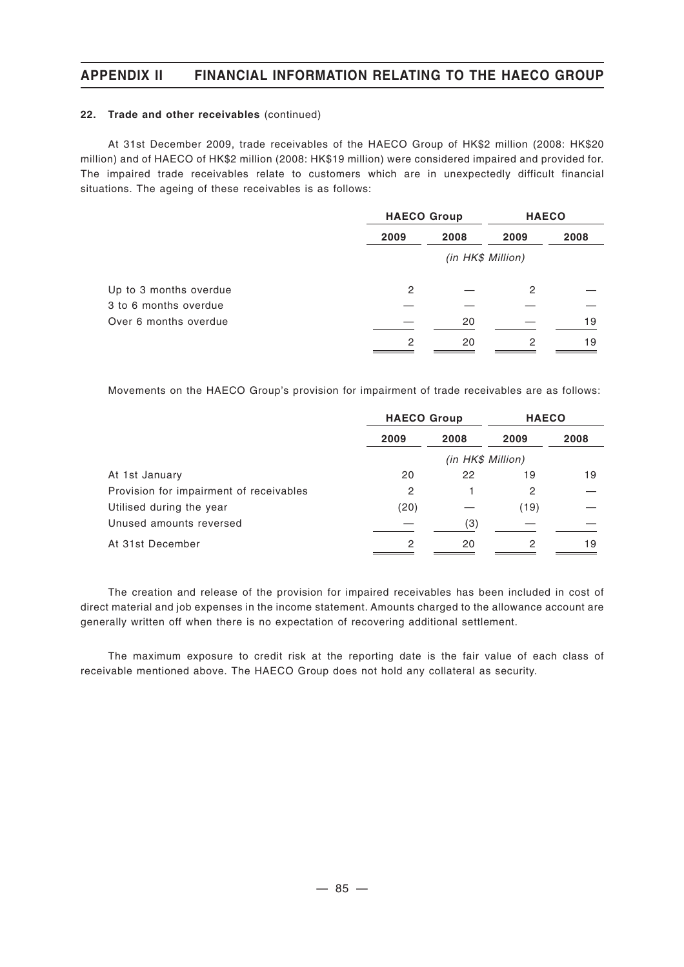#### **22. Trade and other receivables** (continued)

At 31st December 2009, trade receivables of the HAECO Group of HK\$2 million (2008: HK\$20 million) and of HAECO of HK\$2 million (2008: HK\$19 million) were considered impaired and provided for. The impaired trade receivables relate to customers which are in unexpectedly difficult financial situations. The ageing of these receivables is as follows:

|                        | <b>HAECO Group</b> |                   | <b>HAECO</b> |      |
|------------------------|--------------------|-------------------|--------------|------|
|                        | 2009               | 2008              | 2009         | 2008 |
|                        |                    | (in HK\$ Million) |              |      |
| Up to 3 months overdue | 2                  |                   | 2            |      |
| 3 to 6 months overdue  |                    |                   |              |      |
| Over 6 months overdue  |                    | 20                |              | 19   |
|                        | 2                  | 20                | 2            | 19   |

Movements on the HAECO Group's provision for impairment of trade receivables are as follows:

|                                         | <b>HAECO Group</b> |                   | <b>HAECO</b> |      |  |
|-----------------------------------------|--------------------|-------------------|--------------|------|--|
|                                         | 2009               | 2008              | 2009         | 2008 |  |
|                                         |                    | (in HK\$ Million) |              |      |  |
| At 1st January                          | 20                 | 22                | 19           | 19   |  |
| Provision for impairment of receivables | 2                  |                   | 2            |      |  |
| Utilised during the year                | (20)               |                   | (19)         |      |  |
| Unused amounts reversed                 |                    | (3)               |              |      |  |
| At 31st December                        | 2                  | 20                | 2            | 19   |  |

The creation and release of the provision for impaired receivables has been included in cost of direct material and job expenses in the income statement. Amounts charged to the allowance account are generally written off when there is no expectation of recovering additional settlement.

The maximum exposure to credit risk at the reporting date is the fair value of each class of receivable mentioned above. The HAECO Group does not hold any collateral as security.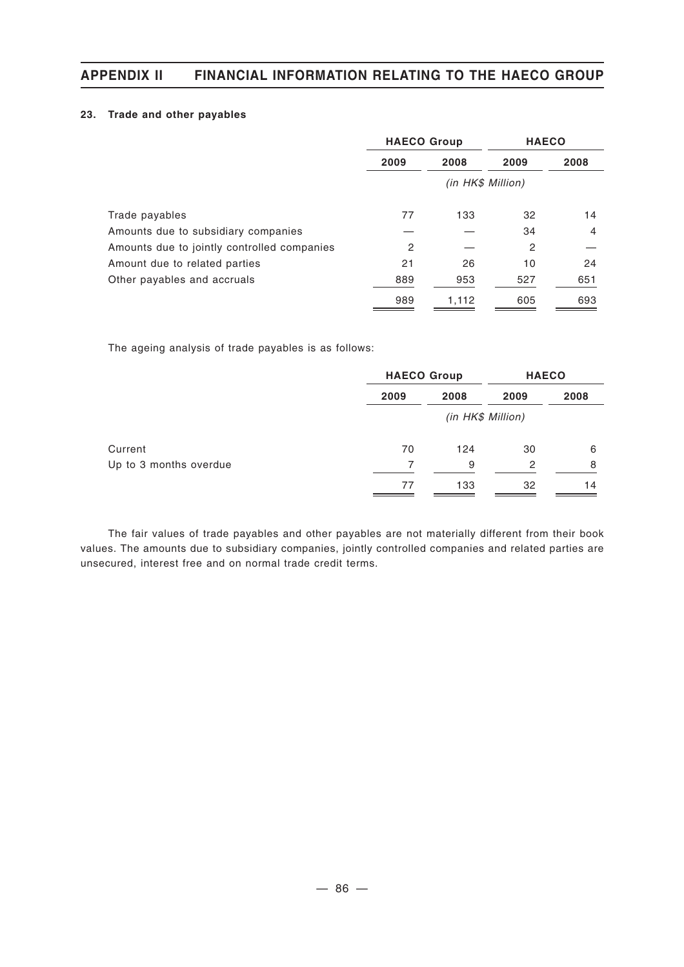### **23. Trade and other payables**

|                                             | <b>HAECO Group</b> |       | <b>HAECO</b>      |      |  |
|---------------------------------------------|--------------------|-------|-------------------|------|--|
|                                             | 2009               | 2008  | 2009              | 2008 |  |
|                                             |                    |       | (in HK\$ Million) |      |  |
| Trade payables                              | 77                 | 133   | 32                | 14   |  |
| Amounts due to subsidiary companies         |                    |       | 34                | 4    |  |
| Amounts due to jointly controlled companies | 2                  |       | $\overline{c}$    |      |  |
| Amount due to related parties               | 21                 | 26    | 10                | 24   |  |
| Other payables and accruals                 | 889                | 953   | 527               | 651  |  |
|                                             | 989                | 1,112 | 605               | 693  |  |

The ageing analysis of trade payables is as follows:

|                        | <b>HAECO Group</b> |                   | <b>HAECO</b> |      |  |  |
|------------------------|--------------------|-------------------|--------------|------|--|--|
|                        | 2009               | 2008              | 2009         | 2008 |  |  |
|                        |                    | (in HK\$ Million) |              |      |  |  |
| Current                | 70                 | 124               | 30           | 6    |  |  |
| Up to 3 months overdue | 7                  | 9                 | 2            | 8    |  |  |
|                        | 77                 | 133               | 32           | 14   |  |  |

The fair values of trade payables and other payables are not materially different from their book values. The amounts due to subsidiary companies, jointly controlled companies and related parties are unsecured, interest free and on normal trade credit terms.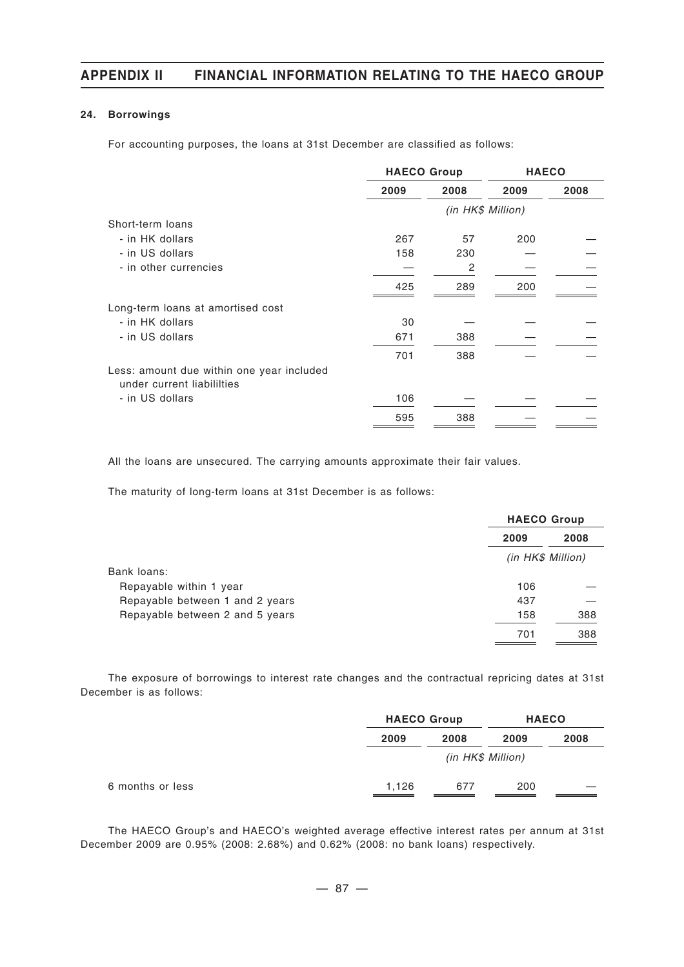### **24. Borrowings**

For accounting purposes, the loans at 31st December are classified as follows:

|                                                                         | <b>HAECO Group</b> |                   | <b>HAECO</b> |      |
|-------------------------------------------------------------------------|--------------------|-------------------|--------------|------|
|                                                                         | 2009               | 2008              | 2009         | 2008 |
|                                                                         |                    | (in HK\$ Million) |              |      |
| Short-term loans                                                        |                    |                   |              |      |
| - in HK dollars                                                         | 267                | 57                | 200          |      |
| - in US dollars                                                         | 158                | 230               |              |      |
| - in other currencies                                                   |                    | 2                 |              |      |
|                                                                         | 425                | 289               | 200          |      |
| Long-term loans at amortised cost                                       |                    |                   |              |      |
| - in HK dollars                                                         | 30                 |                   |              |      |
| - in US dollars                                                         | 671                | 388               |              |      |
|                                                                         | 701                | 388               |              |      |
| Less: amount due within one year included<br>under current liabililties |                    |                   |              |      |
| - in US dollars                                                         | 106                |                   |              |      |
|                                                                         | 595                | 388               |              |      |

All the loans are unsecured. The carrying amounts approximate their fair values.

The maturity of long-term loans at 31st December is as follows:

|                                 |                   | <b>HAECO Group</b> |  |  |
|---------------------------------|-------------------|--------------------|--|--|
|                                 | 2009              | 2008               |  |  |
|                                 | (in HK\$ Million) |                    |  |  |
| Bank loans:                     |                   |                    |  |  |
| Repayable within 1 year         | 106               |                    |  |  |
| Repayable between 1 and 2 years | 437               |                    |  |  |
| Repayable between 2 and 5 years | 158               | 388                |  |  |
|                                 | 701               | 388                |  |  |

The exposure of borrowings to interest rate changes and the contractual repricing dates at 31st December is as follows:

|       | <b>HAECO Group</b> |      | <b>HAECO</b> |  |
|-------|--------------------|------|--------------|--|
| 2009  | 2008               | 2009 | 2008         |  |
|       | (in HK\$ Million)  |      |              |  |
| 1,126 | 677                | 200  |              |  |

The HAECO Group's and HAECO's weighted average effective interest rates per annum at 31st December 2009 are 0.95% (2008: 2.68%) and 0.62% (2008: no bank loans) respectively.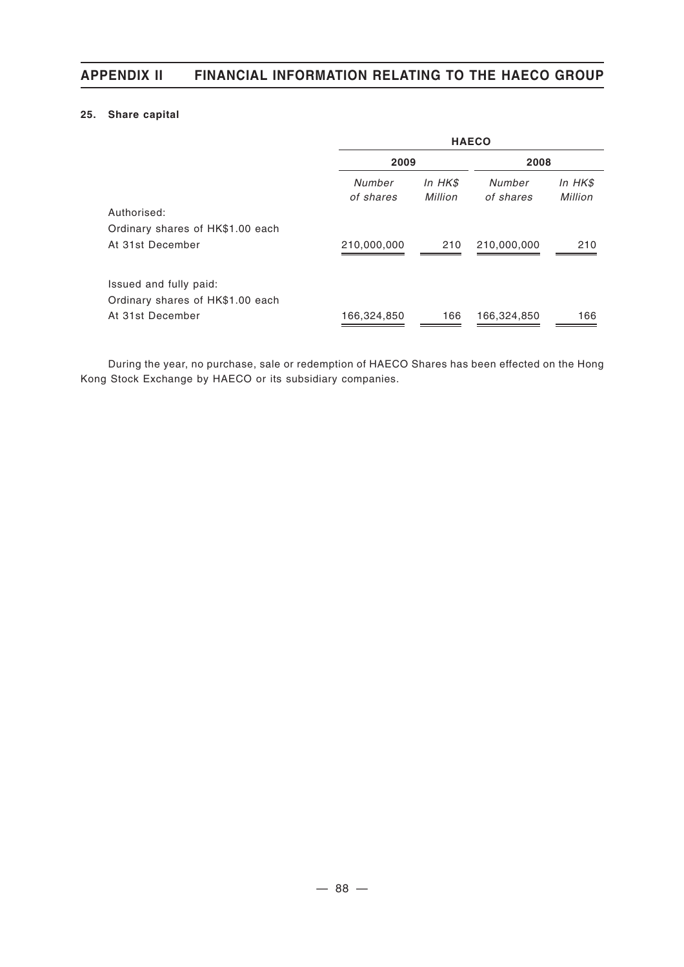### **25. Share capital**

|                                  | <b>HAECO</b>        |                    |                     |                    |  |  |  |
|----------------------------------|---------------------|--------------------|---------------------|--------------------|--|--|--|
|                                  | 2009                |                    | 2008                |                    |  |  |  |
|                                  | Number<br>of shares | In HK\$<br>Million | Number<br>of shares | In HK\$<br>Million |  |  |  |
| Authorised:                      |                     |                    |                     |                    |  |  |  |
| Ordinary shares of HK\$1.00 each |                     |                    |                     |                    |  |  |  |
| At 31st December                 | 210,000,000         | 210                | 210,000,000         | 210                |  |  |  |
| Issued and fully paid:           |                     |                    |                     |                    |  |  |  |
| Ordinary shares of HK\$1.00 each |                     |                    |                     |                    |  |  |  |
| At 31st December                 | 166,324,850         | 166                | 166,324,850         | 166                |  |  |  |

During the year, no purchase, sale or redemption of HAECO Shares has been effected on the Hong Kong Stock Exchange by HAECO or its subsidiary companies.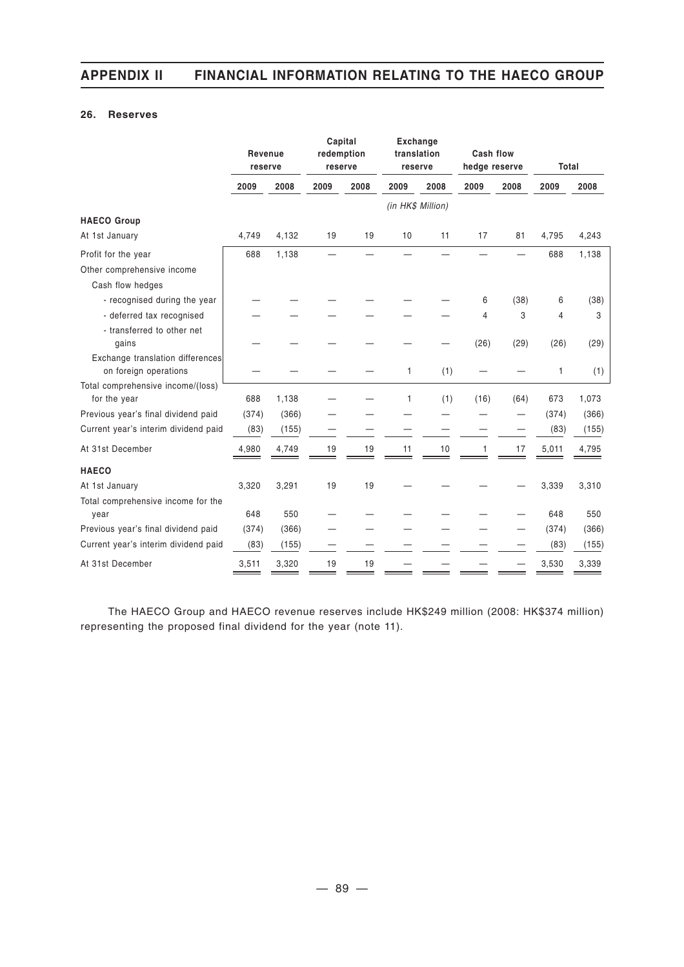### **26. Reserves**

|                                                           | Revenue<br>reserve |       | Capital<br>redemption<br>reserve |      | <b>Exchange</b><br>translation<br>reserve |      | Cash flow<br>hedge reserve |      | Total |       |
|-----------------------------------------------------------|--------------------|-------|----------------------------------|------|-------------------------------------------|------|----------------------------|------|-------|-------|
|                                                           | 2009               | 2008  | 2009                             | 2008 | 2009                                      | 2008 | 2009                       | 2008 | 2009  | 2008  |
|                                                           |                    |       |                                  |      | (in HK\$ Million)                         |      |                            |      |       |       |
| <b>HAECO Group</b>                                        |                    |       |                                  |      |                                           |      |                            |      |       |       |
| At 1st January                                            | 4,749              | 4,132 | 19                               | 19   | 10                                        | 11   | 17                         | 81   | 4,795 | 4,243 |
| Profit for the year                                       | 688                | 1,138 |                                  |      |                                           |      |                            |      | 688   | 1,138 |
| Other comprehensive income                                |                    |       |                                  |      |                                           |      |                            |      |       |       |
| Cash flow hedges                                          |                    |       |                                  |      |                                           |      |                            |      |       |       |
| - recognised during the year                              |                    |       |                                  |      |                                           |      | 6                          | (38) | 6     | (38)  |
| - deferred tax recognised                                 |                    |       |                                  |      |                                           |      | $\overline{4}$             | 3    | 4     | 3     |
| - transferred to other net<br>gains                       |                    |       |                                  |      |                                           |      | (26)                       | (29) | (26)  | (29)  |
| Exchange translation differences<br>on foreign operations |                    |       |                                  |      | 1                                         | (1)  |                            |      | 1     | (1)   |
| Total comprehensive income/(loss)                         |                    |       |                                  |      |                                           |      |                            |      |       |       |
| for the year                                              | 688                | 1,138 |                                  |      | 1                                         | (1)  | (16)                       | (64) | 673   | 1,073 |
| Previous year's final dividend paid                       | (374)              | (366) |                                  |      |                                           |      |                            |      | (374) | (366) |
| Current year's interim dividend paid                      | (83)               | (155) |                                  |      |                                           |      |                            | —    | (83)  | (155) |
| At 31st December                                          | 4,980              | 4,749 | 19                               | 19   | 11                                        | 10   | 1                          | 17   | 5,011 | 4,795 |
| <b>HAECO</b>                                              |                    |       |                                  |      |                                           |      |                            |      |       |       |
| At 1st January                                            | 3,320              | 3,291 | 19                               | 19   |                                           |      |                            |      | 3,339 | 3,310 |
| Total comprehensive income for the<br>year                | 648                | 550   |                                  |      |                                           |      |                            |      | 648   | 550   |
| Previous year's final dividend paid                       | (374)              | (366) |                                  |      |                                           |      |                            |      | (374) | (366) |
| Current year's interim dividend paid                      | (83)               | (155) |                                  |      |                                           |      |                            |      | (83)  | (155) |
| At 31st December                                          | 3,511              | 3,320 | 19                               | 19   |                                           |      |                            |      | 3,530 | 3,339 |

The HAECO Group and HAECO revenue reserves include HK\$249 million (2008: HK\$374 million) representing the proposed final dividend for the year (note 11).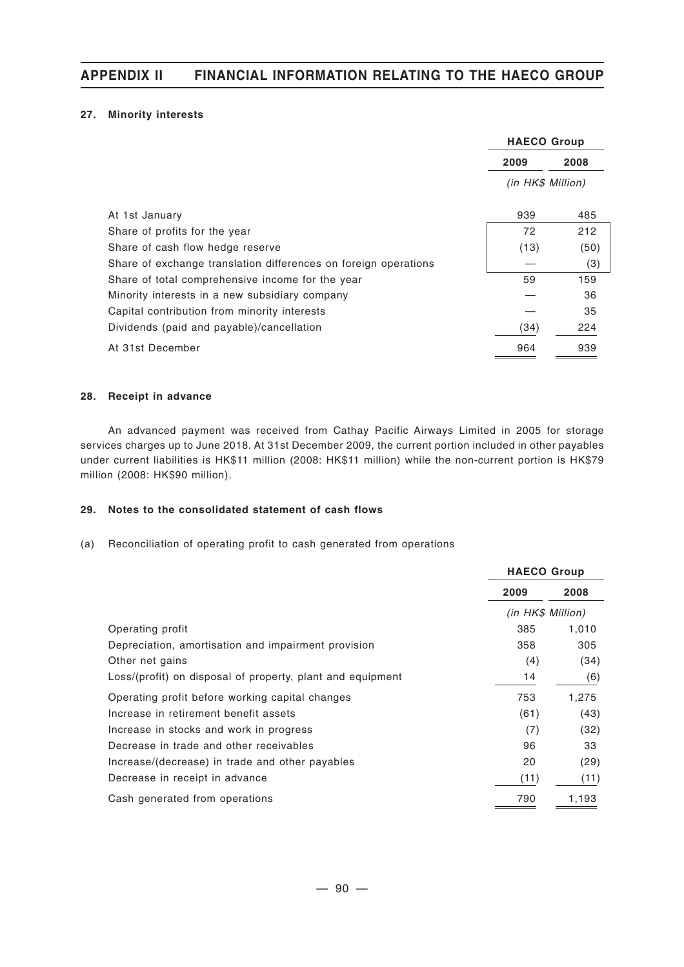### **27. Minority interests**

|                                                                 | <b>HAECO Group</b> |      |  |
|-----------------------------------------------------------------|--------------------|------|--|
|                                                                 | 2009               | 2008 |  |
|                                                                 | (in HK\$ Million)  |      |  |
| At 1st January                                                  | 939                | 485  |  |
| Share of profits for the year                                   | 72                 | 212  |  |
| Share of cash flow hedge reserve                                | (13)               | (50) |  |
| Share of exchange translation differences on foreign operations |                    | (3)  |  |
| Share of total comprehensive income for the year                | 59                 | 159  |  |
| Minority interests in a new subsidiary company                  |                    | 36   |  |
| Capital contribution from minority interests                    |                    | 35   |  |
| Dividends (paid and payable)/cancellation                       | (34)               | 224  |  |
| At 31st December                                                | 964                | 939  |  |

#### **28. Receipt in advance**

An advanced payment was received from Cathay Pacific Airways Limited in 2005 for storage services charges up to June 2018. At 31st December 2009, the current portion included in other payables under current liabilities is HK\$11 million (2008: HK\$11 million) while the non-current portion is HK\$79 million (2008: HK\$90 million).

### **29. Notes to the consolidated statement of cash flows**

(a) Reconciliation of operating profit to cash generated from operations

|                                                            | <b>HAECO Group</b> |       |  |
|------------------------------------------------------------|--------------------|-------|--|
|                                                            | 2009               | 2008  |  |
|                                                            | (in HK\$ Million)  |       |  |
| Operating profit                                           | 385                | 1,010 |  |
| Depreciation, amortisation and impairment provision        | 358                | 305   |  |
| Other net gains                                            | (4)                | (34)  |  |
| Loss/(profit) on disposal of property, plant and equipment | 14                 | (6)   |  |
| Operating profit before working capital changes            | 753                | 1,275 |  |
| Increase in retirement benefit assets                      | (61)               | (43)  |  |
| Increase in stocks and work in progress                    | (7)                | (32)  |  |
| Decrease in trade and other receivables                    | 96                 | 33    |  |
| Increase/(decrease) in trade and other payables            | 20                 | (29)  |  |
| Decrease in receipt in advance                             | (11)               | (11)  |  |
| Cash generated from operations                             | 790                | 1,193 |  |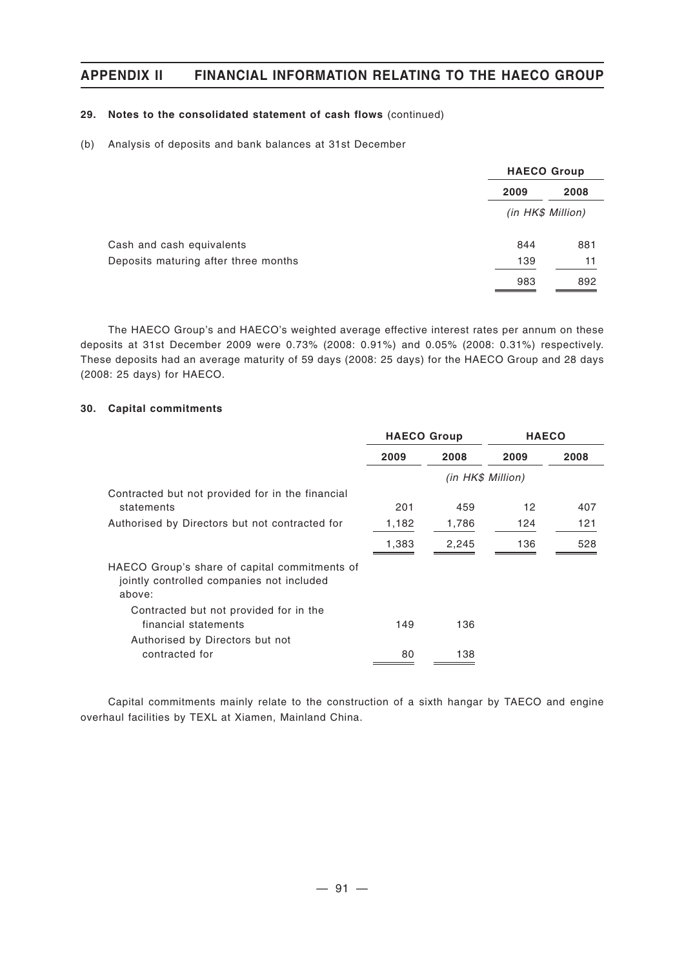### **29. Notes to the consolidated statement of cash flows** (continued)

#### (b) Analysis of deposits and bank balances at 31st December

|                                      |                   | <b>HAECO Group</b> |  |  |
|--------------------------------------|-------------------|--------------------|--|--|
|                                      | 2009              | 2008               |  |  |
|                                      | (in HK\$ Million) |                    |  |  |
| Cash and cash equivalents            | 844               | 881                |  |  |
| Deposits maturing after three months | 139               | 11                 |  |  |
|                                      | 983               | 892                |  |  |

The HAECO Group's and HAECO's weighted average effective interest rates per annum on these deposits at 31st December 2009 were 0.73% (2008: 0.91%) and 0.05% (2008: 0.31%) respectively. These deposits had an average maturity of 59 days (2008: 25 days) for the HAECO Group and 28 days (2008: 25 days) for HAECO.

#### **30. Capital commitments**

|                                                                                                      | <b>HAECO Group</b> |                   | <b>HAECO</b> |      |
|------------------------------------------------------------------------------------------------------|--------------------|-------------------|--------------|------|
|                                                                                                      | 2009<br>2008       |                   | 2009         | 2008 |
|                                                                                                      |                    | (in HK\$ Million) |              |      |
| Contracted but not provided for in the financial<br>statements                                       | 201                | 459               | 12           | 407  |
| Authorised by Directors but not contracted for                                                       | 1,182              | 1,786             | 124          | 121  |
|                                                                                                      | 1,383              | 2,245             | 136          | 528  |
| HAECO Group's share of capital commitments of<br>jointly controlled companies not included<br>above: |                    |                   |              |      |
| Contracted but not provided for in the<br>financial statements                                       | 149                | 136               |              |      |
| Authorised by Directors but not<br>contracted for                                                    | 80                 | 138               |              |      |

Capital commitments mainly relate to the construction of a sixth hangar by TAECO and engine overhaul facilities by TEXL at Xiamen, Mainland China.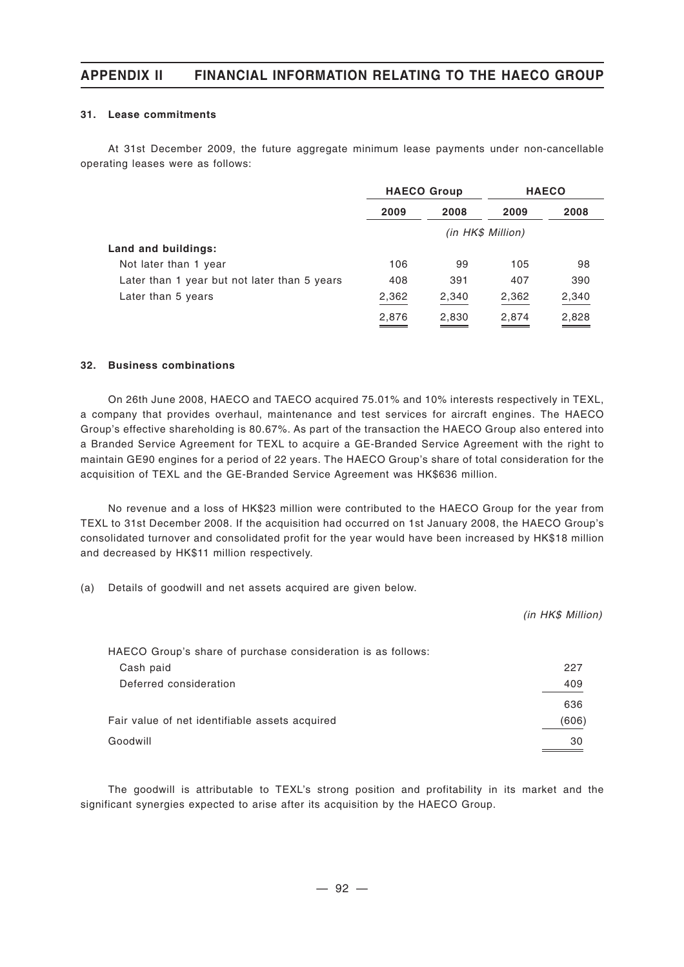#### **31. Lease commitments**

At 31st December 2009, the future aggregate minimum lease payments under non-cancellable operating leases were as follows:

|                                              | <b>HAECO Group</b> |       | <b>HAECO</b> |       |
|----------------------------------------------|--------------------|-------|--------------|-------|
|                                              | 2009               | 2008  | 2009         | 2008  |
|                                              | (in HK\$ Million)  |       |              |       |
| Land and buildings:                          |                    |       |              |       |
| Not later than 1 year                        | 106                | 99    | 105          | 98    |
| Later than 1 year but not later than 5 years | 408                | 391   | 407          | 390   |
| Later than 5 years                           | 2,362              | 2,340 | 2,362        | 2,340 |
|                                              | 2,876              | 2,830 | 2,874        | 2,828 |

#### **32. Business combinations**

On 26th June 2008, HAECO and TAECO acquired 75.01% and 10% interests respectively in TEXL, a company that provides overhaul, maintenance and test services for aircraft engines. The HAECO Group's effective shareholding is 80.67%. As part of the transaction the HAECO Group also entered into a Branded Service Agreement for TEXL to acquire a GE-Branded Service Agreement with the right to maintain GE90 engines for a period of 22 years. The HAECO Group's share of total consideration for the acquisition of TEXL and the GE-Branded Service Agreement was HK\$636 million.

No revenue and a loss of HK\$23 million were contributed to the HAECO Group for the year from TEXL to 31st December 2008. If the acquisition had occurred on 1st January 2008, the HAECO Group's consolidated turnover and consolidated profit for the year would have been increased by HK\$18 million and decreased by HK\$11 million respectively.

(a) Details of goodwill and net assets acquired are given below.

|                                                              | (in HK\$ Million) |
|--------------------------------------------------------------|-------------------|
| HAECO Group's share of purchase consideration is as follows: |                   |
| Cash paid                                                    | 227               |
| Deferred consideration                                       | 409               |
|                                                              | 636               |
| Fair value of net identifiable assets acquired               | (606)             |
| Goodwill                                                     | 30                |

The goodwill is attributable to TEXL's strong position and profitability in its market and the significant synergies expected to arise after its acquisition by the HAECO Group.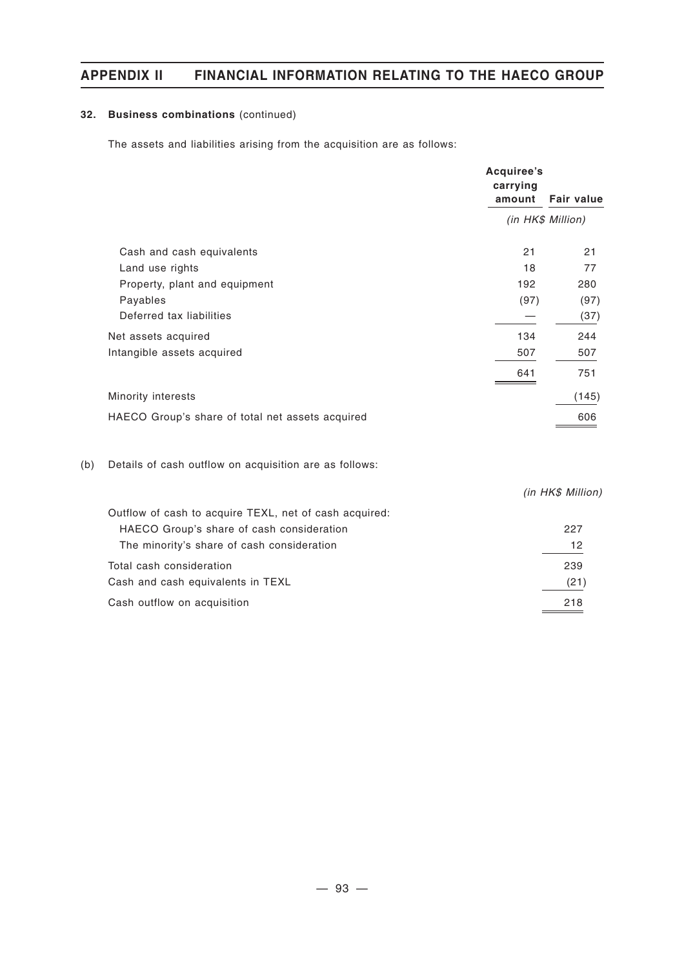### **32. Business combinations** (continued)

The assets and liabilities arising from the acquisition are as follows:

|     |                                                        | Acquiree's<br>carrying<br>amount | <b>Fair value</b> |
|-----|--------------------------------------------------------|----------------------------------|-------------------|
|     |                                                        | (in HK\$ Million)                |                   |
|     | Cash and cash equivalents                              | 21                               | 21                |
|     | Land use rights                                        | 18                               | 77                |
|     | Property, plant and equipment                          | 192                              | 280               |
|     | Payables                                               | (97)                             | (97)              |
|     | Deferred tax liabilities                               |                                  | (37)              |
|     | Net assets acquired                                    | 134                              | 244               |
|     | Intangible assets acquired                             | 507                              | 507               |
|     |                                                        | 641                              | 751               |
|     | Minority interests                                     |                                  | (145)             |
|     | HAECO Group's share of total net assets acquired       |                                  | 606               |
| (b) | Details of cash outflow on acquisition are as follows: |                                  |                   |
|     |                                                        |                                  | (in HK\$ Million) |
|     | Outflow of cash to acquire TEXL, net of cash acquired: |                                  |                   |
|     | HAECO Group's share of cash consideration              |                                  | 227               |
|     | The minority's share of cash consideration             |                                  | 12                |
|     | Total cash consideration                               |                                  | 239               |
|     | Cash and cash equivalents in TEXL                      |                                  | (21)              |

Cash outflow on acquisition 218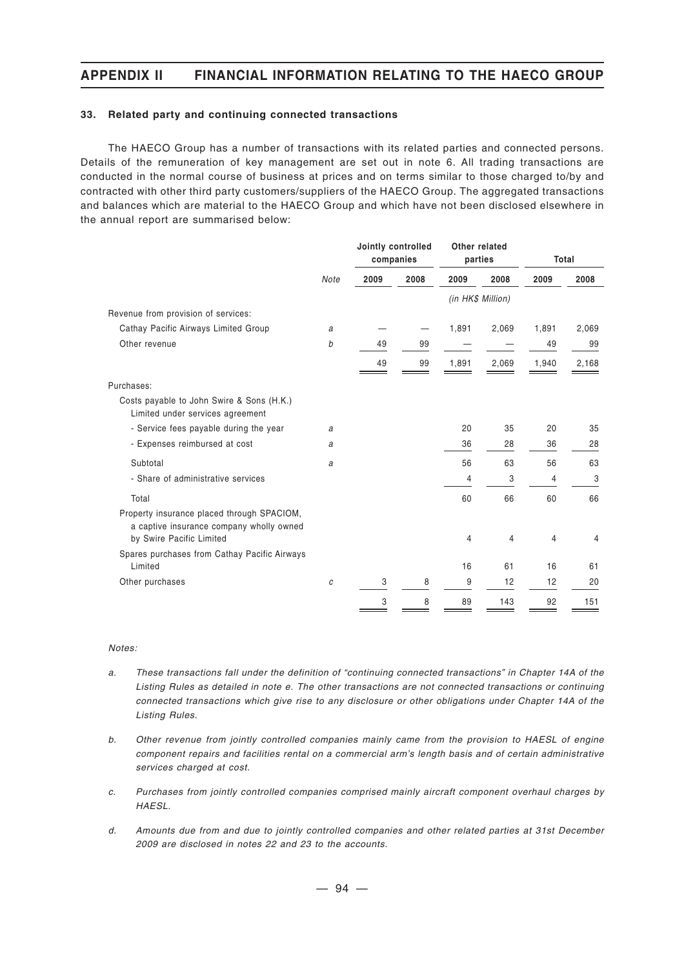#### **33. Related party and continuing connected transactions**

The HAECO Group has a number of transactions with its related parties and connected persons. Details of the remuneration of key management are set out in note 6. All trading transactions are conducted in the normal course of business at prices and on terms similar to those charged to/by and contracted with other third party customers/suppliers of the HAECO Group. The aggregated transactions and balances which are material to the HAECO Group and which have not been disclosed elsewhere in the annual report are summarised below:

|                                                                                                                    |      | Jointly controlled<br>companies |      | Other related<br>parties |       | Total |       |
|--------------------------------------------------------------------------------------------------------------------|------|---------------------------------|------|--------------------------|-------|-------|-------|
|                                                                                                                    | Note | 2009                            | 2008 | 2009                     | 2008  | 2009  | 2008  |
|                                                                                                                    |      |                                 |      | (in HK\$ Million)        |       |       |       |
| Revenue from provision of services:                                                                                |      |                                 |      |                          |       |       |       |
| Cathay Pacific Airways Limited Group                                                                               | a    |                                 |      | 1,891                    | 2,069 | 1,891 | 2,069 |
| Other revenue                                                                                                      | b    | 49                              | 99   |                          |       | 49    | 99    |
|                                                                                                                    |      | 49                              | 99   | 1,891                    | 2,069 | 1,940 | 2,168 |
| Purchases:                                                                                                         |      |                                 |      |                          |       |       |       |
| Costs payable to John Swire & Sons (H.K.)<br>Limited under services agreement                                      |      |                                 |      |                          |       |       |       |
| - Service fees payable during the year                                                                             | a    |                                 |      | 20                       | 35    | 20    | 35    |
| - Expenses reimbursed at cost                                                                                      | a    |                                 |      | 36                       | 28    | 36    | 28    |
| Subtotal                                                                                                           | a    |                                 |      | 56                       | 63    | 56    | 63    |
| - Share of administrative services                                                                                 |      |                                 |      | 4                        | 3     | 4     | 3     |
| Total                                                                                                              |      |                                 |      | 60                       | 66    | 60    | 66    |
| Property insurance placed through SPACIOM,<br>a captive insurance company wholly owned<br>by Swire Pacific Limited |      |                                 |      | 4                        | 4     | 4     | 4     |
| Spares purchases from Cathay Pacific Airways                                                                       |      |                                 |      |                          |       |       |       |
| Limited                                                                                                            |      |                                 |      | 16                       | 61    | 16    | 61    |
| Other purchases                                                                                                    | С    | 3                               | 8    | 9                        | 12    | 12    | 20    |
|                                                                                                                    |      | 3                               | 8    | 89                       | 143   | 92    | 151   |

#### *Notes:*

- *a. These transactions fall under the definition of "continuing connected transactions" in Chapter 14A of the Listing Rules as detailed in note e. The other transactions are not connected transactions or continuing connected transactions which give rise to any disclosure or other obligations under Chapter 14A of the Listing Rules.*
- *b. Other revenue from jointly controlled companies mainly came from the provision to HAESL of engine component repairs and facilities rental on a commercial arm's length basis and of certain administrative services charged at cost.*
- *c. Purchases from jointly controlled companies comprised mainly aircraft component overhaul charges by HAESL.*
- *d. Amounts due from and due to jointly controlled companies and other related parties at 31st December 2009 are disclosed in notes 22 and 23 to the accounts.*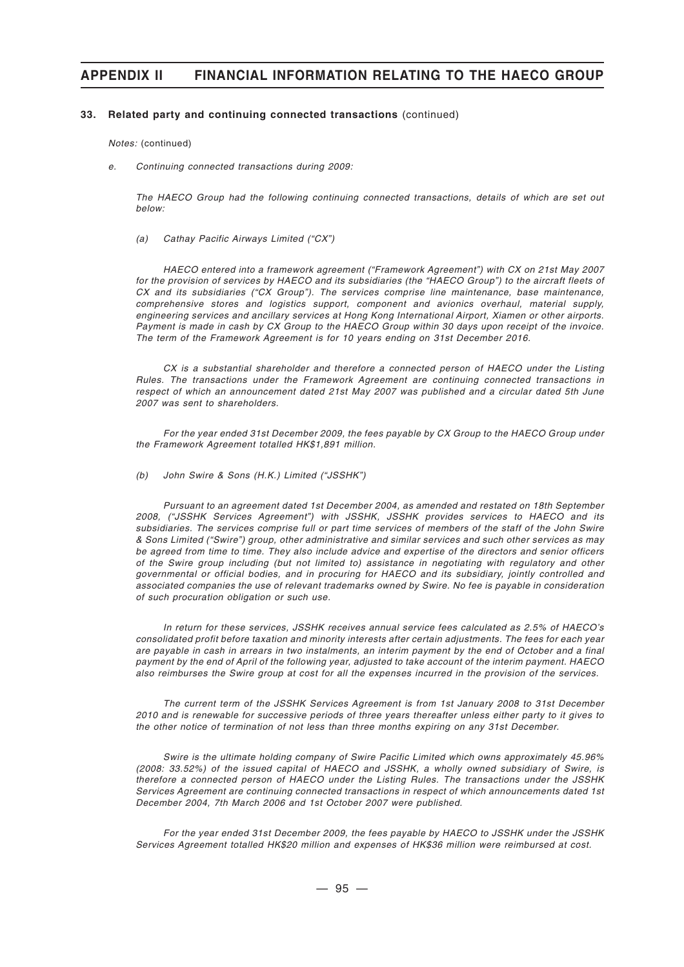#### **33. Related party and continuing connected transactions** (continued)

*Notes:* (continued)

*e. Continuing connected transactions during 2009:*

*The HAECO Group had the following continuing connected transactions, details of which are set out below:*

*(a) Cathay Pacific Airways Limited ("CX")*

*HAECO entered into a framework agreement ("Framework Agreement") with CX on 21st May 2007 for the provision of services by HAECO and its subsidiaries (the "HAECO Group") to the aircraft fleets of CX and its subsidiaries ("CX Group"). The services comprise line maintenance, base maintenance, comprehensive stores and logistics support, component and avionics overhaul, material supply, engineering services and ancillary services at Hong Kong International Airport, Xiamen or other airports. Payment is made in cash by CX Group to the HAECO Group within 30 days upon receipt of the invoice. The term of the Framework Agreement is for 10 years ending on 31st December 2016.*

*CX is a substantial shareholder and therefore a connected person of HAECO under the Listing Rules. The transactions under the Framework Agreement are continuing connected transactions in respect of which an announcement dated 21st May 2007 was published and a circular dated 5th June 2007 was sent to shareholders.*

*For the year ended 31st December 2009, the fees payable by CX Group to the HAECO Group under the Framework Agreement totalled HK\$1,891 million.*

*(b) John Swire & Sons (H.K.) Limited ("JSSHK")*

*Pursuant to an agreement dated 1st December 2004, as amended and restated on 18th September 2008, ("JSSHK Services Agreement") with JSSHK, JSSHK provides services to HAECO and its subsidiaries. The services comprise full or part time services of members of the staff of the John Swire & Sons Limited ("Swire") group, other administrative and similar services and such other services as may be agreed from time to time. They also include advice and expertise of the directors and senior officers of the Swire group including (but not limited to) assistance in negotiating with regulatory and other governmental or official bodies, and in procuring for HAECO and its subsidiary, jointly controlled and associated companies the use of relevant trademarks owned by Swire. No fee is payable in consideration of such procuration obligation or such use.*

*In return for these services, JSSHK receives annual service fees calculated as 2.5% of HAECO's consolidated profit before taxation and minority interests after certain adjustments. The fees for each year are payable in cash in arrears in two instalments, an interim payment by the end of October and a final payment by the end of April of the following year, adjusted to take account of the interim payment. HAECO also reimburses the Swire group at cost for all the expenses incurred in the provision of the services.*

*The current term of the JSSHK Services Agreement is from 1st January 2008 to 31st December 2010 and is renewable for successive periods of three years thereafter unless either party to it gives to the other notice of termination of not less than three months expiring on any 31st December.*

*Swire is the ultimate holding company of Swire Pacific Limited which owns approximately 45.96% (2008: 33.52%) of the issued capital of HAECO and JSSHK, a wholly owned subsidiary of Swire, is therefore a connected person of HAECO under the Listing Rules. The transactions under the JSSHK Services Agreement are continuing connected transactions in respect of which announcements dated 1st December 2004, 7th March 2006 and 1st October 2007 were published.*

*For the year ended 31st December 2009, the fees payable by HAECO to JSSHK under the JSSHK Services Agreement totalled HK\$20 million and expenses of HK\$36 million were reimbursed at cost.*

 $-95 -$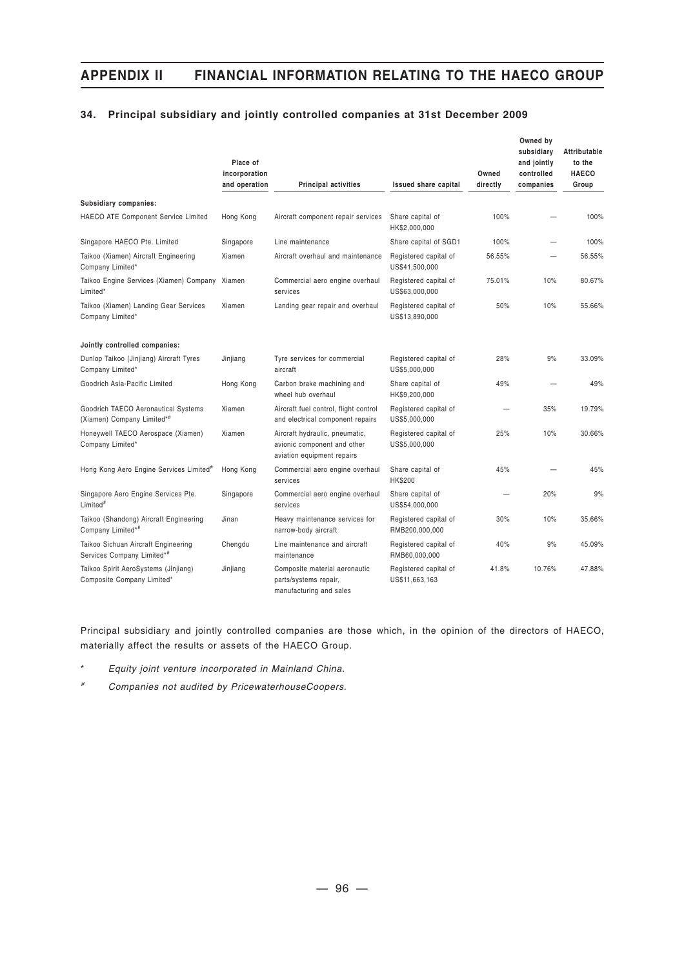### **34. Principal subsidiary and jointly controlled companies at 31st December 2009**

|                                                                    | Place of<br>incorporation<br>and operation | <b>Principal activities</b>                                                                 | <b>Issued share capital</b>             | Owned<br>directly | Owned by<br>subsidiary<br>and jointly<br>controlled<br>companies | Attributable<br>to the<br><b>HAECO</b><br>Group |
|--------------------------------------------------------------------|--------------------------------------------|---------------------------------------------------------------------------------------------|-----------------------------------------|-------------------|------------------------------------------------------------------|-------------------------------------------------|
| Subsidiary companies:                                              |                                            |                                                                                             |                                         |                   |                                                                  |                                                 |
| <b>HAECO ATE Component Service Limited</b>                         | Hong Kong                                  | Aircraft component repair services                                                          | Share capital of<br>HK\$2,000,000       | 100%              |                                                                  | 100%                                            |
| Singapore HAECO Pte. Limited                                       | Singapore                                  | Line maintenance                                                                            | Share capital of SGD1                   | 100%              | —                                                                | 100%                                            |
| Taikoo (Xiamen) Aircraft Engineering<br>Company Limited*           | Xiamen                                     | Aircraft overhaul and maintenance                                                           | Registered capital of<br>US\$41,500,000 | 56.55%            |                                                                  | 56.55%                                          |
| Taikoo Engine Services (Xiamen) Company Xiamen<br>Limited*         |                                            | Commercial aero engine overhaul<br>services                                                 | Registered capital of<br>US\$63,000,000 | 75.01%            | 10%                                                              | 80.67%                                          |
| Taikoo (Xiamen) Landing Gear Services<br>Company Limited*          | Xiamen                                     | Landing gear repair and overhaul                                                            | Registered capital of<br>US\$13,890,000 | 50%               | 10%                                                              | 55.66%                                          |
| Jointly controlled companies:                                      |                                            |                                                                                             |                                         |                   |                                                                  |                                                 |
| Dunlop Taikoo (Jinjiang) Aircraft Tyres<br>Company Limited*        | Jinjiang                                   | Tyre services for commercial<br>aircraft                                                    | Registered capital of<br>US\$5,000,000  | 28%               | 9%                                                               | 33.09%                                          |
| Goodrich Asia-Pacific Limited                                      | Hong Kong                                  | Carbon brake machining and<br>wheel hub overhaul                                            | Share capital of<br>HK\$9,200,000       | 49%               |                                                                  | 49%                                             |
| Goodrich TAECO Aeronautical Systems<br>(Xiamen) Company Limited*#  | Xiamen                                     | Aircraft fuel control, flight control<br>and electrical component repairs                   | Registered capital of<br>US\$5,000,000  |                   | 35%                                                              | 19.79%                                          |
| Honeywell TAECO Aerospace (Xiamen)<br>Company Limited*             | Xiamen                                     | Aircraft hydraulic, pneumatic,<br>avionic component and other<br>aviation equipment repairs | Registered capital of<br>US\$5,000,000  | 25%               | 10%                                                              | 30.66%                                          |
| Hong Kong Aero Engine Services Limited <sup>#</sup>                | Hong Kong                                  | Commercial aero engine overhaul<br>services                                                 | Share capital of<br>HK\$200             | 45%               |                                                                  | 45%                                             |
| Singapore Aero Engine Services Pte.<br>Limited <sup>#</sup>        | Singapore                                  | Commercial aero engine overhaul<br>services                                                 | Share capital of<br>US\$54,000,000      |                   | 20%                                                              | 9%                                              |
| Taikoo (Shandong) Aircraft Engineering<br>Company Limited*#        | Jinan                                      | Heavy maintenance services for<br>narrow-body aircraft                                      | Registered capital of<br>RMB200,000,000 | 30%               | 10%                                                              | 35.66%                                          |
| Taikoo Sichuan Aircraft Engineering<br>Services Company Limited*#  | Chengdu                                    | Line maintenance and aircraft<br>maintenance                                                | Registered capital of<br>RMB60,000,000  | 40%               | 9%                                                               | 45.09%                                          |
| Taikoo Spirit AeroSystems (Jinjiang)<br>Composite Company Limited* | Jinjiang                                   | Composite material aeronautic<br>parts/systems repair,<br>manufacturing and sales           | Registered capital of<br>US\$11,663,163 | 41.8%             | 10.76%                                                           | 47.88%                                          |

Principal subsidiary and jointly controlled companies are those which, in the opinion of the directors of HAECO, materially affect the results or assets of the HAECO Group.

\* *Equity joint venture incorporated in Mainland China.*

*# Companies not audited by PricewaterhouseCoopers.*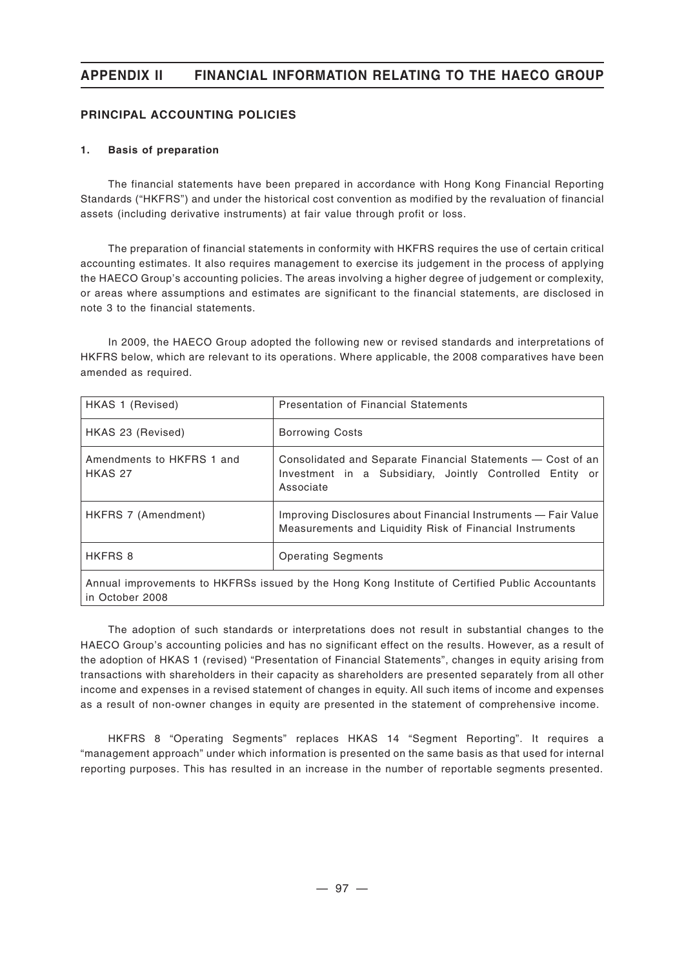### **PRINCIPAL ACCOUNTING POLICIES**

### **1. Basis of preparation**

The financial statements have been prepared in accordance with Hong Kong Financial Reporting Standards ("HKFRS") and under the historical cost convention as modified by the revaluation of financial assets (including derivative instruments) at fair value through profit or loss.

The preparation of financial statements in conformity with HKFRS requires the use of certain critical accounting estimates. It also requires management to exercise its judgement in the process of applying the HAECO Group's accounting policies. The areas involving a higher degree of judgement or complexity, or areas where assumptions and estimates are significant to the financial statements, are disclosed in note 3 to the financial statements.

In 2009, the HAECO Group adopted the following new or revised standards and interpretations of HKFRS below, which are relevant to its operations. Where applicable, the 2008 comparatives have been amended as required.

| HKAS 1 (Revised)                     | <b>Presentation of Financial Statements</b>                                                                                          |  |  |
|--------------------------------------|--------------------------------------------------------------------------------------------------------------------------------------|--|--|
| HKAS 23 (Revised)                    | <b>Borrowing Costs</b>                                                                                                               |  |  |
| Amendments to HKFRS 1 and<br>HKAS 27 | Consolidated and Separate Financial Statements – Cost of an<br>Investment in a Subsidiary, Jointly Controlled Entity or<br>Associate |  |  |
| HKFRS 7 (Amendment)                  | Improving Disclosures about Financial Instruments - Fair Value<br>Measurements and Liquidity Risk of Financial Instruments           |  |  |
| <b>HKFRS 8</b>                       | <b>Operating Segments</b>                                                                                                            |  |  |
|                                      |                                                                                                                                      |  |  |

Annual improvements to HKFRSs issued by the Hong Kong Institute of Certified Public Accountants in October 2008

The adoption of such standards or interpretations does not result in substantial changes to the HAECO Group's accounting policies and has no significant effect on the results. However, as a result of the adoption of HKAS 1 (revised) "Presentation of Financial Statements", changes in equity arising from transactions with shareholders in their capacity as shareholders are presented separately from all other income and expenses in a revised statement of changes in equity. All such items of income and expenses as a result of non-owner changes in equity are presented in the statement of comprehensive income.

HKFRS 8 "Operating Segments" replaces HKAS 14 "Segment Reporting". It requires a "management approach" under which information is presented on the same basis as that used for internal reporting purposes. This has resulted in an increase in the number of reportable segments presented.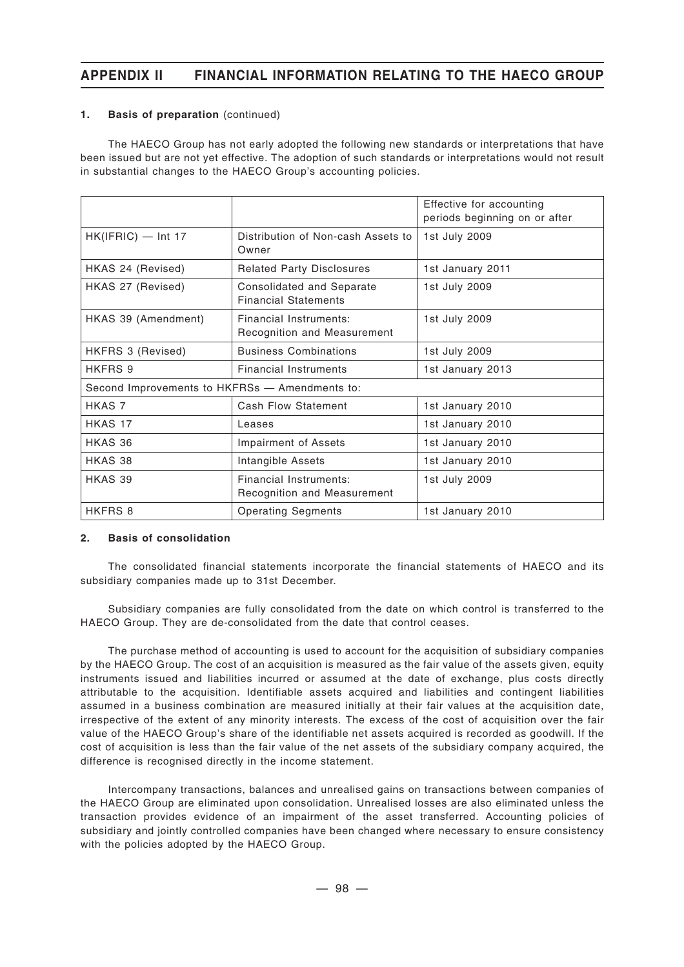### **1. Basis of preparation** (continued)

The HAECO Group has not early adopted the following new standards or interpretations that have been issued but are not yet effective. The adoption of such standards or interpretations would not result in substantial changes to the HAECO Group's accounting policies.

|                                                |                                                          | Effective for accounting<br>periods beginning on or after |
|------------------------------------------------|----------------------------------------------------------|-----------------------------------------------------------|
| $HK(IFRIC)$ — Int 17                           | Distribution of Non-cash Assets to<br>Owner              | 1st July 2009                                             |
| HKAS 24 (Revised)                              | <b>Related Party Disclosures</b>                         | 1st January 2011                                          |
| HKAS 27 (Revised)                              | Consolidated and Separate<br><b>Financial Statements</b> | 1st July 2009                                             |
| HKAS 39 (Amendment)                            | Financial Instruments:<br>Recognition and Measurement    | 1st July 2009                                             |
| HKFRS 3 (Revised)                              | <b>Business Combinations</b>                             | 1st July 2009                                             |
| HKFRS 9                                        | <b>Financial Instruments</b>                             | 1st January 2013                                          |
| Second Improvements to HKFRSs - Amendments to: |                                                          |                                                           |
| HKAS 7                                         | <b>Cash Flow Statement</b>                               | 1st January 2010                                          |
| HKAS 17                                        | Leases                                                   | 1st January 2010                                          |
| HKAS 36                                        | Impairment of Assets                                     | 1st January 2010                                          |
| HKAS 38                                        | Intangible Assets                                        | 1st January 2010                                          |
| HKAS 39                                        | Financial Instruments:<br>Recognition and Measurement    | 1st July 2009                                             |
| HKFRS 8                                        | <b>Operating Segments</b>                                | 1st January 2010                                          |

#### **2. Basis of consolidation**

The consolidated financial statements incorporate the financial statements of HAECO and its subsidiary companies made up to 31st December.

Subsidiary companies are fully consolidated from the date on which control is transferred to the HAECO Group. They are de-consolidated from the date that control ceases.

The purchase method of accounting is used to account for the acquisition of subsidiary companies by the HAECO Group. The cost of an acquisition is measured as the fair value of the assets given, equity instruments issued and liabilities incurred or assumed at the date of exchange, plus costs directly attributable to the acquisition. Identifiable assets acquired and liabilities and contingent liabilities assumed in a business combination are measured initially at their fair values at the acquisition date, irrespective of the extent of any minority interests. The excess of the cost of acquisition over the fair value of the HAECO Group's share of the identifiable net assets acquired is recorded as goodwill. If the cost of acquisition is less than the fair value of the net assets of the subsidiary company acquired, the difference is recognised directly in the income statement.

Intercompany transactions, balances and unrealised gains on transactions between companies of the HAECO Group are eliminated upon consolidation. Unrealised losses are also eliminated unless the transaction provides evidence of an impairment of the asset transferred. Accounting policies of subsidiary and jointly controlled companies have been changed where necessary to ensure consistency with the policies adopted by the HAECO Group.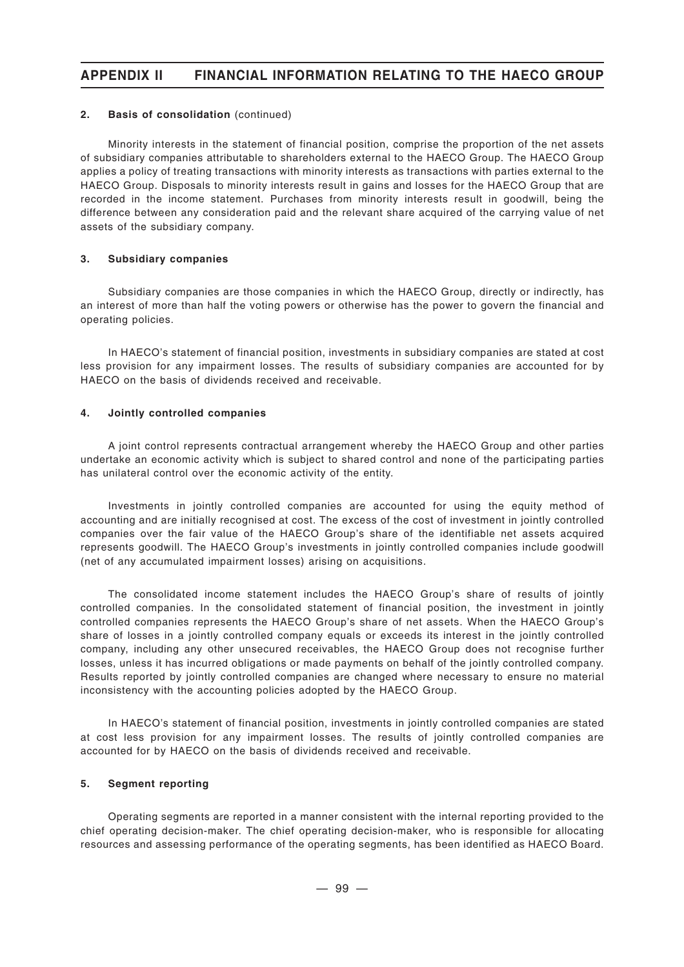#### **2. Basis of consolidation** (continued)

Minority interests in the statement of financial position, comprise the proportion of the net assets of subsidiary companies attributable to shareholders external to the HAECO Group. The HAECO Group applies a policy of treating transactions with minority interests as transactions with parties external to the HAECO Group. Disposals to minority interests result in gains and losses for the HAECO Group that are recorded in the income statement. Purchases from minority interests result in goodwill, being the difference between any consideration paid and the relevant share acquired of the carrying value of net assets of the subsidiary company.

### **3. Subsidiary companies**

Subsidiary companies are those companies in which the HAECO Group, directly or indirectly, has an interest of more than half the voting powers or otherwise has the power to govern the financial and operating policies.

In HAECO's statement of financial position, investments in subsidiary companies are stated at cost less provision for any impairment losses. The results of subsidiary companies are accounted for by HAECO on the basis of dividends received and receivable.

### **4. Jointly controlled companies**

A joint control represents contractual arrangement whereby the HAECO Group and other parties undertake an economic activity which is subject to shared control and none of the participating parties has unilateral control over the economic activity of the entity.

Investments in jointly controlled companies are accounted for using the equity method of accounting and are initially recognised at cost. The excess of the cost of investment in jointly controlled companies over the fair value of the HAECO Group's share of the identifiable net assets acquired represents goodwill. The HAECO Group's investments in jointly controlled companies include goodwill (net of any accumulated impairment losses) arising on acquisitions.

The consolidated income statement includes the HAECO Group's share of results of jointly controlled companies. In the consolidated statement of financial position, the investment in jointly controlled companies represents the HAECO Group's share of net assets. When the HAECO Group's share of losses in a jointly controlled company equals or exceeds its interest in the jointly controlled company, including any other unsecured receivables, the HAECO Group does not recognise further losses, unless it has incurred obligations or made payments on behalf of the jointly controlled company. Results reported by jointly controlled companies are changed where necessary to ensure no material inconsistency with the accounting policies adopted by the HAECO Group.

In HAECO's statement of financial position, investments in jointly controlled companies are stated at cost less provision for any impairment losses. The results of jointly controlled companies are accounted for by HAECO on the basis of dividends received and receivable.

### **5. Segment reporting**

Operating segments are reported in a manner consistent with the internal reporting provided to the chief operating decision-maker. The chief operating decision-maker, who is responsible for allocating resources and assessing performance of the operating segments, has been identified as HAECO Board.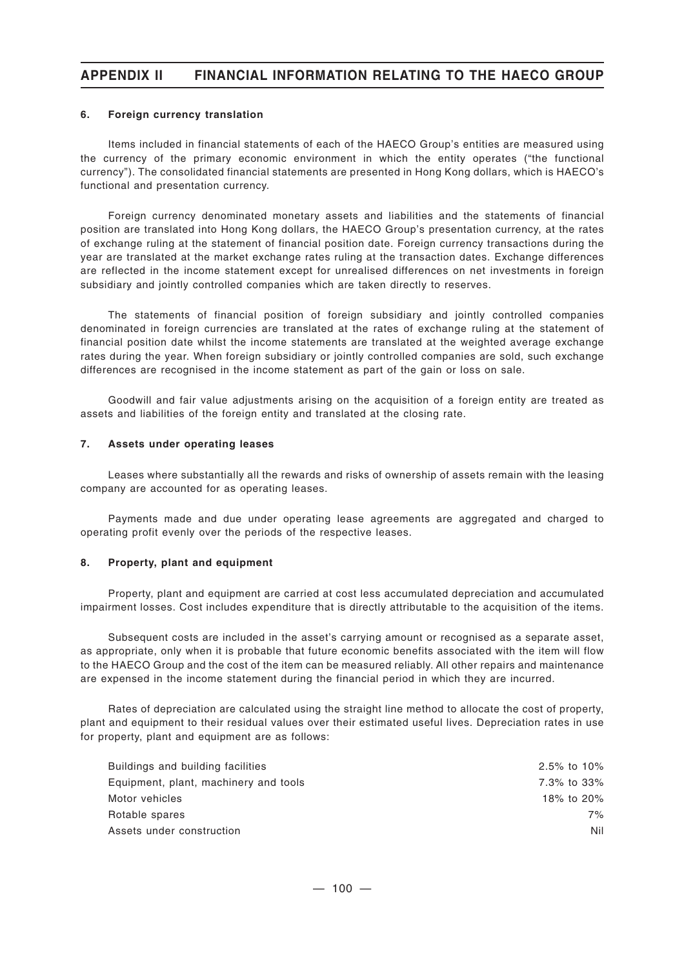#### **6. Foreign currency translation**

Items included in financial statements of each of the HAECO Group's entities are measured using the currency of the primary economic environment in which the entity operates ("the functional currency"). The consolidated financial statements are presented in Hong Kong dollars, which is HAECO's functional and presentation currency.

Foreign currency denominated monetary assets and liabilities and the statements of financial position are translated into Hong Kong dollars, the HAECO Group's presentation currency, at the rates of exchange ruling at the statement of financial position date. Foreign currency transactions during the year are translated at the market exchange rates ruling at the transaction dates. Exchange differences are reflected in the income statement except for unrealised differences on net investments in foreign subsidiary and jointly controlled companies which are taken directly to reserves.

The statements of financial position of foreign subsidiary and jointly controlled companies denominated in foreign currencies are translated at the rates of exchange ruling at the statement of financial position date whilst the income statements are translated at the weighted average exchange rates during the year. When foreign subsidiary or jointly controlled companies are sold, such exchange differences are recognised in the income statement as part of the gain or loss on sale.

Goodwill and fair value adjustments arising on the acquisition of a foreign entity are treated as assets and liabilities of the foreign entity and translated at the closing rate.

#### **7. Assets under operating leases**

Leases where substantially all the rewards and risks of ownership of assets remain with the leasing company are accounted for as operating leases.

Payments made and due under operating lease agreements are aggregated and charged to operating profit evenly over the periods of the respective leases.

#### **8. Property, plant and equipment**

Property, plant and equipment are carried at cost less accumulated depreciation and accumulated impairment losses. Cost includes expenditure that is directly attributable to the acquisition of the items.

Subsequent costs are included in the asset's carrying amount or recognised as a separate asset, as appropriate, only when it is probable that future economic benefits associated with the item will flow to the HAECO Group and the cost of the item can be measured reliably. All other repairs and maintenance are expensed in the income statement during the financial period in which they are incurred.

Rates of depreciation are calculated using the straight line method to allocate the cost of property, plant and equipment to their residual values over their estimated useful lives. Depreciation rates in use for property, plant and equipment are as follows:

| 2.5% to 10% |
|-------------|
| 7.3% to 33% |
| 18% to 20%  |
| 7%          |
| Nil         |
|             |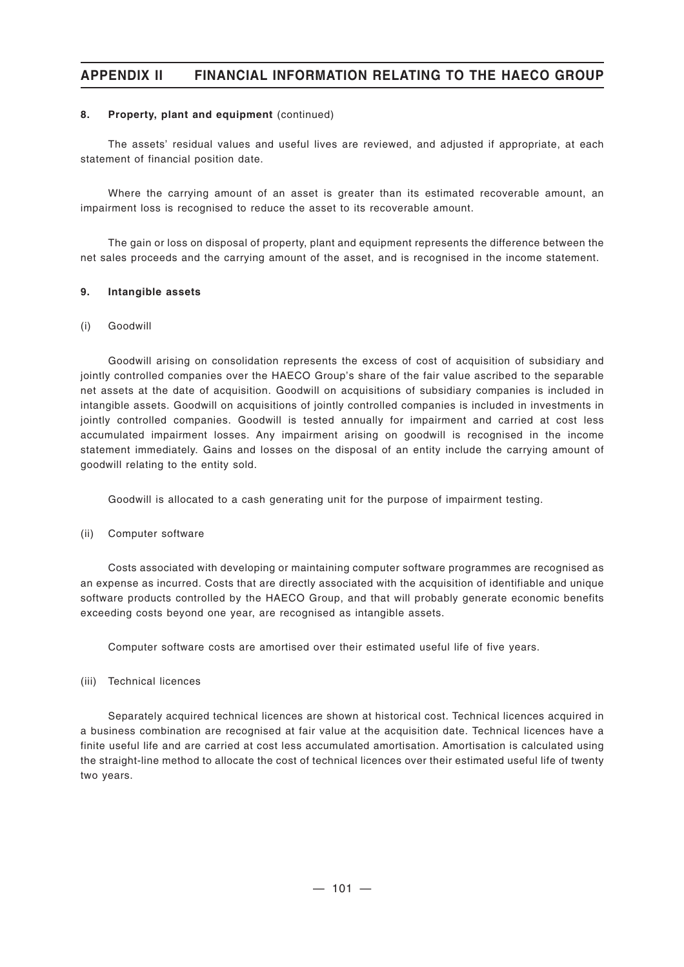#### **8. Property, plant and equipment** (continued)

The assets' residual values and useful lives are reviewed, and adjusted if appropriate, at each statement of financial position date.

Where the carrying amount of an asset is greater than its estimated recoverable amount, an impairment loss is recognised to reduce the asset to its recoverable amount.

The gain or loss on disposal of property, plant and equipment represents the difference between the net sales proceeds and the carrying amount of the asset, and is recognised in the income statement.

#### **9. Intangible assets**

#### (i) Goodwill

Goodwill arising on consolidation represents the excess of cost of acquisition of subsidiary and jointly controlled companies over the HAECO Group's share of the fair value ascribed to the separable net assets at the date of acquisition. Goodwill on acquisitions of subsidiary companies is included in intangible assets. Goodwill on acquisitions of jointly controlled companies is included in investments in jointly controlled companies. Goodwill is tested annually for impairment and carried at cost less accumulated impairment losses. Any impairment arising on goodwill is recognised in the income statement immediately. Gains and losses on the disposal of an entity include the carrying amount of goodwill relating to the entity sold.

Goodwill is allocated to a cash generating unit for the purpose of impairment testing.

(ii) Computer software

Costs associated with developing or maintaining computer software programmes are recognised as an expense as incurred. Costs that are directly associated with the acquisition of identifiable and unique software products controlled by the HAECO Group, and that will probably generate economic benefits exceeding costs beyond one year, are recognised as intangible assets.

Computer software costs are amortised over their estimated useful life of five years.

(iii) Technical licences

Separately acquired technical licences are shown at historical cost. Technical licences acquired in a business combination are recognised at fair value at the acquisition date. Technical licences have a finite useful life and are carried at cost less accumulated amortisation. Amortisation is calculated using the straight-line method to allocate the cost of technical licences over their estimated useful life of twenty two years.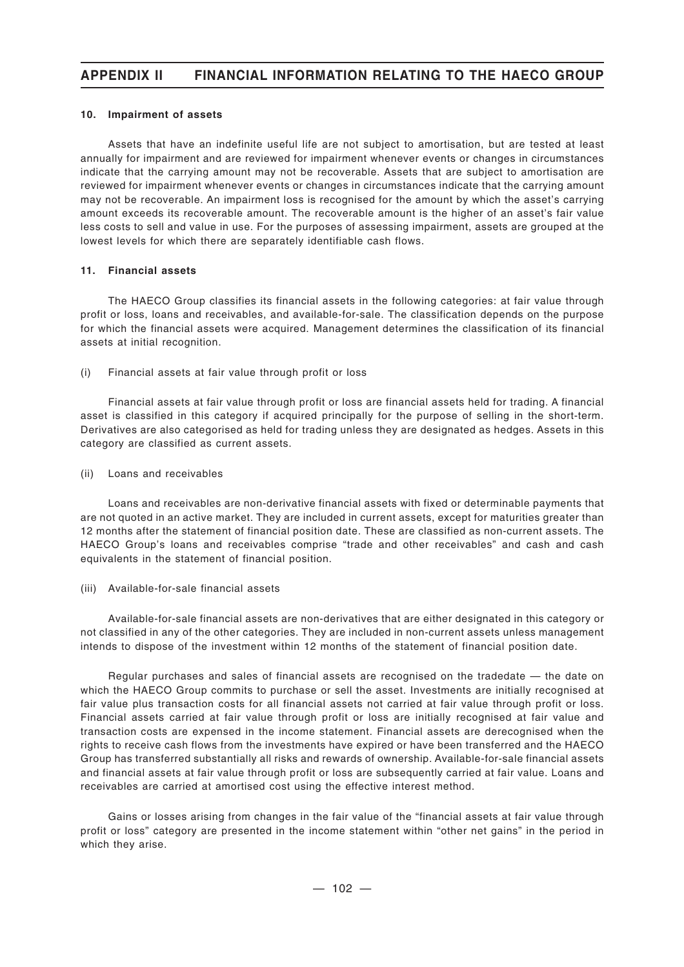#### **10. Impairment of assets**

Assets that have an indefinite useful life are not subject to amortisation, but are tested at least annually for impairment and are reviewed for impairment whenever events or changes in circumstances indicate that the carrying amount may not be recoverable. Assets that are subject to amortisation are reviewed for impairment whenever events or changes in circumstances indicate that the carrying amount may not be recoverable. An impairment loss is recognised for the amount by which the asset's carrying amount exceeds its recoverable amount. The recoverable amount is the higher of an asset's fair value less costs to sell and value in use. For the purposes of assessing impairment, assets are grouped at the lowest levels for which there are separately identifiable cash flows.

#### **11. Financial assets**

The HAECO Group classifies its financial assets in the following categories: at fair value through profit or loss, loans and receivables, and available-for-sale. The classification depends on the purpose for which the financial assets were acquired. Management determines the classification of its financial assets at initial recognition.

(i) Financial assets at fair value through profit or loss

Financial assets at fair value through profit or loss are financial assets held for trading. A financial asset is classified in this category if acquired principally for the purpose of selling in the short-term. Derivatives are also categorised as held for trading unless they are designated as hedges. Assets in this category are classified as current assets.

(ii) Loans and receivables

Loans and receivables are non-derivative financial assets with fixed or determinable payments that are not quoted in an active market. They are included in current assets, except for maturities greater than 12 months after the statement of financial position date. These are classified as non-current assets. The HAECO Group's loans and receivables comprise "trade and other receivables" and cash and cash equivalents in the statement of financial position.

(iii) Available-for-sale financial assets

Available-for-sale financial assets are non-derivatives that are either designated in this category or not classified in any of the other categories. They are included in non-current assets unless management intends to dispose of the investment within 12 months of the statement of financial position date.

Regular purchases and sales of financial assets are recognised on the tradedate — the date on which the HAECO Group commits to purchase or sell the asset. Investments are initially recognised at fair value plus transaction costs for all financial assets not carried at fair value through profit or loss. Financial assets carried at fair value through profit or loss are initially recognised at fair value and transaction costs are expensed in the income statement. Financial assets are derecognised when the rights to receive cash flows from the investments have expired or have been transferred and the HAECO Group has transferred substantially all risks and rewards of ownership. Available-for-sale financial assets and financial assets at fair value through profit or loss are subsequently carried at fair value. Loans and receivables are carried at amortised cost using the effective interest method.

Gains or losses arising from changes in the fair value of the "financial assets at fair value through profit or loss" category are presented in the income statement within "other net gains" in the period in which they arise.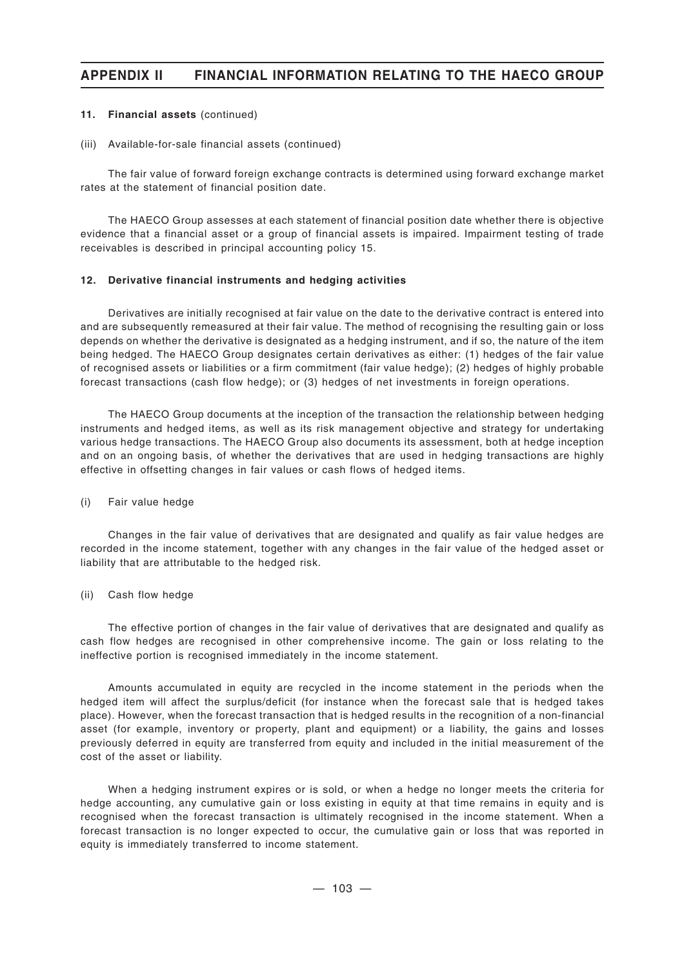#### **11. Financial assets** (continued)

#### (iii) Available-for-sale financial assets (continued)

The fair value of forward foreign exchange contracts is determined using forward exchange market rates at the statement of financial position date.

The HAECO Group assesses at each statement of financial position date whether there is objective evidence that a financial asset or a group of financial assets is impaired. Impairment testing of trade receivables is described in principal accounting policy 15.

#### **12. Derivative financial instruments and hedging activities**

Derivatives are initially recognised at fair value on the date to the derivative contract is entered into and are subsequently remeasured at their fair value. The method of recognising the resulting gain or loss depends on whether the derivative is designated as a hedging instrument, and if so, the nature of the item being hedged. The HAECO Group designates certain derivatives as either: (1) hedges of the fair value of recognised assets or liabilities or a firm commitment (fair value hedge); (2) hedges of highly probable forecast transactions (cash flow hedge); or (3) hedges of net investments in foreign operations.

The HAECO Group documents at the inception of the transaction the relationship between hedging instruments and hedged items, as well as its risk management objective and strategy for undertaking various hedge transactions. The HAECO Group also documents its assessment, both at hedge inception and on an ongoing basis, of whether the derivatives that are used in hedging transactions are highly effective in offsetting changes in fair values or cash flows of hedged items.

#### (i) Fair value hedge

Changes in the fair value of derivatives that are designated and qualify as fair value hedges are recorded in the income statement, together with any changes in the fair value of the hedged asset or liability that are attributable to the hedged risk.

#### (ii) Cash flow hedge

The effective portion of changes in the fair value of derivatives that are designated and qualify as cash flow hedges are recognised in other comprehensive income. The gain or loss relating to the ineffective portion is recognised immediately in the income statement.

Amounts accumulated in equity are recycled in the income statement in the periods when the hedged item will affect the surplus/deficit (for instance when the forecast sale that is hedged takes place). However, when the forecast transaction that is hedged results in the recognition of a non-financial asset (for example, inventory or property, plant and equipment) or a liability, the gains and losses previously deferred in equity are transferred from equity and included in the initial measurement of the cost of the asset or liability.

When a hedging instrument expires or is sold, or when a hedge no longer meets the criteria for hedge accounting, any cumulative gain or loss existing in equity at that time remains in equity and is recognised when the forecast transaction is ultimately recognised in the income statement. When a forecast transaction is no longer expected to occur, the cumulative gain or loss that was reported in equity is immediately transferred to income statement.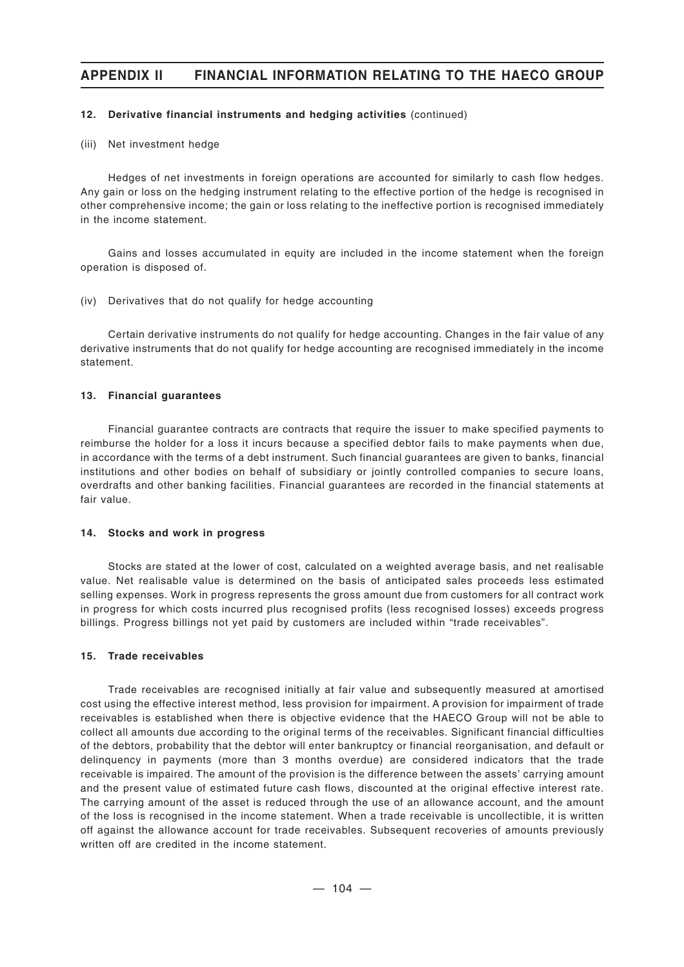#### **12. Derivative financial instruments and hedging activities** (continued)

#### (iii) Net investment hedge

Hedges of net investments in foreign operations are accounted for similarly to cash flow hedges. Any gain or loss on the hedging instrument relating to the effective portion of the hedge is recognised in other comprehensive income; the gain or loss relating to the ineffective portion is recognised immediately in the income statement.

Gains and losses accumulated in equity are included in the income statement when the foreign operation is disposed of.

#### (iv) Derivatives that do not qualify for hedge accounting

Certain derivative instruments do not qualify for hedge accounting. Changes in the fair value of any derivative instruments that do not qualify for hedge accounting are recognised immediately in the income statement.

#### **13. Financial guarantees**

Financial guarantee contracts are contracts that require the issuer to make specified payments to reimburse the holder for a loss it incurs because a specified debtor fails to make payments when due, in accordance with the terms of a debt instrument. Such financial guarantees are given to banks, financial institutions and other bodies on behalf of subsidiary or jointly controlled companies to secure loans, overdrafts and other banking facilities. Financial guarantees are recorded in the financial statements at fair value.

#### **14. Stocks and work in progress**

Stocks are stated at the lower of cost, calculated on a weighted average basis, and net realisable value. Net realisable value is determined on the basis of anticipated sales proceeds less estimated selling expenses. Work in progress represents the gross amount due from customers for all contract work in progress for which costs incurred plus recognised profits (less recognised losses) exceeds progress billings. Progress billings not yet paid by customers are included within "trade receivables".

#### **15. Trade receivables**

Trade receivables are recognised initially at fair value and subsequently measured at amortised cost using the effective interest method, less provision for impairment. A provision for impairment of trade receivables is established when there is objective evidence that the HAECO Group will not be able to collect all amounts due according to the original terms of the receivables. Significant financial difficulties of the debtors, probability that the debtor will enter bankruptcy or financial reorganisation, and default or delinquency in payments (more than 3 months overdue) are considered indicators that the trade receivable is impaired. The amount of the provision is the difference between the assets' carrying amount and the present value of estimated future cash flows, discounted at the original effective interest rate. The carrying amount of the asset is reduced through the use of an allowance account, and the amount of the loss is recognised in the income statement. When a trade receivable is uncollectible, it is written off against the allowance account for trade receivables. Subsequent recoveries of amounts previously written off are credited in the income statement.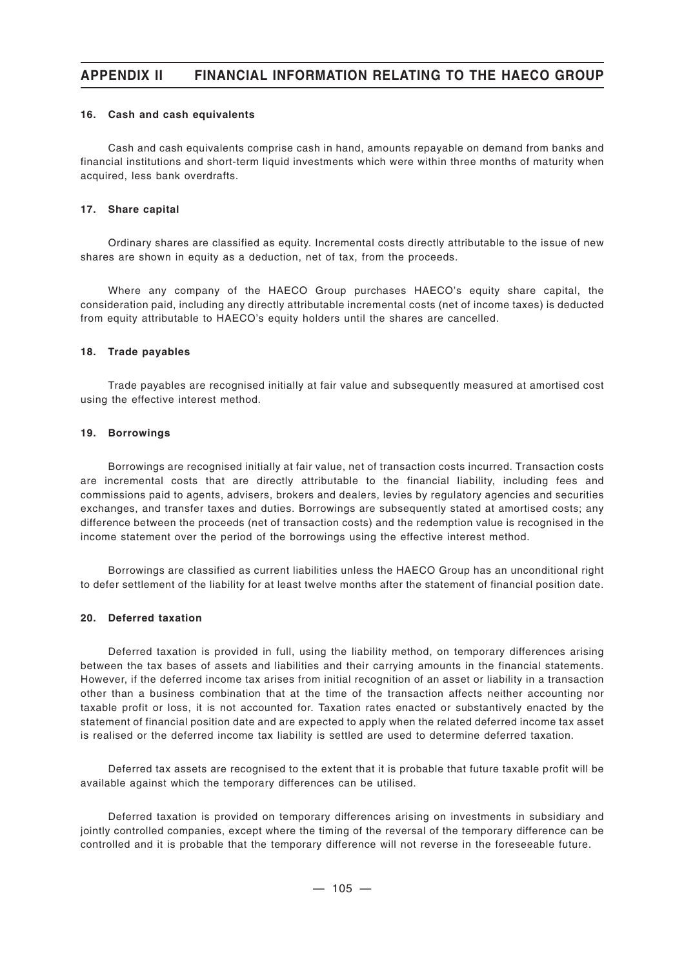#### **16. Cash and cash equivalents**

Cash and cash equivalents comprise cash in hand, amounts repayable on demand from banks and financial institutions and short-term liquid investments which were within three months of maturity when acquired, less bank overdrafts.

#### **17. Share capital**

Ordinary shares are classified as equity. Incremental costs directly attributable to the issue of new shares are shown in equity as a deduction, net of tax, from the proceeds.

Where any company of the HAECO Group purchases HAECO's equity share capital, the consideration paid, including any directly attributable incremental costs (net of income taxes) is deducted from equity attributable to HAECO's equity holders until the shares are cancelled.

#### **18. Trade payables**

Trade payables are recognised initially at fair value and subsequently measured at amortised cost using the effective interest method.

#### **19. Borrowings**

Borrowings are recognised initially at fair value, net of transaction costs incurred. Transaction costs are incremental costs that are directly attributable to the financial liability, including fees and commissions paid to agents, advisers, brokers and dealers, levies by regulatory agencies and securities exchanges, and transfer taxes and duties. Borrowings are subsequently stated at amortised costs; any difference between the proceeds (net of transaction costs) and the redemption value is recognised in the income statement over the period of the borrowings using the effective interest method.

Borrowings are classified as current liabilities unless the HAECO Group has an unconditional right to defer settlement of the liability for at least twelve months after the statement of financial position date.

#### **20. Deferred taxation**

Deferred taxation is provided in full, using the liability method, on temporary differences arising between the tax bases of assets and liabilities and their carrying amounts in the financial statements. However, if the deferred income tax arises from initial recognition of an asset or liability in a transaction other than a business combination that at the time of the transaction affects neither accounting nor taxable profit or loss, it is not accounted for. Taxation rates enacted or substantively enacted by the statement of financial position date and are expected to apply when the related deferred income tax asset is realised or the deferred income tax liability is settled are used to determine deferred taxation.

Deferred tax assets are recognised to the extent that it is probable that future taxable profit will be available against which the temporary differences can be utilised.

Deferred taxation is provided on temporary differences arising on investments in subsidiary and jointly controlled companies, except where the timing of the reversal of the temporary difference can be controlled and it is probable that the temporary difference will not reverse in the foreseeable future.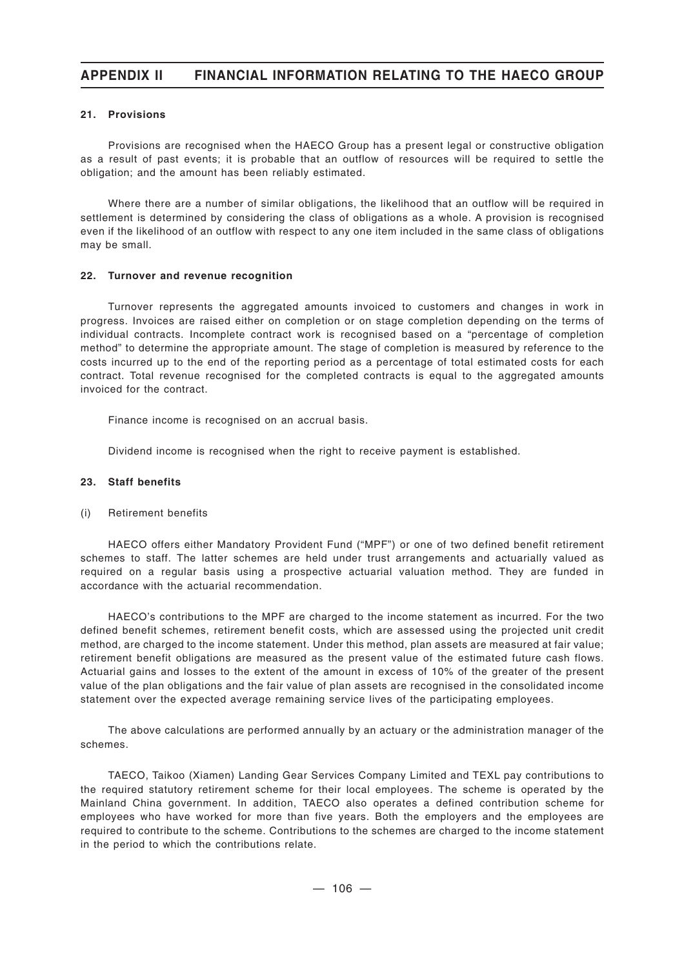# **APPENDIX II FINANCIAL INFORMATION RELATING TO THE HAECO GROUP**

### **21. Provisions**

Provisions are recognised when the HAECO Group has a present legal or constructive obligation as a result of past events; it is probable that an outflow of resources will be required to settle the obligation; and the amount has been reliably estimated.

Where there are a number of similar obligations, the likelihood that an outflow will be required in settlement is determined by considering the class of obligations as a whole. A provision is recognised even if the likelihood of an outflow with respect to any one item included in the same class of obligations may be small.

### **22. Turnover and revenue recognition**

Turnover represents the aggregated amounts invoiced to customers and changes in work in progress. Invoices are raised either on completion or on stage completion depending on the terms of individual contracts. Incomplete contract work is recognised based on a "percentage of completion method" to determine the appropriate amount. The stage of completion is measured by reference to the costs incurred up to the end of the reporting period as a percentage of total estimated costs for each contract. Total revenue recognised for the completed contracts is equal to the aggregated amounts invoiced for the contract.

Finance income is recognised on an accrual basis.

Dividend income is recognised when the right to receive payment is established.

### **23. Staff benefits**

### (i) Retirement benefits

HAECO offers either Mandatory Provident Fund ("MPF") or one of two defined benefit retirement schemes to staff. The latter schemes are held under trust arrangements and actuarially valued as required on a regular basis using a prospective actuarial valuation method. They are funded in accordance with the actuarial recommendation.

HAECO's contributions to the MPF are charged to the income statement as incurred. For the two defined benefit schemes, retirement benefit costs, which are assessed using the projected unit credit method, are charged to the income statement. Under this method, plan assets are measured at fair value; retirement benefit obligations are measured as the present value of the estimated future cash flows. Actuarial gains and losses to the extent of the amount in excess of 10% of the greater of the present value of the plan obligations and the fair value of plan assets are recognised in the consolidated income statement over the expected average remaining service lives of the participating employees.

The above calculations are performed annually by an actuary or the administration manager of the schemes.

TAECO, Taikoo (Xiamen) Landing Gear Services Company Limited and TEXL pay contributions to the required statutory retirement scheme for their local employees. The scheme is operated by the Mainland China government. In addition, TAECO also operates a defined contribution scheme for employees who have worked for more than five years. Both the employers and the employees are required to contribute to the scheme. Contributions to the schemes are charged to the income statement in the period to which the contributions relate.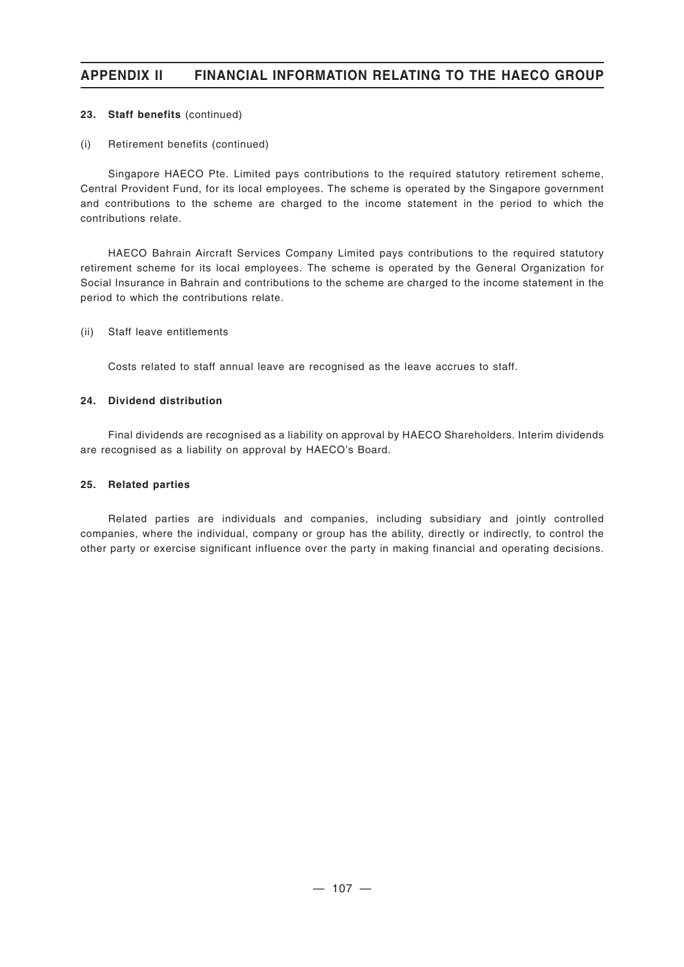# **APPENDIX II FINANCIAL INFORMATION RELATING TO THE HAECO GROUP**

### **23. Staff benefits** (continued)

### (i) Retirement benefits (continued)

Singapore HAECO Pte. Limited pays contributions to the required statutory retirement scheme, Central Provident Fund, for its local employees. The scheme is operated by the Singapore government and contributions to the scheme are charged to the income statement in the period to which the contributions relate.

HAECO Bahrain Aircraft Services Company Limited pays contributions to the required statutory retirement scheme for its local employees. The scheme is operated by the General Organization for Social Insurance in Bahrain and contributions to the scheme are charged to the income statement in the period to which the contributions relate.

### (ii) Staff leave entitlements

Costs related to staff annual leave are recognised as the leave accrues to staff.

## **24. Dividend distribution**

Final dividends are recognised as a liability on approval by HAECO Shareholders. Interim dividends are recognised as a liability on approval by HAECO's Board.

### **25. Related parties**

Related parties are individuals and companies, including subsidiary and jointly controlled companies, where the individual, company or group has the ability, directly or indirectly, to control the other party or exercise significant influence over the party in making financial and operating decisions.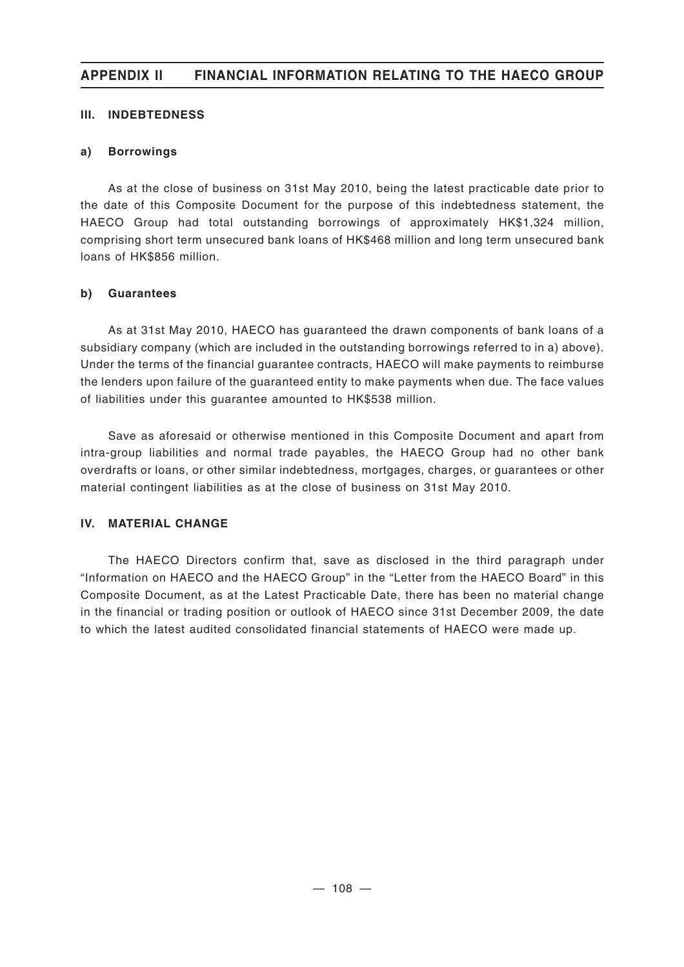# **APPENDIX II FINANCIAL INFORMATION RELATING TO THE HAECO GROUP**

## **III. INDEBTEDNESS**

## **a) Borrowings**

As at the close of business on 31st May 2010, being the latest practicable date prior to the date of this Composite Document for the purpose of this indebtedness statement, the HAECO Group had total outstanding borrowings of approximately HK\$1,324 million, comprising short term unsecured bank loans of HK\$468 million and long term unsecured bank loans of HK\$856 million.

## **b) Guarantees**

As at 31st May 2010, HAECO has guaranteed the drawn components of bank loans of a subsidiary company (which are included in the outstanding borrowings referred to in a) above). Under the terms of the financial guarantee contracts, HAECO will make payments to reimburse the lenders upon failure of the guaranteed entity to make payments when due. The face values of liabilities under this guarantee amounted to HK\$538 million.

Save as aforesaid or otherwise mentioned in this Composite Document and apart from intra-group liabilities and normal trade payables, the HAECO Group had no other bank overdrafts or loans, or other similar indebtedness, mortgages, charges, or guarantees or other material contingent liabilities as at the close of business on 31st May 2010.

# **IV. MATERIAL CHANGE**

The HAECO Directors confirm that, save as disclosed in the third paragraph under "Information on HAECO and the HAECO Group" in the "Letter from the HAECO Board" in this Composite Document, as at the Latest Practicable Date, there has been no material change in the financial or trading position or outlook of HAECO since 31st December 2009, the date to which the latest audited consolidated financial statements of HAECO were made up.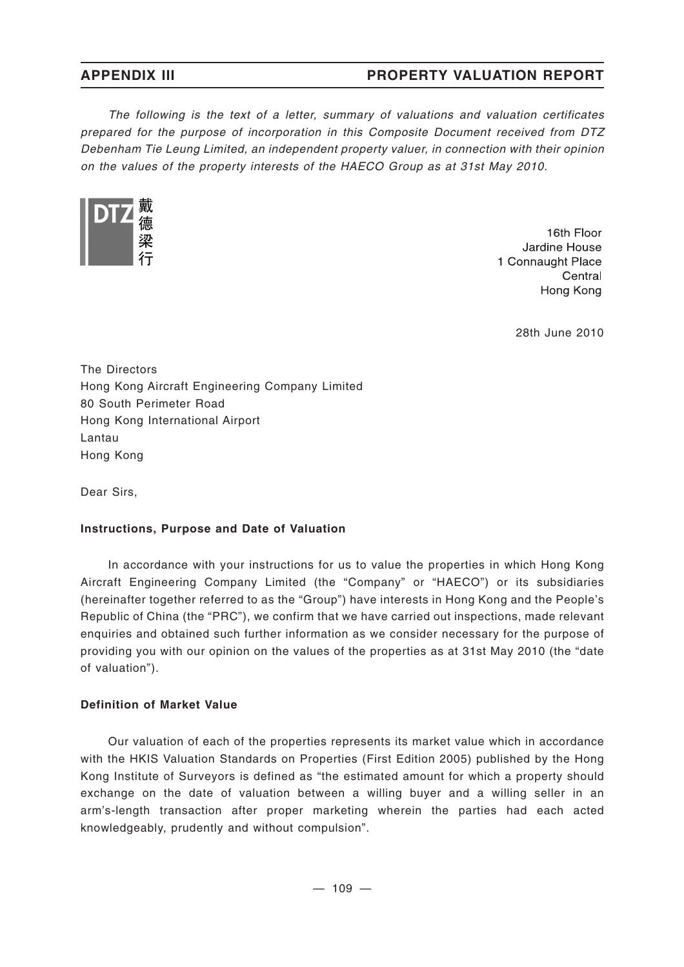*The following is the text of a letter, summary of valuations and valuation certificates prepared for the purpose of incorporation in this Composite Document received from DTZ Debenham Tie Leung Limited, an independent property valuer, in connection with their opinion on the values of the property interests of the HAECO Group as at 31st May 2010.*



16th Floor Jardine House 1 Connaught Place Central Hong Kong

28th June 2010

The Directors Hong Kong Aircraft Engineering Company Limited 80 South Perimeter Road Hong Kong International Airport Lantau Hong Kong

Dear Sirs,

# **Instructions, Purpose and Date of Valuation**

In accordance with your instructions for us to value the properties in which Hong Kong Aircraft Engineering Company Limited (the "Company" or "HAECO") or its subsidiaries (hereinafter together referred to as the "Group") have interests in Hong Kong and the People's Republic of China (the "PRC"), we confirm that we have carried out inspections, made relevant enquiries and obtained such further information as we consider necessary for the purpose of providing you with our opinion on the values of the properties as at 31st May 2010 (the "date of valuation").

## **Definition of Market Value**

Our valuation of each of the properties represents its market value which in accordance with the HKIS Valuation Standards on Properties (First Edition 2005) published by the Hong Kong Institute of Surveyors is defined as "the estimated amount for which a property should exchange on the date of valuation between a willing buyer and a willing seller in an arm's-length transaction after proper marketing wherein the parties had each acted knowledgeably, prudently and without compulsion".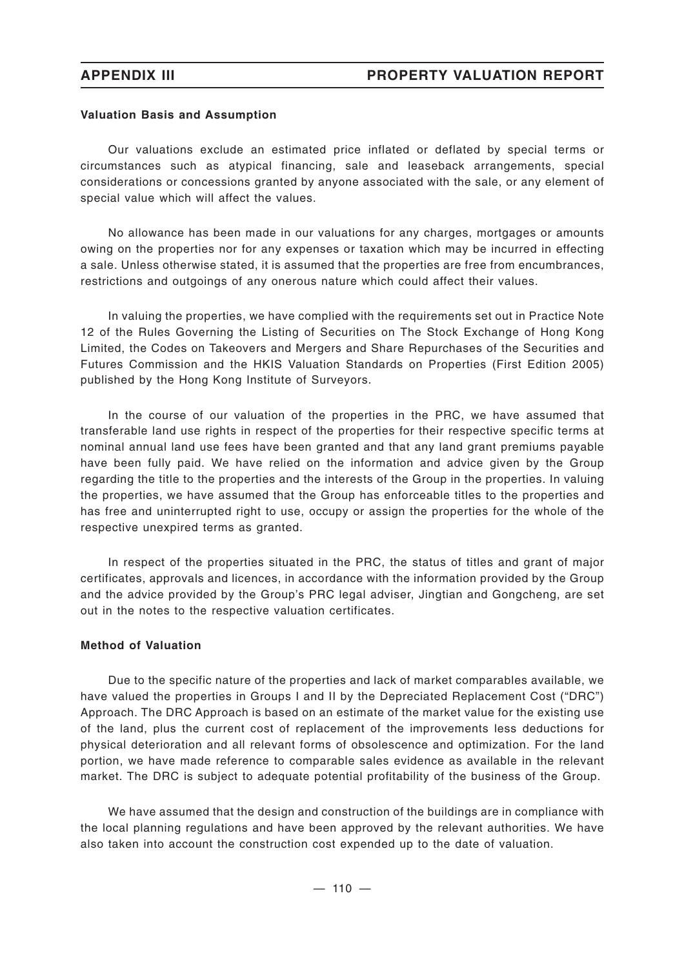## **Valuation Basis and Assumption**

Our valuations exclude an estimated price inflated or deflated by special terms or circumstances such as atypical financing, sale and leaseback arrangements, special considerations or concessions granted by anyone associated with the sale, or any element of special value which will affect the values.

No allowance has been made in our valuations for any charges, mortgages or amounts owing on the properties nor for any expenses or taxation which may be incurred in effecting a sale. Unless otherwise stated, it is assumed that the properties are free from encumbrances, restrictions and outgoings of any onerous nature which could affect their values.

In valuing the properties, we have complied with the requirements set out in Practice Note 12 of the Rules Governing the Listing of Securities on The Stock Exchange of Hong Kong Limited, the Codes on Takeovers and Mergers and Share Repurchases of the Securities and Futures Commission and the HKIS Valuation Standards on Properties (First Edition 2005) published by the Hong Kong Institute of Surveyors.

In the course of our valuation of the properties in the PRC, we have assumed that transferable land use rights in respect of the properties for their respective specific terms at nominal annual land use fees have been granted and that any land grant premiums payable have been fully paid. We have relied on the information and advice given by the Group regarding the title to the properties and the interests of the Group in the properties. In valuing the properties, we have assumed that the Group has enforceable titles to the properties and has free and uninterrupted right to use, occupy or assign the properties for the whole of the respective unexpired terms as granted.

In respect of the properties situated in the PRC, the status of titles and grant of major certificates, approvals and licences, in accordance with the information provided by the Group and the advice provided by the Group's PRC legal adviser, Jingtian and Gongcheng, are set out in the notes to the respective valuation certificates.

## **Method of Valuation**

Due to the specific nature of the properties and lack of market comparables available, we have valued the properties in Groups I and II by the Depreciated Replacement Cost ("DRC") Approach. The DRC Approach is based on an estimate of the market value for the existing use of the land, plus the current cost of replacement of the improvements less deductions for physical deterioration and all relevant forms of obsolescence and optimization. For the land portion, we have made reference to comparable sales evidence as available in the relevant market. The DRC is subject to adequate potential profitability of the business of the Group.

We have assumed that the design and construction of the buildings are in compliance with the local planning regulations and have been approved by the relevant authorities. We have also taken into account the construction cost expended up to the date of valuation.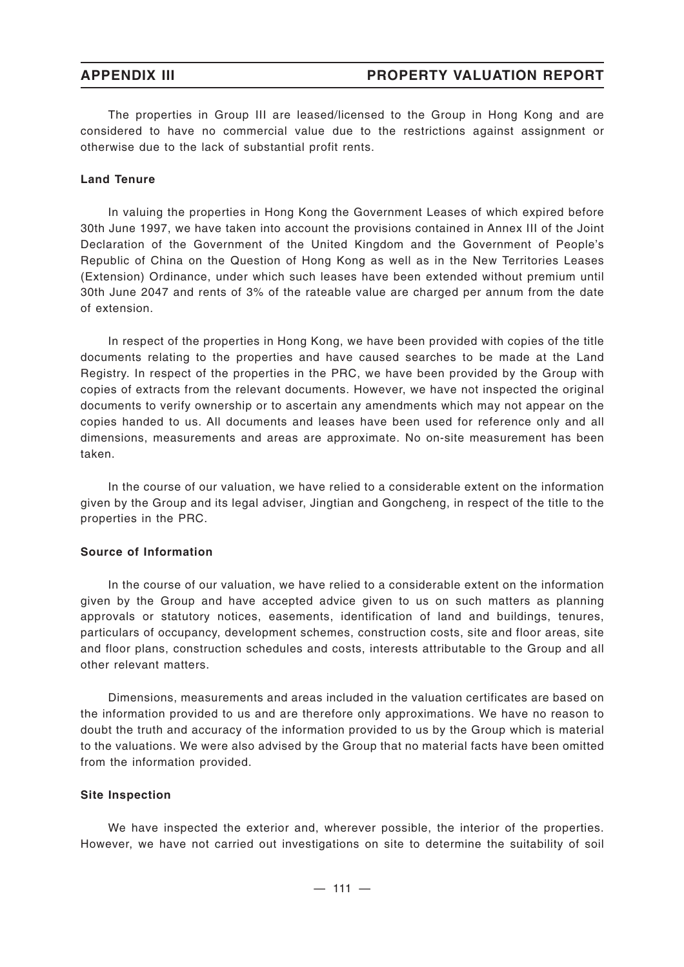The properties in Group III are leased/licensed to the Group in Hong Kong and are considered to have no commercial value due to the restrictions against assignment or otherwise due to the lack of substantial profit rents.

## **Land Tenure**

In valuing the properties in Hong Kong the Government Leases of which expired before 30th June 1997, we have taken into account the provisions contained in Annex III of the Joint Declaration of the Government of the United Kingdom and the Government of People's Republic of China on the Question of Hong Kong as well as in the New Territories Leases (Extension) Ordinance, under which such leases have been extended without premium until 30th June 2047 and rents of 3% of the rateable value are charged per annum from the date of extension.

In respect of the properties in Hong Kong, we have been provided with copies of the title documents relating to the properties and have caused searches to be made at the Land Registry. In respect of the properties in the PRC, we have been provided by the Group with copies of extracts from the relevant documents. However, we have not inspected the original documents to verify ownership or to ascertain any amendments which may not appear on the copies handed to us. All documents and leases have been used for reference only and all dimensions, measurements and areas are approximate. No on-site measurement has been taken.

In the course of our valuation, we have relied to a considerable extent on the information given by the Group and its legal adviser, Jingtian and Gongcheng, in respect of the title to the properties in the PRC.

### **Source of Information**

In the course of our valuation, we have relied to a considerable extent on the information given by the Group and have accepted advice given to us on such matters as planning approvals or statutory notices, easements, identification of land and buildings, tenures, particulars of occupancy, development schemes, construction costs, site and floor areas, site and floor plans, construction schedules and costs, interests attributable to the Group and all other relevant matters.

Dimensions, measurements and areas included in the valuation certificates are based on the information provided to us and are therefore only approximations. We have no reason to doubt the truth and accuracy of the information provided to us by the Group which is material to the valuations. We were also advised by the Group that no material facts have been omitted from the information provided.

### **Site Inspection**

We have inspected the exterior and, wherever possible, the interior of the properties. However, we have not carried out investigations on site to determine the suitability of soil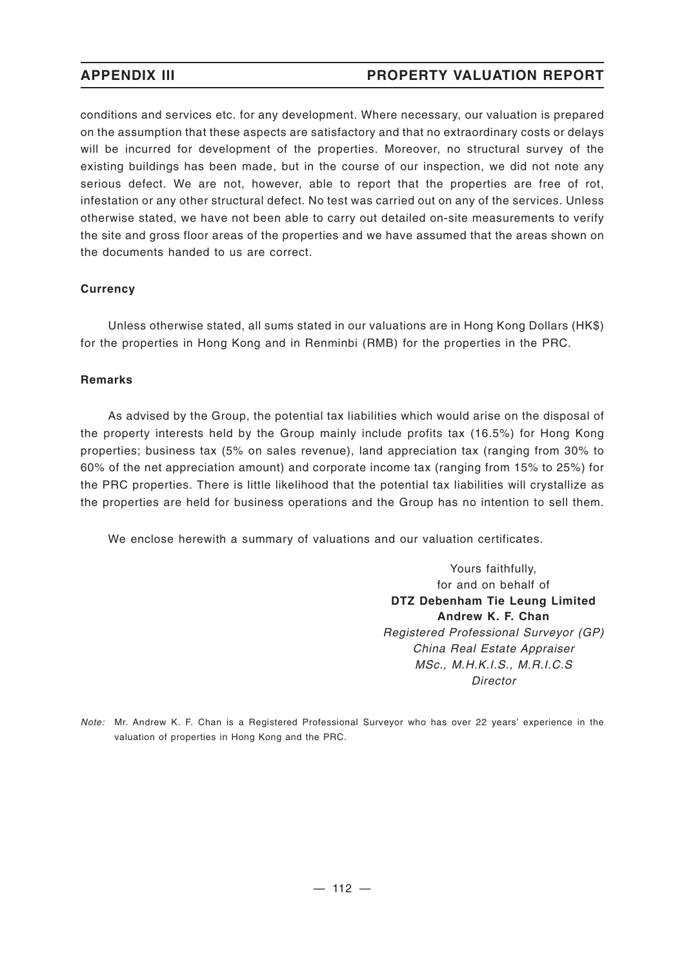conditions and services etc. for any development. Where necessary, our valuation is prepared on the assumption that these aspects are satisfactory and that no extraordinary costs or delays will be incurred for development of the properties. Moreover, no structural survey of the existing buildings has been made, but in the course of our inspection, we did not note any serious defect. We are not, however, able to report that the properties are free of rot, infestation or any other structural defect. No test was carried out on any of the services. Unless otherwise stated, we have not been able to carry out detailed on-site measurements to verify the site and gross floor areas of the properties and we have assumed that the areas shown on the documents handed to us are correct.

# **Currency**

Unless otherwise stated, all sums stated in our valuations are in Hong Kong Dollars (HK\$) for the properties in Hong Kong and in Renminbi (RMB) for the properties in the PRC.

# **Remarks**

As advised by the Group, the potential tax liabilities which would arise on the disposal of the property interests held by the Group mainly include profits tax (16.5%) for Hong Kong properties; business tax (5% on sales revenue), land appreciation tax (ranging from 30% to 60% of the net appreciation amount) and corporate income tax (ranging from 15% to 25%) for the PRC properties. There is little likelihood that the potential tax liabilities will crystallize as the properties are held for business operations and the Group has no intention to sell them.

We enclose herewith a summary of valuations and our valuation certificates.

Yours faithfully, for and on behalf of **DTZ Debenham Tie Leung Limited Andrew K. F. Chan** *Registered Professional Surveyor (GP) China Real Estate Appraiser MSc., M.H.K.I.S., M.R.I.C.S Director*

*Note:* Mr. Andrew K. F. Chan is a Registered Professional Surveyor who has over 22 years' experience in the valuation of properties in Hong Kong and the PRC.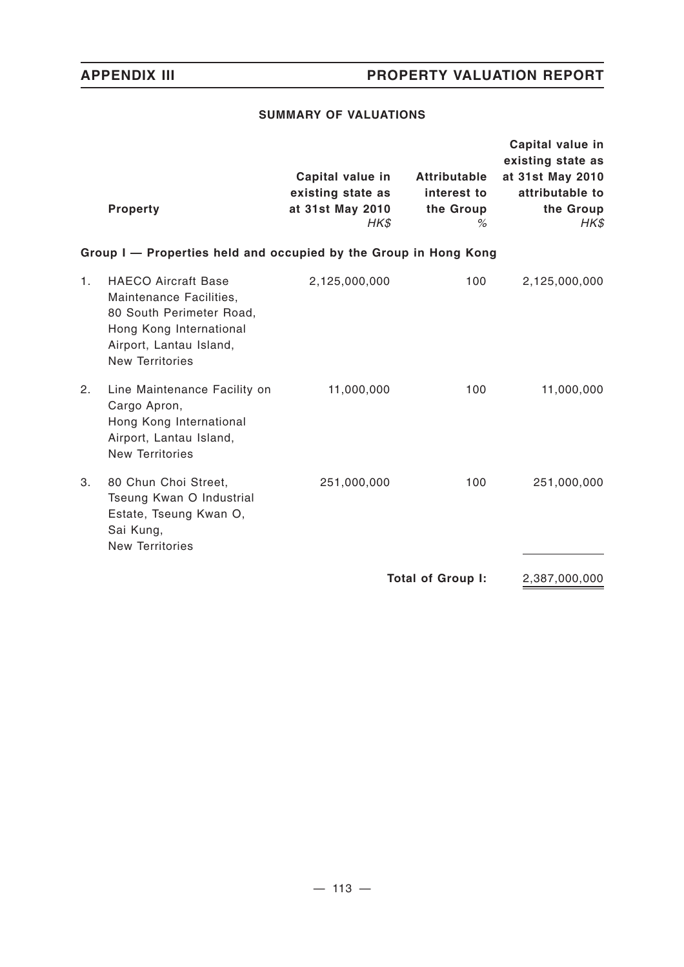# **SUMMARY OF VALUATIONS**

|    | <b>Property</b>                                                                                                                                                   | Capital value in<br>existing state as<br>at 31st May 2010<br>$H K$ \$ | Attributable<br>interest to<br>the Group<br>% | Capital value in<br>existing state as<br>at 31st May 2010<br>attributable to<br>the Group<br>HK\$ |  |  |  |  |
|----|-------------------------------------------------------------------------------------------------------------------------------------------------------------------|-----------------------------------------------------------------------|-----------------------------------------------|---------------------------------------------------------------------------------------------------|--|--|--|--|
|    | Group I - Properties held and occupied by the Group in Hong Kong                                                                                                  |                                                                       |                                               |                                                                                                   |  |  |  |  |
| 1. | <b>HAECO Aircraft Base</b><br>Maintenance Facilities,<br>80 South Perimeter Road,<br>Hong Kong International<br>Airport, Lantau Island,<br><b>New Territories</b> | 2,125,000,000                                                         | 100                                           | 2,125,000,000                                                                                     |  |  |  |  |
| 2. | Line Maintenance Facility on<br>Cargo Apron,<br>Hong Kong International<br>Airport, Lantau Island,<br><b>New Territories</b>                                      | 11,000,000                                                            | 100                                           | 11,000,000                                                                                        |  |  |  |  |
| 3. | 80 Chun Choi Street,<br>Tseung Kwan O Industrial<br>Estate, Tseung Kwan O,<br>Sai Kung,<br><b>New Territories</b>                                                 | 251,000,000                                                           | 100                                           | 251,000,000                                                                                       |  |  |  |  |
|    |                                                                                                                                                                   |                                                                       | <b>Total of Group I:</b>                      | 2,387,000,000                                                                                     |  |  |  |  |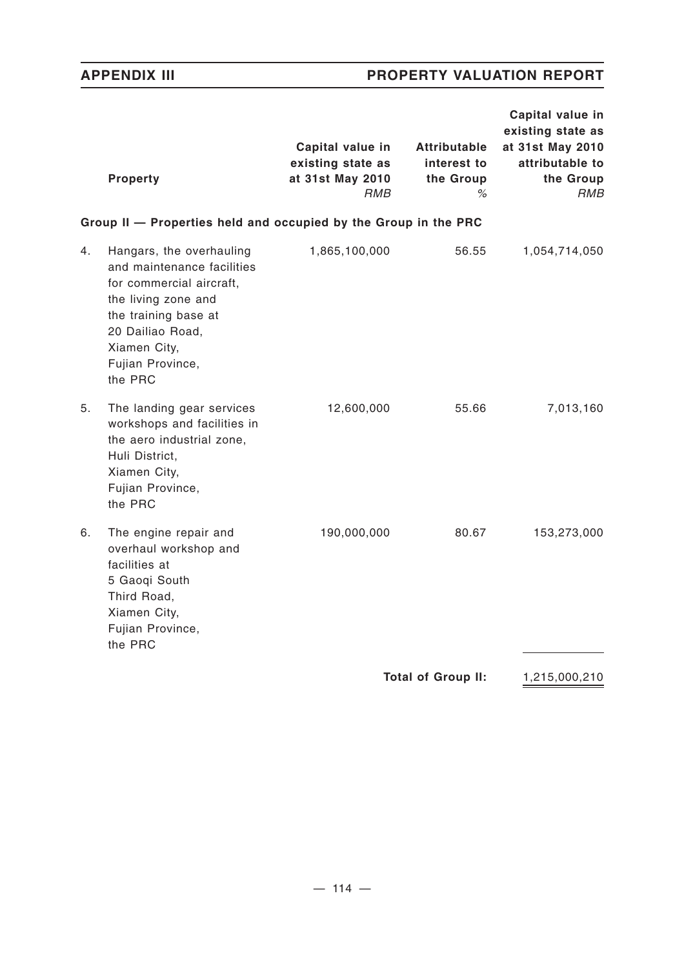| <b>Property</b>                                                                                                                                                                                            | Capital value in<br>existing state as<br>at 31st May 2010<br>RMB | <b>Attributable</b><br>interest to<br>the Group<br>% | Capital value in<br>existing state as<br>at 31st May 2010<br>attributable to<br>the Group<br><b>RMB</b> |
|------------------------------------------------------------------------------------------------------------------------------------------------------------------------------------------------------------|------------------------------------------------------------------|------------------------------------------------------|---------------------------------------------------------------------------------------------------------|
| Group II - Properties held and occupied by the Group in the PRC                                                                                                                                            |                                                                  |                                                      |                                                                                                         |
| Hangars, the overhauling<br>4.<br>and maintenance facilities<br>for commercial aircraft,<br>the living zone and<br>the training base at<br>20 Dailiao Road,<br>Xiamen City,<br>Fujian Province,<br>the PRC | 1,865,100,000                                                    | 56.55                                                | 1,054,714,050                                                                                           |
| 5.<br>The landing gear services<br>workshops and facilities in<br>the aero industrial zone,<br>Huli District,<br>Xiamen City,<br>Fujian Province,<br>the PRC                                               | 12,600,000                                                       | 55.66                                                | 7,013,160                                                                                               |
| The engine repair and<br>6.<br>overhaul workshop and<br>facilities at<br>5 Gaoqi South<br>Third Road,<br>Xiamen City,<br>Fujian Province,<br>the PRC                                                       | 190,000,000                                                      | 80.67                                                | 153,273,000                                                                                             |
|                                                                                                                                                                                                            |                                                                  | <b>Total of Group II:</b>                            | 1,215,000,210                                                                                           |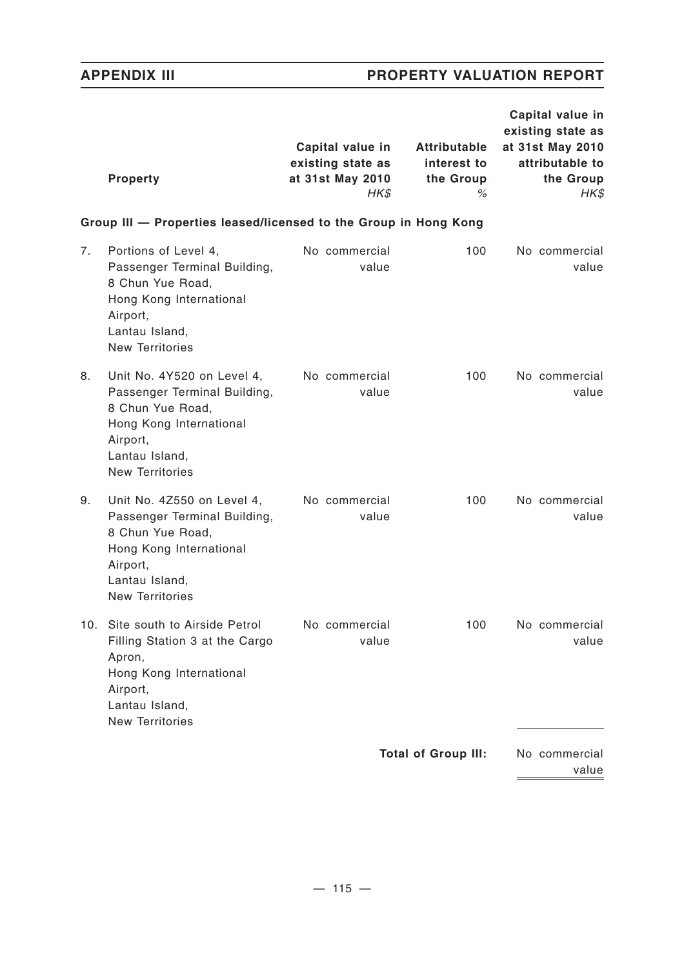$\frac{1}{2} \left( \frac{1}{2} \right) \left( \frac{1}{2} \right) \left( \frac{1}{2} \right) \left( \frac{1}{2} \right) \left( \frac{1}{2} \right) \left( \frac{1}{2} \right) \left( \frac{1}{2} \right) \left( \frac{1}{2} \right) \left( \frac{1}{2} \right) \left( \frac{1}{2} \right) \left( \frac{1}{2} \right) \left( \frac{1}{2} \right) \left( \frac{1}{2} \right) \left( \frac{1}{2} \right) \left( \frac{1}{2} \right) \left( \frac{1}{2} \right) \left( \frac$ 

|     | <b>Property</b>                                                                                                                                                   | Capital value in<br>existing state as<br>at 31st May 2010<br>HK\$ | <b>Attributable</b><br>interest to<br>the Group<br>% | Capital value in<br>existing state as<br>at 31st May 2010<br>attributable to<br>the Group<br>HK\$ |
|-----|-------------------------------------------------------------------------------------------------------------------------------------------------------------------|-------------------------------------------------------------------|------------------------------------------------------|---------------------------------------------------------------------------------------------------|
|     | Group III - Properties leased/licensed to the Group in Hong Kong                                                                                                  |                                                                   |                                                      |                                                                                                   |
| 7.  | Portions of Level 4,<br>Passenger Terminal Building,<br>8 Chun Yue Road,<br>Hong Kong International<br>Airport,<br>Lantau Island,<br><b>New Territories</b>       | No commercial<br>value                                            | 100                                                  | No commercial<br>value                                                                            |
| 8.  | Unit No. 4Y520 on Level 4,<br>Passenger Terminal Building,<br>8 Chun Yue Road,<br>Hong Kong International<br>Airport,<br>Lantau Island,<br><b>New Territories</b> | No commercial<br>value                                            | 100                                                  | No commercial<br>value                                                                            |
| 9.  | Unit No. 4Z550 on Level 4,<br>Passenger Terminal Building,<br>8 Chun Yue Road,<br>Hong Kong International<br>Airport,<br>Lantau Island,<br><b>New Territories</b> | No commercial<br>value                                            | 100                                                  | No commercial<br>value                                                                            |
| 10. | Site south to Airside Petrol<br>Filling Station 3 at the Cargo<br>Apron,<br>Hong Kong International<br>Airport,<br>Lantau Island,<br><b>New Territories</b>       | No commercial<br>value                                            | 100                                                  | No commercial<br>value                                                                            |
|     |                                                                                                                                                                   |                                                                   | <b>Total of Group III:</b>                           | No commercial<br>value                                                                            |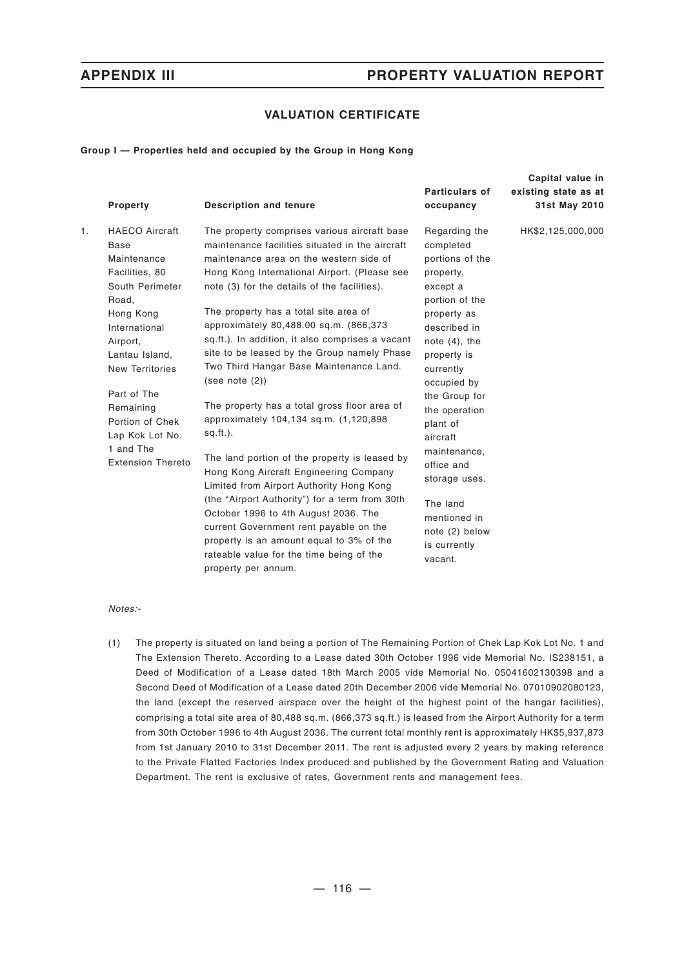## **VALUATION CERTIFICATE**

### **Group I — Properties held and occupied by the Group in Hong Kong**

|    | Property                                                                                                                                                                                                                                                                                           | <b>Description and tenure</b>                                                                                                                                                                                                                                                                                                                                                                                                                                                                                                                                                                                                                                                                                                                                                                                                                                                                                                                                                                     | <b>Particulars of</b><br>occupancy                                                                                                                                                                                                                                                                                                                                       | Capital value in<br>existing state as at<br>31st May 2010 |
|----|----------------------------------------------------------------------------------------------------------------------------------------------------------------------------------------------------------------------------------------------------------------------------------------------------|---------------------------------------------------------------------------------------------------------------------------------------------------------------------------------------------------------------------------------------------------------------------------------------------------------------------------------------------------------------------------------------------------------------------------------------------------------------------------------------------------------------------------------------------------------------------------------------------------------------------------------------------------------------------------------------------------------------------------------------------------------------------------------------------------------------------------------------------------------------------------------------------------------------------------------------------------------------------------------------------------|--------------------------------------------------------------------------------------------------------------------------------------------------------------------------------------------------------------------------------------------------------------------------------------------------------------------------------------------------------------------------|-----------------------------------------------------------|
| 1. | <b>HAECO Aircraft</b><br><b>Base</b><br>Maintenance<br>Facilities, 80<br>South Perimeter<br>Road,<br>Hong Kong<br>International<br>Airport,<br>Lantau Island,<br><b>New Territories</b><br>Part of The<br>Remaining<br>Portion of Chek<br>Lap Kok Lot No.<br>1 and The<br><b>Extension Thereto</b> | The property comprises various aircraft base<br>maintenance facilities situated in the aircraft<br>maintenance area on the western side of<br>Hong Kong International Airport. (Please see<br>note (3) for the details of the facilities).<br>The property has a total site area of<br>approximately 80,488.00 sq.m. (866,373<br>sq.ft.). In addition, it also comprises a vacant<br>site to be leased by the Group namely Phase<br>Two Third Hangar Base Maintenance Land.<br>(see note (2))<br>The property has a total gross floor area of<br>approximately 104,134 sq.m. (1,120,898<br>$sq.fit.$ ).<br>The land portion of the property is leased by<br>Hong Kong Aircraft Engineering Company<br>Limited from Airport Authority Hong Kong<br>(the "Airport Authority") for a term from 30th<br>October 1996 to 4th August 2036. The<br>current Government rent payable on the<br>property is an amount equal to 3% of the<br>rateable value for the time being of the<br>property per annum. | Regarding the<br>completed<br>portions of the<br>property,<br>except a<br>portion of the<br>property as<br>described in<br>note $(4)$ , the<br>property is<br>currently<br>occupied by<br>the Group for<br>the operation<br>plant of<br>aircraft<br>maintenance,<br>office and<br>storage uses.<br>The land<br>mentioned in<br>note (2) below<br>is currently<br>vacant. | HK\$2,125,000,000                                         |

### *Notes:-*

(1) The property is situated on land being a portion of The Remaining Portion of Chek Lap Kok Lot No. 1 and The Extension Thereto. According to a Lease dated 30th October 1996 vide Memorial No. IS238151, a Deed of Modification of a Lease dated 18th March 2005 vide Memorial No. 05041602130398 and a Second Deed of Modification of a Lease dated 20th December 2006 vide Memorial No. 07010902080123, the land (except the reserved airspace over the height of the highest point of the hangar facilities), comprising a total site area of 80,488 sq.m. (866,373 sq.ft.) is leased from the Airport Authority for a term from 30th October 1996 to 4th August 2036. The current total monthly rent is approximately HK\$5,937,873 from 1st January 2010 to 31st December 2011. The rent is adjusted every 2 years by making reference to the Private Flatted Factories Index produced and published by the Government Rating and Valuation Department. The rent is exclusive of rates, Government rents and management fees.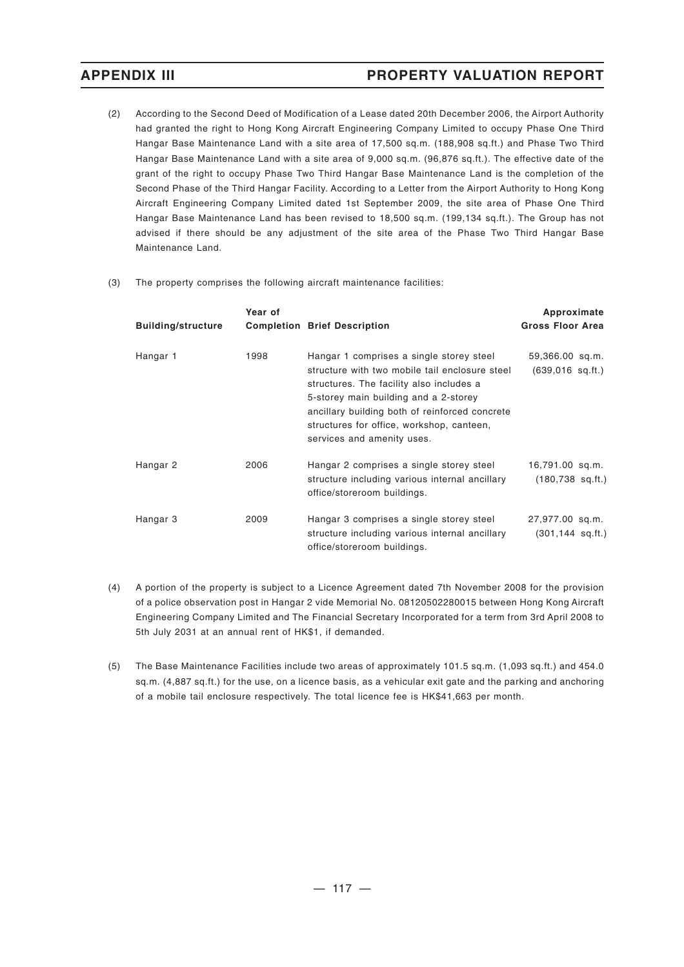- (2) According to the Second Deed of Modification of a Lease dated 20th December 2006, the Airport Authority had granted the right to Hong Kong Aircraft Engineering Company Limited to occupy Phase One Third Hangar Base Maintenance Land with a site area of 17,500 sq.m. (188,908 sq.ft.) and Phase Two Third Hangar Base Maintenance Land with a site area of 9,000 sq.m. (96,876 sq.ft.). The effective date of the grant of the right to occupy Phase Two Third Hangar Base Maintenance Land is the completion of the Second Phase of the Third Hangar Facility. According to a Letter from the Airport Authority to Hong Kong Aircraft Engineering Company Limited dated 1st September 2009, the site area of Phase One Third Hangar Base Maintenance Land has been revised to 18,500 sq.m. (199,134 sq.ft.). The Group has not advised if there should be any adjustment of the site area of the Phase Two Third Hangar Base Maintenance Land.
- (3) The property comprises the following aircraft maintenance facilities:

| <b>Building/structure</b> | Year of | <b>Completion Brief Description</b>                                                                                                                                                                                                                                                                          | Approximate<br><b>Gross Floor Area</b>          |
|---------------------------|---------|--------------------------------------------------------------------------------------------------------------------------------------------------------------------------------------------------------------------------------------------------------------------------------------------------------------|-------------------------------------------------|
| Hangar 1                  | 1998    | Hangar 1 comprises a single storey steel<br>structure with two mobile tail enclosure steel<br>structures. The facility also includes a<br>5-storey main building and a 2-storey<br>ancillary building both of reinforced concrete<br>structures for office, workshop, canteen,<br>services and amenity uses. | 59,366.00 sq.m.<br>$(639,016 \text{ sq.ft.})$   |
| Hangar 2                  | 2006    | Hangar 2 comprises a single storey steel<br>structure including various internal ancillary<br>office/storeroom buildings.                                                                                                                                                                                    | 16,791.00 sq.m.<br>$(180,738 \text{ sq.ft.})$   |
| Hangar 3                  | 2009    | Hangar 3 comprises a single storey steel<br>structure including various internal ancillary<br>office/storeroom buildings.                                                                                                                                                                                    | 27,977.00 sq.m.<br>$(301, 144 \text{ sq. ft.})$ |

- (4) A portion of the property is subject to a Licence Agreement dated 7th November 2008 for the provision of a police observation post in Hangar 2 vide Memorial No. 08120502280015 between Hong Kong Aircraft Engineering Company Limited and The Financial Secretary Incorporated for a term from 3rd April 2008 to 5th July 2031 at an annual rent of HK\$1, if demanded.
- (5) The Base Maintenance Facilities include two areas of approximately 101.5 sq.m. (1,093 sq.ft.) and 454.0 sq.m. (4,887 sq.ft.) for the use, on a licence basis, as a vehicular exit gate and the parking and anchoring of a mobile tail enclosure respectively. The total licence fee is HK\$41,663 per month.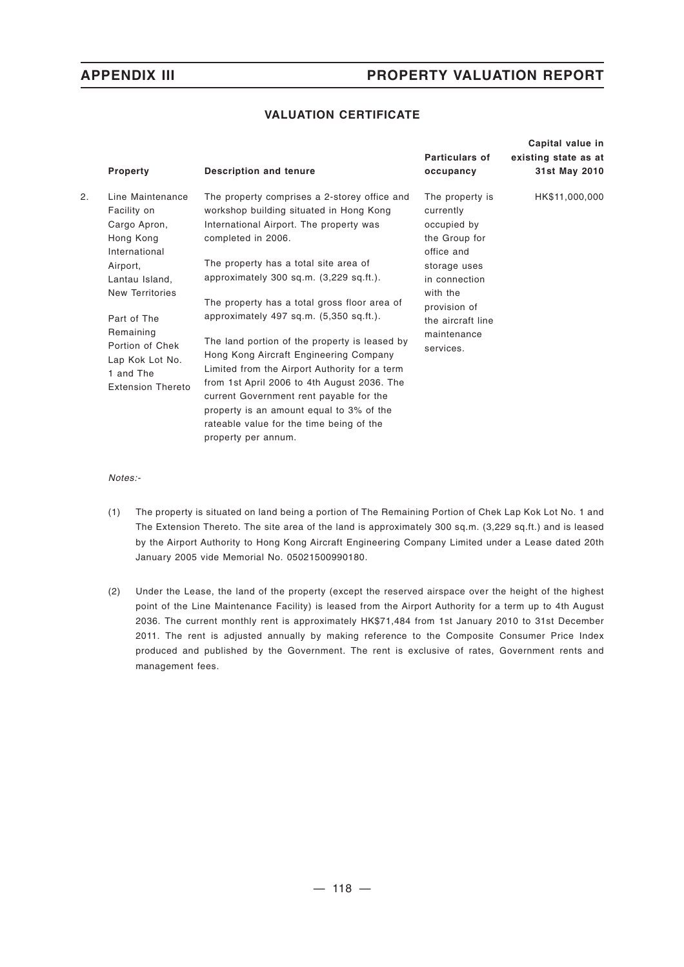## **VALUATION CERTIFICATE**

|    | Property                                                                                                                                                                                                                                         | <b>Description and tenure</b>                                                                                                                                                                                                                                                                                                                                                                                                                                                                                                                                                                                                                                                                    | <b>Particulars of</b><br>occupancy                                                                                                                                                       | Capital value in<br>existing state as at<br>31st May 2010 |
|----|--------------------------------------------------------------------------------------------------------------------------------------------------------------------------------------------------------------------------------------------------|--------------------------------------------------------------------------------------------------------------------------------------------------------------------------------------------------------------------------------------------------------------------------------------------------------------------------------------------------------------------------------------------------------------------------------------------------------------------------------------------------------------------------------------------------------------------------------------------------------------------------------------------------------------------------------------------------|------------------------------------------------------------------------------------------------------------------------------------------------------------------------------------------|-----------------------------------------------------------|
| 2. | Line Maintenance<br>Facility on<br>Cargo Apron,<br>Hong Kong<br>International<br>Airport,<br>Lantau Island,<br><b>New Territories</b><br>Part of The<br>Remaining<br>Portion of Chek<br>Lap Kok Lot No.<br>1 and The<br><b>Extension Thereto</b> | The property comprises a 2-storey office and<br>workshop building situated in Hong Kong<br>International Airport. The property was<br>completed in 2006.<br>The property has a total site area of<br>approximately $300$ sq.m. $(3,229$ sq.ft.).<br>The property has a total gross floor area of<br>approximately 497 sq.m. (5,350 sq.ft.).<br>The land portion of the property is leased by<br>Hong Kong Aircraft Engineering Company<br>Limited from the Airport Authority for a term<br>from 1st April 2006 to 4th August 2036. The<br>current Government rent payable for the<br>property is an amount equal to 3% of the<br>rateable value for the time being of the<br>property per annum. | The property is<br>currently<br>occupied by<br>the Group for<br>office and<br>storage uses<br>in connection<br>with the<br>provision of<br>the aircraft line<br>maintenance<br>services. | HK\$11,000,000                                            |

*Notes:-*

- (1) The property is situated on land being a portion of The Remaining Portion of Chek Lap Kok Lot No. 1 and The Extension Thereto. The site area of the land is approximately 300 sq.m. (3,229 sq.ft.) and is leased by the Airport Authority to Hong Kong Aircraft Engineering Company Limited under a Lease dated 20th January 2005 vide Memorial No. 05021500990180.
- (2) Under the Lease, the land of the property (except the reserved airspace over the height of the highest point of the Line Maintenance Facility) is leased from the Airport Authority for a term up to 4th August 2036. The current monthly rent is approximately HK\$71,484 from 1st January 2010 to 31st December 2011. The rent is adjusted annually by making reference to the Composite Consumer Price Index produced and published by the Government. The rent is exclusive of rates, Government rents and management fees.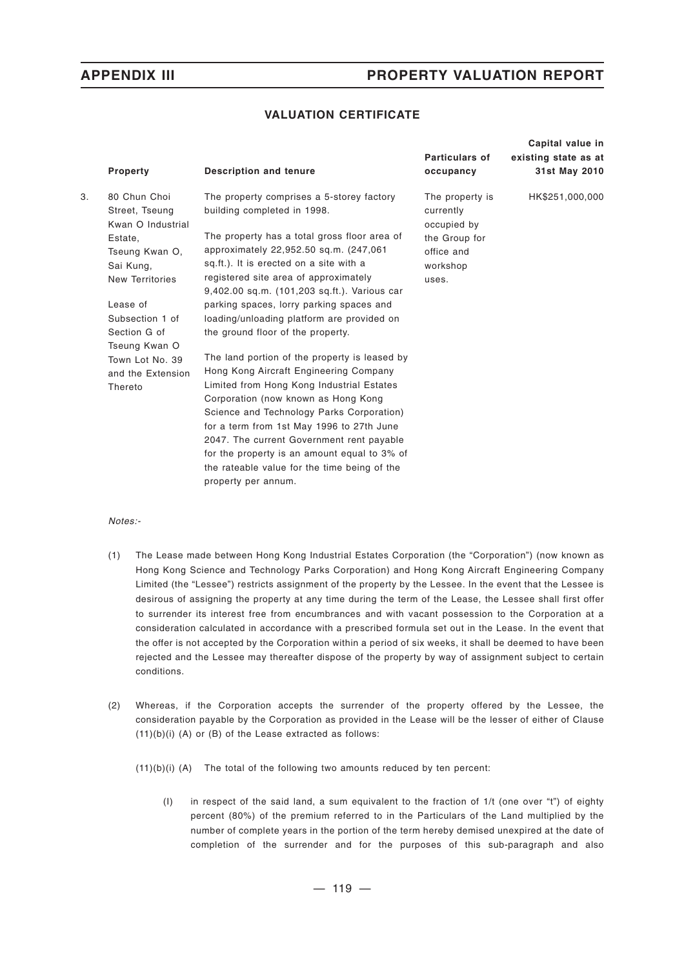## **VALUATION CERTIFICATE**

|    | Property                                                                                                                                               | <b>Description and tenure</b>                                                                                                                                                                                                                                                                                                                                                                                                             | <b>Particulars of</b><br>occupancy                                                              | Capital value in<br>existing state as at<br>31st May 2010 |
|----|--------------------------------------------------------------------------------------------------------------------------------------------------------|-------------------------------------------------------------------------------------------------------------------------------------------------------------------------------------------------------------------------------------------------------------------------------------------------------------------------------------------------------------------------------------------------------------------------------------------|-------------------------------------------------------------------------------------------------|-----------------------------------------------------------|
| 3. | 80 Chun Choi<br>Street, Tseung<br>Kwan O Industrial<br>Estate,<br>Tseung Kwan O,<br>Sai Kung,<br><b>New Territories</b><br>Lease of<br>Subsection 1 of | The property comprises a 5-storey factory<br>building completed in 1998.<br>The property has a total gross floor area of<br>approximately 22,952.50 sq.m. (247,061<br>sq.ft.). It is erected on a site with a<br>registered site area of approximately<br>9,402.00 sq.m. (101,203 sq.ft.). Various car<br>parking spaces, lorry parking spaces and<br>loading/unloading platform are provided on                                          | The property is<br>currently<br>occupied by<br>the Group for<br>office and<br>workshop<br>uses. | HK\$251,000,000                                           |
|    | Section G of<br>Tseung Kwan O                                                                                                                          | the ground floor of the property.                                                                                                                                                                                                                                                                                                                                                                                                         |                                                                                                 |                                                           |
|    | Town Lot No. 39<br>and the Extension<br>Thereto                                                                                                        | The land portion of the property is leased by<br>Hong Kong Aircraft Engineering Company<br>Limited from Hong Kong Industrial Estates<br>Corporation (now known as Hong Kong<br>Science and Technology Parks Corporation)<br>for a term from 1st May 1996 to 27th June<br>2047. The current Government rent payable<br>for the property is an amount equal to 3% of<br>the rateable value for the time being of the<br>property per annum. |                                                                                                 |                                                           |

### *Notes:-*

- (1) The Lease made between Hong Kong Industrial Estates Corporation (the "Corporation") (now known as Hong Kong Science and Technology Parks Corporation) and Hong Kong Aircraft Engineering Company Limited (the "Lessee") restricts assignment of the property by the Lessee. In the event that the Lessee is desirous of assigning the property at any time during the term of the Lease, the Lessee shall first offer to surrender its interest free from encumbrances and with vacant possession to the Corporation at a consideration calculated in accordance with a prescribed formula set out in the Lease. In the event that the offer is not accepted by the Corporation within a period of six weeks, it shall be deemed to have been rejected and the Lessee may thereafter dispose of the property by way of assignment subject to certain conditions.
- (2) Whereas, if the Corporation accepts the surrender of the property offered by the Lessee, the consideration payable by the Corporation as provided in the Lease will be the lesser of either of Clause (11)(b)(i) (A) or (B) of the Lease extracted as follows:

(11)(b)(i) (A) The total of the following two amounts reduced by ten percent:

(I) in respect of the said land, a sum equivalent to the fraction of 1/t (one over "t") of eighty percent (80%) of the premium referred to in the Particulars of the Land multiplied by the number of complete years in the portion of the term hereby demised unexpired at the date of completion of the surrender and for the purposes of this sub-paragraph and also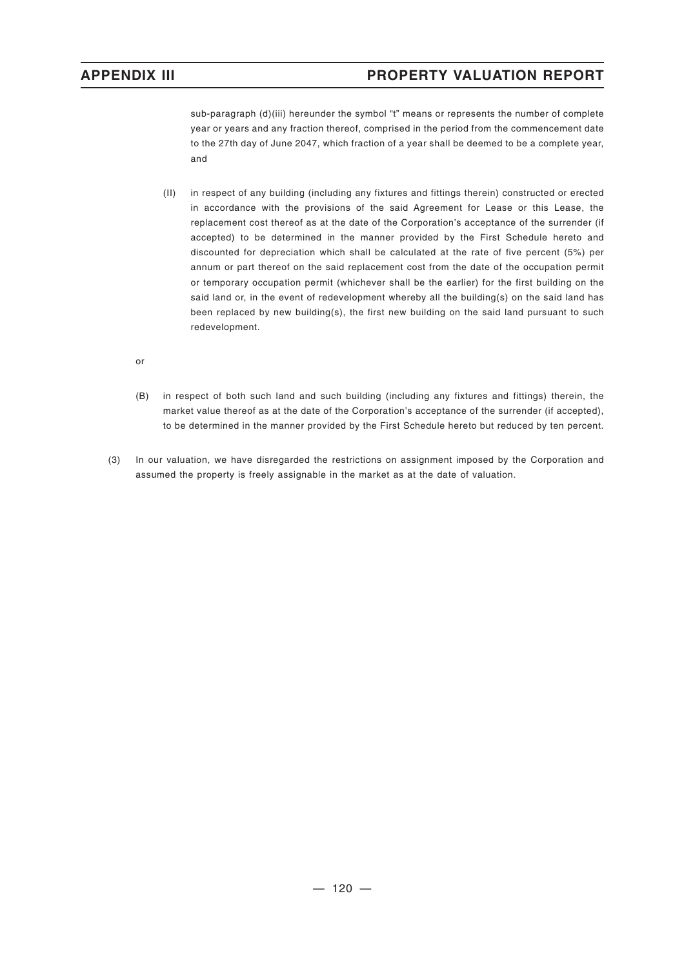sub-paragraph (d)(iii) hereunder the symbol "t" means or represents the number of complete year or years and any fraction thereof, comprised in the period from the commencement date to the 27th day of June 2047, which fraction of a year shall be deemed to be a complete year, and

- (II) in respect of any building (including any fixtures and fittings therein) constructed or erected in accordance with the provisions of the said Agreement for Lease or this Lease, the replacement cost thereof as at the date of the Corporation's acceptance of the surrender (if accepted) to be determined in the manner provided by the First Schedule hereto and discounted for depreciation which shall be calculated at the rate of five percent (5%) per annum or part thereof on the said replacement cost from the date of the occupation permit or temporary occupation permit (whichever shall be the earlier) for the first building on the said land or, in the event of redevelopment whereby all the building(s) on the said land has been replaced by new building(s), the first new building on the said land pursuant to such redevelopment.
- or
- (B) in respect of both such land and such building (including any fixtures and fittings) therein, the market value thereof as at the date of the Corporation's acceptance of the surrender (if accepted), to be determined in the manner provided by the First Schedule hereto but reduced by ten percent.
- (3) In our valuation, we have disregarded the restrictions on assignment imposed by the Corporation and assumed the property is freely assignable in the market as at the date of valuation.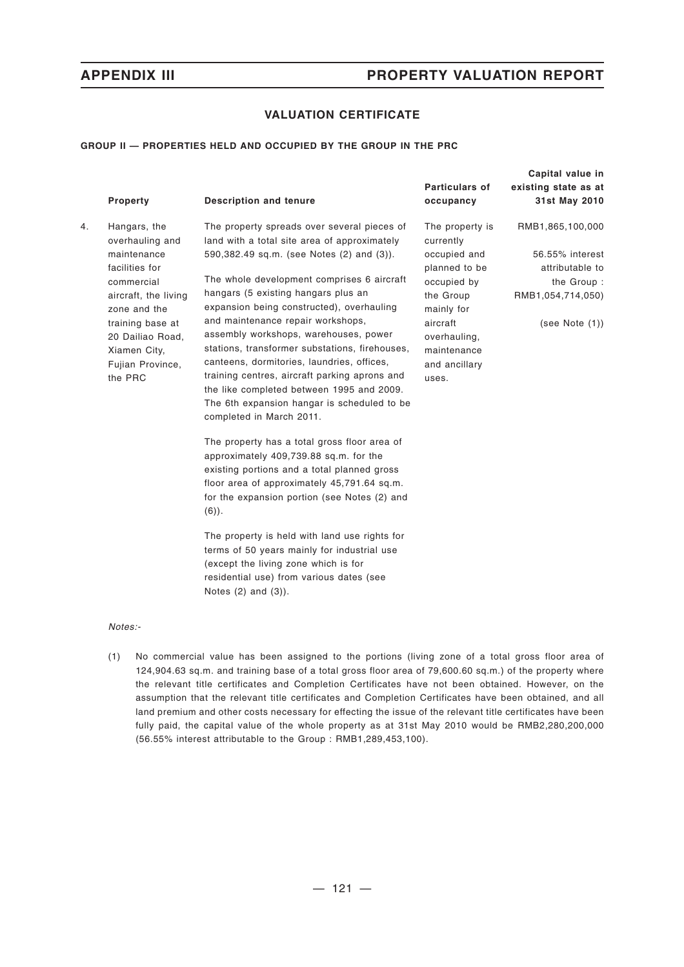## **VALUATION CERTIFICATE**

### **GROUP II — PROPERTIES HELD AND OCCUPIED BY THE GROUP IN THE PRC**

|    | Property                                                                                                                                                                                                      | <b>Description and tenure</b>                                                                                                                                                                                                                                                                                                                                                                                                                                                                                                                                                                                                                                                                                                                                                                                                                                                                                                                                                                                                                                             | Particulars of<br>occupancy                                                                                                                                                  | Capital value in<br>existing state as at<br>31st May 2010                                                   |
|----|---------------------------------------------------------------------------------------------------------------------------------------------------------------------------------------------------------------|---------------------------------------------------------------------------------------------------------------------------------------------------------------------------------------------------------------------------------------------------------------------------------------------------------------------------------------------------------------------------------------------------------------------------------------------------------------------------------------------------------------------------------------------------------------------------------------------------------------------------------------------------------------------------------------------------------------------------------------------------------------------------------------------------------------------------------------------------------------------------------------------------------------------------------------------------------------------------------------------------------------------------------------------------------------------------|------------------------------------------------------------------------------------------------------------------------------------------------------------------------------|-------------------------------------------------------------------------------------------------------------|
| 4. | Hangars, the<br>overhauling and<br>maintenance<br>facilities for<br>commercial<br>aircraft, the living<br>zone and the<br>training base at<br>20 Dailiao Road,<br>Xiamen City,<br>Fujian Province,<br>the PRC | The property spreads over several pieces of<br>land with a total site area of approximately<br>590,382.49 sq.m. (see Notes (2) and (3)).<br>The whole development comprises 6 aircraft<br>hangars (5 existing hangars plus an<br>expansion being constructed), overhauling<br>and maintenance repair workshops,<br>assembly workshops, warehouses, power<br>stations, transformer substations, firehouses,<br>canteens, dormitories, laundries, offices,<br>training centres, aircraft parking aprons and<br>the like completed between 1995 and 2009.<br>The 6th expansion hangar is scheduled to be<br>completed in March 2011.<br>The property has a total gross floor area of<br>approximately 409,739.88 sq.m. for the<br>existing portions and a total planned gross<br>floor area of approximately 45,791.64 sq.m.<br>for the expansion portion (see Notes (2) and<br>$(6)$ ).<br>The property is held with land use rights for<br>terms of 50 years mainly for industrial use<br>(except the living zone which is for<br>residential use) from various dates (see | The property is<br>currently<br>occupied and<br>planned to be<br>occupied by<br>the Group<br>mainly for<br>aircraft<br>overhauling,<br>maintenance<br>and ancillary<br>uses. | RMB1,865,100,000<br>56.55% interest<br>attributable to<br>the Group:<br>RMB1,054,714,050)<br>(see Note (1)) |
|    |                                                                                                                                                                                                               | Notes $(2)$ and $(3)$ ).                                                                                                                                                                                                                                                                                                                                                                                                                                                                                                                                                                                                                                                                                                                                                                                                                                                                                                                                                                                                                                                  |                                                                                                                                                                              |                                                                                                             |

*Notes:-*

(1) No commercial value has been assigned to the portions (living zone of a total gross floor area of 124,904.63 sq.m. and training base of a total gross floor area of 79,600.60 sq.m.) of the property where the relevant title certificates and Completion Certificates have not been obtained. However, on the assumption that the relevant title certificates and Completion Certificates have been obtained, and all land premium and other costs necessary for effecting the issue of the relevant title certificates have been fully paid, the capital value of the whole property as at 31st May 2010 would be RMB2,280,200,000 (56.55% interest attributable to the Group : RMB1,289,453,100).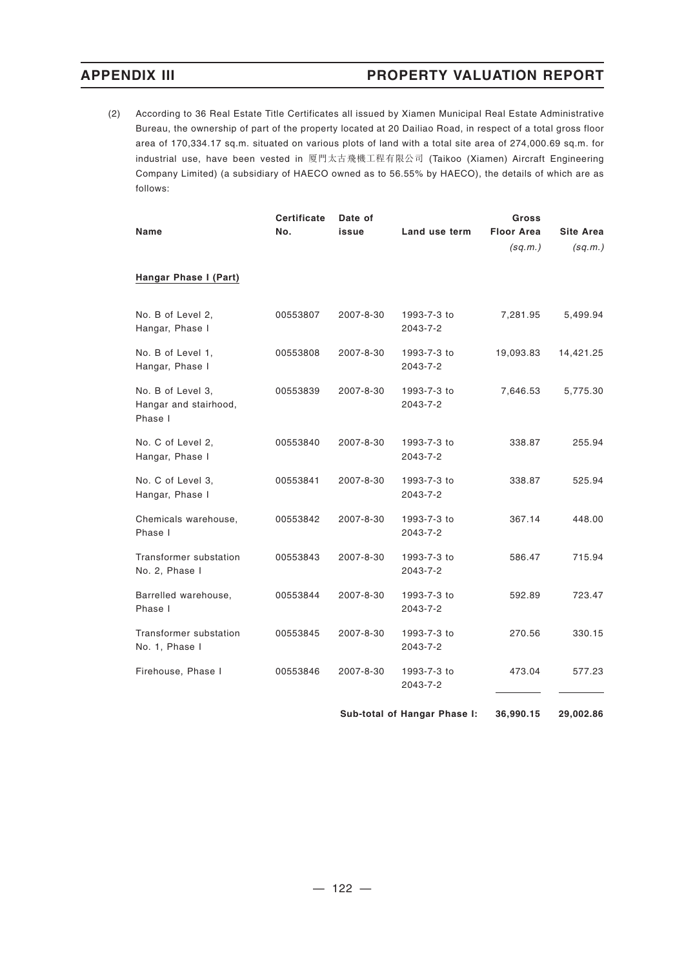(2) According to 36 Real Estate Title Certificates all issued by Xiamen Municipal Real Estate Administrative Bureau, the ownership of part of the property located at 20 Dailiao Road, in respect of a total gross floor area of 170,334.17 sq.m. situated on various plots of land with a total site area of 274,000.69 sq.m. for industrial use, have been vested in 厦門太古飛機工程有限公司 (Taikoo (Xiamen) Aircraft Engineering Company Limited) (a subsidiary of HAECO owned as to 56.55% by HAECO), the details of which are as follows:

| Name                                                  | <b>Certificate</b><br>No. | Date of<br>issue | Land use term           | Gross<br><b>Floor Area</b><br>(sq.m.) | Site Area<br>(sq.m.) |
|-------------------------------------------------------|---------------------------|------------------|-------------------------|---------------------------------------|----------------------|
| Hangar Phase I (Part)                                 |                           |                  |                         |                                       |                      |
| No. B of Level 2,<br>Hangar, Phase I                  | 00553807                  | 2007-8-30        | 1993-7-3 to<br>2043-7-2 | 7,281.95                              | 5,499.94             |
| No. B of Level 1,<br>Hangar, Phase I                  | 00553808                  | 2007-8-30        | 1993-7-3 to<br>2043-7-2 | 19,093.83                             | 14,421.25            |
| No. B of Level 3,<br>Hangar and stairhood,<br>Phase I | 00553839                  | 2007-8-30        | 1993-7-3 to<br>2043-7-2 | 7,646.53                              | 5,775.30             |
| No. C of Level 2,<br>Hangar, Phase I                  | 00553840                  | 2007-8-30        | 1993-7-3 to<br>2043-7-2 | 338.87                                | 255.94               |
| No. C of Level 3,<br>Hangar, Phase I                  | 00553841                  | 2007-8-30        | 1993-7-3 to<br>2043-7-2 | 338.87                                | 525.94               |
| Chemicals warehouse,<br>Phase I                       | 00553842                  | 2007-8-30        | 1993-7-3 to<br>2043-7-2 | 367.14                                | 448.00               |
| Transformer substation<br>No. 2, Phase I              | 00553843                  | 2007-8-30        | 1993-7-3 to<br>2043-7-2 | 586.47                                | 715.94               |
| Barrelled warehouse,<br>Phase I                       | 00553844                  | 2007-8-30        | 1993-7-3 to<br>2043-7-2 | 592.89                                | 723.47               |
| Transformer substation<br>No. 1, Phase I              | 00553845                  | 2007-8-30        | 1993-7-3 to<br>2043-7-2 | 270.56                                | 330.15               |
| Firehouse, Phase I                                    | 00553846                  | 2007-8-30        | 1993-7-3 to<br>2043-7-2 | 473.04                                | 577.23               |

**Sub-total of Hangar Phase I: 36,990.15 29,002.86**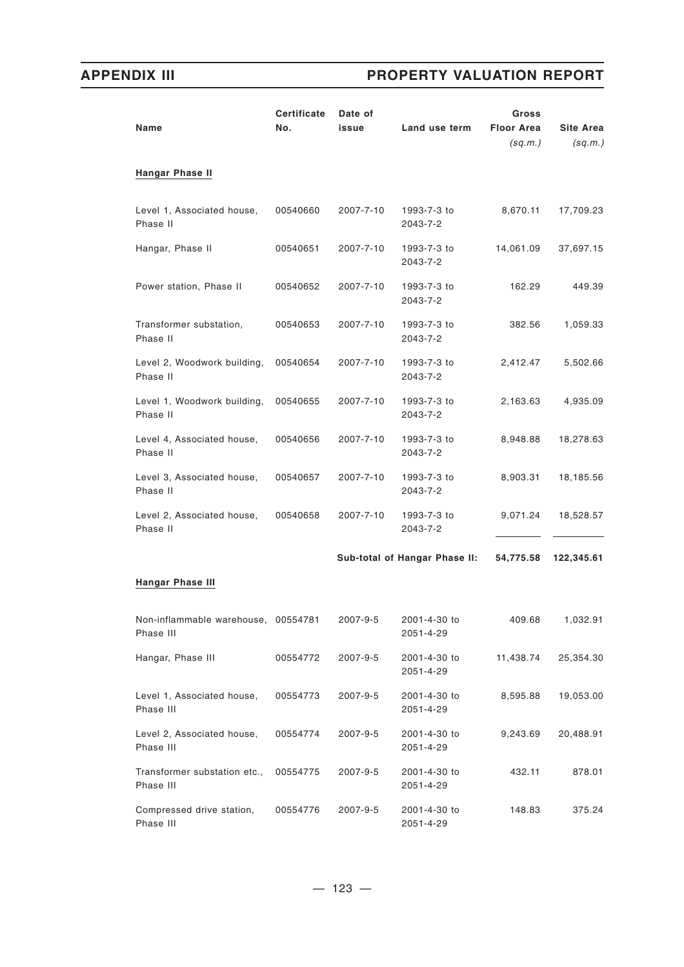| Name                                             | <b>Certificate</b><br>No. | Date of<br>issue | Land use term                 | Gross<br><b>Floor Area</b><br>(sq.m.) | <b>Site Area</b><br>(sq.m.) |
|--------------------------------------------------|---------------------------|------------------|-------------------------------|---------------------------------------|-----------------------------|
| <b>Hangar Phase II</b>                           |                           |                  |                               |                                       |                             |
| Level 1, Associated house,<br>Phase II           | 00540660                  | 2007-7-10        | 1993-7-3 to<br>2043-7-2       | 8,670.11                              | 17,709.23                   |
| Hangar, Phase II                                 | 00540651                  | 2007-7-10        | 1993-7-3 to<br>2043-7-2       | 14,061.09                             | 37,697.15                   |
| Power station, Phase II                          | 00540652                  | 2007-7-10        | 1993-7-3 to<br>2043-7-2       | 162.29                                | 449.39                      |
| Transformer substation,<br>Phase II              | 00540653                  | 2007-7-10        | 1993-7-3 to<br>2043-7-2       | 382.56                                | 1,059.33                    |
| Level 2, Woodwork building,<br>Phase II          | 00540654                  | 2007-7-10        | 1993-7-3 to<br>2043-7-2       | 2,412.47                              | 5,502.66                    |
| Level 1, Woodwork building,<br>Phase II          | 00540655                  | 2007-7-10        | 1993-7-3 to<br>2043-7-2       | 2,163.63                              | 4,935.09                    |
| Level 4, Associated house,<br>Phase II           | 00540656                  | 2007-7-10        | 1993-7-3 to<br>2043-7-2       | 8,948.88                              | 18,278.63                   |
| Level 3, Associated house,<br>Phase II           | 00540657                  | 2007-7-10        | 1993-7-3 to<br>2043-7-2       | 8,903.31                              | 18,185.56                   |
| Level 2, Associated house,<br>Phase II           | 00540658                  | 2007-7-10        | 1993-7-3 to<br>2043-7-2       | 9,071.24                              | 18,528.57                   |
|                                                  |                           |                  | Sub-total of Hangar Phase II: | 54,775.58                             | 122,345.61                  |
| <b>Hangar Phase III</b>                          |                           |                  |                               |                                       |                             |
| Non-inflammable warehouse, 00554781<br>Phase III |                           | 2007-9-5         | 2001-4-30 to<br>2051-4-29     | 409.68                                | 1,032.91                    |
| Hangar, Phase III                                | 00554772                  | 2007-9-5         | 2001-4-30 to<br>2051-4-29     | 11,438.74                             | 25,354.30                   |
| Level 1, Associated house,<br>Phase III          | 00554773                  | 2007-9-5         | 2001-4-30 to<br>2051-4-29     | 8,595.88                              | 19,053.00                   |
| Level 2, Associated house,<br>Phase III          | 00554774                  | 2007-9-5         | 2001-4-30 to<br>2051-4-29     | 9,243.69                              | 20,488.91                   |
| Transformer substation etc.,<br>Phase III        | 00554775                  | 2007-9-5         | 2001-4-30 to<br>2051-4-29     | 432.11                                | 878.01                      |
| Compressed drive station,<br>Phase III           | 00554776                  | 2007-9-5         | 2001-4-30 to<br>2051-4-29     | 148.83                                | 375.24                      |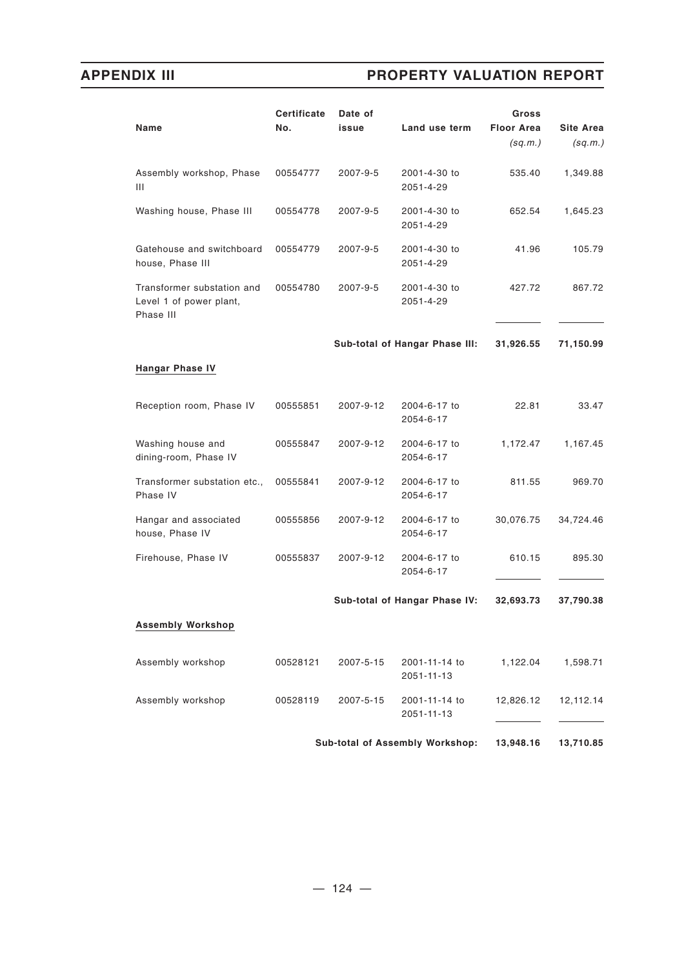| Name                                                               | <b>Certificate</b><br>No. | Date of<br>issue | Land use term                   | Gross<br><b>Floor Area</b><br>(sq.m.) | <b>Site Area</b><br>(sq.m.) |
|--------------------------------------------------------------------|---------------------------|------------------|---------------------------------|---------------------------------------|-----------------------------|
| Assembly workshop, Phase<br>Ш                                      | 00554777                  | 2007-9-5         | 2001-4-30 to<br>2051-4-29       | 535.40                                | 1,349.88                    |
| Washing house, Phase III                                           | 00554778                  | 2007-9-5         | 2001-4-30 to<br>2051-4-29       | 652.54                                | 1,645.23                    |
| Gatehouse and switchboard<br>house, Phase III                      | 00554779                  | 2007-9-5         | 2001-4-30 to<br>2051-4-29       | 41.96                                 | 105.79                      |
| Transformer substation and<br>Level 1 of power plant,<br>Phase III | 00554780                  | 2007-9-5         | 2001-4-30 to<br>2051-4-29       | 427.72                                | 867.72                      |
|                                                                    |                           |                  | Sub-total of Hangar Phase III:  | 31,926.55                             | 71,150.99                   |
| <b>Hangar Phase IV</b>                                             |                           |                  |                                 |                                       |                             |
| Reception room, Phase IV                                           | 00555851                  | 2007-9-12        | 2004-6-17 to<br>2054-6-17       | 22.81                                 | 33.47                       |
| Washing house and<br>dining-room, Phase IV                         | 00555847                  | 2007-9-12        | 2004-6-17 to<br>2054-6-17       | 1,172.47                              | 1,167.45                    |
| Transformer substation etc.,<br>Phase IV                           | 00555841                  | 2007-9-12        | 2004-6-17 to<br>2054-6-17       | 811.55                                | 969.70                      |
| Hangar and associated<br>house, Phase IV                           | 00555856                  | 2007-9-12        | 2004-6-17 to<br>2054-6-17       | 30,076.75                             | 34,724.46                   |
| Firehouse, Phase IV                                                | 00555837                  | 2007-9-12        | 2004-6-17 to<br>2054-6-17       | 610.15                                | 895.30                      |
|                                                                    |                           |                  | Sub-total of Hangar Phase IV:   | 32,693.73                             | 37,790.38                   |
| <b>Assembly Workshop</b>                                           |                           |                  |                                 |                                       |                             |
| Assembly workshop                                                  | 00528121                  | 2007-5-15        | 2001-11-14 to<br>2051-11-13     | 1,122.04                              | 1,598.71                    |
| Assembly workshop                                                  | 00528119                  | 2007-5-15        | 2001-11-14 to<br>2051-11-13     | 12,826.12                             | 12,112.14                   |
|                                                                    |                           |                  | Sub-total of Assembly Workshop: | 13,948.16                             | 13,710.85                   |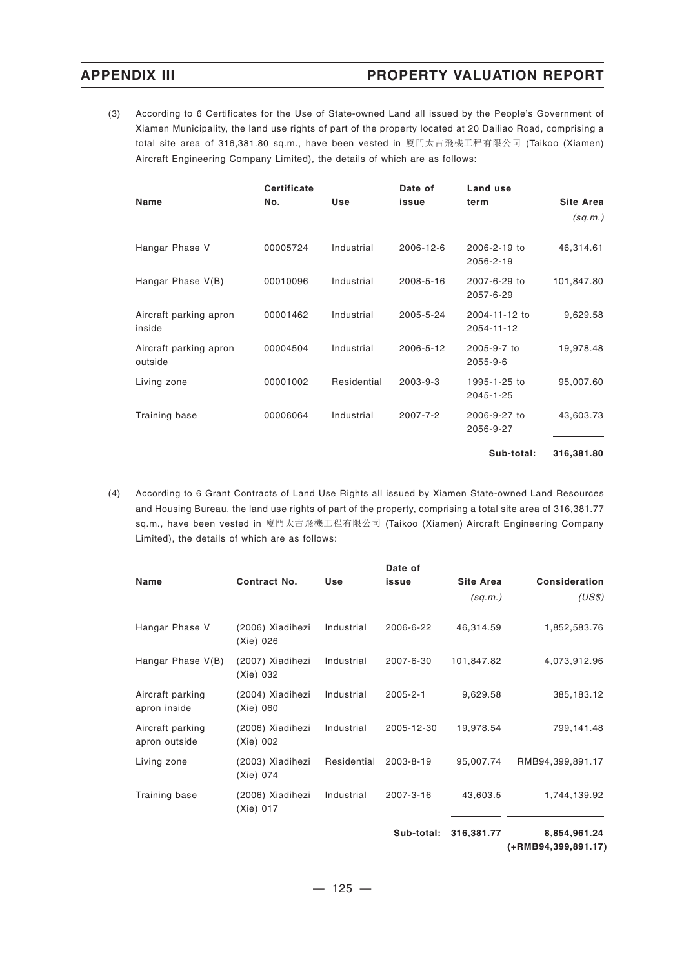(3) According to 6 Certificates for the Use of State-owned Land all issued by the People's Government of Xiamen Municipality, the land use rights of part of the property located at 20 Dailiao Road, comprising a total site area of 316,381.80 sq.m., have been vested in 厦門太古飛機工程有限公司 (Taikoo (Xiamen) Aircraft Engineering Company Limited), the details of which are as follows:

| Name                              | <b>Certificate</b><br>No. | Use         | Date of<br>issue | Land use<br>term            | <b>Site Area</b><br>(sq.m.) |
|-----------------------------------|---------------------------|-------------|------------------|-----------------------------|-----------------------------|
| Hangar Phase V                    | 00005724                  | Industrial  | 2006-12-6        | 2006-2-19 to<br>2056-2-19   | 46,314.61                   |
| Hangar Phase V(B)                 | 00010096                  | Industrial  | 2008-5-16        | 2007-6-29 to<br>2057-6-29   | 101,847.80                  |
| Aircraft parking apron<br>inside  | 00001462                  | Industrial  | 2005-5-24        | 2004-11-12 to<br>2054-11-12 | 9,629.58                    |
| Aircraft parking apron<br>outside | 00004504                  | Industrial  | 2006-5-12        | 2005-9-7 to<br>2055-9-6     | 19,978.48                   |
| Living zone                       | 00001002                  | Residential | 2003-9-3         | 1995-1-25 to<br>2045-1-25   | 95,007.60                   |
| Training base                     | 00006064                  | Industrial  | 2007-7-2         | 2006-9-27 to<br>2056-9-27   | 43,603.73                   |
|                                   |                           |             |                  | Sub-total:                  | 316,381.80                  |

(4) According to 6 Grant Contracts of Land Use Rights all issued by Xiamen State-owned Land Resources and Housing Bureau, the land use rights of part of the property, comprising a total site area of 316,381.77 sq.m., have been vested in 廈門太古飛機工程有限公司 (Taikoo (Xiamen) Aircraft Engineering Company Limited), the details of which are as follows:

|                                   |                               |             | Date of        |                  |                  |
|-----------------------------------|-------------------------------|-------------|----------------|------------------|------------------|
| Name                              | Contract No.                  | Use         | issue          | <b>Site Area</b> | Consideration    |
|                                   |                               |             |                | (sq.m.)          | (US\$)           |
| Hangar Phase V                    | (2006) Xiadihezi<br>(Xie) 026 | Industrial  | 2006-6-22      | 46,314.59        | 1,852,583.76     |
| Hangar Phase V(B)                 | (2007) Xiadihezi<br>(Xie) 032 | Industrial  | 2007-6-30      | 101,847.82       | 4,073,912.96     |
| Aircraft parking<br>apron inside  | (2004) Xiadihezi<br>(Xie) 060 | Industrial  | $2005 - 2 - 1$ | 9,629.58         | 385, 183. 12     |
| Aircraft parking<br>apron outside | (2006) Xiadihezi<br>(Xie) 002 | Industrial  | 2005-12-30     | 19,978.54        | 799,141.48       |
| Living zone                       | (2003) Xiadihezi<br>(Xie) 074 | Residential | 2003-8-19      | 95,007.74        | RMB94,399,891.17 |
| Training base                     | (2006) Xiadihezi<br>(Xie) 017 | Industrial  | 2007-3-16      | 43,603.5         | 1,744,139.92     |
|                                   |                               |             |                |                  |                  |

**Sub-total: 316,381.77 8,854,961.24**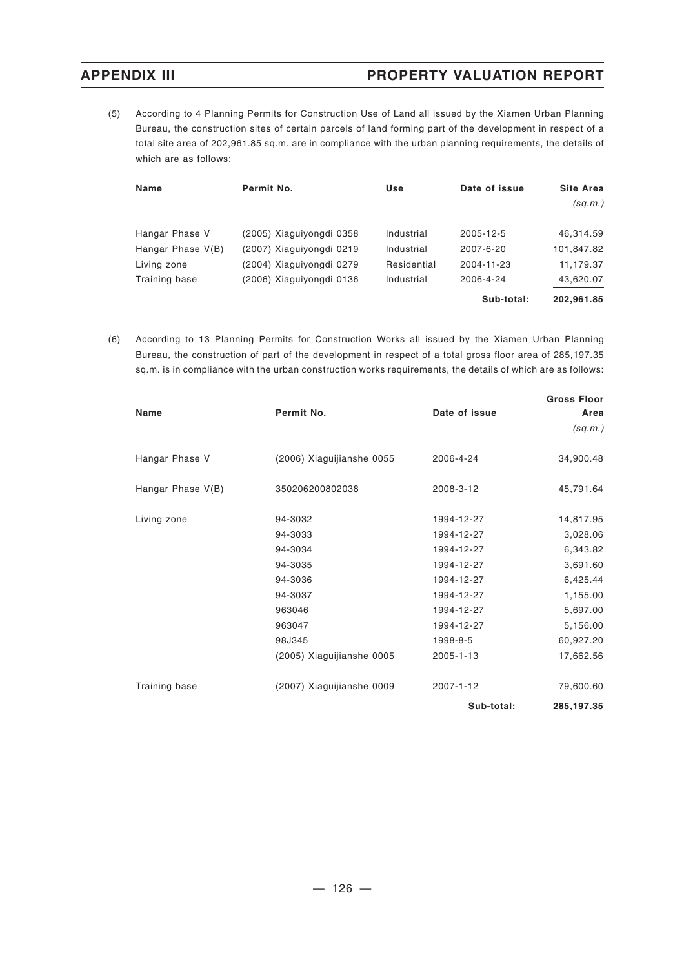(5) According to 4 Planning Permits for Construction Use of Land all issued by the Xiamen Urban Planning Bureau, the construction sites of certain parcels of land forming part of the development in respect of a total site area of 202,961.85 sq.m. are in compliance with the urban planning requirements, the details of which are as follows:

| Name              | Permit No.               | Use         | Date of issue | <b>Site Area</b> |
|-------------------|--------------------------|-------------|---------------|------------------|
|                   |                          |             |               | (sq.m.)          |
| Hangar Phase V    | (2005) Xiaguiyongdi 0358 | Industrial  | 2005-12-5     | 46.314.59        |
| Hangar Phase V(B) | (2007) Xiaguiyongdi 0219 | Industrial  | 2007-6-20     | 101,847.82       |
| Living zone       | (2004) Xiaguiyongdi 0279 | Residential | 2004-11-23    | 11,179.37        |
| Training base     | (2006) Xiaguiyongdi 0136 | Industrial  | 2006-4-24     | 43,620.07        |
|                   |                          |             | Sub-total:    | 202.961.85       |

(6) According to 13 Planning Permits for Construction Works all issued by the Xiamen Urban Planning Bureau, the construction of part of the development in respect of a total gross floor area of 285,197.35 sq.m. is in compliance with the urban construction works requirements, the details of which are as follows:

|                   |                           |               | <b>Gross Floor</b> |
|-------------------|---------------------------|---------------|--------------------|
| Name              | Permit No.                | Date of issue | Area               |
|                   |                           |               | (sq.m.)            |
| Hangar Phase V    | (2006) Xiaguijianshe 0055 | 2006-4-24     | 34,900.48          |
| Hangar Phase V(B) | 350206200802038           | 2008-3-12     | 45,791.64          |
| Living zone       | 94-3032                   | 1994-12-27    | 14,817.95          |
|                   | 94-3033                   | 1994-12-27    | 3,028.06           |
|                   | 94-3034                   | 1994-12-27    | 6,343.82           |
|                   | 94-3035                   | 1994-12-27    | 3,691.60           |
|                   | 94-3036                   | 1994-12-27    | 6,425.44           |
|                   | 94-3037                   | 1994-12-27    | 1,155.00           |
|                   | 963046                    | 1994-12-27    | 5,697.00           |
|                   | 963047                    | 1994-12-27    | 5,156.00           |
|                   | 98J345                    | 1998-8-5      | 60,927.20          |
|                   | (2005) Xiaguijianshe 0005 | 2005-1-13     | 17,662.56          |
| Training base     | (2007) Xiaguijianshe 0009 | 2007-1-12     | 79,600.60          |
|                   |                           | Sub-total:    | 285,197.35         |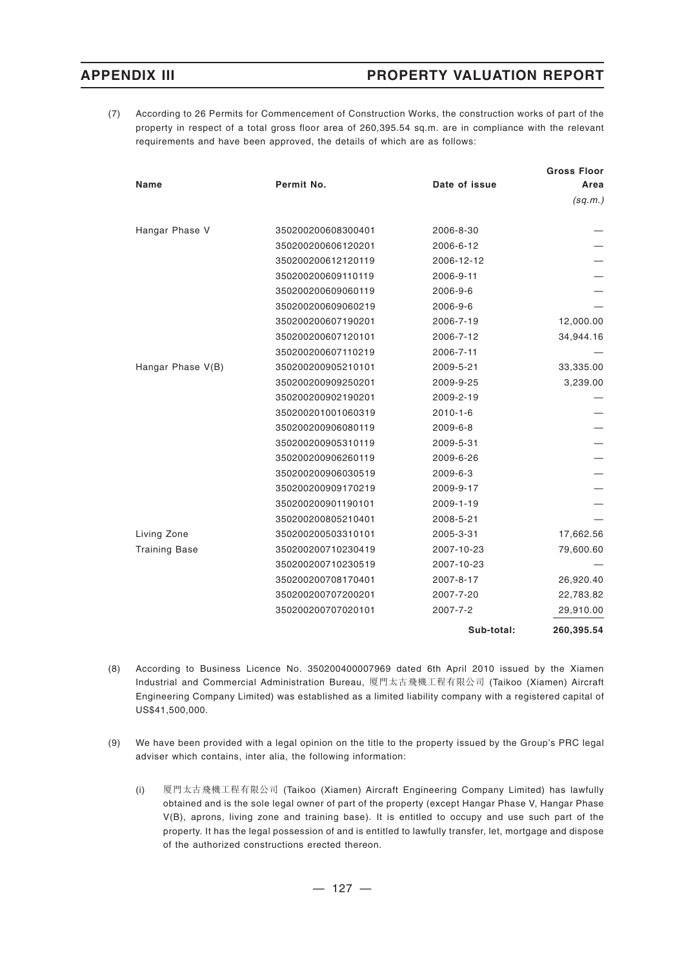(7) According to 26 Permits for Commencement of Construction Works, the construction works of part of the property in respect of a total gross floor area of 260,395.54 sq.m. are in compliance with the relevant requirements and have been approved, the details of which are as follows:

|                      |                    |                | <b>Gross Floor</b> |
|----------------------|--------------------|----------------|--------------------|
| Name                 | Permit No.         | Date of issue  | Area               |
|                      |                    |                | (sq.m.)            |
| Hangar Phase V       | 350200200608300401 | 2006-8-30      |                    |
|                      | 350200200606120201 | 2006-6-12      |                    |
|                      | 350200200612120119 | 2006-12-12     |                    |
|                      | 350200200609110119 | 2006-9-11      |                    |
|                      | 350200200609060119 | 2006-9-6       |                    |
|                      | 350200200609060219 | 2006-9-6       |                    |
|                      | 350200200607190201 | 2006-7-19      | 12,000.00          |
|                      | 350200200607120101 | 2006-7-12      | 34,944.16          |
|                      | 350200200607110219 | 2006-7-11      |                    |
| Hangar Phase V(B)    | 350200200905210101 | 2009-5-21      | 33,335.00          |
|                      | 350200200909250201 | 2009-9-25      | 3,239.00           |
|                      | 350200200902190201 | 2009-2-19      |                    |
|                      | 350200201001060319 | $2010 - 1 - 6$ |                    |
|                      | 350200200906080119 | 2009-6-8       |                    |
|                      | 350200200905310119 | 2009-5-31      |                    |
|                      | 350200200906260119 | 2009-6-26      |                    |
|                      | 350200200906030519 | 2009-6-3       |                    |
|                      | 350200200909170219 | 2009-9-17      |                    |
|                      | 350200200901190101 | 2009-1-19      |                    |
|                      | 350200200805210401 | 2008-5-21      |                    |
| Living Zone          | 350200200503310101 | 2005-3-31      | 17,662.56          |
| <b>Training Base</b> | 350200200710230419 | 2007-10-23     | 79,600.60          |
|                      | 350200200710230519 | 2007-10-23     |                    |
|                      | 350200200708170401 | 2007-8-17      | 26,920.40          |
|                      | 350200200707200201 | 2007-7-20      | 22,783.82          |
|                      | 350200200707020101 | 2007-7-2       | 29,910.00          |
|                      |                    | Sub-total:     | 260,395.54         |

- (8) According to Business Licence No. 350200400007969 dated 6th April 2010 issued by the Xiamen Industrial and Commercial Administration Bureau, 厦門太古飛機工程有限公司 (Taikoo (Xiamen) Aircraft Engineering Company Limited) was established as a limited liability company with a registered capital of US\$41,500,000.
- (9) We have been provided with a legal opinion on the title to the property issued by the Group's PRC legal adviser which contains, inter alia, the following information:
	- (i) 厦門太古飛機工程有限公司 (Taikoo (Xiamen) Aircraft Engineering Company Limited) has lawfully obtained and is the sole legal owner of part of the property (except Hangar Phase V, Hangar Phase V(B), aprons, living zone and training base). It is entitled to occupy and use such part of the property. It has the legal possession of and is entitled to lawfully transfer, let, mortgage and dispose of the authorized constructions erected thereon.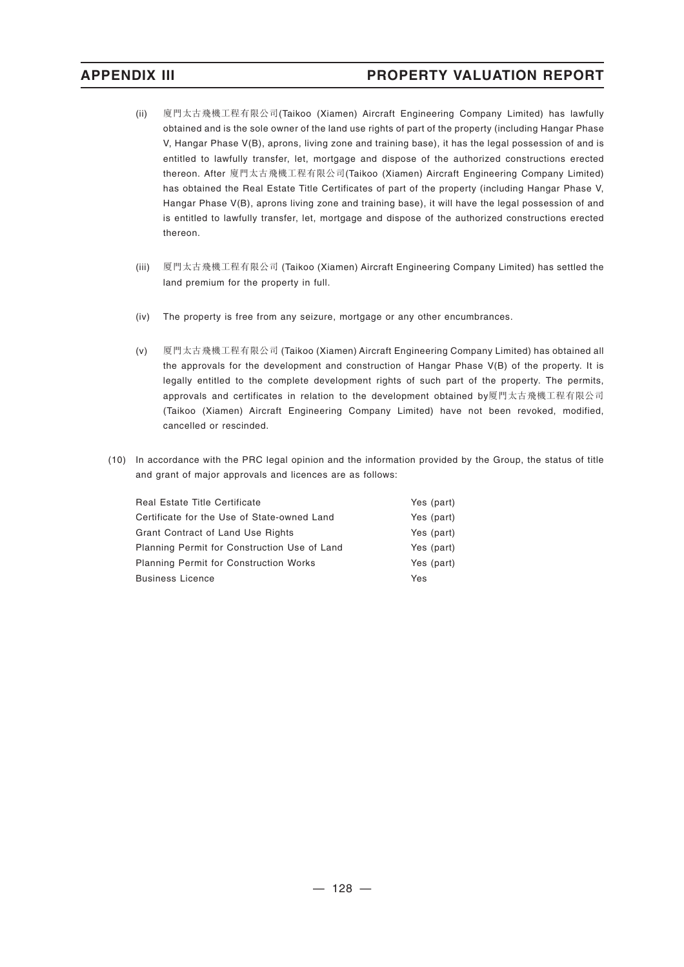- (ii) 廈門太古飛機工程有限公司(Taikoo (Xiamen) Aircraft Engineering Company Limited) has lawfully obtained and is the sole owner of the land use rights of part of the property (including Hangar Phase V, Hangar Phase V(B), aprons, living zone and training base), it has the legal possession of and is entitled to lawfully transfer, let, mortgage and dispose of the authorized constructions erected thereon. After 廈門太古飛機工程有限公司(Taikoo (Xiamen) Aircraft Engineering Company Limited) has obtained the Real Estate Title Certificates of part of the property (including Hangar Phase V, Hangar Phase V(B), aprons living zone and training base), it will have the legal possession of and is entitled to lawfully transfer, let, mortgage and dispose of the authorized constructions erected thereon.
- (iii) 厦門太古飛機工程有限公司 (Taikoo (Xiamen) Aircraft Engineering Company Limited) has settled the land premium for the property in full.
- (iv) The property is free from any seizure, mortgage or any other encumbrances.
- (v) 厦門太古飛機工程有限公司 (Taikoo (Xiamen) Aircraft Engineering Company Limited) has obtained all the approvals for the development and construction of Hangar Phase V(B) of the property. It is legally entitled to the complete development rights of such part of the property. The permits, approvals and certificates in relation to the development obtained by厦門太古飛機工程有限公司 (Taikoo (Xiamen) Aircraft Engineering Company Limited) have not been revoked, modified, cancelled or rescinded.
- (10) In accordance with the PRC legal opinion and the information provided by the Group, the status of title and grant of major approvals and licences are as follows:

| Real Estate Title Certificate                 | Yes (part) |
|-----------------------------------------------|------------|
| Certificate for the Use of State-owned Land   | Yes (part) |
| Grant Contract of Land Use Rights             | Yes (part) |
| Planning Permit for Construction Use of Land  | Yes (part) |
| <b>Planning Permit for Construction Works</b> | Yes (part) |
| <b>Business Licence</b>                       | Yes        |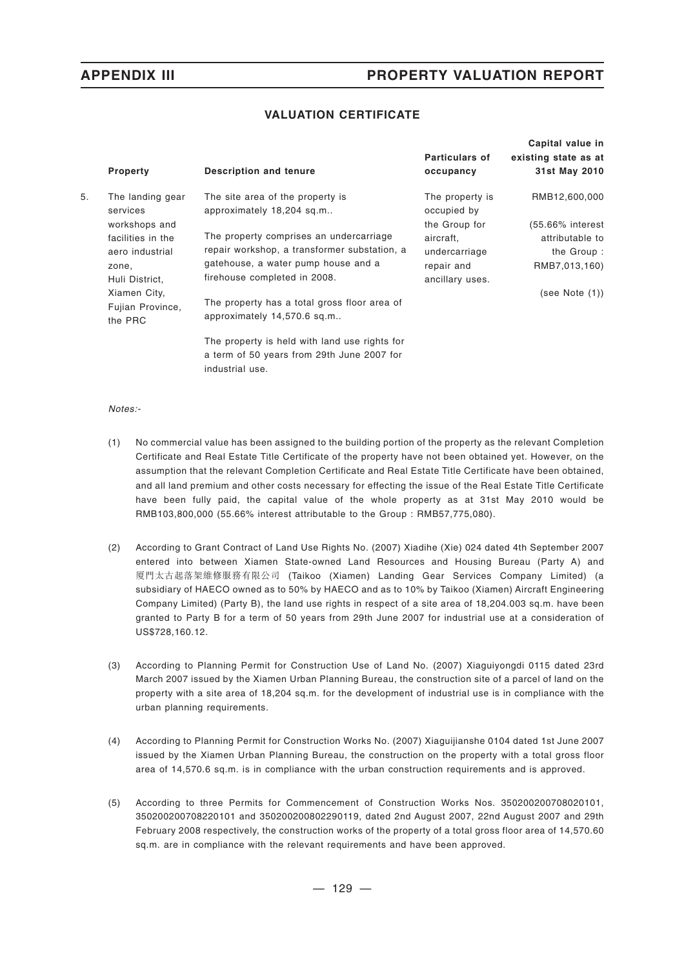## **VALUATION CERTIFICATE**

|    |                              |                                                               |                                | Capital value in     |
|----|------------------------------|---------------------------------------------------------------|--------------------------------|----------------------|
|    |                              |                                                               | <b>Particulars of</b>          | existing state as at |
|    | <b>Property</b>              | <b>Description and tenure</b>                                 | occupancy                      | 31st May 2010        |
| 5. | The landing gear<br>services | The site area of the property is<br>approximately 18,204 sq.m | The property is<br>occupied by | RMB12,600,000        |
|    | workshops and                |                                                               | the Group for                  | (55.66% interest     |
|    | facilities in the            | The property comprises an undercarriage                       | aircraft,                      | attributable to      |
|    | aero industrial              | repair workshop, a transformer substation, a                  | undercarriage                  | the Group:           |
|    | zone,                        | gatehouse, a water pump house and a                           | repair and                     | RMB7,013,160)        |
|    | Huli District,               | firehouse completed in 2008.                                  | ancillary uses.                |                      |
|    | Xiamen City,                 |                                                               |                                | (see Note (1))       |
|    | Fujian Province,             | The property has a total gross floor area of                  |                                |                      |
|    | the PRC                      | approximately 14,570.6 sq.m                                   |                                |                      |
|    |                              | The property is held with land use rights for                 |                                |                      |
|    |                              | a term of 50 years from 29th June 2007 for                    |                                |                      |
|    |                              | industrial use.                                               |                                |                      |

### *Notes:-*

- (1) No commercial value has been assigned to the building portion of the property as the relevant Completion Certificate and Real Estate Title Certificate of the property have not been obtained yet. However, on the assumption that the relevant Completion Certificate and Real Estate Title Certificate have been obtained, and all land premium and other costs necessary for effecting the issue of the Real Estate Title Certificate have been fully paid, the capital value of the whole property as at 31st May 2010 would be RMB103,800,000 (55.66% interest attributable to the Group : RMB57,775,080).
- (2) According to Grant Contract of Land Use Rights No. (2007) Xiadihe (Xie) 024 dated 4th September 2007 entered into between Xiamen State-owned Land Resources and Housing Bureau (Party A) and 厦門太古起落架維修服務有限公司 (Taikoo (Xiamen) Landing Gear Services Company Limited) (a subsidiary of HAECO owned as to 50% by HAECO and as to 10% by Taikoo (Xiamen) Aircraft Engineering Company Limited) (Party B), the land use rights in respect of a site area of 18,204.003 sq.m. have been granted to Party B for a term of 50 years from 29th June 2007 for industrial use at a consideration of US\$728,160.12.
- (3) According to Planning Permit for Construction Use of Land No. (2007) Xiaguiyongdi 0115 dated 23rd March 2007 issued by the Xiamen Urban Planning Bureau, the construction site of a parcel of land on the property with a site area of 18,204 sq.m. for the development of industrial use is in compliance with the urban planning requirements.
- (4) According to Planning Permit for Construction Works No. (2007) Xiaguijianshe 0104 dated 1st June 2007 issued by the Xiamen Urban Planning Bureau, the construction on the property with a total gross floor area of 14,570.6 sq.m. is in compliance with the urban construction requirements and is approved.
- (5) According to three Permits for Commencement of Construction Works Nos. 350200200708020101, 350200200708220101 and 350200200802290119, dated 2nd August 2007, 22nd August 2007 and 29th February 2008 respectively, the construction works of the property of a total gross floor area of 14,570.60 sq.m. are in compliance with the relevant requirements and have been approved.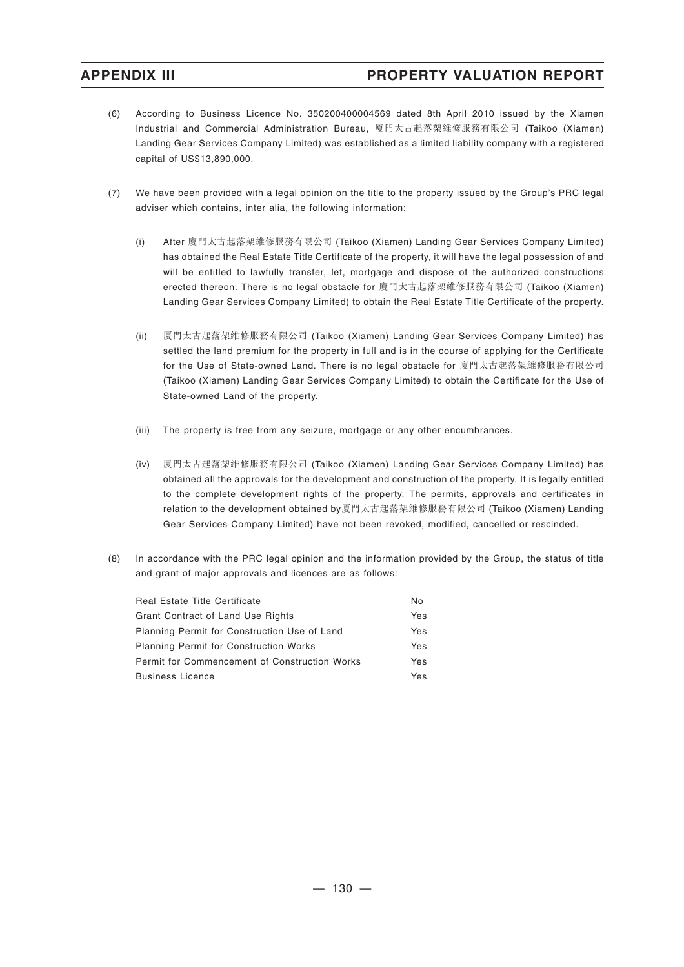- (6) According to Business Licence No. 350200400004569 dated 8th April 2010 issued by the Xiamen Industrial and Commercial Administration Bureau, 厦門太古起落架維修服務有限公司 (Taikoo (Xiamen) Landing Gear Services Company Limited) was established as a limited liability company with a registered capital of US\$13,890,000.
- (7) We have been provided with a legal opinion on the title to the property issued by the Group's PRC legal adviser which contains, inter alia, the following information:
	- (i) After 廈門太古起落架維修服務有限公司 (Taikoo (Xiamen) Landing Gear Services Company Limited) has obtained the Real Estate Title Certificate of the property, it will have the legal possession of and will be entitled to lawfully transfer, let, mortgage and dispose of the authorized constructions erected thereon. There is no legal obstacle for 廈門太古起落架維修服務有限公司 (Taikoo (Xiamen) Landing Gear Services Company Limited) to obtain the Real Estate Title Certificate of the property.
	- (ii) 厦門太古起落架維修服務有限公司 (Taikoo (Xiamen) Landing Gear Services Company Limited) has settled the land premium for the property in full and is in the course of applying for the Certificate for the Use of State-owned Land. There is no legal obstacle for 廈門太古起落架維修服務有限公司 (Taikoo (Xiamen) Landing Gear Services Company Limited) to obtain the Certificate for the Use of State-owned Land of the property.
	- (iii) The property is free from any seizure, mortgage or any other encumbrances.
	- (iv) 厦門太古起落架維修服務有限公司 (Taikoo (Xiamen) Landing Gear Services Company Limited) has obtained all the approvals for the development and construction of the property. It is legally entitled to the complete development rights of the property. The permits, approvals and certificates in relation to the development obtained by厦門太古起落架維修服務有限公司 (Taikoo (Xiamen) Landing Gear Services Company Limited) have not been revoked, modified, cancelled or rescinded.
- (8) In accordance with the PRC legal opinion and the information provided by the Group, the status of title and grant of major approvals and licences are as follows:

| <b>Real Estate Title Certificate</b>          | No  |
|-----------------------------------------------|-----|
| Grant Contract of Land Use Rights             | Yes |
| Planning Permit for Construction Use of Land  | Yes |
| <b>Planning Permit for Construction Works</b> | Yes |
| Permit for Commencement of Construction Works | Yes |
| <b>Business Licence</b>                       | Yes |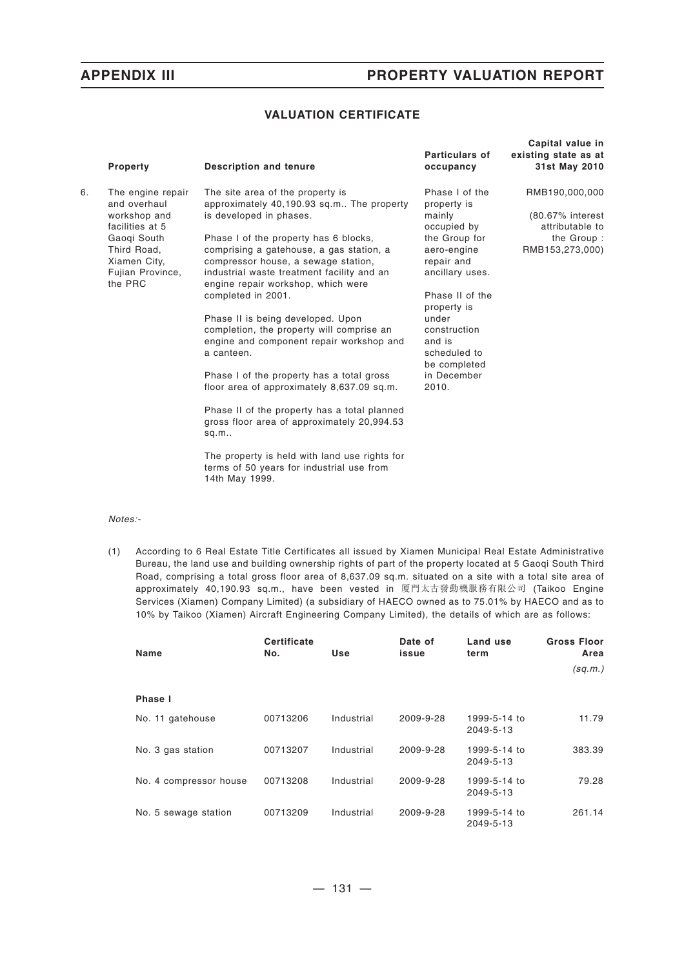## **VALUATION CERTIFICATE**

|    | Property                                                                                     | <b>Description and tenure</b>                                                                                                                                                                                                      | <b>Particulars of</b><br>occupancy                                                              | Capital value in<br>existing state as at<br>31st May 2010 |
|----|----------------------------------------------------------------------------------------------|------------------------------------------------------------------------------------------------------------------------------------------------------------------------------------------------------------------------------------|-------------------------------------------------------------------------------------------------|-----------------------------------------------------------|
| 6. | The engine repair<br>and overhaul<br>workshop and                                            | The site area of the property is<br>approximately 40,190.93 sq.m The property<br>is developed in phases.                                                                                                                           | Phase I of the<br>property is<br>mainly                                                         | RMB190,000,000<br>(80.67% interest                        |
|    | facilities at 5<br>Gaogi South<br>Third Road.<br>Xiamen City,<br>Fujian Province,<br>the PRC | Phase I of the property has 6 blocks,<br>comprising a gatehouse, a gas station, a<br>compressor house, a sewage station,<br>industrial waste treatment facility and an<br>engine repair workshop, which were<br>completed in 2001. | occupied by<br>the Group for<br>aero-engine<br>repair and<br>ancillary uses.<br>Phase II of the | attributable to<br>the Group:<br>RMB153,273,000)          |
|    |                                                                                              | Phase II is being developed. Upon<br>completion, the property will comprise an<br>engine and component repair workshop and<br>a canteen.                                                                                           | property is<br>under<br>construction<br>and is<br>scheduled to<br>be completed                  |                                                           |
|    |                                                                                              | Phase I of the property has a total gross<br>floor area of approximately 8,637.09 sq.m.                                                                                                                                            | in December<br>2010.                                                                            |                                                           |
|    |                                                                                              | Phase II of the property has a total planned<br>gross floor area of approximately 20,994.53<br>sq.m.                                                                                                                               |                                                                                                 |                                                           |
|    |                                                                                              | The property is held with land use rights for<br>terms of 50 years for industrial use from<br>14th May 1999.                                                                                                                       |                                                                                                 |                                                           |

### *Notes:-*

(1) According to 6 Real Estate Title Certificates all issued by Xiamen Municipal Real Estate Administrative Bureau, the land use and building ownership rights of part of the property located at 5 Gaoqi South Third Road, comprising a total gross floor area of 8,637.09 sq.m. situated on a site with a total site area of approximately 40,190.93 sq.m., have been vested in 厦門太古發動機服務有限公司 (Taikoo Engine Services (Xiamen) Company Limited) (a subsidiary of HAECO owned as to 75.01% by HAECO and as to 10% by Taikoo (Xiamen) Aircraft Engineering Company Limited), the details of which are as follows:

| Name                   | <b>Certificate</b><br>No. | Use        | Date of<br>issue | Land use<br>term          | <b>Gross Floor</b><br>Area |
|------------------------|---------------------------|------------|------------------|---------------------------|----------------------------|
|                        |                           |            |                  |                           | (sq.m.)                    |
| Phase I                |                           |            |                  |                           |                            |
| No. 11 gatehouse       | 00713206                  | Industrial | 2009-9-28        | 1999-5-14 to<br>2049-5-13 | 11.79                      |
| No. 3 gas station      | 00713207                  | Industrial | 2009-9-28        | 1999-5-14 to<br>2049-5-13 | 383.39                     |
| No. 4 compressor house | 00713208                  | Industrial | 2009-9-28        | 1999-5-14 to<br>2049-5-13 | 79.28                      |
| No. 5 sewage station   | 00713209                  | Industrial | 2009-9-28        | 1999-5-14 to<br>2049-5-13 | 261.14                     |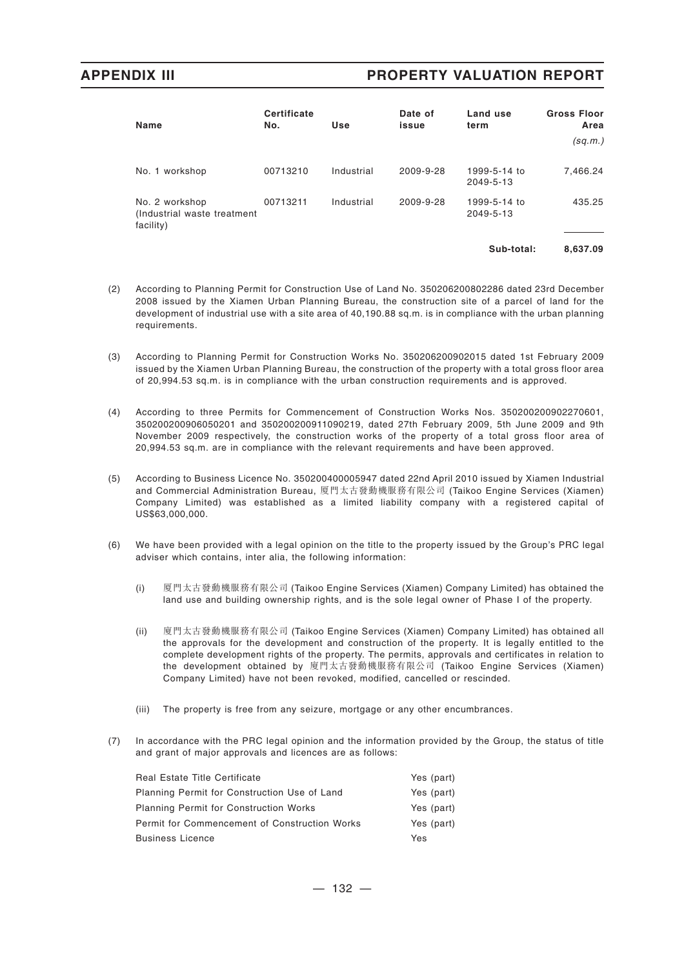| Name                                                        | <b>Certificate</b><br>No. | Use        | Date of<br>issue | Land use<br>term          | <b>Gross Floor</b><br>Area<br>(sq.m.) |
|-------------------------------------------------------------|---------------------------|------------|------------------|---------------------------|---------------------------------------|
| No. 1 workshop                                              | 00713210                  | Industrial | 2009-9-28        | 1999-5-14 to<br>2049-5-13 | 7,466.24                              |
| No. 2 workshop<br>(Industrial waste treatment)<br>facility) | 00713211                  | Industrial | 2009-9-28        | 1999-5-14 to<br>2049-5-13 | 435.25                                |
|                                                             |                           |            |                  | Sub-total:                | 8.637.09                              |

- (2) According to Planning Permit for Construction Use of Land No. 350206200802286 dated 23rd December 2008 issued by the Xiamen Urban Planning Bureau, the construction site of a parcel of land for the development of industrial use with a site area of 40,190.88 sq.m. is in compliance with the urban planning requirements.
- (3) According to Planning Permit for Construction Works No. 350206200902015 dated 1st February 2009 issued by the Xiamen Urban Planning Bureau, the construction of the property with a total gross floor area of 20,994.53 sq.m. is in compliance with the urban construction requirements and is approved.
- (4) According to three Permits for Commencement of Construction Works Nos. 350200200902270601, 350200200906050201 and 350200200911090219, dated 27th February 2009, 5th June 2009 and 9th November 2009 respectively, the construction works of the property of a total gross floor area of 20,994.53 sq.m. are in compliance with the relevant requirements and have been approved.
- (5) According to Business Licence No. 350200400005947 dated 22nd April 2010 issued by Xiamen Industrial and Commercial Administration Bureau, 厦門太古發動機服務有限公司 (Taikoo Engine Services (Xiamen) Company Limited) was established as a limited liability company with a registered capital of US\$63,000,000.
- (6) We have been provided with a legal opinion on the title to the property issued by the Group's PRC legal adviser which contains, inter alia, the following information:
	- (i) 厦門太古發動機服務有限公司 (Taikoo Engine Services (Xiamen) Company Limited) has obtained the land use and building ownership rights, and is the sole legal owner of Phase I of the property.
	- (ii) 廈門太古發動機服務有限公司 (Taikoo Engine Services (Xiamen) Company Limited) has obtained all the approvals for the development and construction of the property. It is legally entitled to the complete development rights of the property. The permits, approvals and certificates in relation to the development obtained by 廈門太古發動機服務有限公司 (Taikoo Engine Services (Xiamen) Company Limited) have not been revoked, modified, cancelled or rescinded.
	- (iii) The property is free from any seizure, mortgage or any other encumbrances.
- (7) In accordance with the PRC legal opinion and the information provided by the Group, the status of title and grant of major approvals and licences are as follows:

| Yes (part) |
|------------|
| Yes (part) |
| Yes (part) |
| Yes (part) |
| Yes        |
|            |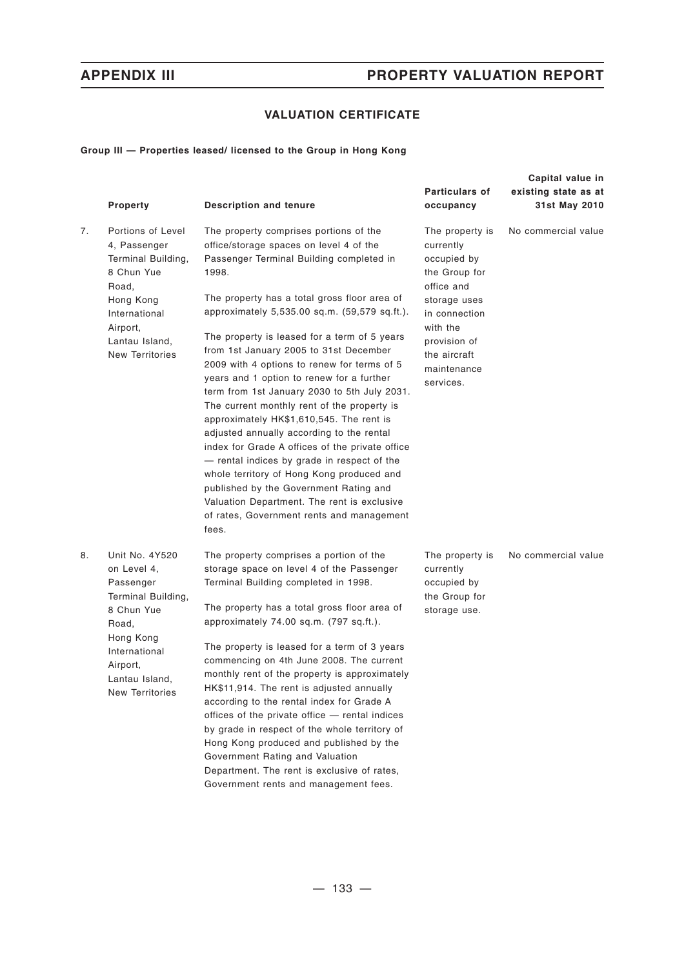# **VALUATION CERTIFICATE**

### **Group III — Properties leased/ licensed to the Group in Hong Kong**

|    | Property                                                                                                                                                                      | <b>Description and tenure</b>                                                                                                                                                                                                                                                                                                                                                                                                                                                                                                                                                                                                                                                                                                                                                                                                                                                                                       | Particulars of<br>occupancy                                                                                                                                                         | Capital value in<br>existing state as at<br>31st May 2010 |
|----|-------------------------------------------------------------------------------------------------------------------------------------------------------------------------------|---------------------------------------------------------------------------------------------------------------------------------------------------------------------------------------------------------------------------------------------------------------------------------------------------------------------------------------------------------------------------------------------------------------------------------------------------------------------------------------------------------------------------------------------------------------------------------------------------------------------------------------------------------------------------------------------------------------------------------------------------------------------------------------------------------------------------------------------------------------------------------------------------------------------|-------------------------------------------------------------------------------------------------------------------------------------------------------------------------------------|-----------------------------------------------------------|
| 7. | Portions of Level<br>4, Passenger<br>Terminal Building,<br>8 Chun Yue<br>Road,<br>Hong Kong<br>International<br>Airport,<br>Lantau Island,<br><b>New Territories</b>          | The property comprises portions of the<br>office/storage spaces on level 4 of the<br>Passenger Terminal Building completed in<br>1998.<br>The property has a total gross floor area of<br>approximately 5,535.00 sq.m. (59,579 sq.ft.).<br>The property is leased for a term of 5 years<br>from 1st January 2005 to 31st December<br>2009 with 4 options to renew for terms of 5<br>years and 1 option to renew for a further<br>term from 1st January 2030 to 5th July 2031.<br>The current monthly rent of the property is<br>approximately HK\$1,610,545. The rent is<br>adjusted annually according to the rental<br>index for Grade A offices of the private office<br>- rental indices by grade in respect of the<br>whole territory of Hong Kong produced and<br>published by the Government Rating and<br>Valuation Department. The rent is exclusive<br>of rates, Government rents and management<br>fees. | The property is<br>currently<br>occupied by<br>the Group for<br>office and<br>storage uses<br>in connection<br>with the<br>provision of<br>the aircraft<br>maintenance<br>services. | No commercial value                                       |
| 8. | Unit No. 4Y520<br>on Level 4,<br>Passenger<br>Terminal Building,<br>8 Chun Yue<br>Road,<br>Hong Kong<br>International<br>Airport,<br>Lantau Island,<br><b>New Territories</b> | The property comprises a portion of the<br>storage space on level 4 of the Passenger<br>Terminal Building completed in 1998.<br>The property has a total gross floor area of<br>approximately 74.00 sq.m. (797 sq.ft.).<br>The property is leased for a term of 3 years<br>commencing on 4th June 2008. The current<br>monthly rent of the property is approximately<br>HK\$11,914. The rent is adjusted annually<br>according to the rental index for Grade A<br>offices of the private office - rental indices<br>by grade in respect of the whole territory of<br>Hong Kong produced and published by the<br>Government Rating and Valuation<br>Department. The rent is exclusive of rates,<br>Government rents and management fees.                                                                                                                                                                             | The property is<br>currently<br>occupied by<br>the Group for<br>storage use.                                                                                                        | No commercial value                                       |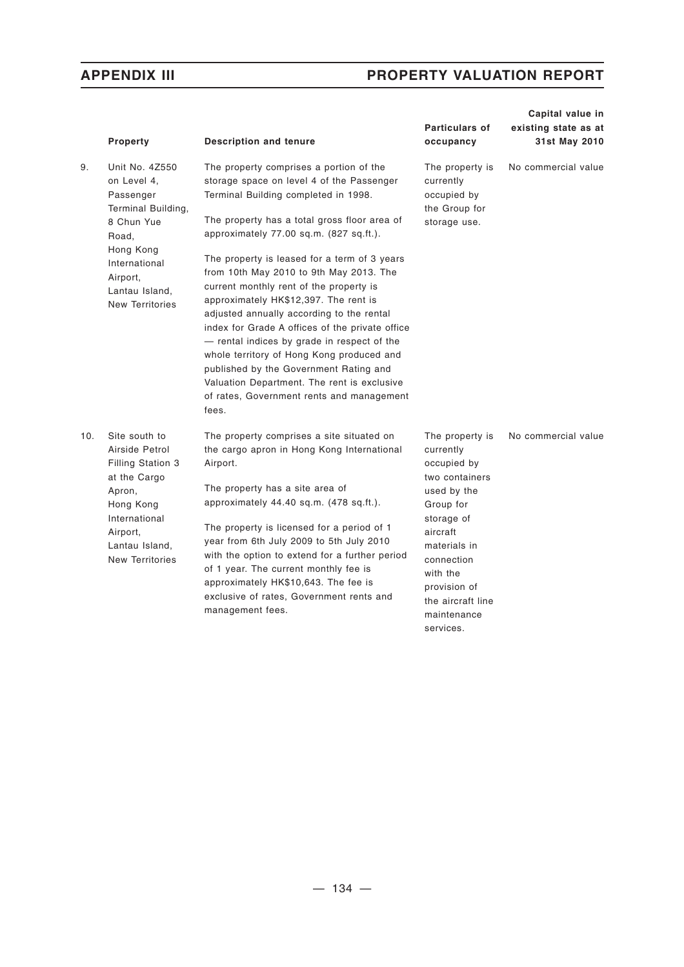|     | <b>Property</b>                                                                                                                                                               | <b>Description and tenure</b>                                                                                                                                                                                                                                                                                                                                                                                                                                                                                                                                                                                                                                                                                                                     | Particulars of<br>occupancy                                                                                                                                                                                                    | Capital value in<br>existing state as at<br>31st May 2010 |
|-----|-------------------------------------------------------------------------------------------------------------------------------------------------------------------------------|---------------------------------------------------------------------------------------------------------------------------------------------------------------------------------------------------------------------------------------------------------------------------------------------------------------------------------------------------------------------------------------------------------------------------------------------------------------------------------------------------------------------------------------------------------------------------------------------------------------------------------------------------------------------------------------------------------------------------------------------------|--------------------------------------------------------------------------------------------------------------------------------------------------------------------------------------------------------------------------------|-----------------------------------------------------------|
| 9.  | Unit No. 4Z550<br>on Level 4,<br>Passenger<br>Terminal Building,<br>8 Chun Yue<br>Road,<br>Hong Kong<br>International<br>Airport,<br>Lantau Island,<br><b>New Territories</b> | The property comprises a portion of the<br>storage space on level 4 of the Passenger<br>Terminal Building completed in 1998.<br>The property has a total gross floor area of<br>approximately 77.00 sq.m. (827 sq.ft.).<br>The property is leased for a term of 3 years<br>from 10th May 2010 to 9th May 2013. The<br>current monthly rent of the property is<br>approximately HK\$12,397. The rent is<br>adjusted annually according to the rental<br>index for Grade A offices of the private office<br>- rental indices by grade in respect of the<br>whole territory of Hong Kong produced and<br>published by the Government Rating and<br>Valuation Department. The rent is exclusive<br>of rates, Government rents and management<br>fees. | The property is<br>currently<br>occupied by<br>the Group for<br>storage use.                                                                                                                                                   | No commercial value                                       |
| 10. | Site south to<br>Airside Petrol<br>Filling Station 3<br>at the Cargo<br>Apron,<br>Hong Kong<br>International<br>Airport,<br>Lantau Island,<br><b>New Territories</b>          | The property comprises a site situated on<br>the cargo apron in Hong Kong International<br>Airport.<br>The property has a site area of<br>approximately $44.40$ sq.m. $(478$ sq.ft.).<br>The property is licensed for a period of 1<br>year from 6th July 2009 to 5th July 2010<br>with the option to extend for a further period<br>of 1 year. The current monthly fee is<br>approximately HK\$10,643. The fee is<br>exclusive of rates, Government rents and<br>management fees.                                                                                                                                                                                                                                                                | The property is<br>currently<br>occupied by<br>two containers<br>used by the<br>Group for<br>storage of<br>aircraft<br>materials in<br>connection<br>with the<br>provision of<br>the aircraft line<br>maintenance<br>services. | No commercial value                                       |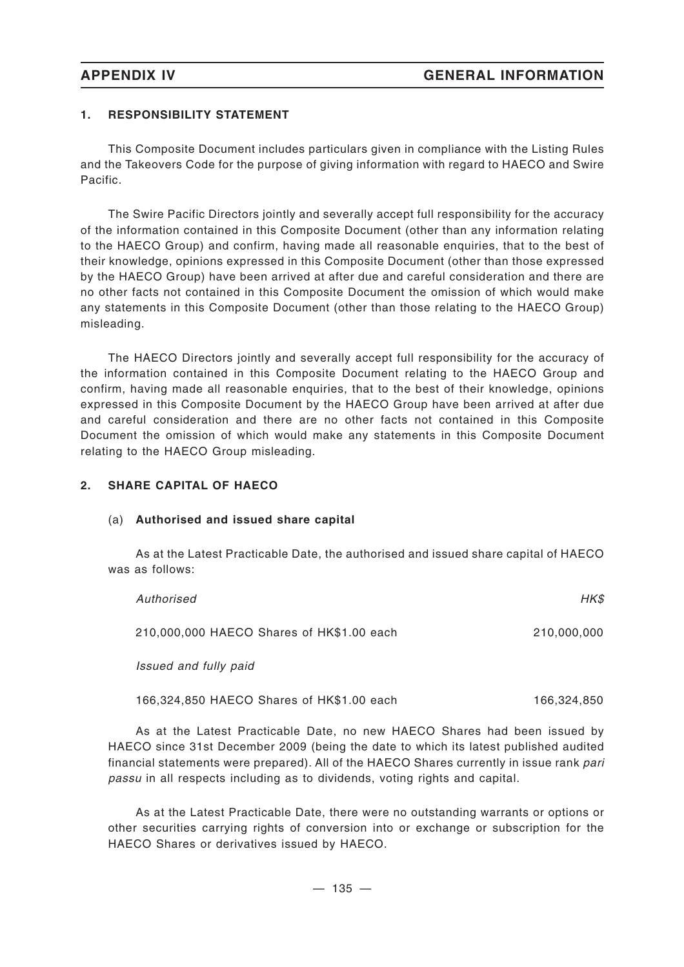# **1. RESPONSIBILITY STATEMENT**

This Composite Document includes particulars given in compliance with the Listing Rules and the Takeovers Code for the purpose of giving information with regard to HAECO and Swire Pacific.

The Swire Pacific Directors jointly and severally accept full responsibility for the accuracy of the information contained in this Composite Document (other than any information relating to the HAECO Group) and confirm, having made all reasonable enquiries, that to the best of their knowledge, opinions expressed in this Composite Document (other than those expressed by the HAECO Group) have been arrived at after due and careful consideration and there are no other facts not contained in this Composite Document the omission of which would make any statements in this Composite Document (other than those relating to the HAECO Group) misleading.

The HAECO Directors jointly and severally accept full responsibility for the accuracy of the information contained in this Composite Document relating to the HAECO Group and confirm, having made all reasonable enquiries, that to the best of their knowledge, opinions expressed in this Composite Document by the HAECO Group have been arrived at after due and careful consideration and there are no other facts not contained in this Composite Document the omission of which would make any statements in this Composite Document relating to the HAECO Group misleading.

# **2. SHARE CAPITAL OF HAECO**

## (a) **Authorised and issued share capital**

As at the Latest Practicable Date, the authorised and issued share capital of HAECO was as follows:

| Authorised                                | HK\$        |
|-------------------------------------------|-------------|
| 210,000,000 HAECO Shares of HK\$1.00 each | 210,000,000 |
| Issued and fully paid                     |             |
| 166,324,850 HAECO Shares of HK\$1.00 each | 166,324,850 |

As at the Latest Practicable Date, no new HAECO Shares had been issued by HAECO since 31st December 2009 (being the date to which its latest published audited financial statements were prepared). All of the HAECO Shares currently in issue rank *pari passu* in all respects including as to dividends, voting rights and capital.

As at the Latest Practicable Date, there were no outstanding warrants or options or other securities carrying rights of conversion into or exchange or subscription for the HAECO Shares or derivatives issued by HAECO.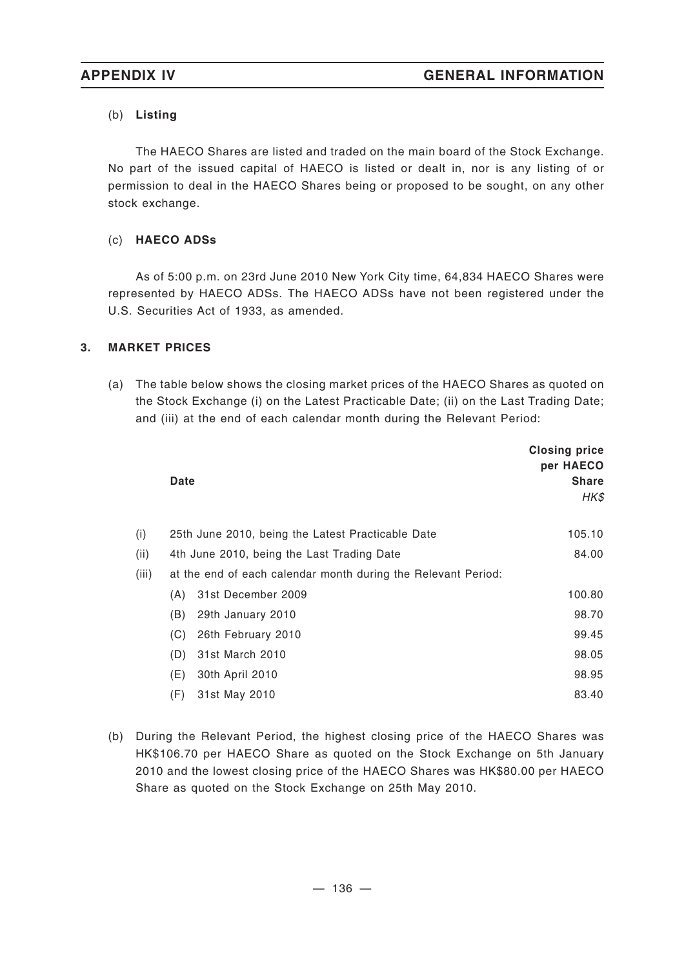# (b) **Listing**

The HAECO Shares are listed and traded on the main board of the Stock Exchange. No part of the issued capital of HAECO is listed or dealt in, nor is any listing of or permission to deal in the HAECO Shares being or proposed to be sought, on any other stock exchange.

# (c) **HAECO ADSs**

As of 5:00 p.m. on 23rd June 2010 New York City time, 64,834 HAECO Shares were represented by HAECO ADSs. The HAECO ADSs have not been registered under the U.S. Securities Act of 1933, as amended.

# **3. MARKET PRICES**

(a) The table below shows the closing market prices of the HAECO Shares as quoted on the Stock Exchange (i) on the Latest Practicable Date; (ii) on the Last Trading Date; and (iii) at the end of each calendar month during the Relevant Period:

|       | Date |                                                               | <b>Closing price</b><br>per HAECO<br><b>Share</b><br>HK\$ |
|-------|------|---------------------------------------------------------------|-----------------------------------------------------------|
| (i)   |      | 25th June 2010, being the Latest Practicable Date             | 105.10                                                    |
| (ii)  |      | 4th June 2010, being the Last Trading Date                    | 84.00                                                     |
| (iii) |      | at the end of each calendar month during the Relevant Period: |                                                           |
|       | (A)  | 31st December 2009                                            | 100.80                                                    |
|       | (B)  | 29th January 2010                                             | 98.70                                                     |
|       | (C)  | 26th February 2010                                            | 99.45                                                     |
|       | (D)  | 31st March 2010                                               | 98.05                                                     |
|       | (E)  | 30th April 2010                                               | 98.95                                                     |
|       | (F)  | 31st May 2010                                                 | 83.40                                                     |

(b) During the Relevant Period, the highest closing price of the HAECO Shares was HK\$106.70 per HAECO Share as quoted on the Stock Exchange on 5th January 2010 and the lowest closing price of the HAECO Shares was HK\$80.00 per HAECO Share as quoted on the Stock Exchange on 25th May 2010.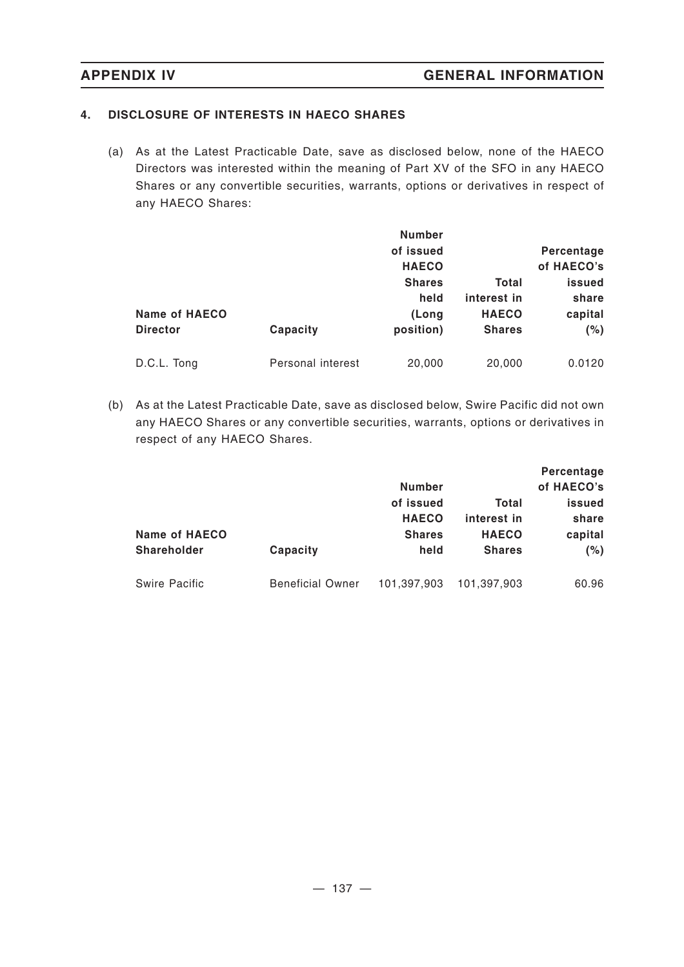# **4. DISCLOSURE OF INTERESTS IN HAECO SHARES**

(a) As at the Latest Practicable Date, save as disclosed below, none of the HAECO Directors was interested within the meaning of Part XV of the SFO in any HAECO Shares or any convertible securities, warrants, options or derivatives in respect of any HAECO Shares:

| Name of HAECO   |                   | <b>Number</b><br>of issued<br><b>HAECO</b><br><b>Shares</b><br>held<br>(Long | Total<br>interest in<br><b>HAECO</b> | Percentage<br>of HAECO's<br>issued<br>share<br>capital |
|-----------------|-------------------|------------------------------------------------------------------------------|--------------------------------------|--------------------------------------------------------|
| <b>Director</b> | Capacity          | position)                                                                    | <b>Shares</b>                        | (%)                                                    |
| D.C.L. Tong     | Personal interest | 20,000                                                                       | 20,000                               | 0.0120                                                 |

(b) As at the Latest Practicable Date, save as disclosed below, Swire Pacific did not own any HAECO Shares or any convertible securities, warrants, options or derivatives in respect of any HAECO Shares.

|                      |                         | <b>Number</b> |               | Percentage<br>of HAECO's |
|----------------------|-------------------------|---------------|---------------|--------------------------|
|                      |                         | of issued     | Total         | issued                   |
|                      |                         | <b>HAECO</b>  | interest in   | share                    |
| <b>Name of HAECO</b> |                         | <b>Shares</b> | <b>HAECO</b>  | capital                  |
| <b>Shareholder</b>   | Capacity                | held          | <b>Shares</b> | (%)                      |
| <b>Swire Pacific</b> | <b>Beneficial Owner</b> | 101,397,903   | 101,397,903   | 60.96                    |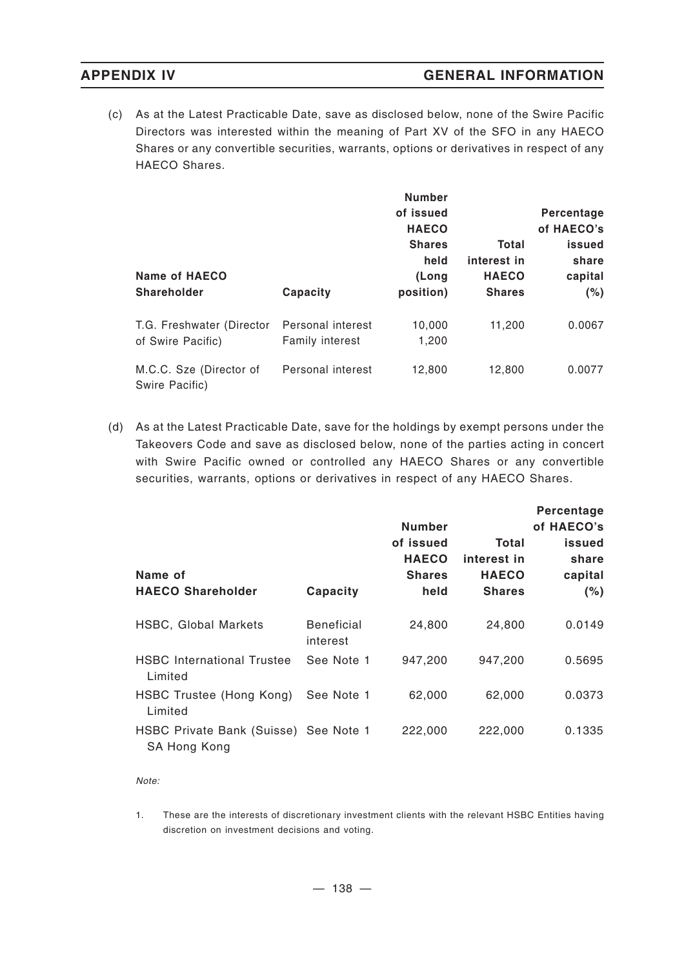(c) As at the Latest Practicable Date, save as disclosed below, none of the Swire Pacific Directors was interested within the meaning of Part XV of the SFO in any HAECO Shares or any convertible securities, warrants, options or derivatives in respect of any HAECO Shares.

| Name of HAECO<br>Shareholder<br>Capacity       |                                      | <b>Number</b><br>of issued<br><b>HAECO</b><br><b>Shares</b><br>held<br>(Long<br>position) | Total<br>interest in<br><b>HAECO</b><br><b>Shares</b> | Percentage<br>of HAECO's<br>issued<br>share<br>capital<br>(%) |
|------------------------------------------------|--------------------------------------|-------------------------------------------------------------------------------------------|-------------------------------------------------------|---------------------------------------------------------------|
| T.G. Freshwater (Director<br>of Swire Pacific) | Personal interest<br>Family interest | 10,000<br>1,200                                                                           | 11.200                                                | 0.0067                                                        |
| M.C.C. Sze (Director of<br>Swire Pacific)      | Personal interest                    | 12,800                                                                                    | 12,800                                                | 0.0077                                                        |

(d) As at the Latest Practicable Date, save for the holdings by exempt persons under the Takeovers Code and save as disclosed below, none of the parties acting in concert with Swire Pacific owned or controlled any HAECO Shares or any convertible securities, warrants, options or derivatives in respect of any HAECO Shares.

| Name of<br><b>HAECO Shareholder</b>                   | Capacity                      | <b>Number</b><br>of issued<br><b>HAECO</b><br><b>Shares</b><br>held | Total<br>interest in<br><b>HAECO</b><br><b>Shares</b> | Percentage<br>of HAECO's<br>issued<br>share<br>capital<br>(% ) |
|-------------------------------------------------------|-------------------------------|---------------------------------------------------------------------|-------------------------------------------------------|----------------------------------------------------------------|
| <b>HSBC, Global Markets</b>                           | <b>Beneficial</b><br>interest | 24,800                                                              | 24,800                                                | 0.0149                                                         |
| <b>HSBC</b> International Trustee<br>Limited          | See Note 1                    | 947,200                                                             | 947,200                                               | 0.5695                                                         |
| HSBC Trustee (Hong Kong)<br>Limited                   | See Note 1                    | 62,000                                                              | 62,000                                                | 0.0373                                                         |
| HSBC Private Bank (Suisse) See Note 1<br>SA Hong Kong |                               | 222,000                                                             | 222,000                                               | 0.1335                                                         |

*Note:*

1. These are the interests of discretionary investment clients with the relevant HSBC Entities having discretion on investment decisions and voting.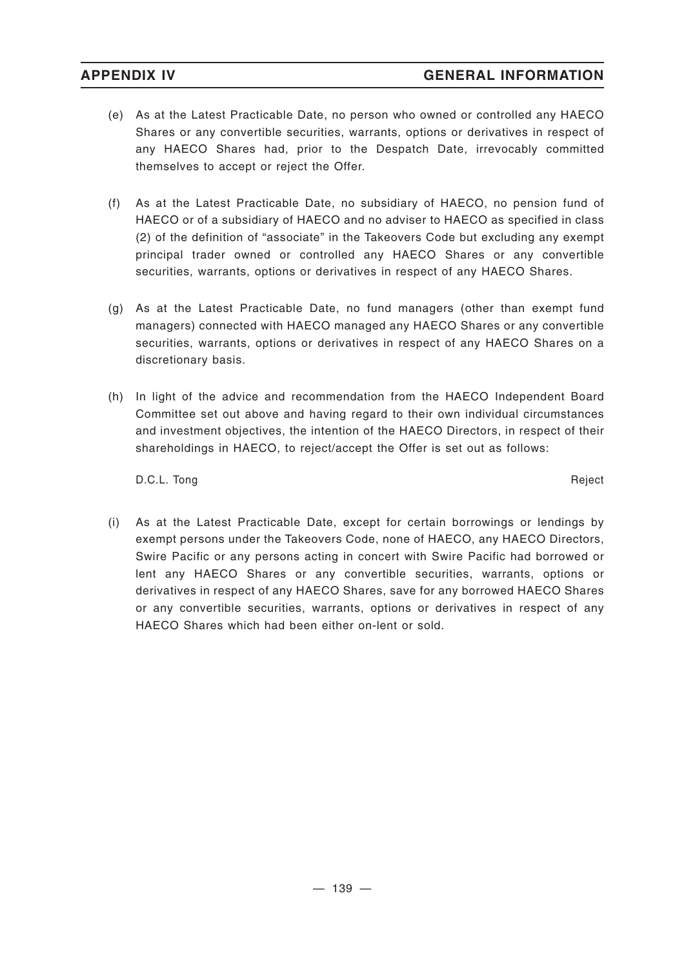- (e) As at the Latest Practicable Date, no person who owned or controlled any HAECO Shares or any convertible securities, warrants, options or derivatives in respect of any HAECO Shares had, prior to the Despatch Date, irrevocably committed themselves to accept or reject the Offer.
- (f) As at the Latest Practicable Date, no subsidiary of HAECO, no pension fund of HAECO or of a subsidiary of HAECO and no adviser to HAECO as specified in class (2) of the definition of "associate" in the Takeovers Code but excluding any exempt principal trader owned or controlled any HAECO Shares or any convertible securities, warrants, options or derivatives in respect of any HAECO Shares.
- (g) As at the Latest Practicable Date, no fund managers (other than exempt fund managers) connected with HAECO managed any HAECO Shares or any convertible securities, warrants, options or derivatives in respect of any HAECO Shares on a discretionary basis.
- (h) In light of the advice and recommendation from the HAECO Independent Board Committee set out above and having regard to their own individual circumstances and investment objectives, the intention of the HAECO Directors, in respect of their shareholdings in HAECO, to reject/accept the Offer is set out as follows:

D.C.L. Tong Reject

(i) As at the Latest Practicable Date, except for certain borrowings or lendings by exempt persons under the Takeovers Code, none of HAECO, any HAECO Directors, Swire Pacific or any persons acting in concert with Swire Pacific had borrowed or lent any HAECO Shares or any convertible securities, warrants, options or derivatives in respect of any HAECO Shares, save for any borrowed HAECO Shares or any convertible securities, warrants, options or derivatives in respect of any HAECO Shares which had been either on-lent or sold.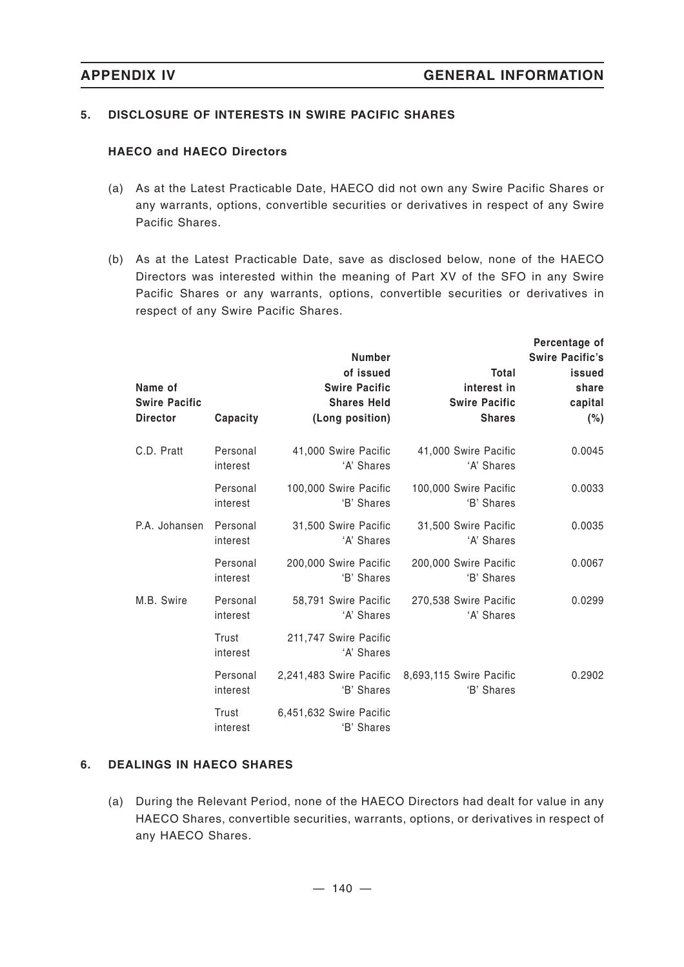# **5. DISCLOSURE OF INTERESTS IN SWIRE PACIFIC SHARES**

## **HAECO and HAECO Directors**

- (a) As at the Latest Practicable Date, HAECO did not own any Swire Pacific Shares or any warrants, options, convertible securities or derivatives in respect of any Swire Pacific Shares.
- (b) As at the Latest Practicable Date, save as disclosed below, none of the HAECO Directors was interested within the meaning of Part XV of the SFO in any Swire Pacific Shares or any warrants, options, convertible securities or derivatives in respect of any Swire Pacific Shares.

| Name of<br><b>Swire Pacific</b><br><b>Director</b> | Capacity             | <b>Number</b><br>of issued<br><b>Swire Pacific</b><br><b>Shares Held</b><br>(Long position) | <b>Total</b><br>interest in<br><b>Swire Pacific</b><br><b>Shares</b> | Percentage of<br><b>Swire Pacific's</b><br>issued<br>share<br>capital<br>(%) |
|----------------------------------------------------|----------------------|---------------------------------------------------------------------------------------------|----------------------------------------------------------------------|------------------------------------------------------------------------------|
| C.D. Pratt                                         | Personal<br>interest | 41,000 Swire Pacific<br>'A' Shares                                                          | 41,000 Swire Pacific<br>'A' Shares                                   | 0.0045                                                                       |
|                                                    | Personal<br>interest | 100,000 Swire Pacific<br>'B' Shares                                                         | 100,000 Swire Pacific<br>'B' Shares                                  | 0.0033                                                                       |
| P.A. Johansen                                      | Personal<br>interest | 31,500 Swire Pacific<br>'A' Shares                                                          | 31,500 Swire Pacific<br>'A' Shares                                   | 0.0035                                                                       |
|                                                    | Personal<br>interest | 200,000 Swire Pacific<br>'B' Shares                                                         | 200,000 Swire Pacific<br>'B' Shares                                  | 0.0067                                                                       |
| M.B. Swire                                         | Personal<br>interest | 58,791 Swire Pacific<br>'A' Shares                                                          | 270,538 Swire Pacific<br>'A' Shares                                  | 0.0299                                                                       |
|                                                    | Trust<br>interest    | 211,747 Swire Pacific<br>'A' Shares                                                         |                                                                      |                                                                              |
|                                                    | Personal<br>interest | 2,241,483 Swire Pacific<br>'B' Shares                                                       | 8,693,115 Swire Pacific<br>'B' Shares                                | 0.2902                                                                       |
|                                                    | Trust<br>interest    | 6,451,632 Swire Pacific<br>'B' Shares                                                       |                                                                      |                                                                              |

## **6. DEALINGS IN HAECO SHARES**

(a) During the Relevant Period, none of the HAECO Directors had dealt for value in any HAECO Shares, convertible securities, warrants, options, or derivatives in respect of any HAECO Shares.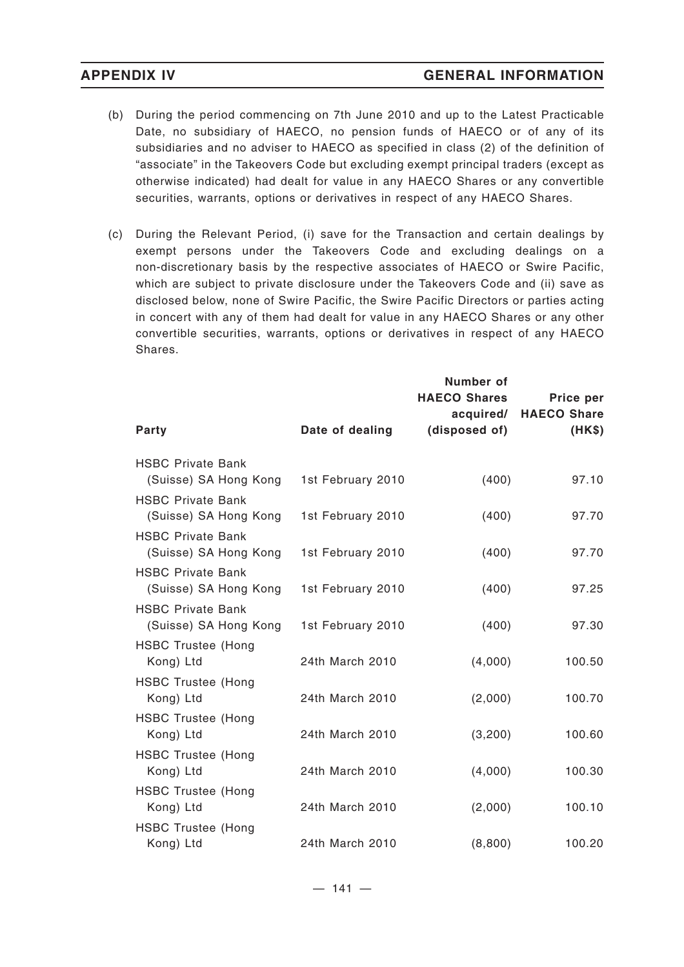- (b) During the period commencing on 7th June 2010 and up to the Latest Practicable Date, no subsidiary of HAECO, no pension funds of HAECO or of any of its subsidiaries and no adviser to HAECO as specified in class (2) of the definition of "associate" in the Takeovers Code but excluding exempt principal traders (except as otherwise indicated) had dealt for value in any HAECO Shares or any convertible securities, warrants, options or derivatives in respect of any HAECO Shares.
- (c) During the Relevant Period, (i) save for the Transaction and certain dealings by exempt persons under the Takeovers Code and excluding dealings on a non-discretionary basis by the respective associates of HAECO or Swire Pacific, which are subject to private disclosure under the Takeovers Code and (ii) save as disclosed below, none of Swire Pacific, the Swire Pacific Directors or parties acting in concert with any of them had dealt for value in any HAECO Shares or any other convertible securities, warrants, options or derivatives in respect of any HAECO Shares.

|                                                   |                   | <b>Number of</b><br><b>HAECO Shares</b><br>acquired/ | Price per<br><b>HAECO Share</b> |
|---------------------------------------------------|-------------------|------------------------------------------------------|---------------------------------|
| Party                                             | Date of dealing   | (disposed of)                                        | (HK\$)                          |
| <b>HSBC Private Bank</b><br>(Suisse) SA Hong Kong | 1st February 2010 | (400)                                                | 97.10                           |
| <b>HSBC Private Bank</b><br>(Suisse) SA Hong Kong | 1st February 2010 | (400)                                                | 97.70                           |
| <b>HSBC Private Bank</b><br>(Suisse) SA Hong Kong | 1st February 2010 | (400)                                                | 97.70                           |
| <b>HSBC Private Bank</b><br>(Suisse) SA Hong Kong | 1st February 2010 | (400)                                                | 97.25                           |
| <b>HSBC Private Bank</b><br>(Suisse) SA Hong Kong | 1st February 2010 | (400)                                                | 97.30                           |
| <b>HSBC Trustee (Hong</b><br>Kong) Ltd            | 24th March 2010   | (4,000)                                              | 100.50                          |
| <b>HSBC Trustee (Hong</b><br>Kong) Ltd            | 24th March 2010   | (2,000)                                              | 100.70                          |
| <b>HSBC Trustee (Hong</b><br>Kong) Ltd            | 24th March 2010   | (3,200)                                              | 100.60                          |
| <b>HSBC Trustee (Hong</b><br>Kong) Ltd            | 24th March 2010   | (4,000)                                              | 100.30                          |
| <b>HSBC Trustee (Hong</b><br>Kong) Ltd            | 24th March 2010   | (2,000)                                              | 100.10                          |
| <b>HSBC Trustee (Hong</b><br>Kong) Ltd            | 24th March 2010   | (8,800)                                              | 100.20                          |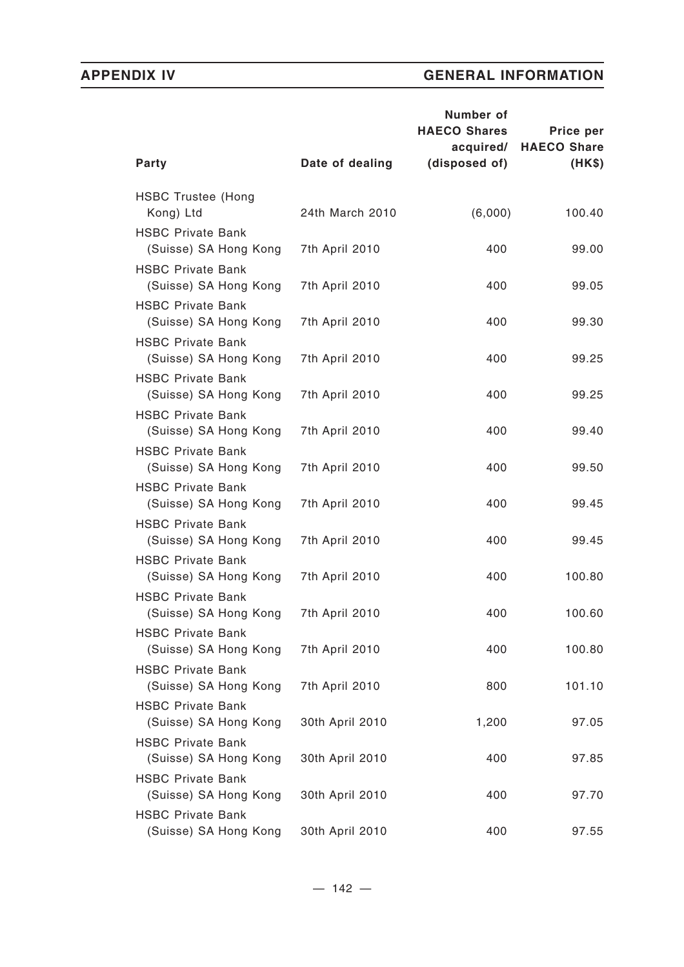|                 | Number of<br><b>HAECO Shares</b><br>acquired/                                              | Price per<br><b>HAECO Share</b> |
|-----------------|--------------------------------------------------------------------------------------------|---------------------------------|
| Date of dealing | (disposed of)                                                                              | (HK\$)                          |
| 24th March 2010 | (6,000)                                                                                    | 100.40                          |
| 7th April 2010  | 400                                                                                        | 99.00                           |
| 7th April 2010  | 400                                                                                        | 99.05                           |
| 7th April 2010  | 400                                                                                        | 99.30                           |
| 7th April 2010  | 400                                                                                        | 99.25                           |
| 7th April 2010  | 400                                                                                        | 99.25                           |
| 7th April 2010  | 400                                                                                        | 99.40                           |
| 7th April 2010  | 400                                                                                        | 99.50                           |
| 7th April 2010  | 400                                                                                        | 99.45                           |
| 7th April 2010  | 400                                                                                        | 99.45                           |
| 7th April 2010  | 400                                                                                        | 100.80                          |
| 7th April 2010  | 400                                                                                        | 100.60                          |
| 7th April 2010  | 400                                                                                        | 100.80                          |
|                 | 800                                                                                        | 101.10                          |
|                 |                                                                                            | 97.05                           |
|                 |                                                                                            | 97.85                           |
|                 |                                                                                            | 97.70                           |
|                 |                                                                                            | 97.55                           |
|                 | 7th April 2010<br>30th April 2010<br>30th April 2010<br>30th April 2010<br>30th April 2010 | 1,200<br>400<br>400<br>400      |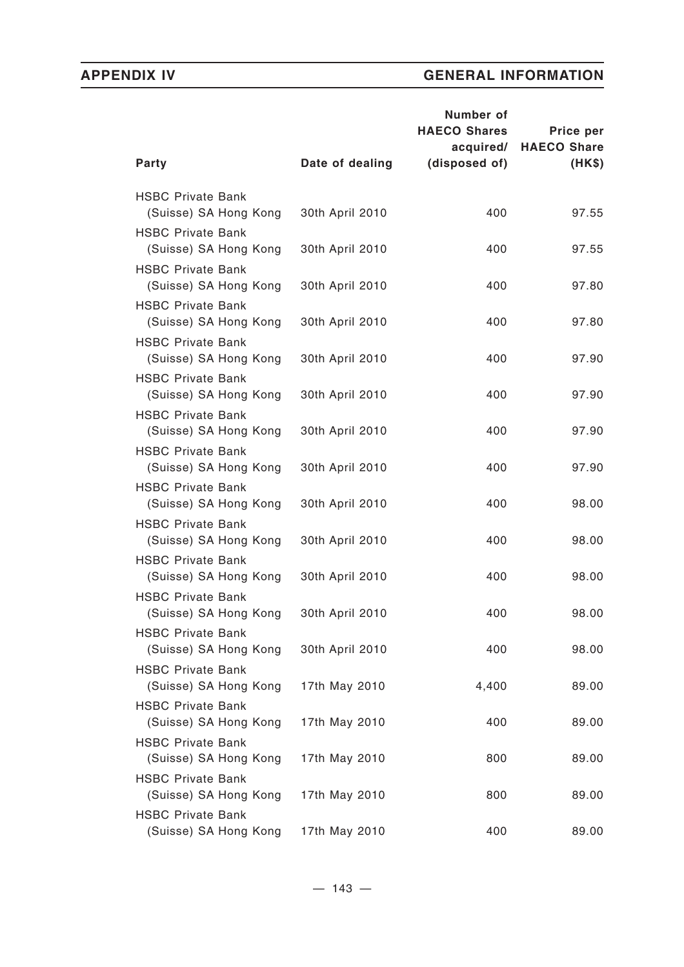|                                                   |                 | Number of<br><b>HAECO Shares</b><br>acquired/ | Price per<br><b>HAECO Share</b> |
|---------------------------------------------------|-----------------|-----------------------------------------------|---------------------------------|
| Party                                             | Date of dealing | (disposed of)                                 | (HK\$)                          |
| <b>HSBC Private Bank</b><br>(Suisse) SA Hong Kong | 30th April 2010 | 400                                           | 97.55                           |
| <b>HSBC Private Bank</b><br>(Suisse) SA Hong Kong | 30th April 2010 | 400                                           | 97.55                           |
| <b>HSBC Private Bank</b><br>(Suisse) SA Hong Kong | 30th April 2010 | 400                                           | 97.80                           |
| <b>HSBC Private Bank</b><br>(Suisse) SA Hong Kong | 30th April 2010 | 400                                           | 97.80                           |
| <b>HSBC Private Bank</b><br>(Suisse) SA Hong Kong | 30th April 2010 | 400                                           | 97.90                           |
| <b>HSBC Private Bank</b><br>(Suisse) SA Hong Kong | 30th April 2010 | 400                                           | 97.90                           |
| <b>HSBC Private Bank</b><br>(Suisse) SA Hong Kong | 30th April 2010 | 400                                           | 97.90                           |
| <b>HSBC Private Bank</b><br>(Suisse) SA Hong Kong | 30th April 2010 | 400                                           | 97.90                           |
| <b>HSBC Private Bank</b><br>(Suisse) SA Hong Kong | 30th April 2010 | 400                                           | 98.00                           |
| <b>HSBC Private Bank</b><br>(Suisse) SA Hong Kong | 30th April 2010 | 400                                           | 98.00                           |
| <b>HSBC Private Bank</b><br>(Suisse) SA Hong Kong | 30th April 2010 | 400                                           | 98.00                           |
| <b>HSBC Private Bank</b><br>(Suisse) SA Hong Kong | 30th April 2010 | 400                                           | 98.00                           |
| <b>HSBC Private Bank</b><br>(Suisse) SA Hong Kong | 30th April 2010 | 400                                           | 98.00                           |
| <b>HSBC Private Bank</b><br>(Suisse) SA Hong Kong | 17th May 2010   | 4,400                                         | 89.00                           |
| <b>HSBC Private Bank</b><br>(Suisse) SA Hong Kong | 17th May 2010   | 400                                           | 89.00                           |
| <b>HSBC Private Bank</b><br>(Suisse) SA Hong Kong | 17th May 2010   | 800                                           | 89.00                           |
| <b>HSBC Private Bank</b><br>(Suisse) SA Hong Kong | 17th May 2010   | 800                                           | 89.00                           |
| <b>HSBC Private Bank</b><br>(Suisse) SA Hong Kong | 17th May 2010   | 400                                           | 89.00                           |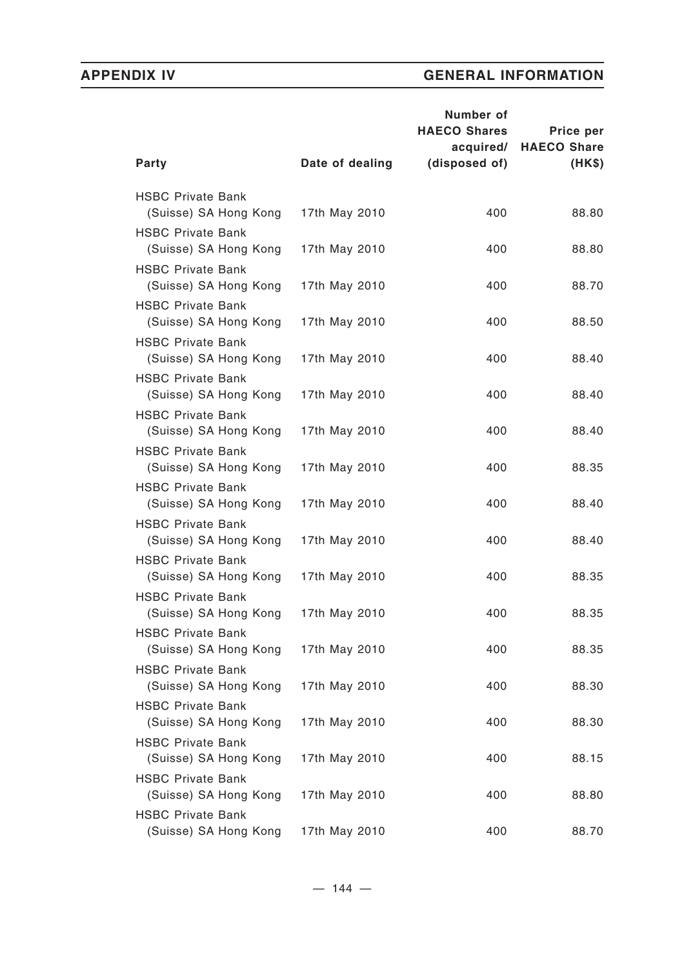|                                                   |                 | Number of<br><b>HAECO Shares</b> | Price per                    |
|---------------------------------------------------|-----------------|----------------------------------|------------------------------|
| <b>Party</b>                                      | Date of dealing | acquired/<br>(disposed of)       | <b>HAECO Share</b><br>(HK\$) |
| <b>HSBC Private Bank</b><br>(Suisse) SA Hong Kong | 17th May 2010   | 400                              | 88.80                        |
| <b>HSBC Private Bank</b><br>(Suisse) SA Hong Kong | 17th May 2010   | 400                              | 88.80                        |
| <b>HSBC Private Bank</b><br>(Suisse) SA Hong Kong | 17th May 2010   | 400                              | 88.70                        |
| <b>HSBC Private Bank</b><br>(Suisse) SA Hong Kong | 17th May 2010   | 400                              | 88.50                        |
| <b>HSBC Private Bank</b><br>(Suisse) SA Hong Kong | 17th May 2010   | 400                              | 88.40                        |
| <b>HSBC Private Bank</b><br>(Suisse) SA Hong Kong | 17th May 2010   | 400                              | 88.40                        |
| <b>HSBC Private Bank</b><br>(Suisse) SA Hong Kong | 17th May 2010   | 400                              | 88.40                        |
| <b>HSBC Private Bank</b><br>(Suisse) SA Hong Kong | 17th May 2010   | 400                              | 88.35                        |
| <b>HSBC Private Bank</b><br>(Suisse) SA Hong Kong | 17th May 2010   | 400                              | 88.40                        |
| <b>HSBC Private Bank</b><br>(Suisse) SA Hong Kong | 17th May 2010   | 400                              | 88.40                        |
| <b>HSBC Private Bank</b><br>(Suisse) SA Hong Kong | 17th May 2010   | 400                              | 88.35                        |
| <b>HSBC Private Bank</b><br>(Suisse) SA Hong Kong | 17th May 2010   | 400                              | 88.35                        |
| <b>HSBC Private Bank</b><br>(Suisse) SA Hong Kong | 17th May 2010   | 400                              | 88.35                        |
| <b>HSBC Private Bank</b><br>(Suisse) SA Hong Kong | 17th May 2010   | 400                              | 88.30                        |
| <b>HSBC Private Bank</b><br>(Suisse) SA Hong Kong | 17th May 2010   | 400                              | 88.30                        |
| <b>HSBC Private Bank</b><br>(Suisse) SA Hong Kong | 17th May 2010   | 400                              | 88.15                        |
| <b>HSBC Private Bank</b><br>(Suisse) SA Hong Kong | 17th May 2010   | 400                              | 88.80                        |
| <b>HSBC Private Bank</b><br>(Suisse) SA Hong Kong | 17th May 2010   | 400                              | 88.70                        |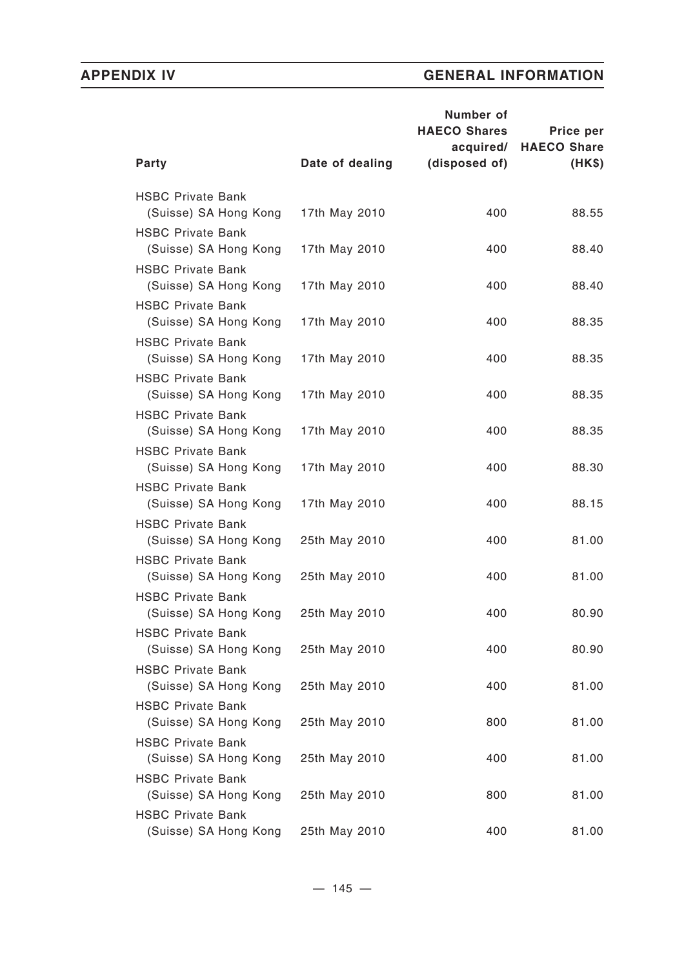|                                                   |                 | Number of<br><b>HAECO Shares</b> | Price per                    |
|---------------------------------------------------|-----------------|----------------------------------|------------------------------|
| <b>Party</b>                                      | Date of dealing | acquired/<br>(disposed of)       | <b>HAECO Share</b><br>(HK\$) |
| <b>HSBC Private Bank</b><br>(Suisse) SA Hong Kong | 17th May 2010   | 400                              | 88.55                        |
| <b>HSBC Private Bank</b><br>(Suisse) SA Hong Kong | 17th May 2010   | 400                              | 88.40                        |
| <b>HSBC Private Bank</b><br>(Suisse) SA Hong Kong | 17th May 2010   | 400                              | 88.40                        |
| <b>HSBC Private Bank</b><br>(Suisse) SA Hong Kong | 17th May 2010   | 400                              | 88.35                        |
| <b>HSBC Private Bank</b><br>(Suisse) SA Hong Kong | 17th May 2010   | 400                              | 88.35                        |
| <b>HSBC Private Bank</b><br>(Suisse) SA Hong Kong | 17th May 2010   | 400                              | 88.35                        |
| <b>HSBC Private Bank</b><br>(Suisse) SA Hong Kong | 17th May 2010   | 400                              | 88.35                        |
| <b>HSBC Private Bank</b><br>(Suisse) SA Hong Kong | 17th May 2010   | 400                              | 88.30                        |
| <b>HSBC Private Bank</b><br>(Suisse) SA Hong Kong | 17th May 2010   | 400                              | 88.15                        |
| <b>HSBC Private Bank</b><br>(Suisse) SA Hong Kong | 25th May 2010   | 400                              | 81.00                        |
| <b>HSBC Private Bank</b><br>(Suisse) SA Hong Kong | 25th May 2010   | 400                              | 81.00                        |
| <b>HSBC Private Bank</b><br>(Suisse) SA Hong Kong | 25th May 2010   | 400                              | 80.90                        |
| <b>HSBC Private Bank</b><br>(Suisse) SA Hong Kong | 25th May 2010   | 400                              | 80.90                        |
| <b>HSBC Private Bank</b><br>(Suisse) SA Hong Kong | 25th May 2010   | 400                              | 81.00                        |
| <b>HSBC Private Bank</b><br>(Suisse) SA Hong Kong | 25th May 2010   | 800                              | 81.00                        |
| <b>HSBC Private Bank</b><br>(Suisse) SA Hong Kong | 25th May 2010   | 400                              | 81.00                        |
| <b>HSBC Private Bank</b><br>(Suisse) SA Hong Kong | 25th May 2010   | 800                              | 81.00                        |
| <b>HSBC Private Bank</b><br>(Suisse) SA Hong Kong | 25th May 2010   | 400                              | 81.00                        |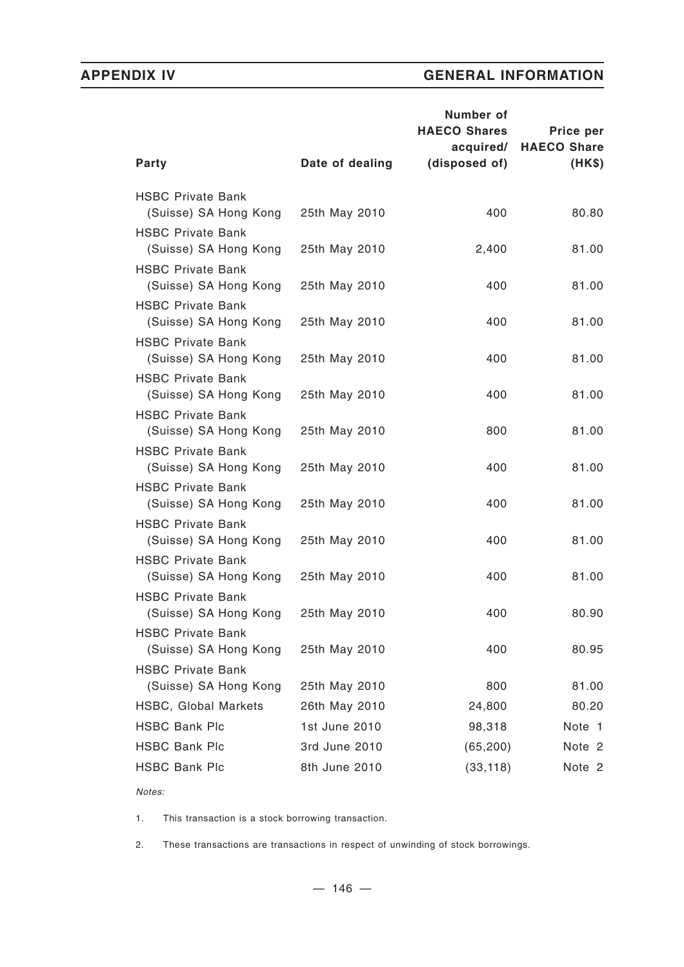|                                                   |                 | Number of<br><b>HAECO Shares</b><br>acquired/ | Price per<br><b>HAECO Share</b> |
|---------------------------------------------------|-----------------|-----------------------------------------------|---------------------------------|
| Party                                             | Date of dealing | (disposed of)                                 | (HK\$)                          |
| <b>HSBC Private Bank</b>                          |                 | 400                                           | 80.80                           |
| (Suisse) SA Hong Kong<br><b>HSBC Private Bank</b> | 25th May 2010   |                                               |                                 |
| (Suisse) SA Hong Kong                             | 25th May 2010   | 2,400                                         | 81.00                           |
| <b>HSBC Private Bank</b><br>(Suisse) SA Hong Kong | 25th May 2010   | 400                                           | 81.00                           |
| <b>HSBC Private Bank</b>                          |                 |                                               |                                 |
| (Suisse) SA Hong Kong<br><b>HSBC Private Bank</b> | 25th May 2010   | 400                                           | 81.00                           |
| (Suisse) SA Hong Kong                             | 25th May 2010   | 400                                           | 81.00                           |
| <b>HSBC Private Bank</b><br>(Suisse) SA Hong Kong | 25th May 2010   | 400                                           | 81.00                           |
| <b>HSBC Private Bank</b>                          |                 |                                               |                                 |
| (Suisse) SA Hong Kong                             | 25th May 2010   | 800                                           | 81.00                           |
| <b>HSBC Private Bank</b><br>(Suisse) SA Hong Kong | 25th May 2010   | 400                                           | 81.00                           |
| <b>HSBC Private Bank</b>                          |                 |                                               |                                 |
| (Suisse) SA Hong Kong                             | 25th May 2010   | 400                                           | 81.00                           |
| <b>HSBC Private Bank</b><br>(Suisse) SA Hong Kong | 25th May 2010   | 400                                           | 81.00                           |
| <b>HSBC Private Bank</b>                          |                 |                                               |                                 |
| (Suisse) SA Hong Kong                             | 25th May 2010   | 400                                           | 81.00                           |
| <b>HSBC Private Bank</b>                          |                 |                                               |                                 |
| (Suisse) SA Hong Kong                             | 25th May 2010   | 400                                           | 80.90                           |
| <b>HSBC Private Bank</b><br>(Suisse) SA Hong Kong | 25th May 2010   | 400                                           | 80.95                           |
| <b>HSBC Private Bank</b>                          |                 |                                               |                                 |
| (Suisse) SA Hong Kong                             | 25th May 2010   | 800                                           | 81.00                           |
| <b>HSBC, Global Markets</b>                       | 26th May 2010   | 24,800                                        | 80.20                           |
| <b>HSBC Bank Plc</b>                              | 1st June 2010   | 98,318                                        | Note 1                          |
| <b>HSBC Bank Plc</b>                              | 3rd June 2010   | (65, 200)                                     | Note 2                          |
| <b>HSBC Bank Plc</b>                              | 8th June 2010   | (33, 118)                                     | Note 2                          |
|                                                   |                 |                                               |                                 |

*Notes:*

1. This transaction is a stock borrowing transaction.

2. These transactions are transactions in respect of unwinding of stock borrowings.

 $- 146 -$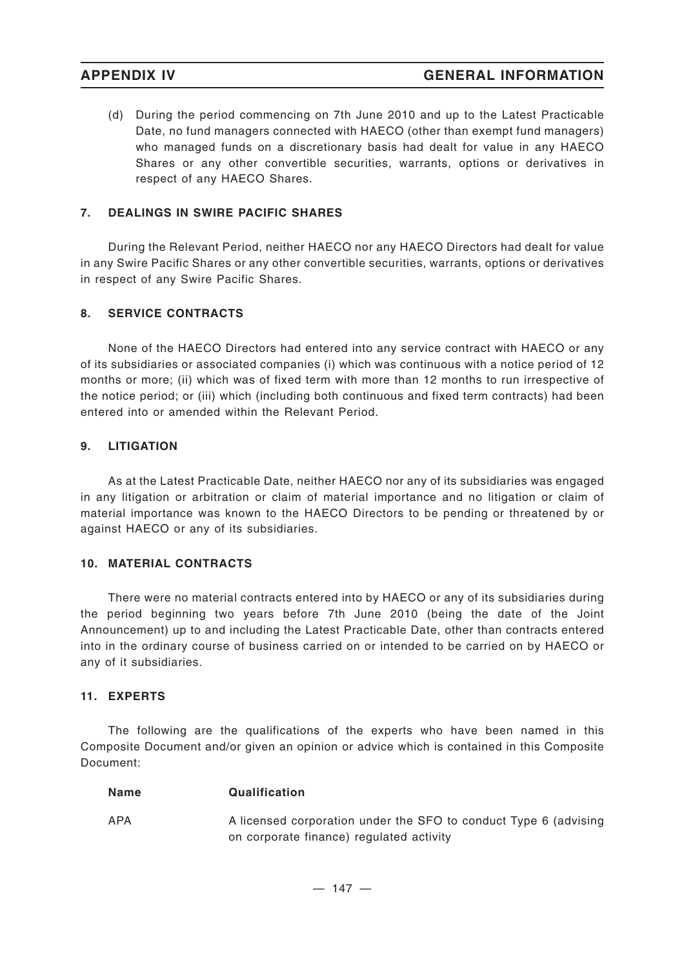(d) During the period commencing on 7th June 2010 and up to the Latest Practicable Date, no fund managers connected with HAECO (other than exempt fund managers) who managed funds on a discretionary basis had dealt for value in any HAECO Shares or any other convertible securities, warrants, options or derivatives in respect of any HAECO Shares.

## **7. DEALINGS IN SWIRE PACIFIC SHARES**

During the Relevant Period, neither HAECO nor any HAECO Directors had dealt for value in any Swire Pacific Shares or any other convertible securities, warrants, options or derivatives in respect of any Swire Pacific Shares.

### **8. SERVICE CONTRACTS**

None of the HAECO Directors had entered into any service contract with HAECO or any of its subsidiaries or associated companies (i) which was continuous with a notice period of 12 months or more; (ii) which was of fixed term with more than 12 months to run irrespective of the notice period; or (iii) which (including both continuous and fixed term contracts) had been entered into or amended within the Relevant Period.

### **9. LITIGATION**

As at the Latest Practicable Date, neither HAECO nor any of its subsidiaries was engaged in any litigation or arbitration or claim of material importance and no litigation or claim of material importance was known to the HAECO Directors to be pending or threatened by or against HAECO or any of its subsidiaries.

### **10. MATERIAL CONTRACTS**

There were no material contracts entered into by HAECO or any of its subsidiaries during the period beginning two years before 7th June 2010 (being the date of the Joint Announcement) up to and including the Latest Practicable Date, other than contracts entered into in the ordinary course of business carried on or intended to be carried on by HAECO or any of it subsidiaries.

### **11. EXPERTS**

The following are the qualifications of the experts who have been named in this Composite Document and/or given an opinion or advice which is contained in this Composite Document:

| Name | <b>Qualification</b>                                             |
|------|------------------------------------------------------------------|
| APA  | A licensed corporation under the SFO to conduct Type 6 (advising |
|      | on corporate finance) regulated activity                         |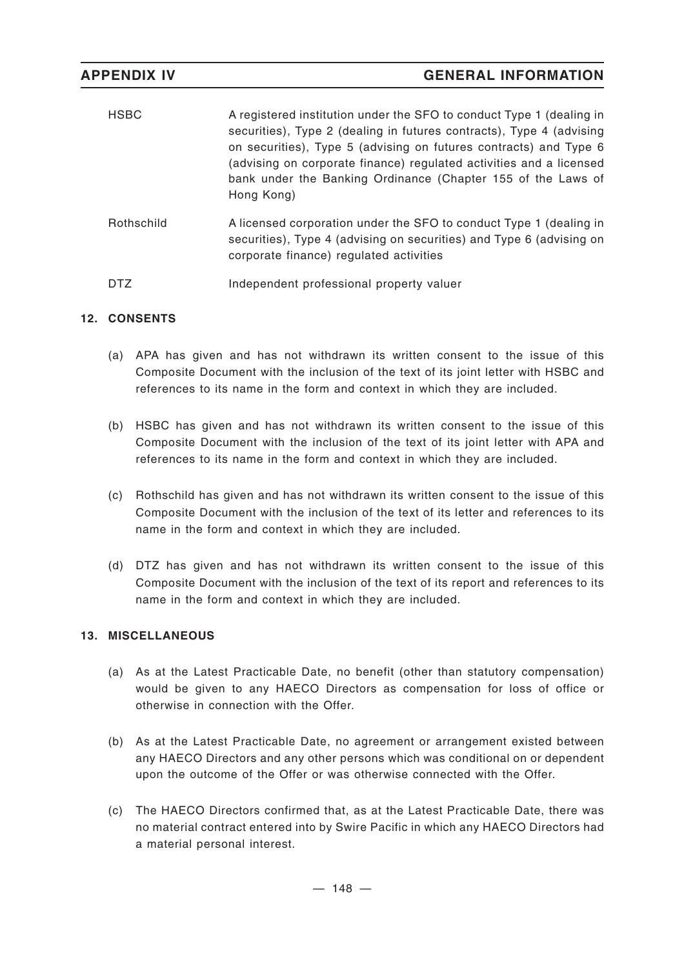| <b>HSBC</b> | A registered institution under the SFO to conduct Type 1 (dealing in<br>securities), Type 2 (dealing in futures contracts), Type 4 (advising<br>on securities), Type 5 (advising on futures contracts) and Type 6<br>(advising on corporate finance) regulated activities and a licensed<br>bank under the Banking Ordinance (Chapter 155 of the Laws of<br>Hong Kong) |
|-------------|------------------------------------------------------------------------------------------------------------------------------------------------------------------------------------------------------------------------------------------------------------------------------------------------------------------------------------------------------------------------|
| Rothschild  | A licensed corporation under the SFO to conduct Type 1 (dealing in<br>securities), Type 4 (advising on securities) and Type 6 (advising on<br>corporate finance) regulated activities                                                                                                                                                                                  |
| DTZ         | Independent professional property valuer                                                                                                                                                                                                                                                                                                                               |

## **12. CONSENTS**

- (a) APA has given and has not withdrawn its written consent to the issue of this Composite Document with the inclusion of the text of its joint letter with HSBC and references to its name in the form and context in which they are included.
- (b) HSBC has given and has not withdrawn its written consent to the issue of this Composite Document with the inclusion of the text of its joint letter with APA and references to its name in the form and context in which they are included.
- (c) Rothschild has given and has not withdrawn its written consent to the issue of this Composite Document with the inclusion of the text of its letter and references to its name in the form and context in which they are included.
- (d) DTZ has given and has not withdrawn its written consent to the issue of this Composite Document with the inclusion of the text of its report and references to its name in the form and context in which they are included.

## **13. MISCELLANEOUS**

- (a) As at the Latest Practicable Date, no benefit (other than statutory compensation) would be given to any HAECO Directors as compensation for loss of office or otherwise in connection with the Offer.
- (b) As at the Latest Practicable Date, no agreement or arrangement existed between any HAECO Directors and any other persons which was conditional on or dependent upon the outcome of the Offer or was otherwise connected with the Offer.
- (c) The HAECO Directors confirmed that, as at the Latest Practicable Date, there was no material contract entered into by Swire Pacific in which any HAECO Directors had a material personal interest.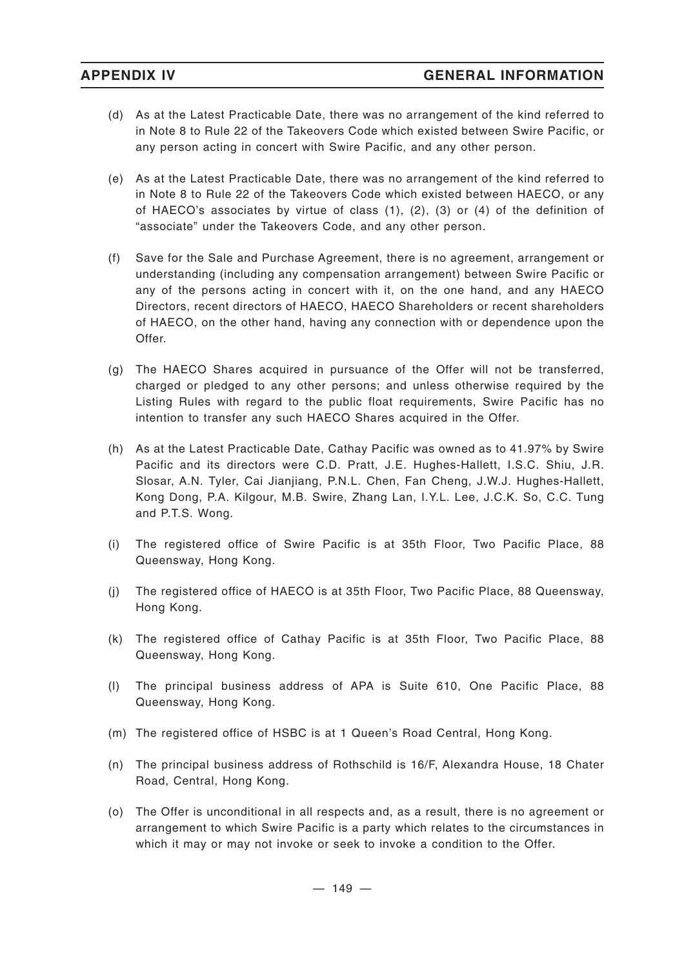- (d) As at the Latest Practicable Date, there was no arrangement of the kind referred to in Note 8 to Rule 22 of the Takeovers Code which existed between Swire Pacific, or any person acting in concert with Swire Pacific, and any other person.
- (e) As at the Latest Practicable Date, there was no arrangement of the kind referred to in Note 8 to Rule 22 of the Takeovers Code which existed between HAECO, or any of HAECO's associates by virtue of class (1), (2), (3) or (4) of the definition of "associate" under the Takeovers Code, and any other person.
- (f) Save for the Sale and Purchase Agreement, there is no agreement, arrangement or understanding (including any compensation arrangement) between Swire Pacific or any of the persons acting in concert with it, on the one hand, and any HAECO Directors, recent directors of HAECO, HAECO Shareholders or recent shareholders of HAECO, on the other hand, having any connection with or dependence upon the Offer.
- (g) The HAECO Shares acquired in pursuance of the Offer will not be transferred, charged or pledged to any other persons; and unless otherwise required by the Listing Rules with regard to the public float requirements, Swire Pacific has no intention to transfer any such HAECO Shares acquired in the Offer.
- (h) As at the Latest Practicable Date, Cathay Pacific was owned as to 41.97% by Swire Pacific and its directors were C.D. Pratt, J.E. Hughes-Hallett, I.S.C. Shiu, J.R. Slosar, A.N. Tyler, Cai Jianjiang, P.N.L. Chen, Fan Cheng, J.W.J. Hughes-Hallett, Kong Dong, P.A. Kilgour, M.B. Swire, Zhang Lan, I.Y.L. Lee, J.C.K. So, C.C. Tung and P.T.S. Wong.
- (i) The registered office of Swire Pacific is at 35th Floor, Two Pacific Place, 88 Queensway, Hong Kong.
- (j) The registered office of HAECO is at 35th Floor, Two Pacific Place, 88 Queensway, Hong Kong.
- (k) The registered office of Cathay Pacific is at 35th Floor, Two Pacific Place, 88 Queensway, Hong Kong.
- (l) The principal business address of APA is Suite 610, One Pacific Place, 88 Queensway, Hong Kong.
- (m) The registered office of HSBC is at 1 Queen's Road Central, Hong Kong.
- (n) The principal business address of Rothschild is 16/F, Alexandra House, 18 Chater Road, Central, Hong Kong.
- (o) The Offer is unconditional in all respects and, as a result, there is no agreement or arrangement to which Swire Pacific is a party which relates to the circumstances in which it may or may not invoke or seek to invoke a condition to the Offer.